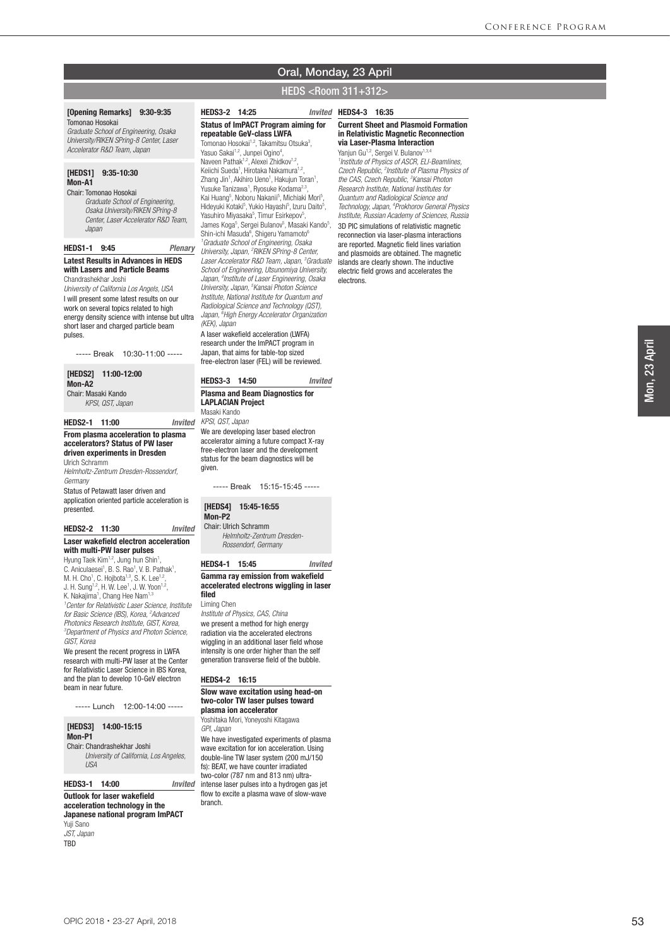## Oral, Monday, 23 April

## HEDS <Room 311+312>

#### [Opening Remarks] 9:30-9:35 Tomonao Hosokai

*Graduate School of Engineering, Osaka University/RIKEN SPring-8 Center, Laser Accelerator R&D Team, Japan*

#### [HEDS1] 9:35-10:30 Mon-A1

Chair: Tomonao Hosokai  *Graduate School of Engineering, Osaka University/RIKEN SPring-8 Center, Laser Accelerator R&D Team, Japan*

#### HEDS1-1 9:45 *Plenary* Latest Results in Advances in HEDS with Lasers and Particle Beams

Chandrashekhar Joshi

*University of California Los Angels, USA* I will present some latest results on our work on several topics related to high energy density science with intense but ultra short laser and charged particle beam pulses.

----- Break 10:30-11:00 -----

#### [HEDS2] 11:00-12:00 Mon-A<sub>2</sub>

Chair: Masaki Kando  *KPSI, QST, Japan*

#### HEDS2-1 11:00 *Invited*

#### From plasma acceleration to plasma accelerators? Status of PW laser driven experiments in Dresden Ulrich Schramm

*Helmholtz-Zentrum Dresden-Rossendorf, Germany* Status of Petawatt laser driven and

application oriented particle acceleration is presented.

#### HEDS2-2 11:30 *Invited*

### Laser wakefield electron acceleration with multi-PW laser pulses

Hyung Taek Kim<sup>1,2</sup>, Jung hun Shin<sup>1</sup> , C. Aniculaesei<sup>1</sup>, B. S. Rao<sup>1</sup>, V. B. Pathak<sup>1</sup>, M. H. Cho<sup>1</sup>, C. Hojbota<sup>1,3</sup>, S. K. Lee<sup>1,2</sup>, J. H. Sung<sup>1,2</sup>, H. W. Lee<sup>1</sup>, J. W. Yoon<sup>1,2</sup>, K. Nakajima<sup>1</sup>, Chang Hee Nam<sup>1,3</sup> *1 Center for Relativistic Laser Science, Institute for Basic Science (IBS), Korea, 2 Advanced Photonics Research Institute, GIST, Korea, 3 Department of Physics and Photon Science, GIST, Korea*

We present the recent progress in LWFA research with multi-PW laser at the Center for Relativistic Laser Science in IBS Korea, and the plan to develop 10-GeV electron beam in near future.

----- Lunch 12:00-14:00 -----

#### [HEDS3] 14:00-15:15 Mon-P1

Chair: Chandrashekhar Joshi  *University of California, Los Angeles, USA*

HEDS3-1 14:00 *Invited* Outlook for laser wakefield acceleration technology in the

## Japanese national program ImPACT Yuji Sano

*JST, Japan* TBD

#### HEDS3-2 14:25 *Invited* Status of ImPACT Program aiming for repeatable GeV-class LWFA

Tomonao Hosokai<sup>1,2</sup>, Takamitsu Otsuka<sup>3</sup>, Yasuo Sakai<sup>1,2</sup>, Junpei Ogino<sup>4</sup>, Naveen Pathak<sup>1,2</sup>, Alexei Zhidkov<sup>1,2</sup> Keiichi Sueda<sup>1</sup>, Hirotaka Nakamura<sup>1,2</sup>, Zhang Jin<sup>1</sup>, Akihiro Ueno<sup>1</sup>, Hakujun Toran<sup>1</sup>, Yusuke Tanizawa<sup>1</sup>, Ryosuke Kodama<sup>2,3</sup>, Kai Huang<sup>5</sup>, Noboru Nakanii<sup>5</sup>, Michiaki Mori<sup>5</sup>, Hideyuki Kotaki<sup>5</sup>, Yukio Hayashi<sup>5</sup>, Izuru Daito<sup>5</sup>, Yasuhiro Miyasaka<sup>5</sup>, Timur Esirkepov<sup>5</sup>, James Koga<sup>5</sup>, Sergei Bulanov<sup>5</sup>, Masaki Kando<sup>5</sup>, Shin-ichi Masuda<sup>6</sup>, Shigeru Yamamoto<sup>6</sup> *1 Graduate School of Engineering, Osaka University, Japan, 2 RIKEN SPring-8 Center, Laser Accelerator R&D Team, Japan, 3 Graduate School of Engineering, Utsunomiya University, Japan, 4 Institute of Laser Engineering, Osaka University, Japan, 5 Kansai Photon Science Institute, National Institute for Quantum and Radiological Science and Technology (QST), Japan, 6 High Energy Accelerator Organization (KEK), Japan* A laser wakefield acceleration (LWFA) research under the ImPACT program in

Japan, that aims for table-top sized free-electron laser (FEL) will be reviewed.

## HEDS3-3 14:50 *Invited*

### Plasma and Beam Diagnostics for LAPLACIAN Project

Masaki Kando *KPSI, QST, Japan*

We are developing laser based electron accelerator aiming a future compact X-ray free-electron laser and the development status for the beam diagnostics will be given.

----- Break 15:15-15:45 -----

#### [HEDS4] 15:45-16:55

Mon-P2

Chair: Ulrich Schramm  *Helmholtz-Zentrum Dresden-Rossendorf, Germany*

#### HEDS4-1 15:45 *Invited*

#### Gamma ray emission from wakefield accelerated electrons wiggling in laser filed

#### Liming Chen

*Institute of Physics, CAS, China* we present a method for high energy radiation via the accelerated electrons wiggling in an additional laser field whose intensity is one order higher than the self generation transverse field of the bubble.

#### HEDS4-2 16:15

#### Slow wave excitation using head-on two-color TW laser pulses toward plasma ion accelerator

Yoshitaka Mori, Yoneyoshi Kitagawa *GPI, Japan*

We have investigated experiments of plasma wave excitation for ion acceleration. Using double-line TW laser system (200 mJ/150 fs): BEAT, we have counter irradiated two-color (787 nm and 813 nm) ultraintense laser pulses into a hydrogen gas jet flow to excite a plasma wave of slow-wave branch.

#### Invited HEDS4-3 16:35

### Current Sheet and Plasmoid Formation in Relativistic Magnetic Reconnection via Laser-Plasma Interaction

Yanjun Gu<sup>1,2</sup>, Sergei V. Bulanov<sup>1,3</sup> *1 Institute of Physics of ASCR, ELI-Beamlines, Czech Republic, 2 Institute of Plasma Physics of the CAS, Czech Republic, 3 Kansai Photon Research Institute, National Institutes for Quantum and Radiological Science and Technology, Japan, 4 Prokhorov General Physics Institute, Russian Academy of Sciences, Russia* 3D PIC simulations of relativistic magnetic reconnection via laser-plasma interactions are reported. Magnetic field lines variation and plasmoids are obtained. The magnetic islands are clearly shown. The inductive electric field grows and accelerates the electrons.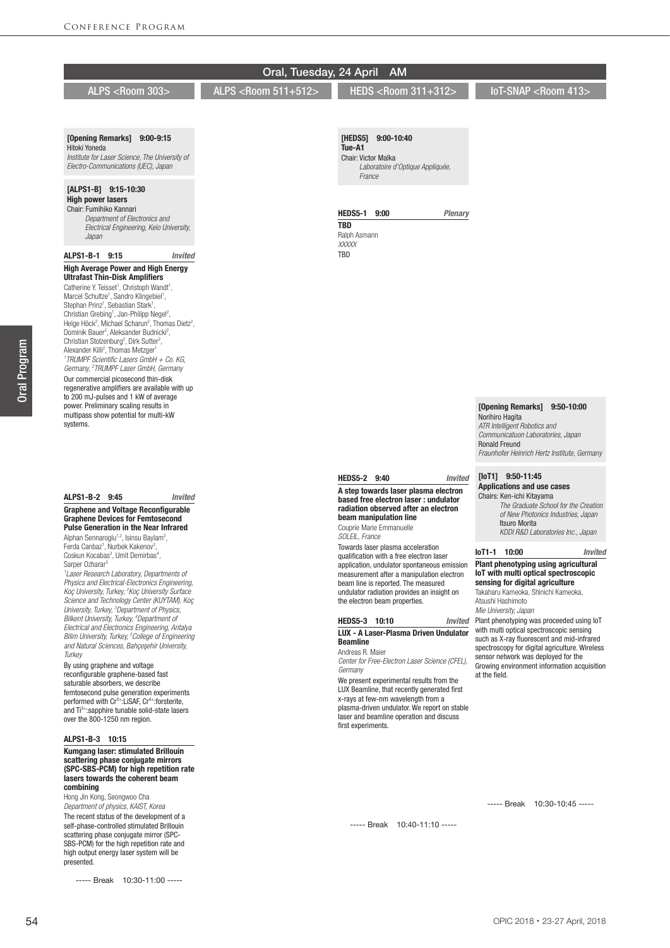## Oral, Tuesday, 24 April AM

ALPS <Room 303> ALPS <Room 511+512>

## [Opening Remarks] 9:00-9:15

Hitoki Yoneda *Institute for Laser Science, The University of Electro-Communications (UEC), Japan*

## [ALPS1-B] 9:15-10:30

High power lasers Chair: Fumihiko Kannari

 *Department of Electronics and Electrical Engineering, Keio University, Japan*

#### ALPS1-B-1 9:15 *Invited* High Average Power and High Energy Ultrafast Thin-Disk Amplifiers

Catherine Y. Teisset<sup>1</sup>, Christoph Wandt<sup>1</sup>, Marcel Schultze<sup>1</sup>, Sandro Klingebiel<sup>1</sup>, Stephan Prinz<sup>1</sup>, Sebastian Stark<sup>1</sup>, Christian Grebing<sup>1</sup>, Jan-Philipp Negel<sup>2</sup>,<br>Helge Höck<sup>2</sup>, Michael Scharun<sup>2</sup>, Thomas Dietz<sup>2</sup>, Dominik Bauer<sup>2</sup>, Aleksander Budnicki<sup>2</sup>, Christian Stolzenburg<sup>2</sup>, Dirk Sutter<sup>2</sup>, Alexander Killi<sup>2</sup>, Thomas Metzger<sup>1</sup> *1 TRUMPF Scientific Lasers GmbH + Co. KG, Germany, 2 TRUMPF Laser GmbH, Germany* Our commercial picosecond thin-disk regenerative amplifiers are available with up to 200 mJ-pulses and 1 kW of average power. Preliminary scaling results in multipass show potential for multi-kW systems.

### ALPS1-B-2 9:45 *Invited* Graphene and Voltage Reconfigurable

Graphene Devices for Femtosecond Pulse Generation in the Near Infrared Alphan Sennaroglu<sup>1,2</sup>, Isinsu Baylam<sup>2</sup>, Ferda Canbaz<sup>1</sup>, Nurbek Kakenov<sup>3</sup> ,

Coskun Kocabas<sup>3</sup>, Umit Demirbas<sup>4</sup>, Sarper Ozharar<sup>5</sup> *1 Laser Research Laboratory, Departments of* 

*Physics and Electrical-Electronics Engineering, Koç University, Turkey, 2 Koç University Surface Science and Technology Center (KUYTAM), Koç University, Turkey, 3 Department of Physics, Bilkent University, Turkey, 4 Department of Electrical and Electronics Engineering, Antalya Bilim University, Turkey, 5 College of Engineering and Natural Sciences, Bahçes¸ehir University, Turkey*

By using graphene and voltage reconfigurable graphene-based fast saturable absorbers, we describe femtosecond pulse generation experiments<br>performed with Cr<sup>3+</sup>:LiSAF, Cr<sup>4+</sup>:forsterite, and Ti<sup>3+</sup>:sapphire tunable solid-state lasers over the 800-1250 nm region.

#### ALPS1-B-3 10:15

#### Kumgang laser: stimulated Brillouin scattering phase conjugate mirrors (SPC-SBS-PCM) for high repetition rate lasers towards the coherent beam combining

Hong Jin Kong, Seongwoo Cha *Department of physics, KAIST, Korea* The recent status of the development of a self-phase-controlled stimulated Brillouin scattering phase conjugate mirror (SPC-SBS-PCM) for the high repetition rate and high output energy laser system will be presented.

----- Break 10:30-11:00 -----

HEDS <Room 311+312>

IoT-SNAP <Room 413>

[HEDS5] 9:00-10:40 Tue-A1 Chair: Victor Malka  *Laboratoire d'Optique Appliquée, France*

#### HEDS5-1 9:00 *Plenary*

TBD Ralph Asmann *XXXXX* **TRD** 

# Norihiro Hagita

*Communicatuon Laboratories, Japan* Ronald Freund *Fraunhofer Heinrich Hertz Institute, Germany*

# [IoT1] 9:50-11:45

#### Applications and use cases Chairs: Ken-ichi Kitayama

 *The Graduate School for the Creation of New Photonics Industries, Japan* Itsuro Morita *KDDI R&D Laboratories Inc., Japan*

#### IoT1-1 10:00 *Invited*

#### Plant phenotyping using agricultural IoT with multi optical spectroscopic sensing for digital agriculture Takaharu Kameoka, Shinichi Kameoka,

Atsushi Hashimoto *Mie University, Japan*

Plant phenotyping was proceeded using IoT with multi optical spectroscopic sensing such as X-ray fluorescent and mid-infrared spectroscopy for digital agriculture. Wireless sensor network was deployed for the Growing environment information acquisition at the field.

----- Break 10:40-11:10 -----

----- Break 10:30-10:45 -----

# [Opening Remarks] 9:50-10:00

*ATR Intelligent Robotics and* 

HEDS5-2 9:40 *Invited*

#### A step towards laser plasma electron based free electron laser : undulator radiation observed after an electron beam manipulation line

Couprie Marie Emmanuelle

*SOLEIL, France*

Towards laser plasma acceleration qualification with a free electron laser application, undulator spontaneous emission measurement after a manipulation electron beam line is reported. The measured undulator radiation provides an insight on the electron beam properties.

#### HEDS5-3 10:10 *Invited* LUX - A Laser-Plasma Driven Undulator Beamline

Andreas R. Maier *Center for Free-Electron Laser Science (CFEL),* 

*Germany* We present experimental results from the LUX Beamline, that recently generated first x-rays at few-nm wavelength from a plasma-driven undulator. We report on stable laser and beamline operation and discuss first experiments.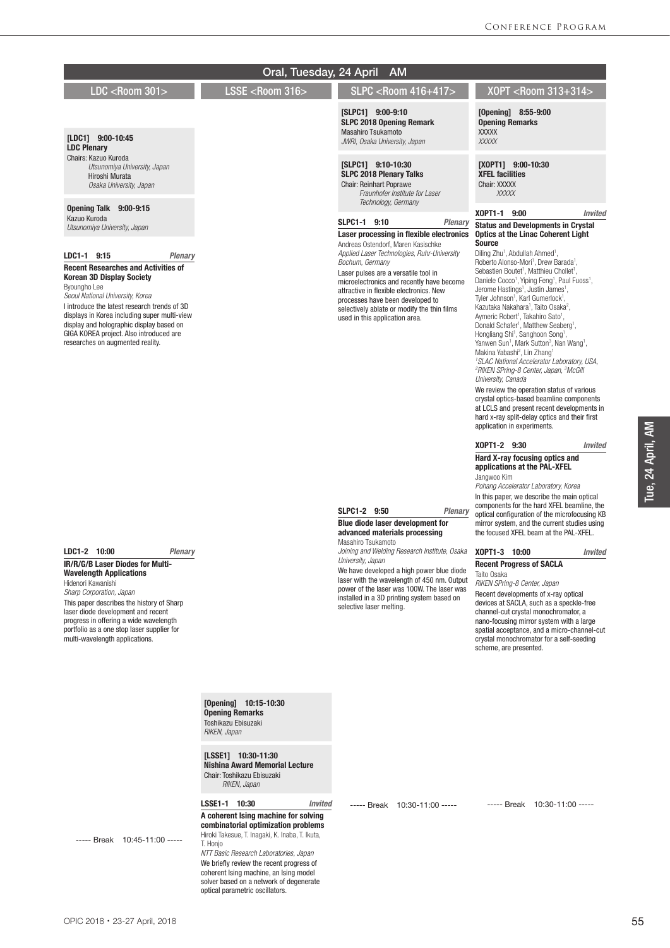#### LDC <Room 301> LSSE <Room 316> SLPC <Room 416+417> XOPT <Room 313+314> Oral, Tuesday, 24 April AM [Opening] 8:55-9:00 Opening Remarks XXXXX *XXXXX* [XOPT1] 9:00-10:30 XFEL facilities Chair: XXXXX  *XXXXX* XOPT1-1 9:00 *Invited* Status and Developments in Crystal Optics at the Linac Coherent Light **Source** Diling Zhu<sup>1</sup>, Abdullah Ahmed<sup>1</sup>, Roberto Alonso-Mori<sup>1</sup>, Drew Barada<sup>1</sup>, Sebastien Boutet<sup>1</sup>, Matthieu Chollet<sup>1</sup>, Daniele Cocco<sup>1</sup>, Yiping Feng<sup>1</sup>, Paul Fuoss<sup>1</sup>, Jerome Hastings<sup>1</sup>, Justin James<sup>1</sup>, Tyler Johnson<sup>1</sup>, Karl Gumerlock<sup>1</sup>,<br>Kazutaka Nakahara<sup>1</sup>, Taito Osaka<sup>2</sup>, Aymeric Robert<sup>1</sup>, Takahiro Sato<sup>1</sup>, Donald Schafer<sup>1</sup>, Matthew Seaberg<sup>1</sup>, Hongliang Shi<sup>1</sup>, Sanghoon Song<sup>1</sup>,<br>Yanwen Sun<sup>1</sup>, Mark Sutton<sup>3</sup>, Nan Wang<sup>1</sup>, Makina Yabashi<sup>2</sup>, Lin Zhang<sup>1</sup> *1 SLAC National Accelerator Laboratory, USA, 2 RIKEN SPring-8 Center, Japan, 3 McGill University, Canada* We review the operation status of various crystal optics-based beamline components at LCLS and present recent developments in hard x-ray split-delay optics and their first application in experiments. XOPT1-2 9:30 *Invited* Hard X-ray focusing optics and applications at the PAL-XFEL Jangwoo Kim *Pohang Accelerator Laboratory, Korea* In this paper, we describe the main optical components for the hard XFEL beamline, the optical configuration of the microfocusing KB mirror system, and the current studies using the focused XFEL beam at the PAL-XFEL. XOPT1-3 10:00 *Invited* Recent Progress of SACLA Taito Osaka *RIKEN SPring-8 Center, Japan* Recent developments of x-ray optical devices at SACLA, such as a speckle-free channel-cut crystal monochromator, a nano-focusing mirror system with a large spatial acceptance, and a micro-channel-cut crystal monochromator for a self-seeding scheme, are presented. ----- Break 10:30-11:00 ----- [SLPC1] 9:00-9:10 SLPC 2018 Opening Remark Masahiro Tsukamoto *JWRI, Osaka University, Japan* [SLPC1] 9:10-10:30 SLPC 2018 Plenary Talks Chair: Reinhart Poprawe  *Fraunhofer Institute for Laser Technology, Germany* SLPC1-1 9:10 *Plenary* Laser processing in flexible electronics Andreas Ostendorf, Maren Kasischke *Applied Laser Technologies, Ruhr-University Bochum, Germany* Laser pulses are a versatile tool in microelectronics and recently have become attractive in flexible electronics. New processes have been developed to selectively ablate or modify the thin films used in this application area. SLPC1-2 9:50 *Plenary* Blue diode laser development for advanced materials processing Masahiro Tsukamoto *Joining and Welding Research Institute, Osaka University, Japan* We have developed a high power blue diode laser with the wavelength of 450 nm. Output power of the laser was 100W. The laser was installed in a 3D printing system based on selective laser melting. ----- Break 10:30-11:00 ----- [Opening] 10:15-10:30 Opening Remarks Toshikazu Ebisuzaki *RIKEN, Japan* [LSSE1] 10:30-11:30 Nishina Award Memorial Lecture Chair: Toshikazu Ebisuzaki *RIKEN, Japan* LSSE1-1 10:30 *Invited* A coherent Ising machine for solving combinatorial optimization problems Hiroki Takesue, T. Inagaki, K. Inaba, T. Ikuta, T. Honjo *NTT Basic Research Laboratories, Japan* We briefly review the recent progress of coherent Ising machine, an Ising model solver based on a network of degenerate optical parametric oscillators. [LDC1] 9:00-10:45 LDC Plenary Chairs: Kazuo Kuroda  *Utsunomiya University, Japan* Hiroshi Murata  *Osaka University, Japan* Opening Talk 9:00-9:15 Kazuo Kuroda *Utsunomiya University, Japan* LDC1-1 9:15 *Plenary* Recent Researches and Activities of Korean 3D Display Society Byoungho Lee *Seoul National University, Korea* I introduce the latest research trends of 3D displays in Korea including super multi-view display and holographic display based on GIGA KOREA project. Also introduced are researches on augmented reality. LDC1-2 10:00 *Plenary* IR/R/G/B Laser Diodes for Multi-Wavelength Applications Hidenori Kawanishi *Sharp Corporation, Japan* This paper describes the history of Sharp laser diode development and recent progress in offering a wide wavelength portfolio as a one stop laser supplier for multi-wavelength applications. ----- Break 10:45-11:00 -----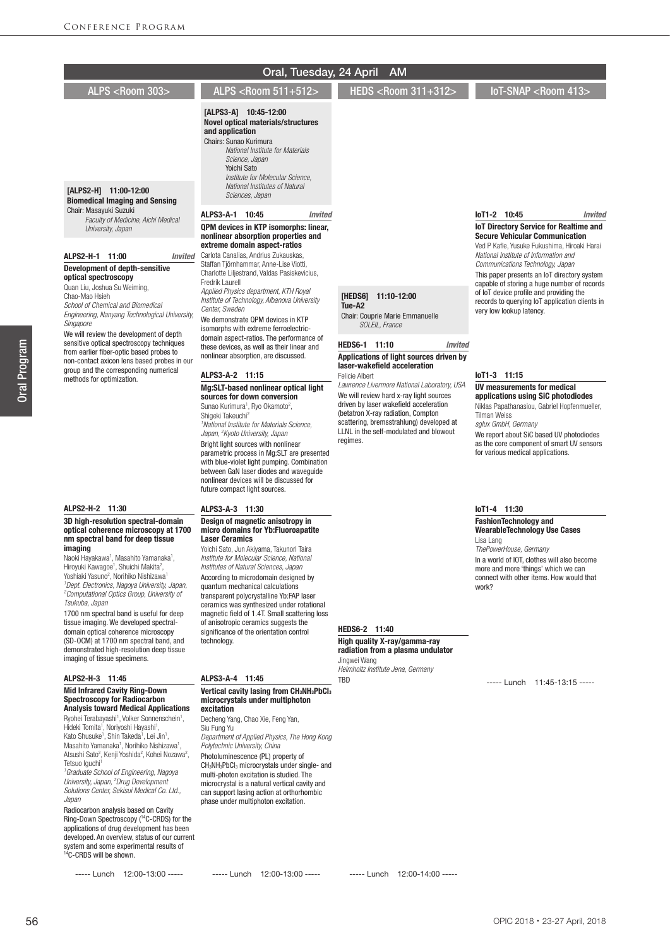|                                                                                                                                                            | Oral, Tuesday, 24 April                                                                                                                                                                                                                                                       | <b>AM</b>                                                                         |                                                                                            |
|------------------------------------------------------------------------------------------------------------------------------------------------------------|-------------------------------------------------------------------------------------------------------------------------------------------------------------------------------------------------------------------------------------------------------------------------------|-----------------------------------------------------------------------------------|--------------------------------------------------------------------------------------------|
| ALPS <room 303=""></room>                                                                                                                                  | ALPS <room 511+512=""></room>                                                                                                                                                                                                                                                 | HEDS <room 311+312=""></room>                                                     | IoT-SNAP <room 413=""></room>                                                              |
| [ALPS2-H] 11:00-12:00<br><b>Biomedical Imaging and Sensing</b>                                                                                             | [ALPS3-A] 10:45-12:00<br><b>Novel optical materials/structures</b><br>and application<br>Chairs: Sunao Kurimura<br>National Institute for Materials<br>Science, Japan<br>Yoichi Sato<br>Institute for Molecular Science.<br>National Institutes of Natural<br>Sciences, Japan |                                                                                   |                                                                                            |
| Chair: Masavuki Suzuki<br>Faculty of Medicine, Aichi Medical                                                                                               | ALPS3-A-1 10:45<br><b>Invited</b>                                                                                                                                                                                                                                             |                                                                                   | loT1-2 10:45<br>Invited                                                                    |
| University, Japan                                                                                                                                          | QPM devices in KTP isomorphs: linear,<br>nonlinear absorption properties and                                                                                                                                                                                                  |                                                                                   | <b>IoT Directory Service for Realtime and</b><br><b>Secure Vehicular Communication</b>     |
|                                                                                                                                                            | extreme domain aspect-ratios                                                                                                                                                                                                                                                  |                                                                                   | Ved P Kafle, Yusuke Fukushima, Hiroaki Harai                                               |
| ALPS2-H-1 11:00<br><i><b>Invited</b></i><br><b>Development of depth-sensitive</b>                                                                          | Carlota Canalias, Andrius Zukauskas,<br>Staffan Tjörnhammar, Anne-Lise Viotti,                                                                                                                                                                                                |                                                                                   | National Institute of Information and<br>Communications Technology, Japan                  |
| optical spectroscopy                                                                                                                                       | Charlotte Liljestrand, Valdas Pasiskevicius,<br>Fredrik Laurell                                                                                                                                                                                                               |                                                                                   | This paper presents an IoT directory system<br>capable of storing a huge number of records |
| Quan Liu, Joshua Su Weiming,<br>Chao-Mao Hsieh                                                                                                             | Applied Physics department, KTH Royal                                                                                                                                                                                                                                         | [HEDS6] 11:10-12:00                                                               | of loT device profile and providing the                                                    |
| School of Chemical and Biomedical                                                                                                                          | Institute of Technology, Albanova University<br>Center, Sweden                                                                                                                                                                                                                | Tue-A2                                                                            | records to querying IoT application clients in<br>very low lookup latency.                 |
| Engineering, Nanyang Technological University,<br>Singapore                                                                                                | We demonstrate QPM devices in KTP<br>isomorphs with extreme ferroelectric-                                                                                                                                                                                                    | Chair: Couprie Marie Emmanuelle<br>SOLEIL, France                                 |                                                                                            |
| We will review the development of depth<br>sensitive optical spectroscopy techniques                                                                       | domain aspect-ratios. The performance of                                                                                                                                                                                                                                      | HEDS6-1 11:10<br><b>Invited</b>                                                   |                                                                                            |
| from earlier fiber-optic based probes to<br>non-contact axicon lens based probes in our                                                                    | these devices, as well as their linear and<br>nonlinear absorption, are discussed.                                                                                                                                                                                            | Applications of light sources driven by                                           |                                                                                            |
| group and the corresponding numerical                                                                                                                      | ALPS3-A-2 11:15                                                                                                                                                                                                                                                               | laser-wakefield acceleration<br><b>Felicie Albert</b>                             | $I$ oT1-3 11:15                                                                            |
| methods for optimization.                                                                                                                                  | Mg:SLT-based nonlinear optical light                                                                                                                                                                                                                                          | Lawrence Livermore National Laboratory, USA                                       | UV measurements for medical                                                                |
|                                                                                                                                                            | sources for down conversion<br>Sunao Kurimura <sup>1</sup> , Ryo Okamoto <sup>2</sup> ,                                                                                                                                                                                       | We will review hard x-ray light sources<br>driven by laser wakefield acceleration | applications using SiC photodiodes<br>Niklas Papathanasiou, Gabriel Hopfenmueller,         |
|                                                                                                                                                            | Shiqeki Takeuchi <sup>2</sup><br><sup>1</sup> National Institute for Materials Science,                                                                                                                                                                                       | (betatron X-ray radiation, Compton<br>scattering, bremsstrahlung) developed at    | <b>Tilman Weiss</b><br>sglux GmbH, Germany                                                 |
|                                                                                                                                                            | Japan, <sup>2</sup> Kyoto University, Japan                                                                                                                                                                                                                                   | LLNL in the self-modulated and blowout<br>regimes.                                | We report about SiC based UV photodiodes                                                   |
|                                                                                                                                                            | Bright light sources with nonlinear<br>parametric process in Mg:SLT are presented<br>with blue-violet light pumping. Combination<br>between GaN laser diodes and wavequide<br>nonlinear devices will be discussed for<br>future compact light sources.                        |                                                                                   | as the core component of smart UV sensors<br>for various medical applications.             |
| ALPS2-H-2 11:30                                                                                                                                            | ALPS3-A-3 11:30                                                                                                                                                                                                                                                               |                                                                                   | loT1-4 11:30                                                                               |
| 3D high-resolution spectral-domain<br>optical coherence microscopy at 1700<br>nm spectral band for deep tissue                                             | Design of magnetic anisotropy in<br>micro domains for Yb:Fluoroapatite<br><b>Laser Ceramics</b>                                                                                                                                                                               |                                                                                   | <b>FashionTechnology and</b><br><b>WearableTechnology Use Cases</b>                        |
| imaging                                                                                                                                                    | Yoichi Sato, Jun Akiyama, Takunori Taira                                                                                                                                                                                                                                      |                                                                                   | Lisa Lang<br>ThePowerHouse, Germany                                                        |
| Naoki Hayakawa <sup>1</sup> , Masahito Yamanaka <sup>1</sup> ,<br>Hiroyuki Kawagoe <sup>1</sup> , Shuichi Makita <sup>2</sup> ,                            | Institute for Molecular Science, National<br>Institutes of Natural Sciences, Japan                                                                                                                                                                                            |                                                                                   | In a world of IOT, clothes will also become<br>more and more 'things' which we can         |
| Yoshiaki Yasuno <sup>2</sup> , Norihiko Nishizawa <sup>1</sup><br><sup>1</sup> Dept. Electronics, Nagoya University, Japan,                                | According to microdomain designed by<br>quantum mechanical calculations                                                                                                                                                                                                       |                                                                                   | connect with other items. How would that<br>work?                                          |
| <sup>2</sup> Computational Optics Group, University of                                                                                                     | transparent polycrystalline Yb:FAP laser                                                                                                                                                                                                                                      |                                                                                   |                                                                                            |
| Tsukuba, Japan<br>1700 nm spectral band is useful for deep                                                                                                 | ceramics was synthesized under rotational<br>magnetic field of 1.4T. Small scattering loss                                                                                                                                                                                    |                                                                                   |                                                                                            |
| tissue imaging. We developed spectral-<br>domain optical coherence microscopy                                                                              | of anisotropic ceramics suggests the<br>significance of the orientation control                                                                                                                                                                                               | HEDS6-2 11:40                                                                     |                                                                                            |
| (SD-OCM) at 1700 nm spectral band, and<br>demonstrated high-resolution deep tissue                                                                         | technology.                                                                                                                                                                                                                                                                   | High quality X-ray/gamma-ray                                                      |                                                                                            |
| imaging of tissue specimens.                                                                                                                               |                                                                                                                                                                                                                                                                               | radiation from a plasma undulator<br>Jingwei Wang                                 |                                                                                            |
| ALPS2-H-3 11:45                                                                                                                                            | ALPS3-A-4 11:45                                                                                                                                                                                                                                                               | Helmholtz Institute Jena, Germany<br><b>TBD</b>                                   |                                                                                            |
| <b>Mid Infrared Cavity Ring-Down</b>                                                                                                                       | Vertical cavity lasing from CH <sub>3</sub> NH <sub>3</sub> PbCl <sub>3</sub>                                                                                                                                                                                                 |                                                                                   | ----- Lunch 11:45-13:15 -----                                                              |
| <b>Spectroscopy for Radiocarbon</b><br><b>Analysis toward Medical Applications</b>                                                                         | microcrystals under multiphoton<br>excitation                                                                                                                                                                                                                                 |                                                                                   |                                                                                            |
| Ryohei Terabayashi <sup>1</sup> , Volker Sonnenschein <sup>1</sup> ,<br>Hideki Tomita <sup>1</sup> , Noriyoshi Hayashi <sup>1</sup> ,                      | Decheng Yang, Chao Xie, Feng Yan,<br>Siu Fung Yu                                                                                                                                                                                                                              |                                                                                   |                                                                                            |
| Kato Shusuke <sup>1</sup> , Shin Takeda <sup>1</sup> , Lei Jin <sup>1</sup> ,                                                                              | Department of Applied Physics, The Hong Kong                                                                                                                                                                                                                                  |                                                                                   |                                                                                            |
| Masahito Yamanaka <sup>1</sup> , Norihiko Nishizawa <sup>1</sup> ,<br>Atsushi Sato <sup>2</sup> , Kenji Yoshida <sup>2</sup> , Kohei Nozawa <sup>2</sup> , | Polytechnic University, China<br>Photoluminescence (PL) property of                                                                                                                                                                                                           |                                                                                   |                                                                                            |
| Tetsuo Iquchi <sup>1</sup><br><sup>1</sup> Graduate School of Engineering, Nagoya                                                                          | CH <sub>3</sub> NH <sub>3</sub> PbCl <sub>3</sub> microcrystals under single- and<br>multi-photon excitation is studied. The                                                                                                                                                  |                                                                                   |                                                                                            |
| University, Japan, <sup>2</sup> Drug Development<br>Solutions Center, Sekisui Medical Co. Ltd.,                                                            | microcrystal is a natural vertical cavity and                                                                                                                                                                                                                                 |                                                                                   |                                                                                            |
| Japan                                                                                                                                                      | can support lasing action at orthorhombic<br>phase under multiphoton excitation.                                                                                                                                                                                              |                                                                                   |                                                                                            |

----- Lunch 12:00-13:00 -----

----- Lunch 12:00-13:00 ----- - ----- Lunch 12:00-14:00 -----

Oral Program

Oral Program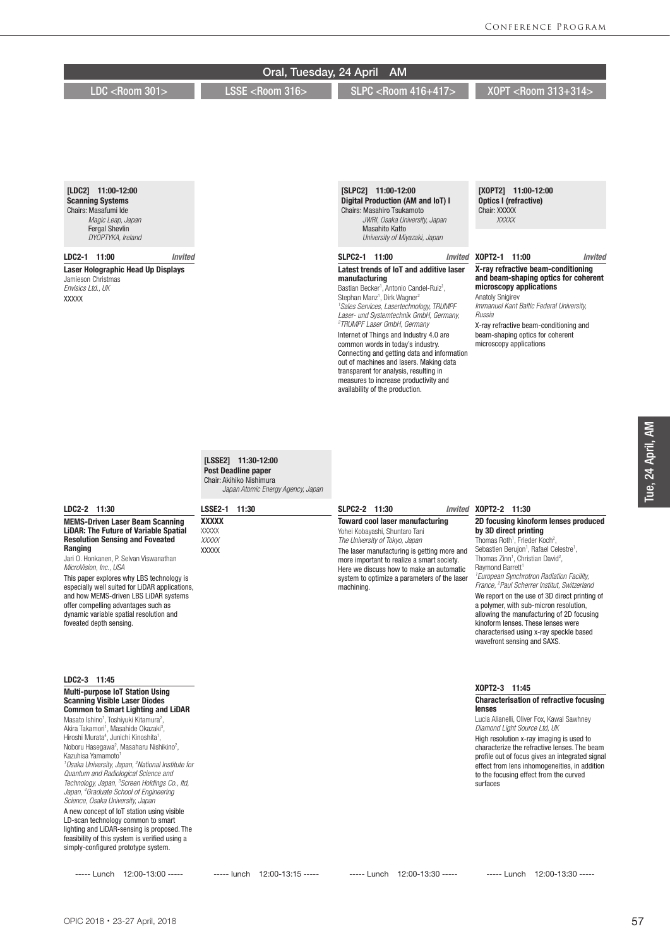|                                                                                                                                                                                                                                                                                                                                                                                                                                                                                                                                                                                                                                                                                                                                                                                                                                                                                                                                                                | Oral, Tuesday, 24 April                                                                                                             | <b>AM</b>                                                                                                                                                                                                                                                                                                                                                                                                                                                                                                                                                                                                                                                      |                                                                                                                                                                                                                                                                                                                                                                                                                                                                                                                                                                                                                                                                      |
|----------------------------------------------------------------------------------------------------------------------------------------------------------------------------------------------------------------------------------------------------------------------------------------------------------------------------------------------------------------------------------------------------------------------------------------------------------------------------------------------------------------------------------------------------------------------------------------------------------------------------------------------------------------------------------------------------------------------------------------------------------------------------------------------------------------------------------------------------------------------------------------------------------------------------------------------------------------|-------------------------------------------------------------------------------------------------------------------------------------|----------------------------------------------------------------------------------------------------------------------------------------------------------------------------------------------------------------------------------------------------------------------------------------------------------------------------------------------------------------------------------------------------------------------------------------------------------------------------------------------------------------------------------------------------------------------------------------------------------------------------------------------------------------|----------------------------------------------------------------------------------------------------------------------------------------------------------------------------------------------------------------------------------------------------------------------------------------------------------------------------------------------------------------------------------------------------------------------------------------------------------------------------------------------------------------------------------------------------------------------------------------------------------------------------------------------------------------------|
| LDC <room 301=""></room>                                                                                                                                                                                                                                                                                                                                                                                                                                                                                                                                                                                                                                                                                                                                                                                                                                                                                                                                       | LSSE <room 316=""></room>                                                                                                           | <b>SLPC <r00m 416+417=""></r00m></b>                                                                                                                                                                                                                                                                                                                                                                                                                                                                                                                                                                                                                           | X0PT <room 313+314=""></room>                                                                                                                                                                                                                                                                                                                                                                                                                                                                                                                                                                                                                                        |
| [LDC2] 11:00-12:00<br><b>Scanning Systems</b><br>Chairs: Masafumi Ide<br>Magic Leap, Japan<br><b>Fergal Shevlin</b>                                                                                                                                                                                                                                                                                                                                                                                                                                                                                                                                                                                                                                                                                                                                                                                                                                            |                                                                                                                                     | [SLPC2] 11:00-12:00<br>Digital Production (AM and IoT) I<br><b>Chairs: Masahiro Tsukamoto</b><br>JWRI, Osaka University, Japan<br><b>Masahito Katto</b>                                                                                                                                                                                                                                                                                                                                                                                                                                                                                                        | [XOPT2] 11:00-12:00<br>Optics I (refractive)<br>Chair: XXXXX<br><b>XXXXX</b>                                                                                                                                                                                                                                                                                                                                                                                                                                                                                                                                                                                         |
| DYOPTYKA, Ireland                                                                                                                                                                                                                                                                                                                                                                                                                                                                                                                                                                                                                                                                                                                                                                                                                                                                                                                                              |                                                                                                                                     | University of Miyazaki, Japan                                                                                                                                                                                                                                                                                                                                                                                                                                                                                                                                                                                                                                  |                                                                                                                                                                                                                                                                                                                                                                                                                                                                                                                                                                                                                                                                      |
| LDC2-1 11:00<br>Invited<br>Laser Holographic Head Up Displays<br>Jamieson Christmas<br>Envisics Ltd., UK<br><b>XXXXX</b>                                                                                                                                                                                                                                                                                                                                                                                                                                                                                                                                                                                                                                                                                                                                                                                                                                       |                                                                                                                                     | SLPC2-1 11:00<br>Invited<br>Latest trends of IoT and additive laser<br>manufacturing<br>Bastian Becker <sup>1</sup> , Antonio Candel-Ruiz <sup>1</sup> ,<br>Stephan Manz <sup>1</sup> , Dirk Wagner <sup>2</sup><br><sup>1</sup> Sales Services, Lasertechnology, TRUMPF<br>Laser- und Systemtechnik GmbH, Germany,<br><sup>2</sup> TRUMPF Laser GmbH, Germany<br>Internet of Things and Industry 4.0 are<br>common words in today's industry.<br>Connecting and getting data and information<br>out of machines and lasers. Making data<br>transparent for analysis, resulting in<br>measures to increase productivity and<br>availability of the production. | X0PT2-1 11:00<br><b>Invited</b><br>X-ray refractive beam-conditioning<br>and beam-shaping optics for coherent<br>microscopy applications<br><b>Anatoly Snigirev</b><br>Immanuel Kant Baltic Federal University,<br>Russia<br>X-ray refractive beam-conditioning and<br>beam-shaping optics for coherent<br>microscopy applications                                                                                                                                                                                                                                                                                                                                   |
| LDC2-2 11:30                                                                                                                                                                                                                                                                                                                                                                                                                                                                                                                                                                                                                                                                                                                                                                                                                                                                                                                                                   | [LSSE2] 11:30-12:00<br><b>Post Deadline paper</b><br>Chair: Akihiko Nishimura<br>Japan Atomic Energy Agency, Japan<br>LSSE2-1 11:30 | SLPC2-2 11:30                                                                                                                                                                                                                                                                                                                                                                                                                                                                                                                                                                                                                                                  | Invited X0PT2-2 11:30                                                                                                                                                                                                                                                                                                                                                                                                                                                                                                                                                                                                                                                |
| <b>MEMS-Driven Laser Beam Scanning</b><br><b>LiDAR: The Future of Variable Spatial</b><br><b>Resolution Sensing and Foveated</b><br>Ranging<br>Jari O. Honkanen, P. Selvan Viswanathan<br>MicroVision, Inc., USA<br>This paper explores why LBS technology is<br>especially well suited for LiDAR applications,<br>and how MEMS-driven LBS LiDAR systems<br>offer compelling advantages such as<br>dynamic variable spatial resolution and<br>foveated depth sensing.                                                                                                                                                                                                                                                                                                                                                                                                                                                                                          | <b>XXXXX</b><br><b>XXXXX</b><br>XXXXX<br><b>XXXXX</b>                                                                               | <b>Toward cool laser manufacturing</b><br>Yohei Kobayashi, Shuntaro Tani<br>The University of Tokyo, Japan<br>The laser manufacturing is getting more and<br>more important to realize a smart society.<br>Here we discuss how to make an automatic<br>system to optimize a parameters of the laser<br>machining.                                                                                                                                                                                                                                                                                                                                              | 2D focusing kinoform lenses produced<br>by 3D direct printing<br>Thomas Roth <sup>1</sup> , Frieder Koch <sup>2</sup> ,<br>Sebastien Berujon <sup>1</sup> , Rafael Celestre <sup>1</sup> ,<br>Thomas Zinn <sup>1</sup> , Christian David <sup>2</sup> ,<br>Raymond Barrett <sup>1</sup><br><sup>1</sup> European Synchrotron Radiation Facility,<br>France, <sup>2</sup> Paul Scherrer Institut, Switzerland<br>We report on the use of 3D direct printing of<br>a polymer, with sub-micron resolution,<br>allowing the manufacturing of 2D focusing<br>kinoform lenses. These lenses were<br>characterised using x-ray speckle based<br>wavefront sensing and SAXS. |
| LDC2-3 11:45<br><b>Multi-purpose IoT Station Using</b><br><b>Scanning Visible Laser Diodes</b><br><b>Common to Smart Lighting and LiDAR</b><br>Masato Ishino <sup>1</sup> , Toshiyuki Kitamura <sup>2</sup> ,<br>Akira Takamori <sup>1</sup> , Masahide Okazaki <sup>3</sup> ,<br>Hiroshi Murata <sup>4</sup> , Junichi Kinoshita <sup>1</sup> ,<br>Noboru Hasegawa <sup>2</sup> , Masaharu Nishikino <sup>2</sup> ,<br>Kazuhisa Yamamoto <sup>1</sup><br><sup>1</sup> Osaka University, Japan, <sup>2</sup> National Institute for<br>Quantum and Radiological Science and<br>Technology, Japan, <sup>3</sup> Screen Holdings Co., Itd,<br>Japan, <sup>4</sup> Graduate School of Engineering<br>Science, Osaka University, Japan<br>A new concept of IoT station using visible<br>LD-scan technology common to smart<br>lighting and LiDAR-sensing is proposed. The<br>feasibility of this system is verified using a<br>simply-configured prototype system. |                                                                                                                                     |                                                                                                                                                                                                                                                                                                                                                                                                                                                                                                                                                                                                                                                                | X0PT2-3 11:45<br><b>Characterisation of refractive focusing</b><br>lenses<br>Lucia Alianelli, Oliver Fox, Kawal Sawhney<br>Diamond Light Source Ltd, UK<br>High resolution x-ray imaging is used to<br>characterize the refractive lenses. The beam<br>profile out of focus gives an integrated signal<br>effect from lens inhomogeneities, in addition<br>to the focusing effect from the curved<br>surfaces                                                                                                                                                                                                                                                        |

----- Lunch 12:00-13:00 ----- ----- lunch 12:00-13:15 ----- ----- Lunch 12:00-13:30 ----- ----- Lunch 12:00-13:30 -----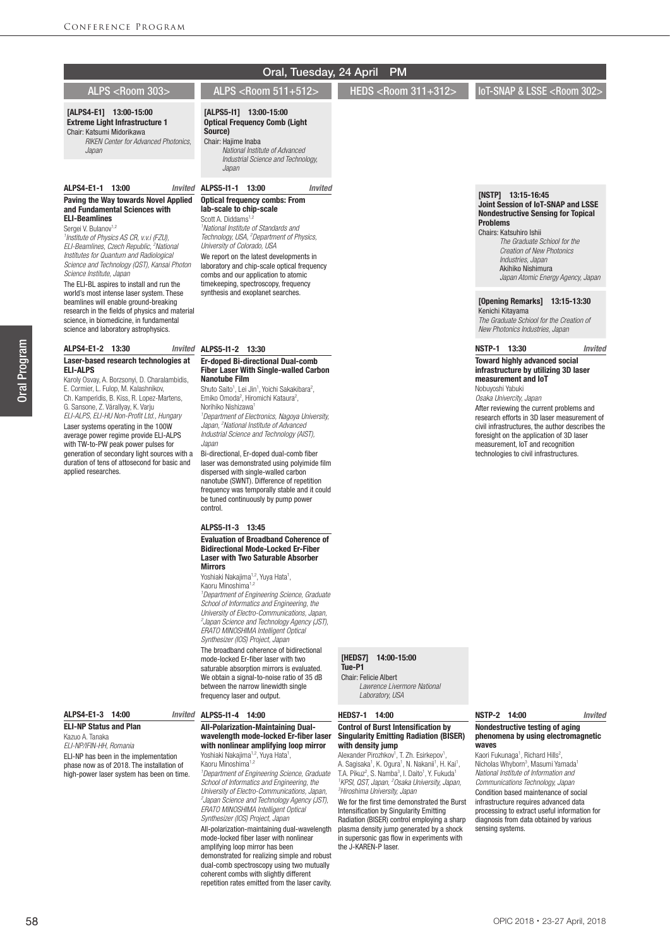## [ALPS4-E1] 13:00-15:00 Extreme Light Infrastructure 1 Chair: Katsumi Midorikawa

 *RIKEN Center for Advanced Photonics, Japan*

#### ALPS4-E1-1 13:00 *Invited*

#### Paving the Way towards Novel Applied and Fundamental Sciences with ELI-Beamlines

Sergei V. Bulanov<sup>1,2</sup>

*1 Institute of Physics AS CR, v.v.i (FZU), ELI-Beamlines, Czech Republic, 2 National Institutes for Quantum and Radiological Science and Technology (QST), Kansai Photon Science Institute, Japan*

The ELI-BL aspires to install and run the world's most intense laser system. These beamlines will enable ground-breaking research in the fields of physics and material science, in biomedicine, in fundamental science and laboratory astrophysics.

#### ALPS4-E1-2 13:30

## Laser-based research technologies at ELI-ALPS

Karoly Osvay, A. Borzsonyi, D. Charalambidis, E. Cormier, L. Fulop, M. Kalashnikov, Ch. Kamperidis, B. Kiss, R. Lopez-Martens, G. Sansone, Z. Várallyay, K. Varju *ELI-ALPS, ELI-HU Non-Profit Ltd., Hungary*

Laser systems operating in the 100W average power regime provide ELI-ALPS with TW-to-PW peak power pulses for generation of secondary light sources with a duration of tens of attosecond for basic and applied researches.

## ALPS4-E1-3 14:00

ELI-NP Status and Plan Kazuo A. Tanaka *ELI-NP/IFIN-HH, Romania* ELI-NP has been in the implementation phase now as of 2018. The installation of high-power laser system has been on time.

## Oral, Tuesday, 24 April PM

ALPS <Room 303> ALPS <Room 511+512> HEDS <Room 311+312>

IoT-SNAP & LSSE <Room 302

#### [ALPS5-I1] 13:00-15:00 Optical Frequency Comb (Light

# Source)

Chair: Hajime Inaba  *National Institute of Advanced* 

*Industrial Science and Technology,* 

## ALPS5-I1-1 13:00 *Invited*

*Japan*

#### Optical frequency combs: From lab-scale to chip-scale

Scott A. Diddams<sup>1,</sup> *1 National Institute of Standards and Technology, USA, 2 Department of Physics, University of Colorado, USA* We report on the latest developments in laboratory and chip-scale optical frequency combs and our application to atomic timekeeping, spectroscopy, frequency synthesis and exoplanet searches.

#### **Invited ALPS5-I1-2 13:30**

#### Er-doped Bi-directional Dual-comb Fiber Laser With Single-walled Carbon Nanotube Film

Shuto Saito<sup>1</sup>, Lei Jin<sup>1</sup>, Yoichi Sakakibara<sup>2</sup>, Emiko Omoda<sup>2</sup>, Hiromichi Kataura<sup>2</sup>, Norihiko Nishizawa<sup>1</sup> *1 Department of Electronics, Nagoya University,* 

*Japan, 2 National Institute of Advanced Industrial Science and Technology (AIST), Japan*

Bi-directional, Er-doped dual-comb fiber laser was demonstrated using polyimide film dispersed with single-walled carbon nanotube (SWNT). Difference of repetition frequency was temporally stable and it could be tuned continuously by pump power control.

#### ALPS5-I1-3 13:45

#### Evaluation of Broadband Coherence of Bidirectional Mode-Locked Er-Fiber Laser with Two Saturable Absorber Mirrors

Yoshiaki Nakajima<sup>1,2</sup>, Yuya Hata<sup>1</sup>, Kaoru Minoshima<sup>1,2</sup>

*1 Department of Engineering Science, Graduate School of Informatics and Engineering, the University of Electro-Communications, Japan, 2 Japan Science and Technology Agency (JST), ERATO MINOSHIMA Intelligent Optical Synthesizer (IOS) Project, Japan*

The broadband coherence of bidirectional mode-locked Er-fiber laser with two saturable absorption mirrors is evaluated. We obtain a signal-to-noise ratio of 35 dB between the narrow linewidth single frequency laser and output.

# **Invited ALPS5-I1-4 14:00**

All-Polarization-Maintaining Dualwavelength mode-locked Er-fiber laser with nonlinear amplifying loop mirror

Yoshiaki Nakajima<sup>1,2</sup>, Yuya Hata<sup>1</sup>,<br>Kaoru Minoshima<sup>1,2</sup> *1 Department of Engineering Science, Graduate School of Informatics and Engineering, the University of Electro-Communications, Japan, 2 Japan Science and Technology Agency (JST), ERATO MINOSHIMA Intelligent Optical Synthesizer (IOS) Project, Japan* All-polarization-maintaining dual-wavelength mode-locked fiber laser with nonlinear amplifying loop mirror has been demonstrated for realizing simple and robust dual-comb spectroscopy using two mutually

coherent combs with slightly different repetition rates emitted from the laser cavity.

#### [HEDS7] 14:00-15:00 Tue-P1

Chair: Felicie Albert

 *Lawrence Livermore National Laboratory, USA*

## HEDS7-1 14:00

#### Control of Burst Intensification by Singularity Emitting Radiation (BISER) with density jump

Alexander Pirozhkov<sup>1</sup>, T. Zh. Esirkepov<sup>1</sup> Alexander Pirozhkov<sup>1</sup>, T. Zh. Esirkepov<sup>1</sup>,<br>A. Sagisaka<sup>1</sup>, K. Ogura<sup>1</sup>, N. Nakanii<sup>1</sup>, H. Kai<sup>1</sup>,<br>T.A. Pikuz<sup>2</sup>, S. Namba<sup>3</sup>, I. Daito<sup>1</sup>, Y. Fukuda<sup>1</sup> *1 KPSI, QST, Japan, 2 Osaka University, Japan, 3 Hiroshima University, Japan*

We for the first time demonstrated the Burst Intensification by Singularity Emitting Radiation (BISER) control employing a sharp plasma density jump generated by a shock in supersonic gas flow in experiments with the J-KAREN-P laser.

#### Joint Session of IoT-SNAP and LSSE Nondestructive Sensing for Topical Problems Chairs: Katsuhiro Ishii

[NSTP] 13:15-16:45

 *The Graduate Schiool for the Creation of New Photonics Industries, Japan* Akihiko Nishimura *Japan Atomic Energy Agency, Japan*

## [Opening Remarks] 13:15-13:30

Kenichi Kitayama *The Graduate Schiool for the Creation of New Photonics Industries, Japan*

## NSTP-1 13:30 *Invited*

## Toward highly advanced social infrastructure by utilizing 3D laser measurement and IoT

Nobuyoshi Yabuki *Osaka Univercity, Japan* After reviewing the current problems and research efforts in 3D laser measurement of civil infrastructures, the author describes the foresight on the application of 3D laser measurement, IoT and recognition technologies to civil infrastructures.

### NSTP-2 14:00 *Invited*

#### Nondestructive testing of aging phenomena by using electromagnetic .<br>waves

Kaori Fukunaga<sup>1</sup>, Richard Hills<sup>2</sup>, Nicholas Whyborn<sup>3</sup>, Masumi Yamada<sup>1</sup> *National Institute of Information and Communications Technology, Japan* Condition based maintenance of social infrastructure requires advanced data processing to extract useful information for diagnosis from data obtained by various sensing systems.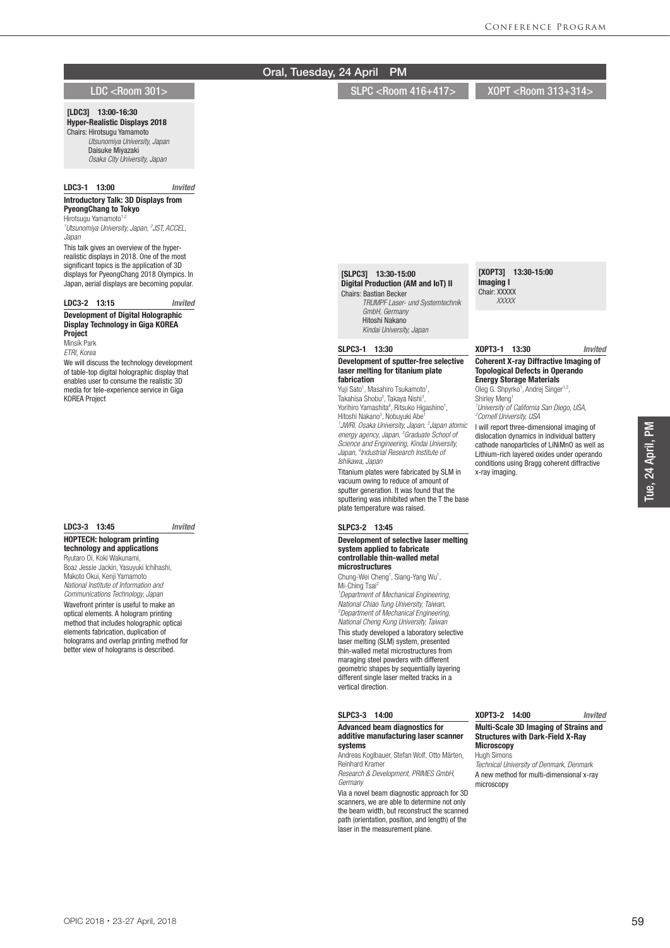#### [XOPT3] 13:30-15:00 Imaging I Chair: XXXXX  *XXXXX* XOPT3-1 13:30 *Invited* Coherent X-ray Diffractive Imaging of Topological Defects in Operando Energy Storage Materials Oleg G. Shpyrko<sup>1</sup>, Andrej Singer<sup>1,2</sup>, Shirley Meng<sup>1</sup> *1 University of California San Diego, USA, 2 Cornell University, USA* I will report three-dimensional imaging of dislocation dynamics in individual battery cathode nanoparticles of LiNiMnO as well as Lithium-rich layered oxides under operando conditions using Bragg coherent diffractive x-ray imaging. XOPT3-2 14:00 *Invited* Multi-Scale 3D Imaging of Strains and Structures with Dark-Field X-Ray **Microscopy** Hugh Simons *Technical University of Denmark, Denmark* A new method for multi-dimensional x-ray microscopy [SLPC3] 13:30-15:00 Digital Production (AM and IoT) II Chairs: Bastian Becker  *TRUMPF Laser- und Systemtechnik GmbH, Germany* Hitoshi Nakano  *Kindai University, Japan* SLPC3-1 13:30 Development of sputter-free selective laser melting for titanium plate fabrication Yuji Sato<sup>1</sup>, Masahiro Tsukamoto<sup>1</sup>, Takahisa Shobu<sup>2</sup>, Takaya Nishi<sup>3</sup>, Yorihiro Yamashita<sup>4</sup>, Ritsuko Higashino<sup>1</sup>, Hitoshi Nakano<sup>3</sup>, Nobuyuki Abe<sup>1</sup> *1 JWRI, Osaka University, Japan, 2 Japan atomic energy agency, Japan, 3 Graduate School of Science and Engineering, Kindai University, Japan, 4 Industrial Research Institute of Ishikawa, Japan* Titanium plates were fabricated by SLM in vacuum owing to reduce of amount of sputter generation. It was found that the sputtering was inhibited when the T the base plate temperature was raised. SLPC3-2 13:45 Development of selective laser melting system applied to fabricate controllable thin-walled metal microstructures Chung-Wei Cheng<sup>1</sup>, Siang-Yang Wu<sup>1</sup>, Mi-Ching Tsai<sup>2</sup> *1 Department of Mechanical Engineering, National Chiao Tung University, Taiwan, 2 Department of Mechanical Engineering, National Cheng Kung University, Taiwan* This study developed a laboratory selective laser melting (SLM) system, presented thin-walled metal microstructures from maraging steel powders with different geometric shapes by sequentially layering different single laser melted tracks in a vertical direction. SLPC3-3 14:00 Advanced beam diagnostics for additive manufacturing laser scanner systems Andreas Koglbauer, Stefan Wolf, Otto Märten, Reinhard Kramer *Research & Development, PRIMES GmbH, Germany* Via a novel beam diagnostic approach for 3D scanners, we are able to determine not only the beam width, but reconstruct the scanned path (orientation, position, and length) of the laser in the measurement plane. [LDC3] 13:00-16:30 Hyper-Realistic Displays 2018 Chairs: Hirotsugu Yamamoto  *Utsunomiya University, Japan* Daisuke Miyazaki  *Osaka City University, Japan* LDC3-1 13:00 *Invited* Introductory Talk: 3D Displays from PyeongChang to Tokyo Hirotsugu Yamamoto<sup>1,2</sup> *1 Utsunomiya University, Japan, 2 JST, ACCEL, Japan* This talk gives an overview of the hyperrealistic displays in 2018. One of the most significant topics is the application of 3D displays for PyeongChang 2018 Olympics. In Japan, aerial displays are becoming popular. LDC3-2 13:15 *Invited* Development of Digital Holographic Display Technology in Giga KOREA **Project** Minsik Park *ETRI, Korea* We will discuss the technology development of table-top digital holographic display that enables user to consume the realistic 3D media for tele-experience service in Giga KOREA Project LDC3-3 13:45 *Invited* HOPTECH: hologram printing technology and applications Ryutaro Oi, Koki Wakunami, Boaz Jessie Jackin, Yasuyuki Ichihashi, Makoto Okui, Kenji Yamamoto *National Institute of Information and Communications Technology, Japan* Wavefront printer is useful to make an optical elements. A hologram printing method that includes holographic optical elements fabrication, duplication of holograms and overlap printing method for better view of holograms is described. LDC <Room 301> SLPC <Room 416+417> XOPT <Room 313+314> Oral, Tuesday, 24 April PM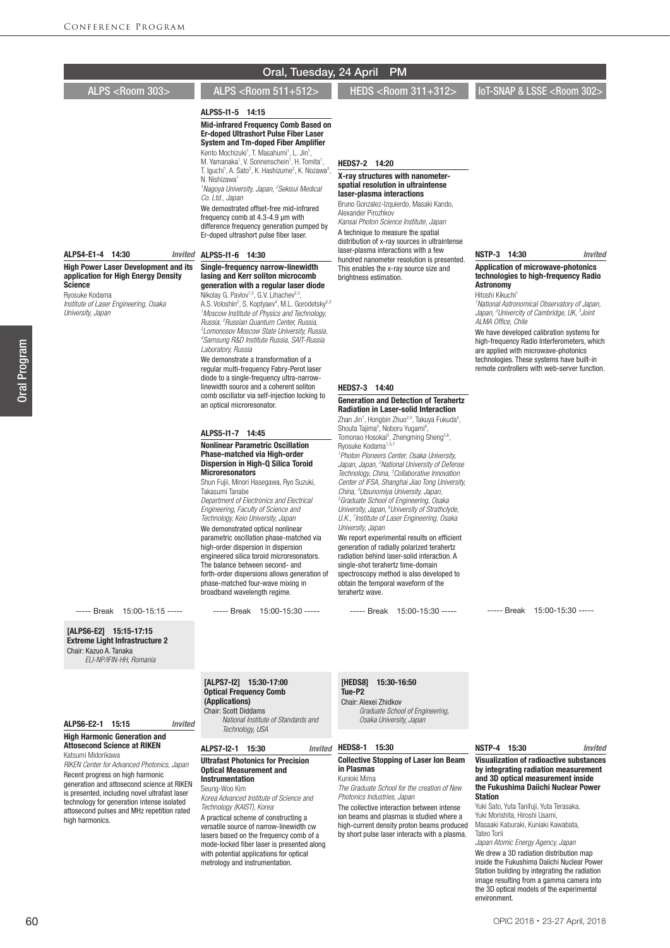ALPS5-I1-5 14:15 Mid-infrared Frequency Comb Based on Er-doped Ultrashort Pulse Fiber Laser System and Tm-doped Fiber Amplifier Kento Mochizuki<sup>1</sup>, T. Masahumi<sup>1</sup>, L. Jin<sup>1</sup>,

M. Yamanaka<sup>1</sup>, V. Sonnenschein<sup>1</sup>, H. Tomita<sup>1</sup>, T. Iguchi<sup>1</sup>, A. Sato<sup>2</sup>, K. Hashizume<sup>2</sup>, K. Nozawa<sup>2</sup>, N. Nishizawa<sup>1</sup>

*1 Nagoya University, Japan, 2 Sekisui Medical Co. Ltd., Japan*

We demostrated offset-free mid-infrared frequency comb at 4.3-4.9 μm with difference frequency generation pumped by Er-doped ultrashort pulse fiber laser.

#### ALPS4-E1-4 14:30

High Power Laser Development and its application for High Energy Density Science

Ryosuke Kodama *Institute of Laser Engineering, Osaka University, Japan*

#### **Invited ALPS5-I1-6 14:30**

#### Single-frequency narrow-linewidth lasing and Kerr soliton microcomb generation with a regular laser diode

Nikolay G. Pavlov<sup>1,2</sup>, G.V. Lihachev<sup>2,3</sup> A.S. Voloshin<sup>2</sup>, S. Koptyaev<sup>4</sup>, M.L. Gorodetsky<sup>2,3</sup> *1 Moscow Institute of Physics and Technology, Russia, 2 Russian Quantum Center, Russia, 3 Lomonosov Moscow State University, Russia, 4 Samsung R&D Institute Russia, SAIT-Russia Laboratory, Russia*

We demonstrate a transformation of a regular multi-frequency Fabry-Perot laser diode to a single-frequency ultra-narrowlinewidth source and a coherent soliton comb oscillator via self-injection locking to an optical microresonator.

#### ALPS5-I1-7 14:45

#### Nonlinear Parametric Oscillation Phase-matched via High-order Dispersion in High-Q Silica Toroid **Microresonators**

Shun Fujii, Minori Hasegawa, Ryo Suzuki, Takasumi Tanabe *Department of Electronics and Electrical Engineering, Faculty of Science and Technology, Keio University, Japan* We demonstrated optical nonlinear parametric oscillation phase-matched via high-order dispersion in dispersion engineered silica toroid microresonators. The balance between second- and forth-order dispersions allows generation of phase-matched four-wave mixing in broadband wavelength regime.

----- Break 15:00-15:30 -----

#### HEDS7-2 14:20

#### X-ray structures with nanometerspatial resolution in ultraintense laser-plasma interactions

Bruno Gonzalez-Izquierdo, Masaki Kando, Alexander Pirozhkov *Kansai Photon Science Institute, Japan*

A technique to measure the spatial distribution of x-ray sources in ultraintense laser-plasma interactions with a few hundred nanometer resolution is presented. This enables the x-ray source size and brightness estimation.

# NSTP-3 14:30 *Invited*

Application of microwave-photonics technologies to high-frequency Radio **Astronomy** 

Hitoshi Kikuchi<sup>1</sup> *1 National Astronomical Observatory of Japan, Japan, 2 Univercity of Cambridge, UK, 3 Joint ALMA Office, Chile*

We have developed calibration systems for high-frequency Radio Interferometers, which are applied with microwave-photonics technologies. These systems have built-in remote controllers with web-server function.

## HEDS7-3 14:40

#### Generation and Detection of Terahertz Radiation in Laser-solid Interaction

Zhan Jin<sup>1</sup>, Hongbin Zhuo<sup>2,3</sup>, Takuya Fukuda<sup>4</sup>, Shouta Tajima<sup>5</sup>, Noboru Yugami<sup>4</sup> Shouta Tajima<sup>5</sup>, Noboru Yugami<sup>4</sup>,<br>Tomonao Hosokai<sup>5</sup>, Zhengming Sheng<sup>3,6</sup>, Ryosuke Kodama<sup>1,5,7</sup> *1 Photon Pioneers Center, Osaka University,*  Japan, Japan, <sup>2</sup>National University of Defense

*Technology, China, 3 Collaborative Innovation Center of IFSA, Shanghai Jiao Tong University, China, 4 Utsunomiya University, Japan, 5 Graduate School of Engineering, Osaka University, Japan, 6 University of Strathclyde, U.K., 7 Institute of Laser Engineering, Osaka University, Japan*

We report experimental results on efficient generation of radially polarized terahertz radiation behind laser-solid interaction. A single-shot terahertz time-domain spectroscopy method is also developed to obtain the temporal waveform of the terahertz wave.

----- Break 15:00-15:30 -----

----- Break 15:00-15:30 -----

[ALPS6-E2] 15:15-17:15 Extreme Light Infrastructure 2

----- Break 15:00-15:15 -----

Chair: Kazuo A. Tanaka *ELI-NP/IFIN-HH, Romania*

#### ALPS6-E2-1 15:15 *Invited*

#### High Harmonic Generation and Attosecond Science at RIKEN Katsumi Midorikawa

*RIKEN Center for Advanced Photonics, Japan* Recent progress on high harmonic generation and attosecond science at RIKEN is presented, including novel ultrafast laser technology for generation intense isolated attosecond pulses and MHz repetition rated high harmonics.

#### [ALPS7-I2] 15:30-17:00 Optical Frequency Comb (Applications) Chair: Scott Diddams  *National Institute of Standards and*

*Technology, USA*

#### ALPS7-I2-1 15:30 Ultrafast Photonics for Precision Optical Measurement and Instrumentation

Seung-Woo Kim *Korea Advanced Institute of Science and Technology (KAIST), Korea*

A practical scheme of constructing a versatile source of narrow-linewidth cw lasers based on the frequency comb of a mode-locked fiber laser is presented along with potential applications for optical metrology and instrumentation.

## [HEDS8] 15:30-16:50

Tue-P2

Chair: Alexei Zhidkov  *Graduate School of Engineering, Osaka University, Japan*

## Invited HEDS8-1 15:30

#### Collective Stopping of Laser Ion Beam in Plasmas Kunioki Mima

*The Graduate School for the creation of New Photonics Industries, Japan*

The collective interaction between intense ion beams and plasmas is studied where a high-current density proton beams produced by short pulse laser interacts with a plasma.

## NSTP-4 15:30 *Invited*

Visualization of radioactive substances by integrating radiation measurement and 3D optical measurement inside the Fukushima Daiichi Nuclear Power **Station** 

Yuki Sato, Yuta Tanifuji, Yuta Terasaka, Yuki Morishita, Hiroshi Usami, Masaaki Kaburaki, Kuniaki Kawabata, Tateo Torii

*Japan Atomic Energy Agency, Japan* We drew a 3D radiation distribution map inside the Fukushima Daiichi Nuclear Power Station building by integrating the radiation image resulting from a gamma camera into the 3D optical models of the experimental environment.

ALPS <Room 303> ALPS <Room 511+512> HEDS <Room 311+312>

IoT-SNAP & LSSE <Room 302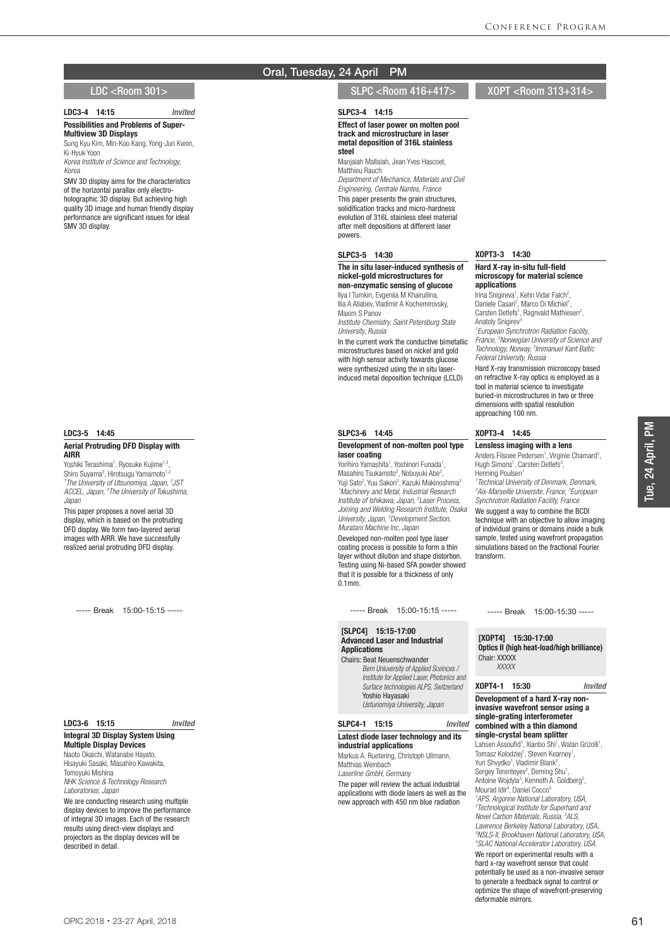#### LDC3-4 14:15 *Invited* **Possibilities and Problems of Super-**Multiview 3D Displays

Sung Kyu Kim, Min-Koo Kang, Yong-Jun Kwon, Ki-Hyuk Yoon

*Korea Institute of Science and Technology, Korea*

SMV 3D display aims for the characteristics of the horizontal parallax only electroholographic 3D display. But achieving high quality 3D image and human friendly display performance are significant issues for ideal SMV 3D display.

#### LDC3-5 14:45

#### Aerial Protruding DFD Display with AIRR

Yoshiki Terashima<sup>1</sup>, Ryosuke Kujime<sup>1,2</sup>, Shiro Suyama<sup>3</sup>, Hirotsugu Yamamoto<sup>1,2</sup> *1 The University of Utsunomiya, Japan, 2 JST ACCEL, Japan, 3 The University of Tokushima, Japan*

This paper proposes a novel aerial 3D display, which is based on the protruding DFD display. We form two-layered aerial images with AIRR. We have successfully realized aerial protruding DFD display.

----- Break 15:00-15:15 -----

#### LDC3-6 15:15 *Invited*

Integral 3D Display System Using Multiple Display Devices Naoto Okaichi, Watanabe Hayato, Hisayuki Sasaki, Masahiro Kawakita, Tomoyuki Mishina *NHK Science & Technology Research Laboratories, Japan*

We are conducting research using multiple display devices to improve the performance of integral 3D images. Each of the research results using direct-view displays and projectors as the display devices will be described in detail.

## Oral, Tuesday, 24 April PM

## LDC <Room 301> SLPC <Room 416+417> XOPT <Room 313+314>

### SLPC3-4 14:15

Effect of laser power on molten pool track and microstructure in laser metal deposition of 316L stainless steel

Manjaiah Mallaiah, Jean Yves Hascoet, Matthieu Rauch

*Department of Mechanics, Materials and Civil Engineering, Centrale Nantes, France* This paper presents the grain structures, solidification tracks and micro-hardness evolution of 316L stainless steel material after melt depositions at different laser powers.

#### SLPC3-5 14:30

### The in situ laser-induced synthesis of nickel-gold microstructures for non-enzymatic sensing of glucose

Ilya I Tumkin, Evgeniia M Khairullina, Ilia A Aliabev, Vladimir A Kochemirovsky, Maxim S Panov

*Institute Chemistry, Saint Petersburg State University, Russia*

In the current work the conductive bimetallic microstructures based on nickel and gold with high sensor activity towards glucose were synthesized using the in situ laserinduced metal deposition technique (LCLD)

#### SLPC3-6 14:45

Development of non-molten pool type laser coating

Yorihiro Yamashita<sup>1</sup>, Yoshinori Funada<sup>1</sup>, Masahiro Tsukamoto<sup>2</sup>, Nobuyuki Abe<sup>2</sup>, Yuji Sato<sup>2</sup>, Yuu Sakon<sup>3</sup>, Kazuki Makinoshima<sup>3</sup> *1 Machinery and Metal, Industrial Research Institute of Ishikawa, Japan, 2 Laser Process, Joining and Welding Research Institute, Osaka University, Japan, 3 Development Section, Muratani Machine Inc, Japan*

Developed non-molten pool type laser coating process is possible to form a thin layer without dilution and shape distortion. Testing using Ni-based SFA powder showed that it is possible for a thickness of only 0.1mm.

----- Break 15:00-15:15 -----

### [SLPC4] 15:15-17:00 Advanced Laser and Industrial **Applications**

Chairs: Beat Neuenschwander *Bern Uniuversity of Applied Sceinces / Institute for Applied Laser, Photonics and Surface technologies ALPS, Switzerland* Yoshio Hayasaki *Ustunomiya University, Japan*

## SLPC4-1 15:15 *Invited*

Latest diode laser technology and its industrial applications Markus A. Ruetering, Christoph Ullmann,

Matthias Weinbach *Laserline GmbH, Germany*

The paper will review the actual industrial applications with diode lasers as well as the new approach with 450 nm blue radiation

XOPT3-3 14:30

#### Hard X-ray in-situ full-field microscopy for material science applications

Irina Snigireva<sup>1</sup>, Kehn Vidar Falch<sup>2</sup>, Daniele Casari<sup>2</sup>, Marco Di Michiel<sup>1</sup>, Carsten Detlefs<sup>1</sup>, Ragnvald Mathiesen<sup>2</sup>, Anatoly Snigirev<sup>3</sup>

*1 European Synchrotron Radiation Facility, France, 2 Norwegian University of Science and Technology, Norway, 3 Immanuel Kant Baltic Federal University, Russia*

Hard X-ray transmission microscopy based on refractive X-ray optics is employed as a tool in material science to investigate buried-in microstructures in two or three dimensions with spatial resolution approaching 100 nm.

#### XOPT3-4 14:45

Lensless imaging with a lens Anders Filsoee Pedersen<sup>1</sup>, Virginie Chamard<sup>2</sup>, Hugh Simons<sup>1</sup>, Carsten Detlefs<sup>3</sup>, Henning Poulsen<sup>1</sup>

*1 Technical University of Denmark, Denmark, 2 Aix-Marseille Universite, France, 3 European Synchrotron Radiation Facility, France*

We suggest a way to combine the BCDI technique with an objective to allow imaging of individual grains or domains inside a bulk sample, tested using wavefront propagation simulations based on the fractional Fourier transform.

----- Break 15:00-15:30 -----

## [XOPT4] 15:30-17:00 Optics II (high heat-load/high brilliance)

Chair: XXXXX  *XXXXX*

### XOPT4-1 15:30 *Invited*

#### Development of a hard X-ray noninvasive wavefront sensor using a single-grating interferometer combined with a thin diamond single-crystal beam splitter

Lahsen Assoufid<sup>1</sup>, Xianbo Shi<sup>1</sup>, Walan Grizolli<sup>1</sup>, Tomasz Kolodziej<sup>1</sup>, Steven Kearney<sup>1</sup>,<br>Yuri Shvydko<sup>1</sup>, Vladimir Blank<sup>2</sup>, Sergey Terenteyev<sup>2</sup>, Deming Shu<sup>1</sup> Sergey Terenteyev<sup>2</sup>, Deming Shu<sup>1</sup>,<br>Antoine Wojdyla<sup>3</sup>, Kenneth A. Goldberg<sup>3</sup>, Mourad Idir<sup>4</sup>, Daniel Cocco<sup>5</sup> *1 APS, Argonne National Laboratory, USA, 2 Technological Institute for Superhard and Novel Carbon Materials, Russia, 3 ALS, Lawrence Berkeley National Laboratory, USA, 4 NSLS-II, Brookhaven National Laboratory, USA, 5 SLAC National Accelerator Laboratory, USA* We report on experimental results with a hard x-ray wavefront sensor that could potentially be used as a non-invasive sensor to generate a feedback signal to control or optimize the shape of wavefront-preserving deformable mirrors.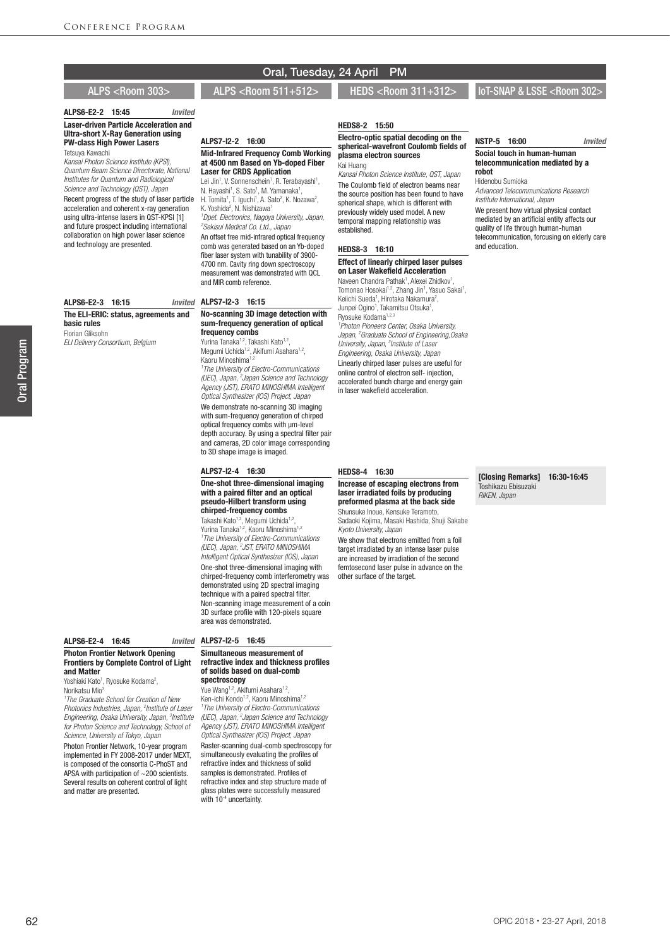#### ALPS6-E2-2 15:45 *Invited* Laser-driven Particle Acceleration and Ultra-short X-Ray Generation using PW-class High Power Lasers Tetsuya Kawachi

*Kansai Photon Science Institute (KPSI), Quantum Beam Science Directorate, National Institutes for Quantum and Radiological Science and Technology (QST), Japan*

Recent progress of the study of laser particle acceleration and coherent x-ray generation using ultra-intense lasers in QST-KPSI [1] and future prospect including international collaboration on high power laser science and technology are presented.

#### ALPS7-I2-3 16:15 ALPS6-E2-3 16:15 The ELI-ERIC: status, agreements and basic rules Florian Gliksohn

*ELI Delivery Consortium, Belgium*

# Oral, Tuesday, 24 April PM

## ALPS <Room 303> ALPS <Room 511+512> HEDS <Room 311+312>

ALPS7-I2-2 16:00

K. Yoshida<sup>2</sup>, N. Nishizawa<sup>1</sup>

and MIR comb reference.

frequency combs Yurina Tanaka<sup>1,2</sup>, Takashi Kato<sup>1,2</sup>, Megumi Uchida<sup>1,2</sup>, Akifumi Asahara<sup>1,2</sup>,

Kaoru Minoshima<sup>1,2</sup>

Mid-Infrared Frequency Comb Working at 4500 nm Based on Yb-doped Fiber Laser for CRDS Application Lei Jin<sup>1</sup>, V. Sonnenschein<sup>1</sup>, R. Terabayashi<sup>1</sup>, N. Hayashi<sup>1</sup>, S. Sato<sup>1</sup>, M. Yamanaka<sup>1</sup>, H. Tomita<sup>1</sup>, T. Iguchi<sup>1</sup>, A. Sato<sup>2</sup>, K. Nozawa<sup>2</sup>,

*1 Dpet. Electronics, Nagoya University, Japan, 2 Sekisui Medical Co. Ltd., Japan* An offset free mid-infrared optical frequency comb was generated based on an Yb-doped fiber laser system with tunability of 3900- 4700 nm. Cavity ring down spectroscopy measurement was demonstrated with QCL

No-scanning 3D image detection with sum-frequency generation of optical

*1 The University of Electro-Communications (UEC), Japan, 2 Japan Science and Technology Agency (JST), ERATO MINOSHIMA Intelligent Optical Synthesizer (IOS) Project, Japan* We demonstrate no-scanning 3D imaging with sum-frequency generation of chirped optical frequency combs with μm-level depth accuracy. By using a spectral filter pair and cameras, 2D color image corresponding

One-shot three-dimensional imaging with a paired filter and an optical pseudo-Hilbert transform using chirped-frequency combs Takashi Kato<sup>1,2</sup>, Megumi Uchida<sup>1,2</sup>, Yurina Tanaka<sup>1,2</sup>, Kaoru Minoshima<sup>1,2</sup> *1 The University of Electro-Communications (UEC), Japan, 2 JST, ERATO MINOSHIMA Intelligent Optical Synthesizer (IOS), Japan* One-shot three-dimensional imaging with

to 3D shape image is imaged. ALPS7-I2-4 16:30

### HEDS8-2 15:50

#### Electro-optic spatial decoding on the spherical-wavefront Coulomb fields of plasma electron sources Kai Huang

*Kansai Photon Science Institute, QST, Japan* The Coulomb field of electron beams near the source position has been found to have spherical shape, which is different with previously widely used model. A new temporal mapping relationship was established.

#### HEDS8-3 16:10 Effect of linearly chirped laser pulses on Laser Wakefield Acceleration

Naveen Chandra Pathak<sup>1</sup>, Alexei Zhidkov<sup>1</sup> Naveen Chandra Pathak<sup>1</sup>, Alexei Zhidkov<sup>1</sup>,<br>Tomonao Hosokai<sup>1,2</sup>, Zhang Jin<sup>1</sup>, Yasuo Sakai<sup>1</sup>, Keiichi Sueda<sup>1</sup>, Hirotaka Nakamura<sup>2</sup>,<br>Junpei Ogino<sup>1</sup>, Takamitsu Otsuka<sup>1</sup>, Ryosuke Kodama<sup>1,2,3</sup> *1 Photon Pioneers Center, Osaka University, Japan, 2 Graduate School of Engineering,Osaka University, Japan, 3 Institute of Laser Engineering, Osaka University, Japan* Linearly chirped laser pulses are useful for online control of electron self- injection, accelerated bunch charge and energy gain in laser wakefield acceleration.

#### HEDS8-4 16:30

### Increase of escaping electrons from laser irradiated foils by producing preformed plasma at the back side

Shunsuke Inoue, Kensuke Teramoto, Sadaoki Kojima, Masaki Hashida, Shuji Sakabe *Kyoto University, Japan*

We show that electrons emitted from a foil target irradiated by an intense laser pulse are increased by irradiation of the second femtosecond laser pulse in advance on the other surface of the target.

[Closing Remarks] 16:30-16:45 Toshikazu Ebisuzaki *RIKEN, Japan*

#### NSTP-5 16:00 *Invited* Social touch in human-human telecommunication mediated by a robot

IoT-SNAP & LSSE <Room 302>

Hidenobu Sumioka *Advanced Telecommunications Research Institute International, Japan* We present how virtual physical contact mediated by an artificial entity affects our quality of life through human-human telecommunication, forcusing on elderly care

and education.

#### chirped-frequency comb interferometry was demonstrated using 2D spectral imaging technique with a paired spectral filter. Non-scanning image measurement of a coin 3D surface profile with 120-pixels square area was demonstrated.

#### ALPS6-E2-4 16:45

#### Photon Frontier Network Opening Frontiers by Complete Control of Light and Matter

Yoshiaki Kato<sup>1</sup>, Ryosuke Kodama<sup>2</sup>, Norikateu Mio<sup>3</sup>

*1 The Graduate School for Creation of New Photonics Industries, Japan, 2 Institute of Laser Engineering, Osaka University, Japan, 3 Institute for Photon Science and Technology, School of Science, University of Tokyo, Japan*

Photon Frontier Network, 10-year program implemented in FY 2008-2017 under MEXT, is composed of the consortia C-PhoST and APSA with participation of  $\sim$  200 scientists. Several results on coherent control of light and matter are presented.

#### Invited ALPS7-I2-5 16:45

#### Simultaneous measurement of refractive index and thickness profiles of solids based on dual-comb spectroscopy

Yue Wang<sup>1,2</sup>, Akifumi Asahara<sup>1,2</sup> Ken-ichi Kondo<sup>1,2</sup>, Kaoru Minoshima<sup>1,2</sup> *1 The University of Electro-Communications (UEC), Japan, 2 Japan Science and Technology Agency (JST), ERATO MINOSHIMA Intelligent Optical Synthesizer (IOS) Project, Japan* Raster-scanning dual-comb spectroscopy for simultaneously evaluating the profiles of refractive index and thickness of solid samples is demonstrated. Profiles of refractive index and step structure made of glass plates were successfully measured with 10<sup>-4</sup> uncertainty.

OPIC 2018・23-27 April, 2018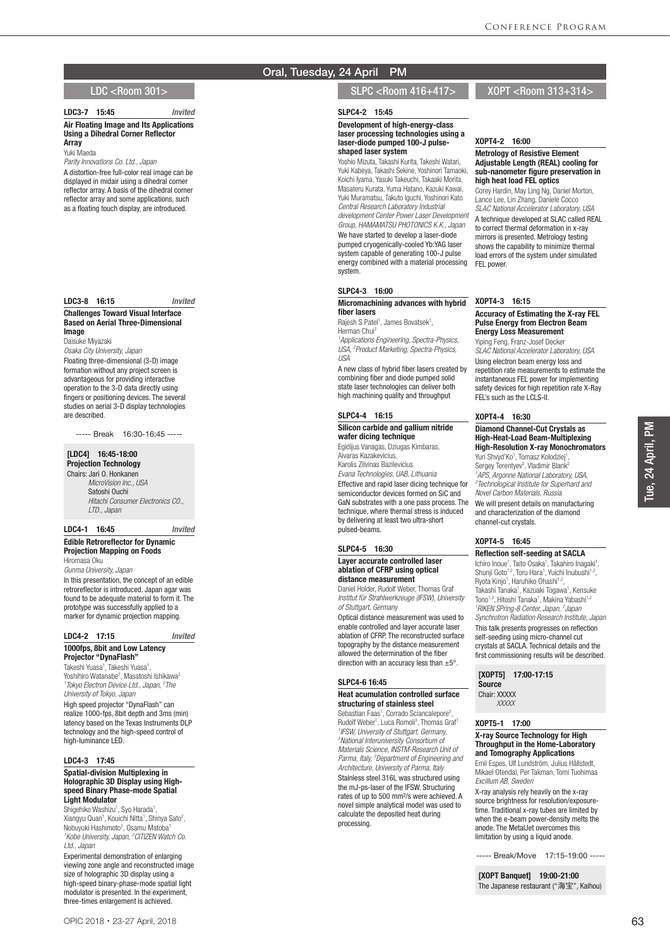### LDC3-7 15:45 *Invited*

Air Floating Image and Its Applications Using a Dihedral Corner Reflector Array

Yuki Maeda *Parity Innovations Co. Ltd., Japan*

A distortion-free full-color real image can be displayed in midair using a dihedral corner reflector array. A basis of the dihedral corner reflector array and some applications, such as a floating touch display, are introduced.

#### LDC3-8 16:15 *Invited*

#### Challenges Toward Visual Interface Based on Aerial Three-Dimensional Image

Daisuke Miyazaki

*Osaka City University, Japan* Floating three-dimensional (3-D) image formation without any project screen is advantageous for providing interactive operation to the 3-D data directly using fingers or positioning devices. The several studies on aerial 3-D display technologies are described.

----- Break 16:30-16:45 -----

#### [LDC4] 16:45-18:00 Projection Technology

Chairs: Jari O. Honkanen  *MicroVision Inc., USA* Satoshi Ouchi  *Hitachi Consumer Electronics CO., LTD., Japan*

#### LDC4-1 16:45 *Invited*

Edible Retroreflector for Dynamic Projection Mapping on Foods Hiromasa Oku *Gunma University, Japan* In this presentation, the concept of an edible retroreflector is introduced. Japan agar was found to be adequate material to form it. The prototype was successfully applied to a marker for dynamic projection mapping.

## LDC4-2 17:15 *Invited* 1000fps, 8bit and Low Latency

Projector "DynaFlash" Takeshi Yuasa<sup>1</sup>, Takeshi Yuasa<sup>1</sup> Takeshi Yuasa<sup>1</sup>, Takeshi Yuasa<sup>1</sup>,<br>Yoshihiro Watanabe<sup>2</sup>, Masatoshi Ishikawa<sup>2</sup> *1 Tokyo Electron Device Ltd., Japan, 2 The University of Tokyo, Japan*

High speed projector "DynaFlash" can realize 1000-fps, 8bit depth and 3ms (min) latency based on the Texas Instruments DLP technology and the high-speed control of high-luminance LED.

#### LDC4-3 17:45

#### Spatial-division Multiplexing in Holographic 3D Display using Highspeed Binary Phase-mode Spatial Light Modulator

Shigehiko Washizu<sup>1</sup>, Syo Harada<sup>1</sup> Shigehiko Washizu<sup>1</sup>, Syo Harada<sup>1</sup>,<br>Xiangyu Quan<sup>1</sup>, Kouichi Nitta<sup>1</sup>, Shinya Sato<sup>2</sup>, Nobuyuki Hashimoto<sup>2</sup>, Osamu Matoba<sup>1</sup> *1 Kobe University, Japan, 2 CITIZEN Watch Co. Ltd., Japan*

Experimental demonstration of enlarging viewing zone angle and reconstructed image size of holographic 3D display using a high-speed binary-phase-mode spatial light modulator is presented. In the experiment, three-times enlargement is achieved.

## Oral, Tuesday, 24 April PM

## LDC <Room 301> SLPC <Room 416+417> XOPT <Room 313+314>

#### SLPC4-2 15:45

#### Development of high-energy-class laser processing technologies using a laser-diode pumped 100-J pulseshaped laser system

Yoshio Mizuta, Takashi Kurita, Takeshi Watari, Yuki Kabeya, Takashi Sekine, Yoshinori Tamaoki, Koichi Iyama, Yasuki Takeuchi, Takaaki Morita, Masateru Kurata, Yuma Hatano, Kazuki Kawai, Yuki Muramatsu, Takuto Iguchi, Yoshinori Kato *Central Research Laboratory Industrial development Center Power Laser Development Group, HAMAMATSU PHOTONICS K.K., Japan* We have started to develop a laser-diode pumped cryogenically-cooled Yb:YAG laser system capable of generating 100-J pulse energy combined with a material processing system.

## SLPC4-3 16:00

#### Micromachining advances with hybrid fiber lasers

Rajesh S Patel<sup>1</sup>, James Bovatsek<sup>1</sup>, Herman Chui<sup>2</sup> *1 Applications Engineering, Spectra-Physics, USA, 2 Product Marketing, Spectra-Physics, USA*

A new class of hybrid fiber lasers created by combining fiber and diode pumped solid state laser technologies can deliver both high machining quality and throughput

#### SLPC4-4 16:15

#### Silicon carbide and gallium nitride wafer dicing technique

Egidijus Vanagas, Dziugas Kimbaras, Aivaras Kazakevicius, Karolis Zilvinas Bazilevicius

*Evana Technologies, UAB, Lithuania* Effective and rapid laser dicing technique for semiconductor devices formed on SiC and

GaN substrates with a one pass process. The technique, where thermal stress is induced by delivering at least two ultra-short pulsed-beams.

#### SLPC4-5 16:30

#### Layer accurate controlled laser ablation of CFRP using optical distance measurement

Daniel Holder, Rudolf Weber, Thomas Graf *Institut für Strahlwerkzeuge (IFSW), University of Stuttgart, Germany*

Optical distance measurement was used to enable controlled and layer accurate laser ablation of CFRP. The reconstructed surface topography by the distance measurement allowed the determination of the fiber direction with an accuracy less than ±5°.

#### SLPC4-6 16:45

## Heat acumulation controlled surface structuring of stainless steel

Sebastian Faas<sup>1</sup>, Corrado Sciancalepore<sup>2</sup> Sebastian Faas<sup>1</sup>, Corrado Sciancalepore<sup>2</sup>,<br>Rudolf Weber<sup>1</sup>, Luca Romoli<sup>3</sup>, Thomas Graf<sup>1</sup> *1 IFSW, University of Stuttgart, Germany, 2 National Interuniversity Consortium of Materials Science, INSTM-Research Unit of Parma, Italy, 3 Department of Engineering and Architecture, University of Parma, Italy* Stainless steel 316L was structured using the mJ-ps-laser of the IFSW. Structuring rates of up to 500 mm²/s were achieved. A novel simple analytical model was used to calculate the deposited heat during processing.

## XOPT4-2 16:00

#### Metrology of Resistive Element Adjustable Length (REAL) cooling for sub-nanometer figure preservation in high heat load FEL optics

Corey Hardin, May Ling Ng, Daniel Morton, Lance Lee, Lin Zhang, Daniele Cocco *SLAC National Accelerator Laboratory, USA* A technique developed at SLAC called REAL to correct thermal deformation in x-ray mirrors is presented. Metrology testing shows the capability to minimize thermal load errors of the system under simulated FFL power

### XOPT4-3 16:15

#### Accuracy of Estimating the X-ray FEL Pulse Energy from Electron Beam Energy Loss Measurement

Yiping Feng, Franz-Josef Decker *SLAC National Accelerator Laboratory, USA* Using electron beam energy loss and repetition rate measurements to estimate the instantaneous FEL power for implementing safety devices for high repetition rate X-Ray FEL's such as the LCLS-II.

#### XOPT4-4 16:30

#### Diamond Channel-Cut Crystals as High-Heat-Load Beam-Multiplexing High-Resolution X-ray Monochromators

Yuri Shvyd'Ko<sup>1</sup>, Tomasz Kolodziej<sup>1</sup> , Sergey Terentyev<sup>2</sup>, Vladimir Blank<sup>2</sup> *1 APS, Argonne National Laboratory, USA, 2 Technological Institute for Superhard and Novel Carbon Materials, Russia* We will present details on manufacturing and characterization of the diamond channel-cut crystals.

## XOPT4-5 16:45

#### Reflection self-seeding at SACLA

Ichiro Inoue<sup>1</sup>, Taito Osaka<sup>1</sup>, Takahiro Inagaki<sup>1</sup>,<br>Shunji Goto<sup>1,2</sup>, Toru Hara<sup>1</sup>, Yuichi Inubushi<sup>1,2</sup>, Ryota Kinjo<sup>1</sup>, Haruhiko Ohashi<sup>1,2</sup>, Takashi Tanaka<sup>1</sup>, Kazuaki Togawa<sup>1</sup>, Kensuke Tono<sup>1,2</sup>, Hitoshi Tanaka<sup>1</sup>, Makina Yabashi<sup>1,2</sup> *RIKEN SPring-8 Center, Japan, 2 Japan Synchrotron Radiation Research Institute, Japan* This talk presents progresses on reflection self-seeding using micro-channel cut crystals at SACLA. Technical details and the first commissioning results will be described.

[XOPT5] 17:00-17:15 Source Chair: XXXXX

## *XXXXX* XOPT5-1 17:00

#### X-ray Source Technology for High Throughput in the Home-Laboratory and Tomography Applications

Emil Espes, Ulf Lundström, Julius Hållstedt, Mikael Otendal, Per Takman, Tomi Tuohimaa *Excillum AB, Sweden*

X-ray analysis rely heavily on the x-ray source brightness for resolution/exposuretime. Traditional x-ray tubes are limited by when the e-beam power-density melts the anode. The MetalJet overcomes this limitation by using a liquid anode.

----- Break/Move 17:15-19:00 -----

[XOPT Banquet] 19:00-21:00 The Japanese restaurant ("海宝", Kaihou)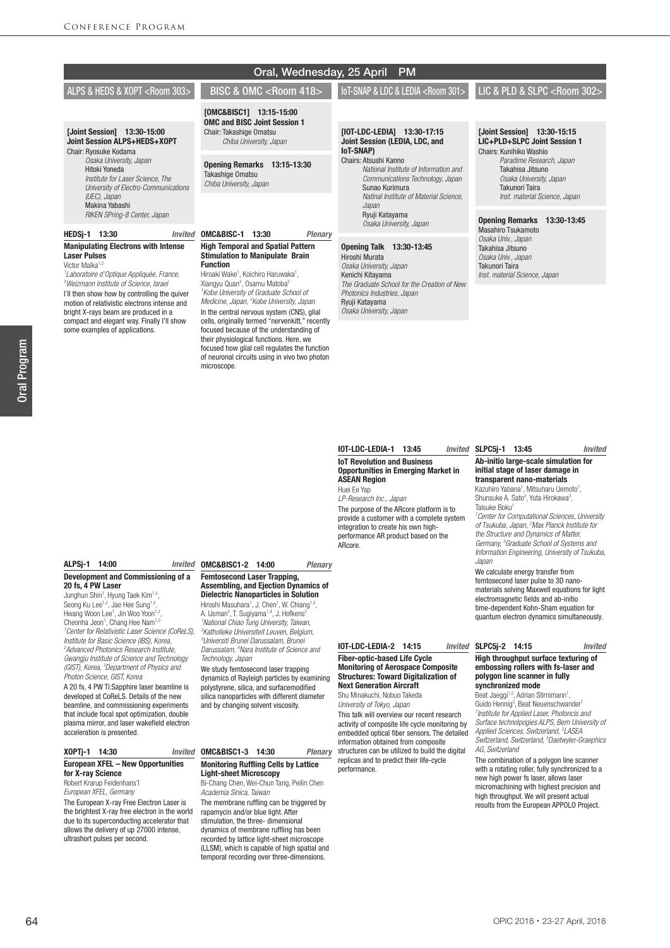|                                                                                                                      |                                                                                                                      | $\sigma$ and $\sigma$ and $\sigma$ and $\sigma$ and $\sigma$ and $\sigma$ and $\sigma$                               |                                                                                           |
|----------------------------------------------------------------------------------------------------------------------|----------------------------------------------------------------------------------------------------------------------|----------------------------------------------------------------------------------------------------------------------|-------------------------------------------------------------------------------------------|
| ALPS & HEDS & XOPT <room 303=""></room>                                                                              | <b>BISC &amp; OMC <room 418=""></room></b>                                                                           | <b>IOT-SNAP &amp; LDC &amp; LEDIA <room 301=""></room></b>                                                           | LIC & PLD & SLPC <room 302=""></room>                                                     |
| [Joint Session] 13:30-15:00<br>Joint Session ALPS+HEDS+XOPT<br>Chair: Ryosuke Kodama                                 | [OMC&BISC1] 13:15-15:00<br><b>OMC and BISC Joint Session 1</b><br>Chair: Takashige Omatsu<br>Chiba University, Japan | [IOT-LDC-LEDIA]<br>13:30-17:15<br>Joint Session (LEDIA, LDC, and<br><b>IoT-SNAP)</b>                                 | [Joint Session] 13:30-15:15<br>LIC+PLD+SLPC Joint Session 1<br>Chairs: Kunihiko Washio    |
| Osaka University, Japan<br>Hitoki Yoneda<br>Institute for Laser Science. The<br>University of Electro-Communications | 13:15-13:30<br><b>Opening Remarks</b><br>Takashige Omatsu<br>Chiba University, Japan                                 | Chairs: Atsushi Kanno<br>National Institute of Information and<br>Communications Technology, Japan<br>Sunao Kurimura | Paradime Research, Japan<br>Takahisa Jitsuno<br>Osaka University, Japan<br>Takunori Taira |
| (UEC), Japan<br>Makina Yabashi<br>RIKEN SPring-8 Center, Japan                                                       |                                                                                                                      | Natinal Institute of Material Science.<br>Japan<br>Ryuji Katayama                                                    | Inst. material Science, Japan<br><b>Opening Remarks</b><br>13:30-13:45                    |
| <b>HEDSi-1</b><br>13:30<br>Invited                                                                                   | OMC&BISC-1<br>13:30<br><b>Plenary</b>                                                                                | Osaka University, Japan                                                                                              | <b>Masahiro Tsukamoto</b><br>Osaka Univ., Japan                                           |
| <b>Manipulating Electrons with Intense</b><br><b>Laser Pulses</b>                                                    | <b>High Temporal and Spatial Pattern</b><br><b>Stimulation to Manipulate Brain</b>                                   | <b>Opening Talk</b><br>13:30-13:45<br>Hiroshi Murata                                                                 | Takahisa Jitsuno<br>Osaka Univ Janan                                                      |

*Osaka University, Japan* Kenichi Kitayama

*Photonics Industries, Japan* Ryuji Katayama *Osaka University, Japan*

*The Graduate School for the Creation of New* 

Oral, Wednesday, 25 April PM

#### **IOT-LDC-LEDIA-1 13:45** IoT Revolution and Business Opportunities in Emerging Market in ASEAN Region Huei Ee Yap

*LP-Research Inc., Japan* The purpose of the ARcore platform is to provide a customer with a complete system integration to create his own highperformance AR product based on the ARcore.

# SLPC5j-1 13:45 *Invited*

*Osaka Univ., Japan* Takunori Taira *Inst. material Science, Japan*

#### Ab-initio large-scale simulation for initial stage of laser damage in transparent nano-materials

Kazuhiro Yabana<sup>1</sup>, Mitsuharu Uemoto<sup>1</sup>, Shunsuke A. Sato<sup>2</sup>, Yuta Hirokawa<sup>3</sup>, Taisuke Boku1

*1 Center for Computational Sciences, University of Tsukuba, Japan, 2 Max Planck Institute for the Structure and Dynamics of Matter, Germany, 3 Graduate School of Systems and Information Engineering, University of Tsukuba, Japan*

We calculate energy transfer from femtosecond laser pulse to 3D nanomaterials solving Maxwell equations for light electromagnetic fields and ab-initio time-dependent Kohn-Sham equation for quantum electron dynamics simultaneously.

## SLPC5j-2 14:15 *Invited*

### High throughput surface texturing of embossing rollers with fs-laser and polygon line scanner in fully synchronized mode

Beat Jaeggi<sup>1,2</sup>, Adrian Stirnimann<sup>1</sup>,<br>Guido Hennig<sup>3</sup>, Beat Neuenschwander<sup>1</sup> *1 Institute for Applied Laser, Photoncis and Surface technolpogies ALPS, Bern University of Applied Sciences, Switzerland, 2 LASEA Switzerland, Switzerland, 3 Daetwyler-Graephics AG, Switzerland*

The combination of a polygon line scanner with a rotating roller, fully synchronized to a new high power fs laser, allows laser micromachining with highest precision and high throughput. We will present actual results from the European APPOLO Project.

## ALPSj-1 14:00

Victor Malka<sup>1,2</sup>

*1 Laboratoire d'Optique Appliquée, France, 2 Weizmann Institute of Science, Israel* I'll then show how by controlling the quiver motion of relativistic electrons intense and bright X-rays beam are produced in a compact and elegant way. Finally I'll show some examples of applications.

### Development and Commissioning of a 20 fs, 4 PW Laser

Junghun Shin<sup>1</sup>, Hyung Taek Kim<sup>1,2</sup>, Seong Ku Lee<sup>1,2</sup>, Jae Hee Sung<sup>1,2</sup>, Hwang Woon Lee<sup>1</sup>, Jin Woo Yoon<sup>1,2</sup>, Cheonha Jeon<sup>1</sup>, Chang Hee Nam<sup>1,3</sup> *1 Center for Relativistic Laser Science (CoReLS), Institute for Basic Science (IBS), Korea, 2 Advanced Photonics Research Institute, Gwangju Institute of Science and Technology (GIST), Korea, 3 Department of Physics and Photon Science, GIST, Korea*

A 20 fs, 4 PW Ti:Sapphire laser beamline is developed at CoReLS. Details of the new beamline, and commissioning experiments that include focal spot optimization, double plasma mirror, and laser wakefield electron acceleration is presented.

## XOPTj-1 14:30 *Invited*

## European XFEL – New Opportunities for X-ray Science

Robert Krarup Feidenhans'l

*European XFEL, Germany* The European X-ray Free Electron Laser is the brightest X-ray free electron in the world due to its superconducting accelerator that allows the delivery of up 27000 intense, ultrashort pulses per second.

## OMC&BISC1-2 14:00 *Plenary* Femtosecond Laser Trapping,

## Assembling, and Ejection Dynamics of Dielectric Nanoparticles in Solution

Function

microscope.

Hiroaki Wake<sup>1</sup>, Koichiro Haruwaka<sup>1</sup>,<br>Xiangyu Quan<sup>2</sup>, Osamu Matoba<sup>2</sup> *1 Kobe University of Graduate School of Medicine, Japan, 2 Kobe University, Japan* In the central nervous system (CNS), glial cells, originally termed "nervenkitt," recently focused because of the understanding of their physiological functions. Here, we focused how glial cell regulates the function of neuronal circuits using in vivo two photon

Hiroshi Masuhara<sup>1</sup>, J. Chen<sup>1</sup>, W. Chiang<sup>1,2</sup>, A. Usman<sup>3</sup>, T. Sugiyama<sup>1,4</sup>, J. Hofkens<sup>2</sup> *1 National Chiao Tung University, Taiwan, 2 Katholieke Universiteit Leuven, Belgium, 3 Universiti Brunei Darussalam, Brunei Darussalam, 4 Nara Institute of Science and* 

*Technology, Japan* We study femtosecond laser trapping dynamics of Rayleigh particles by examining polystyrene, silica, and surfacemodified silica nanoparticles with different diameter and by changing solvent viscosity.

### OMC&BISC1-3 14:30 *Plenary* Monitoring Ruffling Cells by Lattice Light-sheet Microscopy

Bi-Chang Chen, Wei-Chun Tang, Peilin Chen *Academia Sinica, Taiwan* The membrane ruffling can be triggered by rapamycin and/or blue light. After stimulation, the three- dimensional dynamics of membrane ruffling has been recorded by lattice light-sheet microscope (LLSM), which is capable of high spatial and temporal recording over three-dimensions.

## IOT-LDC-LEDIA-2 14:15 *Invited* Fiber-optic-based Life Cycle Monitoring of Aerospace Composite

### Structures: Toward Digitalization of Next Generation Aircraft Shu Minakuchi, Nobuo Takeda

*University of Tokyo, Japan* This talk will overview our recent research activity of composite life cycle monitoring by embedded optical fiber sensors. The detailed information obtained from composite structures can be utilized to build the digital replicas and to predict their life-cycle performance.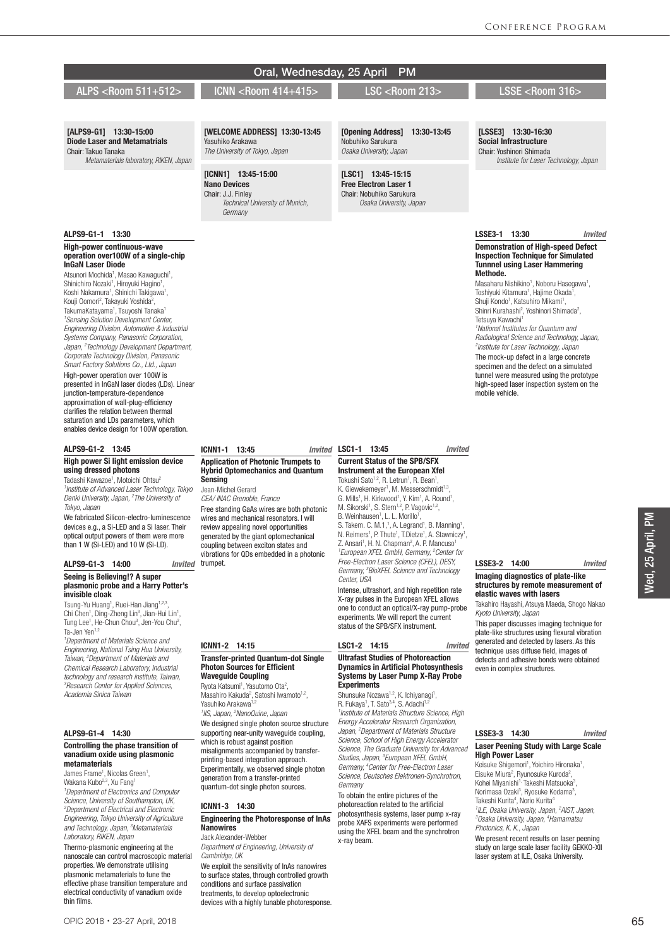|                                                                                                                                                                                                                                                                                                                                                                                                                                                                                                                                                                                                                                                                                                                                                                                                                                                                                                                                                                                                                                              | Oral, Wednesday, 25 April                                                                                                                                                                                                                                                                                                                                                                                                                     | <b>PM</b>                                                                                                                                                                                                                                                                                                                                                                                                                                                                                                                                                                                                                                                                                                                                                                                                                                                                                                                                                                                                                                                                                                                                                                                  |                                                                                                                                                                                                                                                                                                                                                                                                                                                                                                                                                                                                                                                                                                                                                                                                            |
|----------------------------------------------------------------------------------------------------------------------------------------------------------------------------------------------------------------------------------------------------------------------------------------------------------------------------------------------------------------------------------------------------------------------------------------------------------------------------------------------------------------------------------------------------------------------------------------------------------------------------------------------------------------------------------------------------------------------------------------------------------------------------------------------------------------------------------------------------------------------------------------------------------------------------------------------------------------------------------------------------------------------------------------------|-----------------------------------------------------------------------------------------------------------------------------------------------------------------------------------------------------------------------------------------------------------------------------------------------------------------------------------------------------------------------------------------------------------------------------------------------|--------------------------------------------------------------------------------------------------------------------------------------------------------------------------------------------------------------------------------------------------------------------------------------------------------------------------------------------------------------------------------------------------------------------------------------------------------------------------------------------------------------------------------------------------------------------------------------------------------------------------------------------------------------------------------------------------------------------------------------------------------------------------------------------------------------------------------------------------------------------------------------------------------------------------------------------------------------------------------------------------------------------------------------------------------------------------------------------------------------------------------------------------------------------------------------------|------------------------------------------------------------------------------------------------------------------------------------------------------------------------------------------------------------------------------------------------------------------------------------------------------------------------------------------------------------------------------------------------------------------------------------------------------------------------------------------------------------------------------------------------------------------------------------------------------------------------------------------------------------------------------------------------------------------------------------------------------------------------------------------------------------|
| ALPS <room 511+512=""></room>                                                                                                                                                                                                                                                                                                                                                                                                                                                                                                                                                                                                                                                                                                                                                                                                                                                                                                                                                                                                                | ICNN <room 414+415=""></room>                                                                                                                                                                                                                                                                                                                                                                                                                 | <b>LSC <room 213=""></room></b>                                                                                                                                                                                                                                                                                                                                                                                                                                                                                                                                                                                                                                                                                                                                                                                                                                                                                                                                                                                                                                                                                                                                                            | LSSE <room 316=""></room>                                                                                                                                                                                                                                                                                                                                                                                                                                                                                                                                                                                                                                                                                                                                                                                  |
|                                                                                                                                                                                                                                                                                                                                                                                                                                                                                                                                                                                                                                                                                                                                                                                                                                                                                                                                                                                                                                              |                                                                                                                                                                                                                                                                                                                                                                                                                                               |                                                                                                                                                                                                                                                                                                                                                                                                                                                                                                                                                                                                                                                                                                                                                                                                                                                                                                                                                                                                                                                                                                                                                                                            |                                                                                                                                                                                                                                                                                                                                                                                                                                                                                                                                                                                                                                                                                                                                                                                                            |
| [ALPS9-G1] 13:30-15:00<br><b>Diode Laser and Metamatrials</b><br>Chair: Takuo Tanaka<br>Metamaterials laboratory, RIKEN, Japan                                                                                                                                                                                                                                                                                                                                                                                                                                                                                                                                                                                                                                                                                                                                                                                                                                                                                                               | [WELCOME ADDRESS] 13:30-13:45<br>Yasuhiko Arakawa<br>The University of Tokyo, Japan                                                                                                                                                                                                                                                                                                                                                           | [Opening Address]<br>13:30-13:45<br>Nobuhiko Sarukura<br>Osaka University, Japan                                                                                                                                                                                                                                                                                                                                                                                                                                                                                                                                                                                                                                                                                                                                                                                                                                                                                                                                                                                                                                                                                                           | [LSSE3] 13:30-16:30<br><b>Social Infrastructure</b><br>Chair: Yoshinori Shimada<br>Institute for Laser Technology, Japan                                                                                                                                                                                                                                                                                                                                                                                                                                                                                                                                                                                                                                                                                   |
|                                                                                                                                                                                                                                                                                                                                                                                                                                                                                                                                                                                                                                                                                                                                                                                                                                                                                                                                                                                                                                              | [ICNN1] 13:45-15:00<br><b>Nano Devices</b><br>Chair: J.J. Finley<br>Technical University of Munich,<br>Germany                                                                                                                                                                                                                                                                                                                                | $[LSC1]$ 13:45-15:15<br><b>Free Electron Laser 1</b><br>Chair: Nobuhiko Sarukura<br>Osaka University, Japan                                                                                                                                                                                                                                                                                                                                                                                                                                                                                                                                                                                                                                                                                                                                                                                                                                                                                                                                                                                                                                                                                |                                                                                                                                                                                                                                                                                                                                                                                                                                                                                                                                                                                                                                                                                                                                                                                                            |
| ALPS9-G1-1 13:30                                                                                                                                                                                                                                                                                                                                                                                                                                                                                                                                                                                                                                                                                                                                                                                                                                                                                                                                                                                                                             |                                                                                                                                                                                                                                                                                                                                                                                                                                               |                                                                                                                                                                                                                                                                                                                                                                                                                                                                                                                                                                                                                                                                                                                                                                                                                                                                                                                                                                                                                                                                                                                                                                                            | LSSE3-1 13:30<br>Invited                                                                                                                                                                                                                                                                                                                                                                                                                                                                                                                                                                                                                                                                                                                                                                                   |
| <b>High-power continuous-wave</b><br>operation over100W of a single-chip<br><b>InGaN Laser Diode</b><br>Atsunori Mochida <sup>1</sup> , Masao Kawaguchi <sup>1</sup> ,<br>Shinichiro Nozaki <sup>1</sup> , Hiroyuki Hagino <sup>1</sup> ,<br>Koshi Nakamura <sup>1</sup> , Shinichi Takigawa <sup>1</sup> ,<br>Kouji Oomori <sup>2</sup> , Takayuki Yoshida <sup>2</sup> ,<br>TakumaKatayama <sup>1</sup> , Tsuyoshi Tanaka <sup>1</sup><br><sup>1</sup> Sensing Solution Development Center,<br>Engineering Division, Automotive & Industrial<br>Systems Company, Panasonic Corporation,<br>Japan, <sup>2</sup> Technology Development Department,<br>Corporate Technology Division, Panasonic<br>Smart Factory Solutions Co., Ltd., Japan<br>High-power operation over 100W is<br>presented in InGaN laser diodes (LDs). Linear<br>junction-temperature-dependence<br>approximation of wall-plug-efficiency<br>clarifies the relation between thermal<br>saturation and LDs parameters, which<br>enables device design for 100W operation. |                                                                                                                                                                                                                                                                                                                                                                                                                                               |                                                                                                                                                                                                                                                                                                                                                                                                                                                                                                                                                                                                                                                                                                                                                                                                                                                                                                                                                                                                                                                                                                                                                                                            | <b>Demonstration of High-speed Defect</b><br><b>Inspection Technique for Simulated</b><br><b>Tunnnel using Laser Hammering</b><br>Methode.<br>Masaharu Nishikino <sup>1</sup> , Noboru Hasegawa <sup>1</sup> ,<br>Toshiyuki Kitamura <sup>1</sup> , Hajime Okada <sup>1</sup> ,<br>Shuji Kondo <sup>1</sup> , Katsuhiro Mikami <sup>1</sup> ,<br>Shinri Kurahashi <sup>2</sup> , Yoshinori Shimada <sup>2</sup> ,<br>Tetsuya Kawachi <sup>1</sup><br><sup>1</sup> National Institutes for Quantum and<br>Radiological Science and Technology, Japan,<br><sup>2</sup> Institute for Laser Technology, Japan<br>The mock-up defect in a large concrete<br>specimen and the defect on a simulated<br>tunnel were measured using the prototype<br>high-speed laser inspection system on the<br>mobile vehicle. |
| ALPS9-G1-2 13:45                                                                                                                                                                                                                                                                                                                                                                                                                                                                                                                                                                                                                                                                                                                                                                                                                                                                                                                                                                                                                             | ICNN1-1 13:45                                                                                                                                                                                                                                                                                                                                                                                                                                 | Invited LSC1-1 13:45<br><b>Invited</b>                                                                                                                                                                                                                                                                                                                                                                                                                                                                                                                                                                                                                                                                                                                                                                                                                                                                                                                                                                                                                                                                                                                                                     |                                                                                                                                                                                                                                                                                                                                                                                                                                                                                                                                                                                                                                                                                                                                                                                                            |
| <b>High power Si light emission device</b><br>using dressed photons<br>Tadashi Kawazoe <sup>1</sup> , Motoichi Ohtsu <sup>2</sup><br><sup>1</sup> Institute of Advanced Laser Technology, Tokyo<br>Denki University, Japan, <sup>2</sup> The University of<br>Tokyo, Japan<br>We fabricated Silicon-electro-luminescence<br>devices e.g., a Si-LED and a Si laser. Their<br>optical output powers of them were more<br>than 1 W (Si-LED) and 10 W (Si-LD).<br>ALPS9-G1-3 14:00<br>Seeing is Believing!? A super<br>plasmonic probe and a Harry Potter's<br>invisible cloak<br>Tsung-Yu Huang <sup>1</sup> , Ruei-Han Jiang <sup>1,2,3</sup> ,<br>Chi Chen <sup>1</sup> , Ding-Zheng Lin <sup>3</sup> , Jian-Hui Lin <sup>1</sup> ,<br>Tung Lee <sup>1</sup> , He-Chun Chou <sup>3</sup> , Jen-You Chu <sup>2</sup> ,<br>Ta-Jen Yen <sup>1,2</sup>                                                                                                                                                                                            | <b>Application of Photonic Trumpets to</b><br><b>Hybrid Optomechanics and Quantum</b><br><b>Sensing</b><br>Jean-Michel Gerard<br>CEA/ INAC Grenoble, France<br>Free standing GaAs wires are both photonic<br>wires and mechanical resonators. I will<br>review appealing novel opportunities<br>generated by the giant optomechanical<br>coupling between exciton states and<br>vibrations for QDs embedded in a photonic<br>Invited trumpet. | <b>Current Status of the SPB/SFX</b><br>Instrument at the European Xfel<br>Tokushi Sato <sup>1,2</sup> , R. Letrun <sup>1</sup> , R. Bean <sup>1</sup> ,<br>K. Giewekemeyer <sup>1</sup> , M. Messerschmidt <sup>1,3</sup> ,<br>G. Mills <sup>1</sup> , H. Kirkwood <sup>1</sup> , Y. Kim <sup>1</sup> , A. Round <sup>1</sup> ,<br>M. Sikorski <sup>1</sup> , S. Stern <sup>1,2</sup> , P. Vagovic <sup>1,2</sup> ,<br>B. Weinhausen <sup>1</sup> , L. L. Morillo <sup>1</sup> ,<br>S. Takem. C. M.1, <sup>1</sup> , A. Legrand <sup>1</sup> , B. Manning <sup>1</sup> ,<br>N. Reimers <sup>1</sup> , P. Thute <sup>1</sup> , T.Dietze <sup>1</sup> , A. Stawniczy <sup>1</sup> ,<br>Z. Ansari <sup>1</sup> , H. N. Chapman <sup>2</sup> , A. P. Mancuso <sup>1</sup><br><sup>1</sup> European XFEL GmbH, Germany, <sup>2</sup> Center for<br>Free-Electron Laser Science (CFEL), DESY,<br>Germany, <sup>3</sup> BioXFEL Science and Technology<br>Center. USA<br>Intense, ultrashort, and high repetition rate<br>X-ray pulses in the European XFEL allows<br>one to conduct an optical/X-ray pump-probe<br>experiments. We will report the current<br>status of the SPB/SFX instrument. | LSSE3-2 14:00<br><b>Invited</b><br>Imaging diagnostics of plate-like<br>structures by remote measurement of<br>elastic waves with lasers<br>Takahiro Hayashi, Atsuya Maeda, Shogo Nakao<br>Kyoto University, Japan<br>This paper discusses imaging technique for<br>plate-like structures using flexural vibration                                                                                                                                                                                                                                                                                                                                                                                                                                                                                         |
| <sup>1</sup> Department of Materials Science and<br>Engineering, National Tsing Hua University,                                                                                                                                                                                                                                                                                                                                                                                                                                                                                                                                                                                                                                                                                                                                                                                                                                                                                                                                              | ICNN1-2 14:15                                                                                                                                                                                                                                                                                                                                                                                                                                 | LSC1-2 14:15<br><b>Invited</b>                                                                                                                                                                                                                                                                                                                                                                                                                                                                                                                                                                                                                                                                                                                                                                                                                                                                                                                                                                                                                                                                                                                                                             | generated and detected by lasers. As this<br>technique uses diffuse field, images of                                                                                                                                                                                                                                                                                                                                                                                                                                                                                                                                                                                                                                                                                                                       |
| Taiwan, <sup>2</sup> Department of Materials and<br>Chemical Research Laboratory, Industrial                                                                                                                                                                                                                                                                                                                                                                                                                                                                                                                                                                                                                                                                                                                                                                                                                                                                                                                                                 | <b>Transfer-printed Quantum-dot Single</b><br><b>Photon Sources for Efficient</b>                                                                                                                                                                                                                                                                                                                                                             | <b>Ultrafast Studies of Photoreaction</b><br><b>Dynamics in Artificial Photosynthesis</b>                                                                                                                                                                                                                                                                                                                                                                                                                                                                                                                                                                                                                                                                                                                                                                                                                                                                                                                                                                                                                                                                                                  | defects and adhesive bonds were obtained<br>even in complex structures.                                                                                                                                                                                                                                                                                                                                                                                                                                                                                                                                                                                                                                                                                                                                    |

Systems by Laser Pump X-Ray Probe

Shunsuke Nozawa<sup>1,2</sup>, K. Ichiyanagi<sup>1</sup>,<br>R. Fukaya<sup>1</sup>, T. Sato<sup>3,4</sup>, S. Adachi<sup>1,2</sup> *1 Institute of Materials Structure Science, High Energy Accelerator Research Organization, Japan, 2 Department of Materials Structure Science, School of High Energy Accelerator Science, The Graduate University for Advanced Studies, Japan, 3 European XFEL GmbH, Germany, 4 Center for Free-Electron Laser Science, Deutsches Elektronen-Synchrotron,* 

To obtain the entire pictures of the photoreaction related to the artificial photosynthesis systems, laser pump x-ray probe XAFS experiments were performed using the XFEL beam and the synchrotron

**Experiments** 

*Germany*

x-ray beam.

### ALPS9-G1-4 14:30

*Academia Sinica Taiwan*

#### Controlling the phase transition of vanadium oxide using plasmonic metamaterials

*technology and research institute, Taiwan, 3 Research Center for Applied Sciences,* 

James Frame<sup>1</sup>, Nicolas Green<sup>1</sup>,<br>Wakana Kubo<sup>2,3</sup>, Xu Fang<sup>1</sup><br>*<sup>1</sup>Department of Electronics and Computer Science, University of Southampton, UK, 2 Department of Electrical and Electronic Engineering, Tokyo University of Agriculture and Technology, Japan, 3 Metamaterials Laboratory, RIKEN, Japan* Thermo-plasmonic engineering at the nanoscale can control macroscopic material properties. We demonstrate utilising plasmonic metamaterials to tune the effective phase transition temperature and electrical conductivity of vanadium oxide thin films.

## Photon Sources for Efficient Waveguide Coupling

Ryota Katsumi<sup>1</sup>, Yasutomo Ota<sup>2</sup>,

Masahiro Kakuda<sup>2</sup>, Satoshi Iwamoto<sup>1,2</sup>, Yasuhiko Arakawa<sup>1,2</sup> *1 IIS, Japan, 2 NanoQuine, Japan* We designed single photon source structure supporting near-unity waveguide coupling, which is robust against position

misalignments accompanied by transferprinting-based integration approach. Experimentally, we observed single photon generation from a transfer-printed quantum-dot single photon sources.

#### ICNN1-3 14:30

#### Engineering the Photoresponse of InAs **Nanowires**

Jack Alexander-Webber *Department of Engineering, University of Cambridge, UK*

We exploit the sensitivity of InAs nanowires to surface states, through controlled growth conditions and surface passivation treatments, to develop optoelectronic devices with a highly tunable photoresponse.

## LSSE3-3 14:30 *Invited* Laser Peening Study with Large Scale

High Power Laser Keisuke Shigemori<sup>1</sup>, Yoichiro Hironaka<sup>1</sup>, Eisuke Miura<sup>2</sup>, Ryunosuke Kuroda<sup>2</sup> Eisuke Miura<sup>2</sup>, Ryunosuke Kuroda<sup>2</sup>,<br>Kohei Miyanishi<sup>1,</sup> Takeshi Matsuoka<sup>3</sup>,<br>Norimasa Ozaki<sup>3</sup>, Ryosuke Kodama<sup>3</sup>,<br>Takeshi Kurita<sup>4</sup>, Norio Kurita<sup>4</sup>

*1 ILE, Osaka University, Japan, 2* <sup>1</sup>ILE, Osaka University, Japan, <sup>2</sup>AIST, Japan,<br><sup>3</sup>Osaka University, Japan, <sup>4</sup>Hamamatsu *Photonics, K. K., Japan*

We present recent results on laser peening study on large scale laser facility GEKKO-XII laser system at ILE, Osaka University.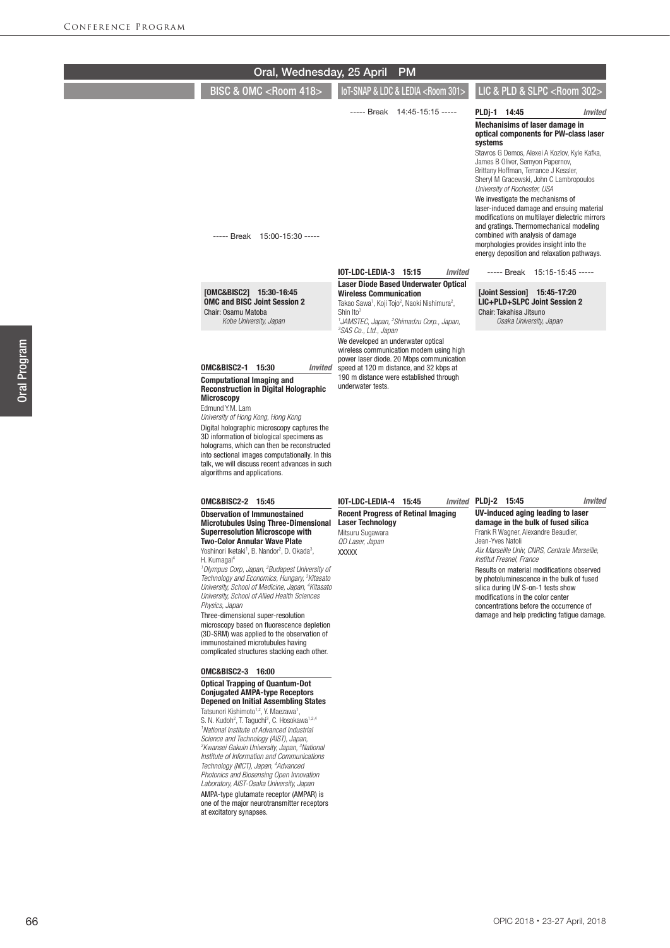|                                                                                                                                                                                                                                                                                        | Oral, Wednesday, 25 April                                                                                                                                                                                                                                                                                                                                                                  |                                                                                                                                                                                                                                      | <b>PM</b>                                                                                                       |                                                                                                                                                                                                                                                       |                                                                                                                                                                                                                                                                                                                                  |
|----------------------------------------------------------------------------------------------------------------------------------------------------------------------------------------------------------------------------------------------------------------------------------------|--------------------------------------------------------------------------------------------------------------------------------------------------------------------------------------------------------------------------------------------------------------------------------------------------------------------------------------------------------------------------------------------|--------------------------------------------------------------------------------------------------------------------------------------------------------------------------------------------------------------------------------------|-----------------------------------------------------------------------------------------------------------------|-------------------------------------------------------------------------------------------------------------------------------------------------------------------------------------------------------------------------------------------------------|----------------------------------------------------------------------------------------------------------------------------------------------------------------------------------------------------------------------------------------------------------------------------------------------------------------------------------|
|                                                                                                                                                                                                                                                                                        | <b>BISC &amp; OMC <room 418=""></room></b>                                                                                                                                                                                                                                                                                                                                                 |                                                                                                                                                                                                                                      | IoT-SNAP & LDC & LEDIA <room 301=""></room>                                                                     |                                                                                                                                                                                                                                                       | LIC & PLD & SLPC <room 302=""></room>                                                                                                                                                                                                                                                                                            |
|                                                                                                                                                                                                                                                                                        | ----- Break 15:00-15:30 -----                                                                                                                                                                                                                                                                                                                                                              |                                                                                                                                                                                                                                      | ----- Break 14:45-15:15 -----                                                                                   | PLDj-1 14:45<br><b>Mechanisims of laser damage in</b><br>systems<br>James B Oliver, Semyon Papernov,<br>Brittany Hoffman, Terrance J Kessler,<br>University of Rochester, USA<br>We investigate the mechanisms of<br>combined with analysis of damage | Invited<br>optical components for PW-class laser<br>Stavros G Demos, Alexei A Kozlov, Kyle Kafka,<br>Sheryl M Gracewski, John C Lambropoulos<br>laser-induced damage and ensuing material<br>modifications on multilayer dielectric mirrors<br>and gratings. Thermomechanical modeling<br>morphologies provides insight into the |
|                                                                                                                                                                                                                                                                                        |                                                                                                                                                                                                                                                                                                                                                                                            | <b>IOT-LDC-LEDIA-3 15:15</b>                                                                                                                                                                                                         | <b>Invited</b>                                                                                                  |                                                                                                                                                                                                                                                       | energy deposition and relaxation pathways.<br>----- Break 15:15-15:45 -----                                                                                                                                                                                                                                                      |
| [OMC&BISC2] 15:30-16:45<br><b>OMC and BISC Joint Session 2</b><br>Chair: Osamu Matoba<br>Kobe University, Japan                                                                                                                                                                        |                                                                                                                                                                                                                                                                                                                                                                                            | <b>Wireless Communication</b><br>Takao Sawa <sup>1</sup> , Koji Tojo <sup>2</sup> , Naoki Nishimura <sup>2</sup> ,<br>Shin Ito <sup>3</sup><br><sup>3</sup> SAS Co., Ltd., Japan                                                     | <b>Laser Diode Based Underwater Optical</b><br><sup>1</sup> JAMSTEC, Japan, <sup>2</sup> Shimadzu Corp., Japan, | [Joint Session] 15:45-17:20<br>LIC+PLD+SLPC Joint Session 2<br>Chair: Takahisa Jitsuno<br>Osaka University, Japan                                                                                                                                     |                                                                                                                                                                                                                                                                                                                                  |
| <b>OMC&amp;BISC2-1 15:30</b><br><b>Computational Imaging and</b><br><b>Microscopy</b><br>Edmund Y.M. Lam<br>University of Hong Kong, Hong Kong<br>algorithms and applications.                                                                                                         | <b>Invited</b><br><b>Reconstruction in Digital Holographic</b><br>Digital holographic microscopy captures the<br>3D information of biological specimens as<br>holograms, which can then be reconstructed<br>into sectional images computationally. In this<br>talk, we will discuss recent advances in such                                                                                | We developed an underwater optical<br>wireless communication modem using high<br>power laser diode. 20 Mbps communication<br>speed at 120 m distance, and 32 kbps at<br>190 m distance were established through<br>underwater tests. |                                                                                                                 |                                                                                                                                                                                                                                                       |                                                                                                                                                                                                                                                                                                                                  |
| <b>OMC&amp;BISC2-2 15:45</b><br><b>Observation of Immunostained</b><br><b>Superresolution Microscope with</b><br><b>Two-Color Annular Wave Plate</b><br>Yoshinori Iketaki <sup>1</sup> , B. Nandor <sup>2</sup> , D. Okada <sup>3</sup> ,<br>H. Kumagai <sup>4</sup><br>Physics, Japan | <b>Microtubules Using Three-Dimensional</b><br><sup>1</sup> Olympus Corp, Japan, <sup>2</sup> Budapest University of<br>Technology and Economics, Hungary, <sup>3</sup> Kitasato<br>University, School of Medicine, Japan, <sup>4</sup> Kitasato<br>University, School of Allied Health Sciences                                                                                           | <b>IOT-LDC-LEDIA-4 15:45</b><br><b>Recent Progress of Retinal Imaging</b><br><b>Laser Technology</b><br>Mitsuru Sugawara<br>QD Laser, Japan<br><b>XXXXX</b>                                                                          |                                                                                                                 | Invited PLDj-2 15:45<br>Frank R Wagner, Alexandre Beaudier,<br>Jean-Yves Natoli<br>Institut Fresnel, France<br>silica during UV S-on-1 tests show<br>modifications in the color center                                                                | <b>Invited</b><br>UV-induced aging leading to laser<br>damage in the bulk of fused silica<br>Aix Marseille Univ, CNRS, Centrale Marseille,<br>Results on material modifications observed<br>by photoluminescence in the bulk of fused<br>concentrations before the occurrence of                                                 |
| Three-dimensional super-resolution<br>immunostained microtubules having<br><b>OMC&amp;BISC2-3 16:00</b><br><b>Optical Trapping of Quantum-Dot</b><br><b>Conjugated AMPA-type Receptors</b>                                                                                             | microscopy based on fluorescence depletion<br>(3D-SRM) was applied to the observation of<br>complicated structures stacking each other.<br><b>Depened on Initial Assembling States</b>                                                                                                                                                                                                     |                                                                                                                                                                                                                                      |                                                                                                                 |                                                                                                                                                                                                                                                       | damage and help predicting fatigue damage.                                                                                                                                                                                                                                                                                       |
| Tatsunori Kishimoto <sup>1,2</sup> , Y. Maezawa <sup>1</sup> ,<br><sup>1</sup> National Institute of Advanced Industrial<br>Science and Technology (AIST), Japan,<br>Technology (NICT), Japan, <sup>4</sup> Advanced<br>at excitatory synapses.                                        | S. N. Kudoh <sup>2</sup> , T. Taguchi <sup>3</sup> , C. Hosokawa <sup>1,2,4</sup><br><sup>2</sup> Kwansei Gakuin University, Japan, <sup>3</sup> National<br>Institute of Information and Communications<br>Photonics and Biosensing Open Innovation<br>Laboratory, AIST-Osaka University, Japan<br>AMPA-type glutamate receptor (AMPAR) is<br>one of the major neurotransmitter receptors |                                                                                                                                                                                                                                      |                                                                                                                 |                                                                                                                                                                                                                                                       |                                                                                                                                                                                                                                                                                                                                  |

Oral Program

Oral Program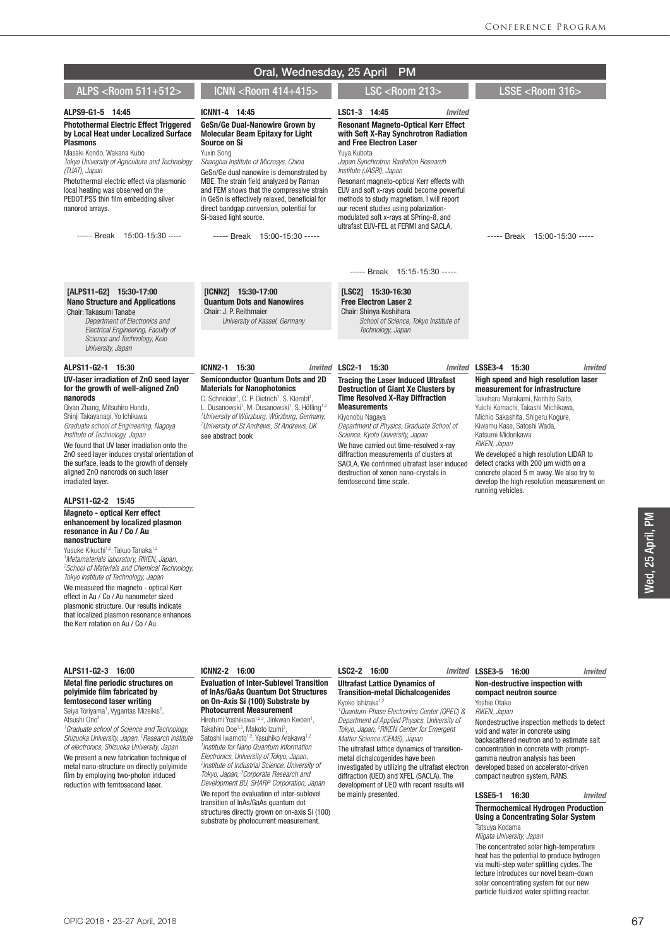|                                                                                                                                                                                                                                                                                                                                                                                                                                                                                                                                                                                             | Oral, Wednesday, 25 April                                                                                                                                                                                                                                                                                                                                                                                                                                | <b>PM</b>                                                                                                                                                                                                                                                                                                                                                                                                                                                              |                                                                                                                                                                                                                                                                                                                                                                                                                                                               |
|---------------------------------------------------------------------------------------------------------------------------------------------------------------------------------------------------------------------------------------------------------------------------------------------------------------------------------------------------------------------------------------------------------------------------------------------------------------------------------------------------------------------------------------------------------------------------------------------|----------------------------------------------------------------------------------------------------------------------------------------------------------------------------------------------------------------------------------------------------------------------------------------------------------------------------------------------------------------------------------------------------------------------------------------------------------|------------------------------------------------------------------------------------------------------------------------------------------------------------------------------------------------------------------------------------------------------------------------------------------------------------------------------------------------------------------------------------------------------------------------------------------------------------------------|---------------------------------------------------------------------------------------------------------------------------------------------------------------------------------------------------------------------------------------------------------------------------------------------------------------------------------------------------------------------------------------------------------------------------------------------------------------|
| ALPS <room 511+512=""></room>                                                                                                                                                                                                                                                                                                                                                                                                                                                                                                                                                               | ICNN <room 414+415=""></room>                                                                                                                                                                                                                                                                                                                                                                                                                            | <b>LSC <room 213=""></room></b>                                                                                                                                                                                                                                                                                                                                                                                                                                        | LSSE <room 316=""></room>                                                                                                                                                                                                                                                                                                                                                                                                                                     |
| ALPS9-G1-5 14:45<br><b>Photothermal Electric Effect Triggered</b>                                                                                                                                                                                                                                                                                                                                                                                                                                                                                                                           | ICNN1-4 14:45<br>GeSn/Ge Dual-Nanowire Grown by                                                                                                                                                                                                                                                                                                                                                                                                          | LSC1-3 14:45<br><b>Invited</b><br><b>Resonant Magneto-Optical Kerr Effect</b>                                                                                                                                                                                                                                                                                                                                                                                          |                                                                                                                                                                                                                                                                                                                                                                                                                                                               |
| by Local Heat under Localized Surface<br><b>Plasmons</b><br>Masaki Kondo, Wakana Kubo<br>Tokyo University of Agriculture and Technology<br>(TUAT), Japan<br>Photothermal electric effect via plasmonic<br>local heating was observed on the<br>PEDOT:PSS thin film embedding silver<br>nanorod arrays.<br>----- Break 15:00-15:30 -----                                                                                                                                                                                                                                                     | <b>Molecular Beam Epitaxy for Light</b><br>Source on Si<br>Yuxin Song<br>Shanghai Institute of Microsys, China<br>GeSn/Ge dual nanowire is demonstrated by<br>MBE. The strain field analyzed by Raman<br>and FEM shows that the compressive strain<br>in GeSn is effectively relaxed, beneficial for<br>direct bandgap conversion, potential for<br>Si-based light source.<br>----- Break 15:00-15:30 -----                                              | with Soft X-Ray Synchrotron Radiation<br>and Free Electron Laser<br>Yuya Kubota<br>Japan Synchrotron Radiation Research<br>Institute (JASRI), Japan<br>Resonant magneto-optical Kerr effects with<br>EUV and soft x-rays could become powerful<br>methods to study magnetism. I will report<br>our recent studies using polarization-<br>modulated soft x-rays at SPring-8, and<br>ultrafast EUV-FEL at FERMI and SACLA.                                               | ----- Break 15:00-15:30 -----                                                                                                                                                                                                                                                                                                                                                                                                                                 |
|                                                                                                                                                                                                                                                                                                                                                                                                                                                                                                                                                                                             |                                                                                                                                                                                                                                                                                                                                                                                                                                                          | ----- Break 15:15-15:30 -----                                                                                                                                                                                                                                                                                                                                                                                                                                          |                                                                                                                                                                                                                                                                                                                                                                                                                                                               |
| [ALPS11-G2] 15:30-17:00<br><b>Nano Structure and Applications</b><br>Chair: Takasumi Tanabe<br>Department of Electronics and<br>Electrical Engineering, Faculty of<br>Science and Technology, Keio<br>University, Japan                                                                                                                                                                                                                                                                                                                                                                     | [ICNN2] 15:30-17:00<br><b>Quantum Dots and Nanowires</b><br>Chair: J. P. Reithmaier<br>University of Kassel, Germany                                                                                                                                                                                                                                                                                                                                     | [LSC2] 15:30-16:30<br><b>Free Electron Laser 2</b><br>Chair: Shinya Koshihara<br>School of Science. Tokvo Institute of<br>Technology, Japan                                                                                                                                                                                                                                                                                                                            |                                                                                                                                                                                                                                                                                                                                                                                                                                                               |
| ALPS11-G2-1 15:30                                                                                                                                                                                                                                                                                                                                                                                                                                                                                                                                                                           | ICNN2-1 15:30<br>Invited                                                                                                                                                                                                                                                                                                                                                                                                                                 | LSC2-1 15:30                                                                                                                                                                                                                                                                                                                                                                                                                                                           | Invited LSSE3-4 15:30<br><b>Invited</b>                                                                                                                                                                                                                                                                                                                                                                                                                       |
| UV-laser irradiation of ZnO seed layer<br>for the growth of well-aligned ZnO<br>nanorods<br>Qiyan Zhang, Mitsuhiro Honda,<br>Shinji Takayanagi, Yo Ichikawa<br>Graduate school of Engineering, Nagoya<br>Institute of Technology, Japan<br>We found that UV laser irradiation onto the<br>ZnO seed layer induces crystal orientation of<br>the surface, leads to the growth of densely<br>aligned ZnO nanorods on such laser<br>irradiated layer.                                                                                                                                           | <b>Semiconductor Quantum Dots and 2D</b><br><b>Materials for Nanophotonics</b><br>C. Schneider <sup>1</sup> , C. P. Dietrich <sup>1</sup> , S. Klembt <sup>1</sup> ,<br>L. Dusanowski <sup>1</sup> , M. Dusanowski <sup>1</sup> , S. Höfling <sup>1,2</sup><br><sup>1</sup> University of Würzburg, Würzburg, Germany,<br><sup>2</sup> University of St Andrews, St Andrews, UK<br>see abstract book                                                     | <b>Tracing the Laser Induced Ultrafast</b><br><b>Destruction of Giant Xe Clusters by</b><br><b>Time Resolved X-Ray Diffraction</b><br><b>Measurements</b><br>Kiyonobu Nagaya<br>Department of Physics, Graduate School of<br>Science, Kyoto University, Japan<br>We have carried out time-resolved x-ray<br>diffraction measurements of clusters at<br>SACLA. We confirmed ultrafast laser induced<br>destruction of xenon nano-crystals in<br>femtosecond time scale. | High speed and high resolution laser<br>measurement for infrastructure<br>Takeharu Murakami. Norihito Saito.<br>Yuichi Komachi, Takashi Michikawa,<br>Michio Sakashita, Shigeru Kogure,<br>Kiwamu Kase, Satoshi Wada,<br>Katsumi Midorikawa<br>RIKEN, Japan<br>We developed a high resolution LIDAR to<br>detect cracks with 200 um width on a<br>concrete placed 5 m away. We also try to<br>develop the high resolution measurement on<br>running vehicles. |
| ALPS11-G2-2 15:45<br><b>Magneto - optical Kerr effect</b><br>enhancement by localized plasmon<br>resonance in Au / Co / Au<br>nanostructure<br>Yusuke Kikuchi <sup>1,2</sup> , Takuo Tanaka <sup>1,2</sup><br><sup>1</sup> Metamaterials laboratory, RIKEN, Japan,<br><sup>2</sup> School of Materials and Chemical Technology,<br>Tokyo Institute of Technology, Japan<br>We measured the magneto - optical Kerr<br>effect in Au / Co / Au nanometer sized<br>plasmonic structure. Our results indicate<br>that localized plasmon resonance enhances<br>the Kerr rotation on Au / Co / Au. |                                                                                                                                                                                                                                                                                                                                                                                                                                                          |                                                                                                                                                                                                                                                                                                                                                                                                                                                                        |                                                                                                                                                                                                                                                                                                                                                                                                                                                               |
| ALPS11-G2-3 16:00                                                                                                                                                                                                                                                                                                                                                                                                                                                                                                                                                                           | ICNN2-2 16:00                                                                                                                                                                                                                                                                                                                                                                                                                                            | LSC2-2 16:00                                                                                                                                                                                                                                                                                                                                                                                                                                                           | Invited LSSE3-5 16:00<br>Invited                                                                                                                                                                                                                                                                                                                                                                                                                              |
| Metal fine periodic structures on<br>polyimide film fabricated by<br>femtosecond laser writing<br>Seiya Toriyama <sup>1</sup> , Vygantas Mizeikis <sup>2</sup> ,<br>Atsushi Ono <sup>2</sup><br><sup>1</sup> Graduate school of Science and Technology,<br>Shizuoka University, Japan, <sup>2</sup> Research institute<br>of electronics, Shizuoka University, Japan<br>We proport a now fabrication toppique                                                                                                                                                                               | <b>Evaluation of Inter-Sublevel Transition</b><br>of InAs/GaAs Quantum Dot Structures<br>on On-Axis Si (100) Substrate by<br><b>Photocurrent Measurement</b><br>Hirofumi Yoshikawa <sup>1,2,3</sup> , Jinkwan Kwoen <sup>1</sup> ,<br>Takahiro Doe <sup>1,3</sup> , Makoto Izumi <sup>3</sup> ,<br>Satoshi Iwamoto <sup>1,2</sup> , Yasuhiko Arakawa <sup>1,2</sup><br>Institute for Nano Quantum Information<br>Flectronics, Hniversity of Tokyo, Janan | <b>Ultrafast Lattice Dynamics of</b><br><b>Transition-metal Dichalcogenides</b><br>Kvoko Ishizaka <sup>1,2</sup><br><sup>1</sup> Quantum-Phase Electronics Center (QPEC) &<br>Department of Applied Physics, University of<br>Tokyo, Japan, <sup>2</sup> RIKEN Center for Emergent<br>Matter Science (CEMS), Japan<br>The ultrafast lattice dynamics of transition-                                                                                                    | Non-destructive inspection with<br>compact neutron source<br>Yoshie Otake<br>RIKEN, Japan<br>Nondestructive inspection methods to detect<br>void and water in concrete using<br>backscattered neutron and to estimate salt<br>concentration in concrete with prompt-                                                                                                                                                                                          |

We present a new fabrication metal nano-structure on directly polyimide film by employing two-photon induced reduction with femtosecond laser.

*Electronics, University of Tokyo, Japan, 2 Institute of Industrial Science, University of Tokyo, Japan, 3 Corporate Research and Development BU, SHARP Corporation, Japan* We report the evaluation of inter-sublevel transition of InAs/GaAs quantum dot structures directly grown on on-axis Si (100) substrate by photocurrent measurement.

es have been investigated by utilizing the ultrafast electron diffraction (UED) and XFEL (SACLA). The development of UED with recent results will be mainly presented.

gamma neutron analysis has been developed based on accelerator-driven compact neutron system, RANS.

### LSSE5-1 16:30 *Invited*

Thermochemical Hydrogen Production Using a Concentrating Solar System Tatsuya Kodama

*Niigata University, Japan*

The concentrated solar high-temperature heat has the potential to produce hydrogen via multi-step water splitting cycles. The lecture introduces our novel beam-down solar concentrating system for our new particle fluidized water splitting reactor.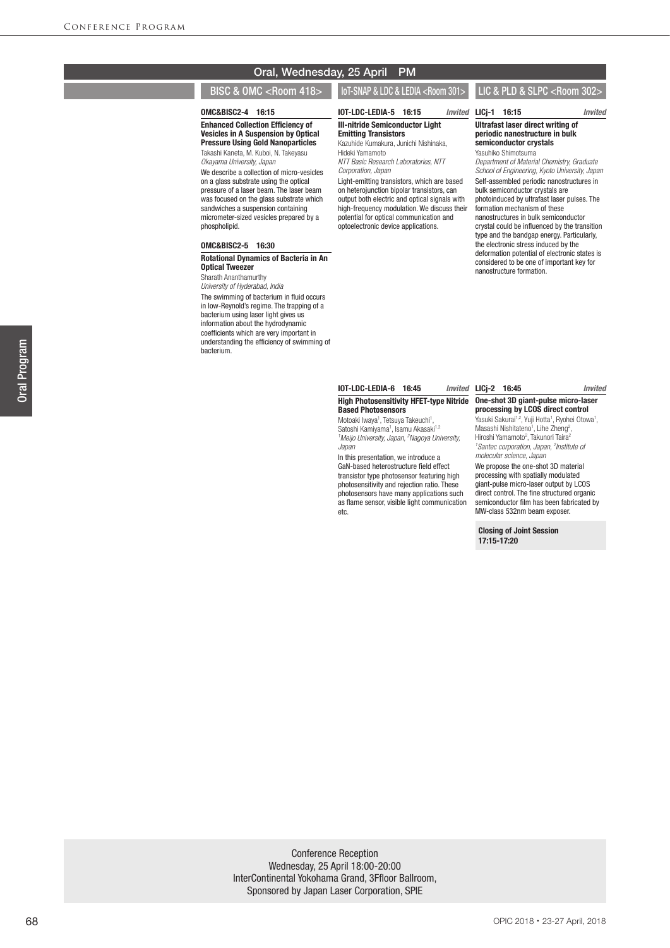## Oral, Wednesday, 25 April PM

## BISC & OMC <Room 418> || IoT-SNAP & LDC & LEDIA <Room 301> || LIC & PLD & SLPC <Room 302>

#### OMC&BISC2-4 16:15

Enhanced Collection Efficiency of Vesicles in A Suspension by Optical Pressure Using Gold Nanoparticles Takashi Kaneta, M. Kuboi, N. Takeyasu

*Okayama University, Japan*

We describe a collection of micro-vesicles on a glass substrate using the optical pressure of a laser beam. The laser beam was focused on the glass substrate which sandwiches a suspension containing micrometer-sized vesicles prepared by a phospholipid.

#### OMC&BISC2-5 16:30

#### Rotational Dynamics of Bacteria in An Optical Tweezer

Sharath Ananthamurthy *University of Hyderabad, India* The swimming of bacterium in fluid occurs in low-Reynold's regime. The trapping of a bacterium using laser light gives us information about the hydrodynamic coefficients which are very important in understanding the efficiency of swimming of bacterium.

#### IOT-LDC-LEDIA-5 16:15 *Invited* III-nitride Semiconductor Light Emitting Transistors

Kazuhide Kumakura, Junichi Nishinaka, Hideki Yamamoto

*NTT Basic Research Laboratories, NTT Corporation, Japan*

Light-emitting transistors, which are based on heterojunction bipolar transistors, can output both electric and optical signals with high-frequency modulation. We discuss their potential for optical communication and optoelectronic device applications.

#### LICj-1 16:15 *Invited* Ultrafast laser direct writing of periodic nanostructure in bulk semiconductor crystals Yasuhiko Shimotsuma

*Department of Material Chemistry, Graduate School of Engineering, Kyoto University, Japan* Self-assembled periodic nanostructures in bulk semiconductor crystals are photoinduced by ultrafast laser pulses. The formation mechanism of these nanostructures in bulk semiconductor crystal could be influenced by the transition type and the bandgap energy. Particularly, the electronic stress induced by the deformation potential of electronic states is considered to be one of important key for nanostructure formation.

#### High Photosensitivity HFET-type Nitride One-shot 3D giant-pulse micro-laser **IOT-LDC-LEDIA-6 16:45** Based Photosensors

Motoaki Iwaya<sup>1</sup>, Tetsuya Takeuchi<sup>1</sup>, Satoshi Kamiyama<sup>1</sup>, Isamu Akasaki<sup>1,2</sup> *1 Meijo University, Japan, 2 Nagoya University, Japan*

In this presentation, we introduce a GaN-based heterostructure field effect transistor type photosensor featuring high photosensitivity and rejection ratio. These photosensors have many applications such as flame sensor, visible light communication etc.

# LICj-2 16:45 *Invited* processing by LCOS direct control

Yasuki Sakurai<sup>1,2</sup>, Yuji Hotta<sup>1</sup>, Ryohei Otowa<sup>1</sup>, Masashi Nishitateno<sup>1</sup>, Lihe Zheng<sup>2</sup>, Hiroshi Yamamoto<sup>2</sup>, Takunori Taira<sup>2</sup> *1 Santec corporation, Japan, 2 Institute of molecular science, Japan*

We propose the one-shot 3D material processing with spatially modulated giant-pulse micro-laser output by LCOS direct control. The fine structured organic semiconductor film has been fabricated by MW-class 532nm beam exposer.

Closing of Joint Session 17:15-17:20

**Oral Program** Oral Program

Conference Reception Wednesday, 25 April 18:00-20:00 InterContinental Yokohama Grand, 3Ffloor Ballroom, Sponsored by Japan Laser Corporation, SPIE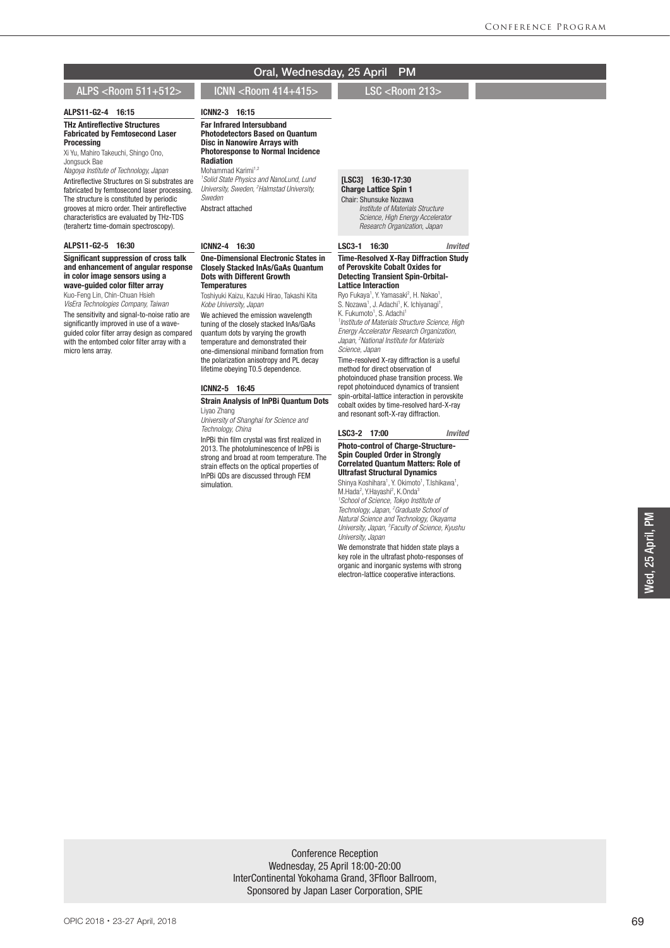## Oral, Wednesday, 25 April PM

## ALPS <Room 511+512> ICNN <Room 414+415> LSC <Room 213>

#### ALPS11-G2-4 16:15 THz Antireflective Structures Fabricated by Femtosecond Laser Processing

Xi Yu, Mahiro Takeuchi, Shingo Ono, Jongsuck Bae

*Nagoya Institute of Technology, Japan* Antireflective Structures on Si substrates are fabricated by femtosecond laser processing. The structure is constituted by periodic grooves at micro order. Their antireflective characteristics are evaluated by THz-TDS (terahertz time-domain spectroscopy).

#### ALPS11-G2-5 16:30

#### Significant suppression of cross talk and enhancement of angular response in color image sensors using a wave-guided color filter array

Kuo-Feng Lin, Chin-Chuan Hsieh

*VisEra Technologies Company, Taiwan* The sensitivity and signal-to-noise ratio are significantly improved in use of a waveguided color filter array design as compared with the entombed color filter array with a micro lens array.

Photodetectors Based on Quantum Disc in Nanowire Arrays with Photoresponse to Normal Incidence **Radiation** Mohammad Karimi<sup>1,2</sup> *1 Solid State Physics and NanoLund, Lund* 

*University, Sweden, 2 Halmstad University, Sweden* Abstract attached

ICNN2-3 16:15 Far Infrared Intersubband

#### ICNN2-4 16:30

#### One-Dimensional Electronic States in Closely Stacked InAs/GaAs Quantum Dots with Different Growth **Temperatures**

Toshiyuki Kaizu, Kazuki Hirao, Takashi Kita *Kobe University, Japan*

We achieved the emission wavelength tuning of the closely stacked InAs/GaAs quantum dots by varying the growth temperature and demonstrated their one-dimensional miniband formation from the polarization anisotropy and PL decay lifetime obeying T0.5 dependence.

#### ICNN2-5 16:45

#### Strain Analysis of InPBi Quantum Dots Liyao Zhang

*University of Shanghai for Science and Technology, China* InPBi thin film crystal was first realized in 2013. The photoluminescence of InPBi is strong and broad at room temperature. The strain effects on the optical properties of

InPBi QDs are discussed through FEM simulation.

## [LSC3] 16:30-17:30 Charge Lattice Spin 1

Chair: Shunsuke Nozawa  *Institute of Materials Structure Science, High Energy Accelerator Research Organization, Japan*

#### LSC3-1 16:30 *Invited*

#### Time-Resolved X-Ray Diffraction Study of Perovskite Cobalt Oxides for Detecting Transient Spin-Orbital-Lattice Interaction

Ryo Fukaya<sup>1</sup>, Y. Yamasaki<sup>2</sup>, H. Nakao<sup>1</sup>,<br>S. Nozawa<sup>1</sup>, J. Adachi<sup>1</sup>, K. Ichiyanagi<sup>1</sup>, K. Fukumoto<sup>1</sup>, S. Adachi<sup>1</sup> *1 Institute of Materials Structure Science, High Energy Accelerator Research Organization, Japan, 2 National Institute for Materials Science, Japan*

Time-resolved X-ray diffraction is a useful method for direct observation of photoinduced phase transition process. We

repot photoinduced dynamics of transient spin-orbital-lattice interaction in perovskite cobalt oxides by time-resolved hard-X-ray and resonant soft-X-ray diffraction.

#### LSC3-2 17:00 *Invited*

#### Photo-control of Charge-Structure-Spin Coupled Order in Strongly Correlated Quantum Matters: Role of Ultrafast Structural Dynamics

Shinya Koshihara<sup>1</sup>, Y. Okimoto<sup>1</sup>, T.Ishikawa<sup>1</sup>, M.Hada<sup>2</sup>, Y.Hayashi<sup>2</sup>, K.Onda<sup>3</sup> <sup>1</sup> School of Science, Tokyo Institute of<br>Technology, Japan, <sup>2</sup> Graduate School of *Natural Science and Technology, Okayama University, Japan, 3 Faculty of Science, Kyushu* 

*University, Japan* We demonstrate that hidden state plays a key role in the ultrafast photo-responses of organic and inorganic systems with strong electron-lattice cooperative interactions.

Ned, 25 April, PM Wed, 25 April, PM

Conference Reception Wednesday, 25 April 18:00-20:00 InterContinental Yokohama Grand, 3Ffloor Ballroom, Sponsored by Japan Laser Corporation, SPIE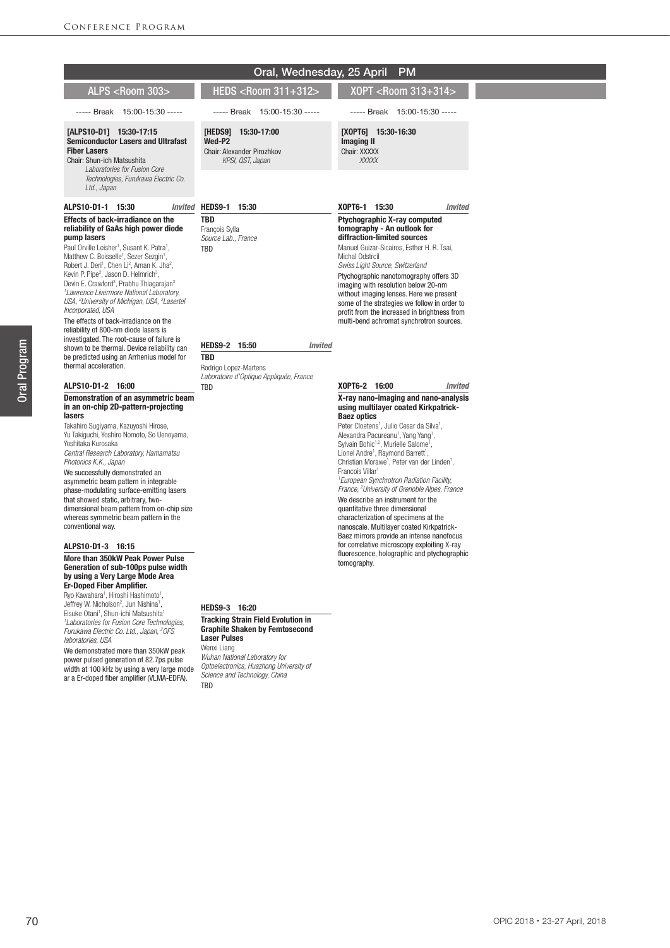|                                                                                                                                                                                                                                                                                                                                                                                                                                                                                                                                                                                                                                                                                                                                                                                                                                                                     | Oral, Wednesday, 25 April                                                                                                                                                                                                                              | <b>PM</b>                                                                                                                                                                                                                                                                                                                                                                                                                                                                                                                                                                                                                                                                                                                                                                                                                                                  |
|---------------------------------------------------------------------------------------------------------------------------------------------------------------------------------------------------------------------------------------------------------------------------------------------------------------------------------------------------------------------------------------------------------------------------------------------------------------------------------------------------------------------------------------------------------------------------------------------------------------------------------------------------------------------------------------------------------------------------------------------------------------------------------------------------------------------------------------------------------------------|--------------------------------------------------------------------------------------------------------------------------------------------------------------------------------------------------------------------------------------------------------|------------------------------------------------------------------------------------------------------------------------------------------------------------------------------------------------------------------------------------------------------------------------------------------------------------------------------------------------------------------------------------------------------------------------------------------------------------------------------------------------------------------------------------------------------------------------------------------------------------------------------------------------------------------------------------------------------------------------------------------------------------------------------------------------------------------------------------------------------------|
| ALPS <room 303=""></room>                                                                                                                                                                                                                                                                                                                                                                                                                                                                                                                                                                                                                                                                                                                                                                                                                                           | HEDS <room 311+312=""></room>                                                                                                                                                                                                                          | X0PT <room 313+314=""></room>                                                                                                                                                                                                                                                                                                                                                                                                                                                                                                                                                                                                                                                                                                                                                                                                                              |
| ----- Break 15:00-15:30 -----                                                                                                                                                                                                                                                                                                                                                                                                                                                                                                                                                                                                                                                                                                                                                                                                                                       | ----- Break 15:00-15:30 -----                                                                                                                                                                                                                          | ----- Break 15:00-15:30 -----                                                                                                                                                                                                                                                                                                                                                                                                                                                                                                                                                                                                                                                                                                                                                                                                                              |
| [ALPS10-D1] 15:30-17:15<br><b>Semiconductor Lasers and Ultrafast</b><br><b>Fiber Lasers</b><br>Chair: Shun-ich Matsushita<br>Laboratories for Fusion Core<br>Technologies, Furukawa Electric Co.<br>Ltd., Japan                                                                                                                                                                                                                                                                                                                                                                                                                                                                                                                                                                                                                                                     | [HEDS9]<br>15:30-17:00<br>Wed-P2<br>Chair: Alexander Pirozhkov<br>KPSI, QST, Japan                                                                                                                                                                     | [XOPT6] 15:30-16:30<br><b>Imaging II</b><br>Chair: XXXXX<br>XXXXX                                                                                                                                                                                                                                                                                                                                                                                                                                                                                                                                                                                                                                                                                                                                                                                          |
| ALPS10-D1-1 15:30<br><b>Invited</b>                                                                                                                                                                                                                                                                                                                                                                                                                                                                                                                                                                                                                                                                                                                                                                                                                                 | HEDS9-1 15:30                                                                                                                                                                                                                                          | X0PT6-1 15:30<br><b>Invited</b>                                                                                                                                                                                                                                                                                                                                                                                                                                                                                                                                                                                                                                                                                                                                                                                                                            |
| Effects of back-irradiance on the<br>reliability of GaAs high power diode<br>pump lasers<br>Paul Orville Leisher <sup>1</sup> , Susant K. Patra <sup>1</sup> ,<br>Matthew C. Boisselle <sup>1</sup> , Sezer Sezgin <sup>1</sup> ,<br>Robert J. Deri <sup>1</sup> , Chen Li <sup>2</sup> , Aman K. Jha <sup>2</sup> ,<br>Kevin P. Pipe <sup>2</sup> , Jason D. Helmrich <sup>3</sup> ,<br>Devin E. Crawford <sup>3</sup> , Prabhu Thiagarajan <sup>3</sup><br><sup>1</sup> Lawrence Livermore National Laboratory.<br>USA, <sup>2</sup> University of Michigan, USA, <sup>3</sup> Lasertel<br>Incorporated, USA<br>The effects of back-irradiance on the<br>reliability of 800-nm diode lasers is<br>investigated. The root-cause of failure is<br>shown to be thermal. Device reliability can<br>be predicted using an Arrhenius model for<br>thermal acceleration. | TBD<br>Francois Sylla<br>Source Lab., France<br>TBD<br>HEDS9-2 15:50<br>Invited<br><b>TBD</b><br>Rodrigo Lopez-Martens                                                                                                                                 | <b>Ptychographic X-ray computed</b><br>tomography - An outlook for<br>diffraction-limited sources<br>Manuel Guizar-Sicairos, Esther H. R. Tsai,<br>Michal Odstrcil<br>Swiss Light Source, Switzerland<br>Ptychographic nanotomography offers 3D<br>imaging with resolution below 20-nm<br>without imaging lenses. Here we present<br>some of the strategies we follow in order to<br>profit from the increased in brightness from<br>multi-bend achromat synchrotron sources.                                                                                                                                                                                                                                                                                                                                                                              |
| ALPS10-D1-2 16:00                                                                                                                                                                                                                                                                                                                                                                                                                                                                                                                                                                                                                                                                                                                                                                                                                                                   | Laboratoire d'Optique Appliquée, France<br>TBD                                                                                                                                                                                                         | X0PT6-2 16:00<br><b>Invited</b>                                                                                                                                                                                                                                                                                                                                                                                                                                                                                                                                                                                                                                                                                                                                                                                                                            |
| Demonstration of an asymmetric beam<br>in an on-chip 2D-pattern-projecting<br>lasers<br>Takahiro Sugiyama, Kazuyoshi Hirose,<br>Yu Takiguchi, Yoshiro Nomoto, So Uenoyama,<br>Yoshitaka Kurosaka<br>Central Research Laboratory, Hamamatsu<br>Photonics K.K., Japan<br>We successfully demonstrated an<br>asymmetric beam pattern in integrable<br>phase-modulating surface-emitting lasers<br>that showed static, arbitrary, two-<br>dimensional beam pattern from on-chip size<br>whereas symmetric beam pattern in the<br>conventional way.<br>ALPS10-D1-3 16:15                                                                                                                                                                                                                                                                                                 |                                                                                                                                                                                                                                                        | X-ray nano-imaging and nano-analysis<br>using multilayer coated Kirkpatrick-<br><b>Baez optics</b><br>Peter Cloetens <sup>1</sup> , Julio Cesar da Silva <sup>1</sup> ,<br>Alexandra Pacureanu <sup>1</sup> , Yang Yang <sup>1</sup> ,<br>Sylvain Bohic <sup>1,2</sup> , Murielle Salome <sup>1</sup> ,<br>Lionel Andre <sup>1</sup> , Raymond Barrett <sup>1</sup> ,<br>Christian Morawe <sup>1</sup> , Peter van der Linden <sup>1</sup> ,<br>Francois Villar <sup>1</sup><br><sup>1</sup> European Synchrotron Radiation Facility,<br>France, <sup>2</sup> University of Grenoble Alpes, France<br>We describe an instrument for the<br>quantitative three dimensional<br>characterization of specimens at the<br>nanoscale. Multilayer coated Kirkpatrick-<br>Baez mirrors provide an intense nanofocus<br>for correlative microscopy exploiting X-ray |
| More than 350kW Peak Power Pulse<br>Generation of sub-100ps pulse width<br>by using a Very Large Mode Area<br><b>Er-Doped Fiber Amplifier.</b><br>Ryo Kawahara <sup>1</sup> , Hiroshi Hashimoto <sup>1</sup> ,<br>Jeffrey W. Nicholson <sup>2</sup> , Jun Nishina <sup>1</sup> ,<br>Eisuke Otani <sup>1</sup> , Shun-ichi Matsushita <sup>1</sup><br><sup>1</sup> Laboratories for Fusion Core Technologies,<br>Furukawa Electric Co. Ltd., Japan. <sup>2</sup> OFS<br>laboratories, USA<br>We demonstrated more than 350kW peak<br>power pulsed generation of 82.7ps pulse<br>width at 100 kHz by using a very large mode<br>r donad fibor amplifier (II MA FDFA)                                                                                                                                                                                                  | HEDS9-3 16:20<br><b>Tracking Strain Field Evolution in</b><br><b>Graphite Shaken by Femtosecond</b><br><b>Laser Pulses</b><br>Wenxi Liang<br>Wuhan National Laboratory for<br>Optoelectronics, Huazhong University of<br>Science and Technology, China | fluorescence, holographic and ptychographic<br>tomography.                                                                                                                                                                                                                                                                                                                                                                                                                                                                                                                                                                                                                                                                                                                                                                                                 |

ar a Er-doped fiber amplifier (VLMA-EDFA).

*Science and Technology, China* TBD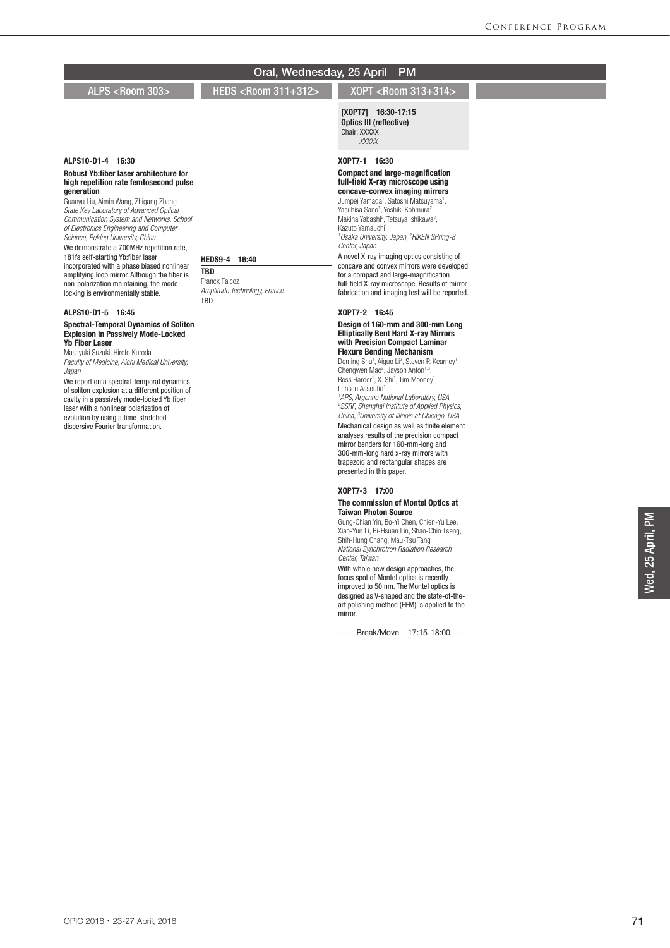ALPS <Room 303> HEDS <Room 311+312> XOPT <Room 313+314>

## [XOPT7] 16:30-17:15 Optics III (reflective)

Chair: XXXXX  *XXXXX*

## XOPT7-1 16:30

#### Compact and large-magnification full-field X-ray microscope using concave-convex imaging mirrors

Jumpei Yamada<sup>1</sup>, Satoshi Matsuyama<sup>1</sup>, Yasuhisa Sano<sup>1</sup>, Yoshiki Kohmura<sup>2</sup>,<br>Makina Yabashi<sup>2</sup>, Tetsuya Ishikawa<sup>2</sup>, Kazuto Yamauchi<sup>1</sup> *1 Osaka University, Japan, 2 RIKEN SPring-8 Center, Japan* A novel X-ray imaging optics consisting of

concave and convex mirrors were developed for a compact and large-magnification full-field X-ray microscope. Results of mirror fabrication and imaging test will be reported.

## XOPT7-2 16:45

#### Design of 160-mm and 300-mm Long Elliptically Bent Hard X-ray Mirrors with Precision Compact Laminar Flexure Bending Mechanism

Deming Shu<sup>1</sup>, Aiguo Li<sup>2</sup>, Steven P. Kearney<sup>1</sup>,<br>Chengwen Mao<sup>2</sup>, Jayson Anton<sup>1,3</sup>, Ross Harder<sup>1</sup>, X. Shi<sup>1</sup>, Tim Mooney<sup>1</sup>, Lahsen Assoufid<sup>1</sup> *1 APS, Argonne National Laboratory, USA, 2 SSRF, Shanghai Institute of Applied Physics, China, 3 University of Illinois at Chicago, USA* Mechanical design as well as finite element analyses results of the precision compact mirror benders for 160-mm-long and 300-mm-long hard x-ray mirrors with trapezoid and rectangular shapes are presented in this paper.

#### XOPT7-3 17:00

#### The commission of Montel Optics at Taiwan Photon Source

Gung-Chian Yin, Bo-Yi Chen, Chien-Yu Lee, Xiao-Yun Li, Bi-Hsuan Lin, Shao-Chin Tseng, Shih-Hung Chang, Mau-Tsu Tang *National Synchrotron Radiation Research Center, Taiwan*

With whole new design approaches, the focus spot of Montel optics is recently improved to 50 nm. The Montel optics is designed as V-shaped and the state-of-theart polishing method (EEM) is applied to the mirror.

----- Break/Move 17:15-18:00 -----

Oral, Wednesday, 25 April PM

## HEDS9-4 16:40

**TBD** Franck Falcoz *Amplitude Technology, France* TBD

# ALPS10-D1-5 16:45

ALPS10-D1-4 16:30

generation

Robust Yb:fiber laser architecture for high repetition rate femtosecond pulse

Guanyu Liu, Aimin Wang, Zhigang Zhang *State Key Laboratory of Advanced Optical Communication System and Networks, School of Electronics Engineering and Computer Science, Peking University, China* We demonstrate a 700MHz repetition rate, 181fs self-starting Yb:fiber laser incorporated with a phase biased nonlinear amplifying loop mirror. Although the fiber is non-polarization maintaining, the mode locking is environmentally stable.

Spectral-Temporal Dynamics of Soliton Explosion in Passively Mode-Locked Yb Fiber Laser

Masayuki Suzuki, Hiroto Kuroda *Faculty of Medicine, Aichi Medical University, Japan*

We report on a spectral-temporal dynamics of soliton explosion at a different position of cavity in a passively mode-locked Yb fiber laser with a nonlinear polarization of evolution by using a time-stretched dispersive Fourier transformation.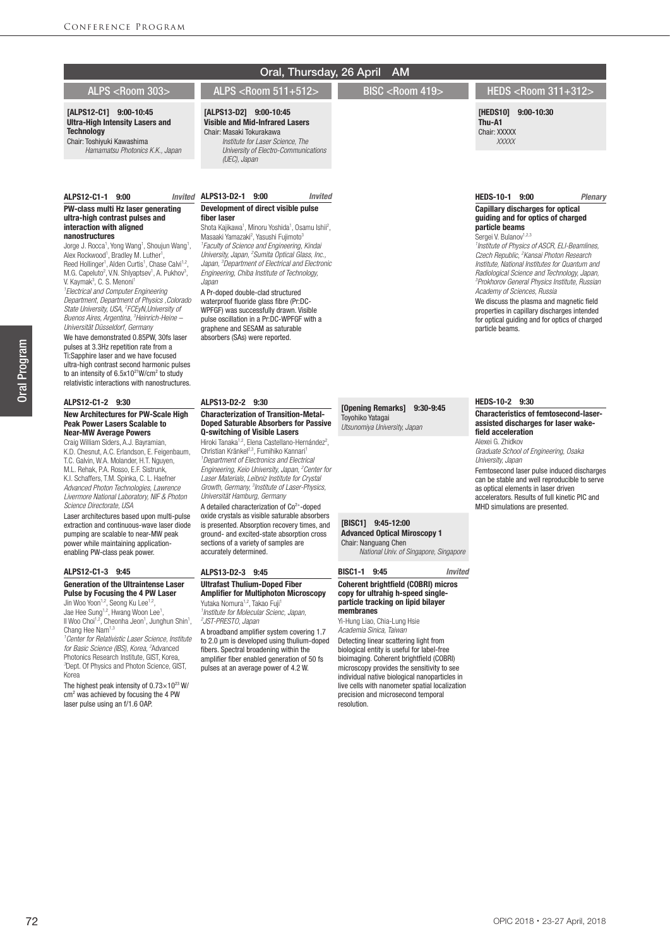## [ALPS12-C1] 9:00-10:45 Ultra-High Intensity Lasers and **Technology**

## Chair: Toshiyuki Kawashima *Hamamatsu Photonics K.K., Japan*

#### ALPS12-C1-1 9:00

#### PW-class multi Hz laser generating ultra-high contrast pulses and interaction with aligned nanostructures

Jorge J. Rocca<sup>1</sup>, Yong Wang<sup>1</sup>, Shoujun Wang<sup>1</sup>, Alex Rockwood<sup>1</sup>, Bradley M. Luther<sup>1</sup> Alex Rockwood<sup>1</sup>, Bradley M. Luther<sup>1</sup>,<br>Reed Hollinger<sup>1</sup>, Alden Curtis<sup>1</sup>, Chase Calvi<sup>1,2</sup>, M.G. Capeluto<sup>2</sup>, V.N. Shlyaptsev<sup>1</sup>, A. Pukhov<sup>3</sup>, V. Kaymak<sup>3</sup>, C. S. Menoni<sup>1</sup> *1 Electrical and Computer Engineering Department, Department of Physics ,Colorado State University, USA, 2 FCEyN,University of Buenos Aires, Argentina, 3 Heinrich-Heine –*

*Universität Düsseldorf, Germany* We have demonstrated 0.85PW, 30fs laser pulses at 3.3Hz repetition rate from a Ti:Sapphire laser and we have focused ultra-high contrast second harmonic pulses to an intensity of 6.5x10<sup>21</sup>W/cm<sup>2</sup> to study relativistic interactions with nanostructures.

#### ALPS12-C1-2 9:30

#### New Architectures for PW-Scale High Peak Power Lasers Scalable to Near-MW Average Powers

Craig William Siders, A.J. Bayramian, K.D. Chesnut, A.C. Erlandson, E. Feigenbaum, T.C. Galvin, W.A. Molander, H.T. Nguyen, M.L. Rehak, P.A. Rosso, E.F. Sistrunk, K.I. Schaffers, T.M. Spinka, C. L. Haefner *Advanced Photon Technologies, Lawrence Livermore National Laboratory, NIF & Photon Science Directorate, USA*

Laser architectures based upon multi-pulse extraction and continuous-wave laser diode pumping are scalable to near-MW peak power while maintaining applicationenabling PW-class peak power.

#### ALPS12-C1-3 9:45

#### Generation of the Ultraintense Laser Pulse by Focusing the 4 PW Laser

Jin Woo Yoon<sup>1,2</sup>, Seong Ku Lee<sup>1,2</sup>, Jae Hee Sung<sup>1,2</sup>, Hwang Woon Lee<sup>1</sup> Jae Hee Sung<sup>1,2</sup>, Hwang Woon Lee<sup>1</sup>,<br>Il Woo Choi<sup>1,2</sup>, Cheonha Jeon<sup>1</sup>, Junghun Shin<sup>1</sup>, Chang Hee Nam<sup>1,3</sup>

*1 Center for Relativistic Laser Science, Institute for Basic Science (IBS), Korea, 2* Advanced Photonics Research Institute, GIST, Korea, *3* Dept. Of Physics and Photon Science, GIST, Korea

The highest peak intensity of  $0.73\times10^{23}$  W/  $\text{cm}^2$  was achieved by focusing the 4 PW laser pulse using an f/1.6 OAP.

## Oral, Thursday, 26 April AM

ALPS <Room 303> ALPS <Room 511+512> BISC <Room 419> HEDS <Room 311+312>

#### [HEDS10] 9:00-10:30 Thu-A1

Chair: XXXXX  *XXXXX*

## HEDS-10-1 9:00 *Plenary*

#### Capillary discharges for optical guiding and for optics of charged particle beams Sergei V. Bulanov<sup>1,2,3</sup>

*1 Institute of Physics of ASCR, ELI-Beamlines, Czech Republic, 2 Kansai Photon Research Institute, National Institutes for Quantum and Radiological Science and Technology, Japan, 3 Prokhorov General Physics Institute, Russian Academy of Sciences, Russia*

We discuss the plasma and magnetic field properties in capillary discharges intended for optical guiding and for optics of charged particle beams.

## ALPS13-D2-2 9:30

[ALPS13-D2] 9:00-10:45 Visible and Mid-Infrared Lasers Chair: Masaki Tokurakawa

*(UEC), Japan*

fiber laser

*Japan*

ALPS13-D2-1 9:00 *Invited* Development of direct visible pulse

> A Pr-doped double-clad structured waterproof fluoride glass fibre (Pr:DC-WPFGF) was successfully drawn. Visible pulse oscillation in a Pr:DC-WPFGF with a graphene and SESAM as saturable absorbers (SAs) were reported.

 *Institute for Laser Science, The University of Electro-Communications* 

Shota Kajikawa<sup>1</sup>, Minoru Yoshida<sup>1</sup>, Osamu Ishii<sup>2</sup>, Masaaki Yamazaki<sup>2</sup>, Yasushi Fujimoto<sup>3</sup> *1 Faculty of Science and Engineering, Kindai University, Japan, 2 Sumita Optical Glass, Inc., Japan, 3 Department of Electrical and Electronic Engineering, Chiba Institute of Technology,* 

#### Characterization of Transition-Metal-Doped Saturable Absorbers for Passive Q-switching of Visible Lasers

Hiroki Tanaka<sup>1,2</sup>, Elena Castellano-Hernández<sup>2</sup>, Christian Kränkel<sup>2,3</sup>, Fumihiko Kannari *1 Department of Electronics and Electrical Engineering, Keio University, Japan, 2 Center for Laser Materials, Leibniz Institute for Crystal Growth, Germany, 3 Institute of Laser-Physics, Universität Hamburg, Germany* A detailed characterization of  $Co<sup>2+</sup>$ -doped

oxide crystals as visible saturable absorbers is presented. Absorption recovery times, and ground- and excited-state absorption cross sections of a variety of samples are accurately determined.

### ALPS13-D2-3 9:45

#### Ultrafast Thulium-Doped Fiber Amplifier for Multiphoton Microscopy Yutaka Nomura<sup>1,2</sup>, Takao Fuji<sup>1</sup>

*1 Institute for Molecular Scienc, Japan, 2 JST-PRESTO, Japan*

A broadband amplifier system covering 1.7 to 2.0 μm is developed using thulium-doped fibers. Spectral broadening within the amplifier fiber enabled generation of 50 fs pulses at an average power of 4.2 W.

## [Opening Remarks] 9:30-9:45 Toyohiko Yatagai

*Utsunomiya University, Japan*

# [BISC1] 9:45-12:00

Advanced Optical Miroscopy 1 Chair: Nanguang Chen  *National Univ. of Singapore, Singapore*

## BISC1-1 9:45 *Invited*

resolution.

#### Coherent brightfield (COBRI) micros copy for ultrahig h-speed singleparticle tracking on lipid bilayer membranes

Yi-Hung Liao, Chia-Lung Hsie *Academia Sinica, Taiwan* Detecting linear scattering light from biological entity is useful for label-free bioimaging. Coherent brightfield (COBRI) microscopy provides the sensitivity to see individual native biological nanoparticles in live cells with nanometer spatial localization precision and microsecond temporal

## HEDS-10-2 9:30

Characteristics of femtosecond-laserassisted discharges for laser wakefield acceleration Alexei G. Zhidkov

*Graduate School of Engineering, Osaka University, Japan*

Femtosecond laser pulse induced discharges can be stable and well reproducible to serve as optical elements in laser driven accelerators. Results of full kinetic PIC and MHD simulations are presented.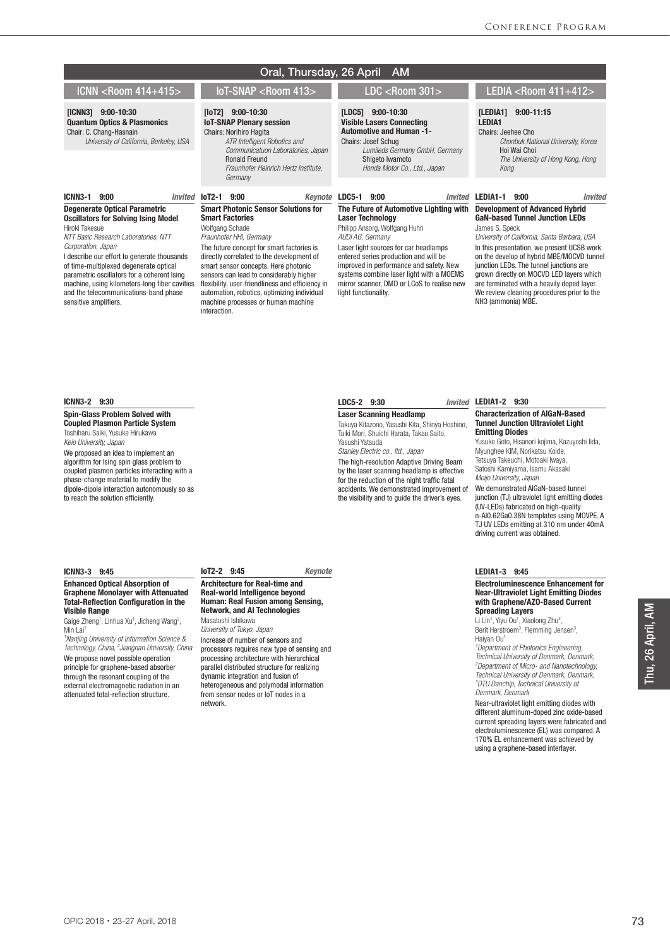|                                                                                                                                                                                                                                                                                                                                                                                                                               | Oral, Thursday, 26 April                                                                                                                                                                                                                                                                                                                                                                                                                                 | <b>AM</b>                                                                                                                                                                                                                                                                                                                                                             |                                                                                                                                                                                                                                                                                                                                                                                                                                                      |
|-------------------------------------------------------------------------------------------------------------------------------------------------------------------------------------------------------------------------------------------------------------------------------------------------------------------------------------------------------------------------------------------------------------------------------|----------------------------------------------------------------------------------------------------------------------------------------------------------------------------------------------------------------------------------------------------------------------------------------------------------------------------------------------------------------------------------------------------------------------------------------------------------|-----------------------------------------------------------------------------------------------------------------------------------------------------------------------------------------------------------------------------------------------------------------------------------------------------------------------------------------------------------------------|------------------------------------------------------------------------------------------------------------------------------------------------------------------------------------------------------------------------------------------------------------------------------------------------------------------------------------------------------------------------------------------------------------------------------------------------------|
| ICNN <room 414+415=""></room>                                                                                                                                                                                                                                                                                                                                                                                                 | loT-SNAP <room 413=""></room>                                                                                                                                                                                                                                                                                                                                                                                                                            | $LDC <$ Room 301 $>$                                                                                                                                                                                                                                                                                                                                                  | LEDIA <room 411+412=""></room>                                                                                                                                                                                                                                                                                                                                                                                                                       |
| [ICNN3] 9:00-10:30<br><b>Quantum Optics &amp; Plasmonics</b><br>Chair: C. Chang-Hasnain<br>University of California, Berkeley, USA                                                                                                                                                                                                                                                                                            | $[10T2]$ 9:00-10:30<br><b>IoT-SNAP Plenary session</b><br><b>Chairs: Norihiro Hagita</b><br>ATR Intelligent Robotics and<br>Communicatuon Laboratories, Japan<br><b>Ronald Freund</b><br>Fraunhofer Heinrich Hertz Institute.<br>Germany                                                                                                                                                                                                                 | [LDC5] 9:00-10:30<br><b>Visible Lasers Connecting</b><br><b>Automotive and Human -1-</b><br>Chairs: Josef Schug<br>Lumileds Germany GmbH, Germany<br>Shigeto Iwamoto<br>Honda Motor Co., Ltd., Japan                                                                                                                                                                  | $9:00 - 11:15$<br>[LEDIA1]<br>LEDIA1<br>Chairs: Jeehee Cho<br>Chonbuk National University, Korea<br>Hoi Wai Choi<br>The University of Hong Kong, Hong<br>Kong                                                                                                                                                                                                                                                                                        |
| ICNN3-1<br>9:00<br><i><b>Invited</b></i>                                                                                                                                                                                                                                                                                                                                                                                      | 9:00<br>$IoT2-1$<br>Kevnote                                                                                                                                                                                                                                                                                                                                                                                                                              | <b>LDC5-1</b><br>9:00                                                                                                                                                                                                                                                                                                                                                 | <b>Invited LEDIA1-1</b><br>9:00<br>Invited                                                                                                                                                                                                                                                                                                                                                                                                           |
| <b>Degenerate Optical Parametric</b><br><b>Oscillators for Solving Ising Model</b><br>Hiroki Takesue<br>NTT Basic Research Laboratories, NTT<br>Corporation, Japan<br>I describe our effort to generate thousands<br>of time-multiplexed degenerate optical<br>parametric oscillators for a coherent Ising<br>machine, using kilometers-long fiber cavities<br>and the telecommunications-band phase<br>sensitive amplifiers. | <b>Smart Photonic Sensor Solutions for</b><br><b>Smart Factories</b><br>Wolfgang Schade<br>Fraunhofer HHI, Germany<br>The future concept for smart factories is<br>directly correlated to the development of<br>smart sensor concepts. Here photonic<br>sensors can lead to considerably higher<br>flexibility, user-friendliness and efficiency in<br>automation, robotics, optimizing individual<br>machine processes or human machine<br>interaction. | The Future of Automotive Lighting with<br><b>Laser Technology</b><br>Philipp Ansorg, Wolfgang Huhn<br>AUDI AG, Germany<br>Laser light sources for car headlamps<br>entered series production and will be<br>improved in performance and safety. New<br>systems combine laser light with a MOEMS<br>mirror scanner, DMD or LCoS to realise new<br>light functionality. | <b>Development of Advanced Hybrid</b><br><b>GaN-based Tunnel Junction LEDs</b><br>James S. Speck<br>University of California, Santa Barbara, USA<br>In this presentation, we present UCSB work<br>on the develop of hybrid MBE/MOCVD tunnel<br>junction LEDs. The tunnel junctions are<br>grown directly on MOCVD LED layers which<br>are terminated with a heavily doped layer.<br>We review cleaning procedures prior to the<br>NH3 (ammonia) MBE. |

## ICNN3-2 9:30

Spin-Glass Problem Solved with Coupled Plasmon Particle System Toshiharu Saiki, Yusuke Hirukawa *Keio University, Japan*

We proposed an idea to implement an algorithm for Ising spin glass problem to coupled plasmon particles interacting with a phase-change material to modify the dipole-dipole interaction autonomously so as to reach the solution efficiently.

### ICNN3-3 9:45

#### Enhanced Optical Absorption of Graphene Monolayer with Attenuated Total-Reflection Configuration in the Visible Range

Gaige Zheng<sup>1</sup>, Linhua Xu<sup>1</sup>, Jicheng Wang<sup>2</sup>, Min Lai<sup>1</sup>

*1 Nanjing University of Information Science & Technology, China, 2 Jiangnan University, China* We propose novel possible operation principle for graphene-based absorber

through the resonant coupling of the external electromagnetic radiation in an attenuated total-reflection structure.

#### IoT2-2 9:45 *Keynote*

#### Architecture for Real-time and Real-world Intelligence beyond Human: Real Fusion among Sensing, Network, and AI Technologies Masatoshi Ishikawa

*University of Tokyo, Japan* Increase of number of sensors and processors requires new type of sensing and processing architecture with hierarchical parallel distributed structure for realizing dynamic integration and fusion of heterogeneous and polymodal information from sensor nodes or IoT nodes in a network.

# LDC5-2 9:30

Laser Scanning Headlamp Takuya Kitazono, Yasushi Kita, Shinya Hoshino,

Taiki Mori, Shuichi Harata, Takao Saito, Yasushi Yatsuda *Stanley Electric co., ltd., Japan* The high-resolution Adaptive Driving Beam by the laser scanning headlamp is effective for the reduction of the night traffic fatal

accidents. We demonstrated improvement of the visibility and to guide the driver's eyes.

#### Invited LEDIA1-2 9:30

#### Characterization of AlGaN-Based Tunnel Junction Ultraviolet Light Emitting Diodes

Yusuke Goto, Hisanori kojima, Kazuyoshi Iida, Myunghee KIM, Norikatsu Koide, Tetsuya Takeuchi, Motoaki Iwaya, Satoshi Kamiyama, Isamu Akasaki *Meijo University, Japan* We demonstrated AlGaN-based tunnel junction (TJ) ultraviolet light emitting diodes (UV-LEDs) fabricated on high-quality n-Al0.62Ga0.38N templates using MOVPE. A

TJ UV LEDs emitting at 310 nm under 40mA

driving current was obtained.

### LEDIA1-3 9:45

Electroluminescence Enhancement for Near-Ultraviolet Light Emitting Diodes with Graphene/AZO-Based Current Spreading Layers

Li Lin<sup>1</sup>, Yiyu Ou<sup>1</sup>, Xiaolong Zhu<sup>2</sup>,<br>Berit Herstroem<sup>3</sup>, Flemming Jensen<sup>3</sup>, Haiyan Ou<sup>1</sup>

*1 Department of Photonics Engineering, Technical University of Denmark, Denmark, 2 Department of Micro- and Nanotechnology, Technical University of Denmark, Denmark, 3 DTU Danchip, Technical University of Denmark, Denmark*

Near-ultraviolet light emitting diodes with different aluminum-doped zinc oxide-based current spreading layers were fabricated and electroluminescence (EL) was compared. A 170% EL enhancement was achieved by using a graphene-based interlayer.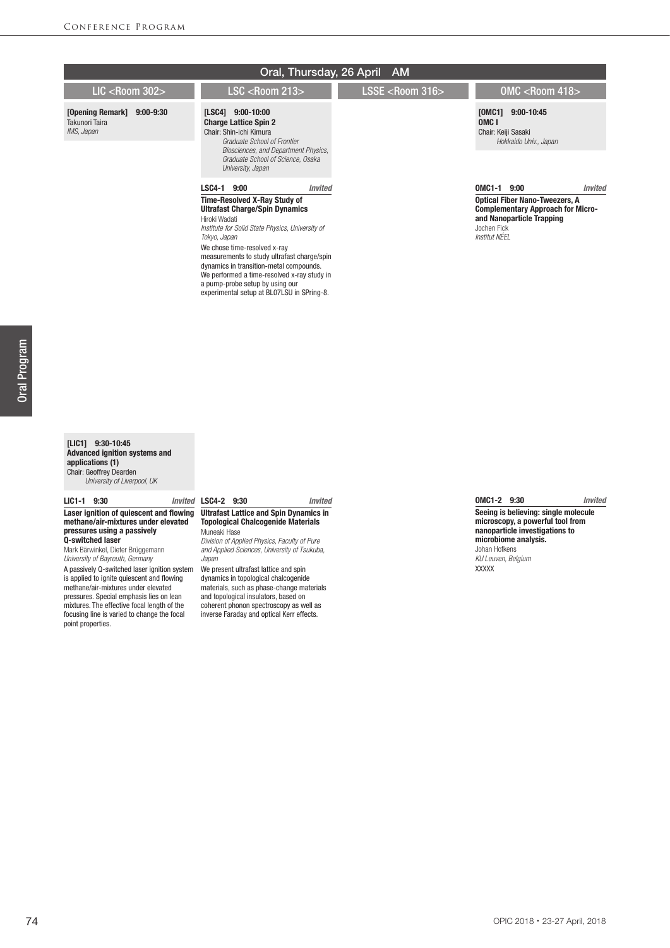|                                                                   |                                                                                                                                                                                                               |         | Oral, Thursday, 26 April AM |                                                                  |                                                                                   |
|-------------------------------------------------------------------|---------------------------------------------------------------------------------------------------------------------------------------------------------------------------------------------------------------|---------|-----------------------------|------------------------------------------------------------------|-----------------------------------------------------------------------------------|
| LIC $<$ Room 302 $>$                                              | $LSC <$ Room 213>                                                                                                                                                                                             |         | LSSE $<$ Room 316 $>$       |                                                                  | $OMC <$ Room 418 $>$                                                              |
| [Opening Remark]<br>$9:00 - 9:30$<br>Takunori Taira<br>IMS, Japan | [LSC4] 9:00-10:00<br><b>Charge Lattice Spin 2</b><br>Chair: Shin-ichi Kimura<br>Graduate School of Frontier<br>Biosciences, and Department Physics,<br>Graduate School of Science, Osaka<br>University, Japan |         |                             | [0MC1]<br>OMC <sub>1</sub><br>Chair: Keiji Sasaki                | $9:00 - 10:45$<br>Hokkaido Univ., Japan                                           |
|                                                                   | LSC4-1<br>9:00                                                                                                                                                                                                | Invited |                             | OMC1-1 9:00                                                      | <b>Invited</b>                                                                    |
|                                                                   | <b>Time-Resolved X-Ray Study of</b><br><b>Ultrafast Charge/Spin Dynamics</b><br>Hiroki Wadati<br>Institute for Solid State Physics, University of<br>Tokyo, Japan<br>We chose time-resolved x-ray             |         |                             | and Nanoparticle Trapping<br>Jochen Fick<br><b>Institut NÉEL</b> | <b>Optical Fiber Nano-Tweezers, A</b><br><b>Complementary Approach for Micro-</b> |

#### [LIC1] 9:30-10:45 Advanced ignition systems and applications (1) Chair: Geoffrey Dearden  *University of Liverpool, UK*

#### LIC1-1 9:30

#### Laser ignition of quiescent and flowing methane/air-mixtures under elevated pressures using a passively Q-switched laser

Mark Bärwinkel, Dieter Brüggemann *University of Bayreuth, Germany*

A passively Q-switched laser ignition system is applied to ignite quiescent and flowing methane/air-mixtures under elevated pressures. Special emphasis lies on lean mixtures. The effective focal length of the focusing line is varied to change the focal point properties.

## LSC4-2 9:30 *Invited* Ultrafast Lattice and Spin Dynamics in

measurements to study ultrafast charge/spin dynamics in transition-metal compounds. We performed a time-resolved x-ray study in a pump-probe setup by using our experimental setup at BL07LSU in SPring-8.

## Topological Chalcogenide Materials Muneaki Hase

*Division of Applied Physics, Faculty of Pure and Applied Sciences, University of Tsukuba, Japan*

We present ultrafast lattice and spin dynamics in topological chalcogenide materials, such as phase-change materials and topological insulators, based on coherent phonon spectroscopy as well as inverse Faraday and optical Kerr effects.

## OMC1-2 9:30 *Invited*

Seeing is believing: single molecule microscopy, a powerful tool from nanoparticle investigations to microbiome analysis. Johan Hofkens *KU Leuven, Belgium*

XXXXX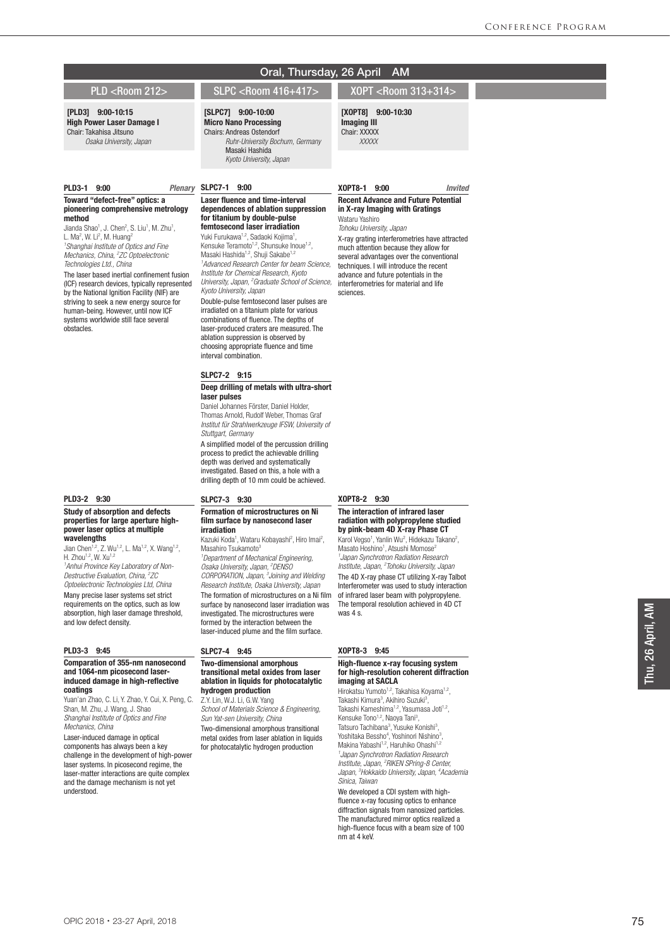#### [PLD3] 9:00-10:15 High Power Laser Damage I Chair: Takahisa Jitsuno  *Osaka University, Japan*

#### PLD3-1 9:00 *Plenary*

#### Toward "defect-free" optics: a pioneering comprehensive metrology method

Jianda Shao<sup>1</sup>, J. Chen<sup>2</sup>, S. Liu<sup>1</sup>, M. Zhu<sup>1</sup>, L. Ma<sup>2</sup>, W. Li<sup>2</sup>, M. Huang<sup>2</sup> *1 Shanghai Institute of Optics and Fine Mechanics, China, 2 ZC Optoelectronic Technologies Ltd., China*

The laser based inertial confinement fusion (ICF) research devices, typically represented by the National Ignition Facility (NIF) are striving to seek a new energy source for human-being. However, until now ICF systems worldwide still face several obstacles.

## PLD3-2 9:30

#### Study of absorption and defects properties for large aperture highpower laser optics at multiple **wavelengths**

Jian Chen<sup>1,2</sup>, Z. Wu<sup>1,2</sup>, L. Ma<sup>1,2</sup>, X. Wang<sup>1,2</sup>, H. Zhou<sup>1,2</sup>, W. Xu<sup>1,2</sup>

*1 Anhui Province Key Laboratory of Non-Destructive Evaluation, China, 2 ZC Optoelectronic Technologies Ltd, China* Many precise laser systems set strict requirements on the optics, such as low absorption, high laser damage threshold, and low defect density.

#### PLD3-3 9:45

#### Comparation of 355-nm nanosecond and 1064-nm picosecond laserinduced damage in high-reflective coatings

Yuan'an Zhao, C. Li, Y. Zhao, Y. Cui, X. Peng, C. Shan, M. Zhu, J. Wang, J. Shao *Shanghai Institute of Optics and Fine Mechanics, China*

Laser-induced damage in optical components has always been a key challenge in the development of high-power laser systems. In picosecond regime, the laser-matter interactions are quite complex and the damage mechanism is not yet understood.

## PLD <Room 212> SLPC <Room 416+417> XOPT <Room 313+314>

Oral, Thursday, 26 April AM

## [SLPC7] 9:00-10:00

Micro Nano Processing Chairs: Andreas Ostendorf *Ruhr-University Bochum, Germany* Masaki Hashida *Kyoto University, Japan*

## Plenary SLPC7-1 9:00

#### Laser fluence and time-interval dependences of ablation suppression for titanium by double-pulse femtosecond laser irradiation

Yuki Furukawa<sup>1,2</sup>, Sadaoki Kojima<sup>1</sup>, Kensuke Teramoto<sup>1,2</sup>, Shunsuke Inoue<sup>1,2</sup>, Masaki Hashida<sup>1,2</sup>, Shuji Sakabe<sup>1,2</sup> *1 Advanced Research Center for beam Science, Institute for Chemical Research, Kyoto University, Japan, 2 Graduate School of Science, Kyoto University, Japan* Double-pulse femtosecond laser pulses are irradiated on a titanium plate for various combinations of fluence. The depths of laser-produced craters are measured. The ablation suppression is observed by choosing appropriate fluence and time interval combination.

#### SLPC7-2 9:15

#### Deep drilling of metals with ultra-short laser pulses

Daniel Johannes Förster, Daniel Holder, Thomas Arnold, Rudolf Weber, Thomas Graf *Institut für Strahlwerkzeuge IFSW, University of Stuttgart, Germany* A simplified model of the percussion drilling process to predict the achievable drilling depth was derived and systematically investigated. Based on this, a hole with a drilling depth of 10 mm could be achieved.

#### SLPC7-3 9:30

#### Formation of microstructures on Ni film surface by nanosecond laser irradiation

Kazuki Koda<sup>1</sup>, Wataru Kobayashi<sup>2</sup>, Hiro Imai<sup>2</sup>, Masahiro Tsukamoto 3 *1 Department of Mechanical Engineering, Osaka University, Japan, 2 DENSO CORPORATION, Japan, 3 Joining and Welding Research Institute, Osaka University, Japan* The formation of microstructures on a Ni film surface by nanosecond laser irradiation was investigated. The microstructures were formed by the interaction between the laser-induced plume and the film surface.

## SLPC7-4 9:45

#### Two-dimensional amorphous transitional metal oxides from laser ablation in liquids for photocatalytic hydrogen production

Z.Y. Lin, W.J. Li, G.W. Yang *School of Materials Science & Engineering, Sun Yat-sen University, China*

Two-dimensional amorphous transitional metal oxides from laser ablation in liquids for photocatalytic hydrogen production

#### XOPT8-2 9:30

#### The interaction of infrared laser radiation with polypropylene studied by pink-beam 4D X-ray Phase CT Karol Vegso<sup>1</sup>, Yanlin Wu<sup>2</sup>, Hidekazu Takano<sup>2</sup>,

Masato Hoshino<sup>1</sup>, Atsushi Momose<sup>2</sup> *1 Japan Synchrotron Radiation Research Institute, Japan, 2 Tohoku University, Japan* The 4D X-ray phase CT utilizing X-ray Talbot Interferometer was used to study interaction of infrared laser beam with polypropylene. The temporal resolution achieved in 4D CT was 4 s.

#### XOPT8-3 9:45

#### High-fluence x-ray focusing system for high-resolution coherent diffraction imaging at SACLA

Hirokatsu Yumoto<sup>1,2</sup>, Takahisa Koyama<sup>1,2</sup>, Takashi Kimura<sup>3</sup>, Akihiro Suzuki<sup>3</sup>,<br>Takashi Kameshima<sup>1,2</sup>, Yasumasa Joti<sup>1,2</sup>, Kensuke Tono<sup>1,2</sup>, Naoya Tani<sup>3</sup>, Tatsuro Tachibana<sup>3</sup>, Yusuke Konishi<sup>3</sup>, Yoshitaka Bessho<sup>4</sup>, Yoshinori Nishino<sup>3</sup>, Makina Yabashi<sup>1,2</sup>, Haruhiko Ohashi<sup>1,2</sup> *1 Japan Synchrotron Radiation Research Institute, Japan, 2 RIKEN SPring-8 Center, Japan, 3 Hokkaido University, Japan, 4 Academia Sinica, Taiwan*

We developed a CDI system with highfluence x-ray focusing optics to enhance diffraction signals from nanosized particles. The manufactured mirror optics realized a high-fluence focus with a beam size of 100 nm at 4 keV.

## XOPT8-1 9:00 *Invited*

#### Recent Advance and Future Potential in X-ray Imaging with Gratings Wataru Yashiro

[XOPT8] 9:00-10:30 Imaging III Chair: XXXXX  *XXXXX*

*Tohoku University, Japan* X-ray grating interferometries have attracted much attention because they allow for several advantages over the conventional techniques. I will introduce the recent

advance and future potentials in the interferometries for material and life sciences.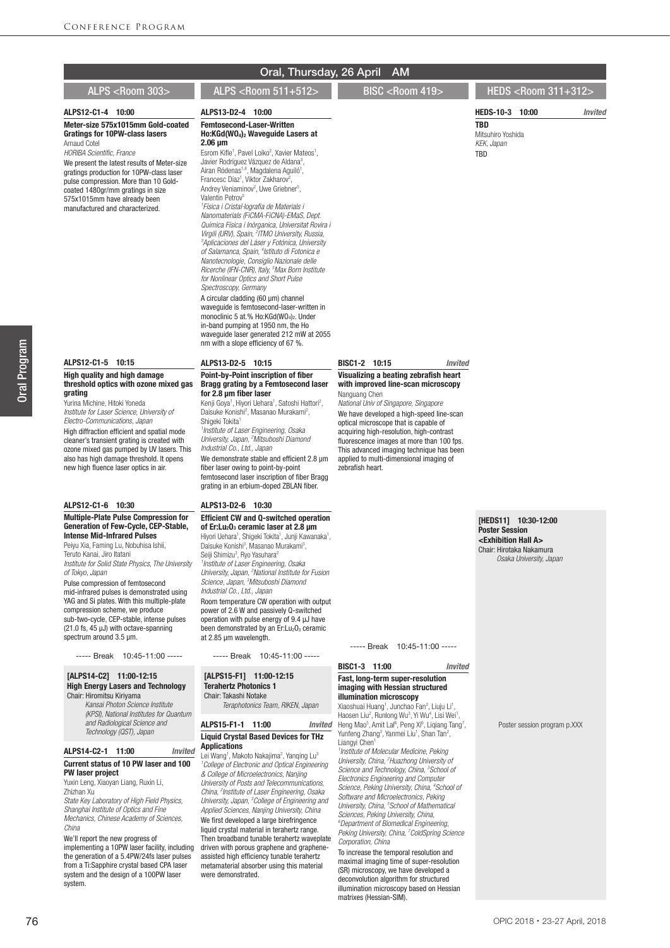#### ALPS12-C1-4 10:00

Meter-size 575x1015mm Gold-coated Gratings for 10PW-class lasers Arnaud Cotel

*HORIBA Scientific, France*

We present the latest results of Meter-size gratings production for 10PW-class laser pulse compression. More than 10 Goldcoated 1480gr/mm gratings in size 575x1015mm have already been manufactured and characterized.

## ALPS12-C1-5 10:15

#### High quality and high damage threshold optics with ozone mixed gas grating

Yurina Michine, Hitoki Yoneda *Institute for Laser Science, University of Electro-Communications, Japan*

High diffraction efficient and spatial mode cleaner's transient grating is created with ozone mixed gas pumped by UV lasers. This also has high damage threshold. It opens new high fluence laser optics in air

#### ALPS12-C1-6 10:30

#### Multiple-Plate Pulse Compression for Generation of Few-Cycle, CEP-Stable, Intense Mid-Infrared Pulses

Peiyu Xia, Faming Lu, Nobuhisa Ishii, Teruto Kanai, Jiro Itatani *Institute for Solid State Physics, The University of Tokyo, Japan*

Pulse compression of femtosecond mid-infrared pulses is demonstrated using YAG and Si plates. With this multiple-plate compression scheme, we produce sub-two-cycle, CEP-stable, intense pulses (21.0 fs, 45 μJ) with octave-spanning spectrum around 3.5 um.

----- Break 10:45-11:00 -----

#### [ALPS14-C2] 11:00-12:15 High Energy Lasers and Technology Chair: Hiromitsu Kiriyama

 *Kansai Photon Science Institute (KPSI), National Institutes for Quantum and Radiological Science and Technology (QST), Japan*

#### ALPS14-C2-1 11:00 *Invited* Current status of 10 PW laser and 100 PW laser project

#### Yuxin Leng, Xiaoyan Liang, Ruxin Li, Zhizhan Xu

*State Key Laboratory of High Field Physics, Shanghai Institute of Optics and Fine Mechanics, Chinese Academy of Sciences, China*

We'll report the new progress of

implementing a 10PW laser facility, including the generation of a 5.4PW/24fs laser pulses from a Ti:Sapphire crystal based CPA laser system and the design of a 100PW laser system.

### ALPS13-D2-4 10:00

Femtosecond-Laser-Written Ho:KGd(WO4)2 Waveguide Lasers at 2.06 μm

Esrom Kifle<sup>1</sup>, Pavel Loiko<sup>2</sup>, Xavier Mateos<sup>1</sup>, Javier Rodríguez Vázquez de Aldana<sup>3</sup>, Airan Ródenas<sup>1,4</sup>, Magdalena Aguiló<sup>1</sup>,<br>Francesc Díaz<sup>1</sup>, Viktor Zakharov<sup>2</sup>, Andrey Veniaminov<sup>2</sup>, Uwe Griebner<sup>5</sup>, Valentin Petrov<sup>5</sup> *1 Física i Cristal·lografia de Materials i Nanomaterials (FiCMA-FiCNA)-EMaS, Dept. Química Física i Inòrganica, Universitat Rovira i Virgili (URV), Spain, 2 ITMO University, Russia, 3 Aplicaciones del Láser y Fotónica, University of Salamanca, Spain, 4 Istituto di Fotonica e Nanotecnologie, Consiglio Nazionale delle Ricerche (IFN-CNR), Italy, 5 Max Born Institute for Nonlinear Optics and Short Pulse Spectroscopy, Germany* A circular cladding (60 μm) channel waveguide is femtosecond-laser-written in monoclinic 5 at.% Ho:KGd(WO<sub>4</sub>)<sub>2</sub>. Under in-band pumping at 1950 nm, the Ho waveguide laser generated 212 mW at 2055 nm with a slope efficiency of 67 %.

#### ALPS13-D2-5 10:15

#### Point-by-Point inscription of fiber Bragg grating by a Femtosecond laser for 2.8 μm fiber laser

Kenji Goya<sup>1</sup>, Hiyori Uehara<sup>1</sup>, Satoshi Hattori<sup>2</sup>, Daisuke Konishi<sup>2</sup>, Masanao Murakami<sup>2</sup>, Shigeki Tokita<sup>1</sup>

*1 Institute of Laser Engineering, Osaka University, Japan, 2 Mitsuboshi Diamond Industrial Co., Ltd., Japan* We demonstrate stable and efficient 2.8 μm

fiber laser owing to point-by-point femtosecond laser inscription of fiber Bragg grating in an erbium-doped ZBLAN fiber.

### ALPS13-D2-6 10:30

#### Efficient CW and Q-switched operation of Er:Lu<sub>2</sub>O<sub>3</sub> ceramic laser at 2.8 μm

Hiyori Uehara<sup>1</sup>, Shigeki Tokita<sup>1</sup>, Junji Kawanaka<sup>1</sup>, Daisuke Konishi<sup>3</sup>, Masanao Murakami<sup>3</sup>, Seiji Shimizu<sup>3</sup>, Ryo Yasuhara<sup>2</sup> *1 Institute of Laser Engineering, Osaka University, Japan, 2 National Institute for Fusion Science, Japan, 3 Mitsuboshi Diamond Industrial Co., Ltd., Japan* Room temperature CW operation with output power of 2.6 W and passively Q-switched operation with pulse energy of 9.4 μJ have been demonstrated by an  $Er: Lu<sub>2</sub>O<sub>3</sub>$  ceramic at 2.85 μm wavelength.

----- Break 10:45-11:00 -----

#### [ALPS15-F1] 11:00-12:15 Terahertz Photonics 1 Chair: Takashi Notake

*Teraphotonics Team, RIKEN, Japan*

### ALPS15-F1-1 11:00 *Invited* Liquid Crystal Based Devices for THz Applications

Lei Wang<sup>1</sup>, Makoto Nakajima<sup>2</sup>, Yanqing Lu<sup>3</sup> *1 College of Electronic and Optical Engineering & College of Microelectronics, Nanjing University of Posts and Telecommunications, China, 2 Institute of Laser Engineering, Osaka University, Japan, 3 College of Engineering and Applied Sciences, Nanjing University, China* We first developed a large birefringence liquid crystal material in terahertz range. Then broadband tunable terahertz waveplate driven with porous graphene and grapheneassisted high efficiency tunable terahertz metamaterial absorber using this material were demonstrated.

#### BISC1-2 10:15 *Invited*

#### Visualizing a beating zebrafish heart with improved line-scan microscopy Nanguang Chen

*National Univ of Singapore, Singapore* We have developed a high-speed line-scan

optical microscope that is capable of acquiring high-resolution, high-contrast fluorescence images at more than 100 fps. This advanced imaging technique has been applied to multi-dimensional imaging of zebrafish heart.

#### [HEDS11] 10:30-12:00 Poster Session <Exhibition Hall A> Chair: Hirotaka Nakamura  *Osaka University, Japan*

----- Break 10:45-11:00 -----

#### BISC1-3 11:00 *Invited*

#### Fast, long-term super-resolution imaging with Hessian structured illumination microscopy

Xiaoshuai Huang<sup>1</sup>, Junchao Fan<sup>2</sup>, Liuju Li<sup>1</sup>, Haosen Liu<sup>2</sup>, Runlong Wu<sup>3</sup>, Yi Wu<sup>4</sup>, Lisi Wei<sup>1</sup>,<br>Heng Mao<sup>5</sup>, Amit Lal<sup>6</sup>, Peng Xi<sup>6</sup>, Liqiang Tang<sup>7</sup>, Yunfeng Zhang<sup>3</sup>, Yanmei Liu<sup>1</sup>, Shan Tan<sup>2</sup>, Liangyi Chen<sup>1</sup> *1 Institute of Molecular Medicine, Peking University, China, 2 Huazhong University of Science and Technology, China, 3 School of* 

*Electronics Engineering and Computer Science, Peking University, China, 4 School of Software and Microelectronics, Peking University, China, 5 School of Mathematical Sciences, Peking University, China,* 

*6 Department of Biomedical Engineering, Peking University, China, 7 ColdSpring Science Corporation, China*

To increase the temporal resolution and maximal imaging time of super-resolution (SR) microscopy, we have developed a deconvolution algorithm for structured illumination microscopy based on Hessian matrixes (Hessian-SIM).

#### Poster session program p.XXX

## ALPS <Room 303> ALPS <Room 511+512> BISC <Room 419> HEDS <Room 311+312>

HEDS-10-3 10:00 *Invited*

Mitsuhiro Yoshida *KEK, Japan* **TRD** 

TBD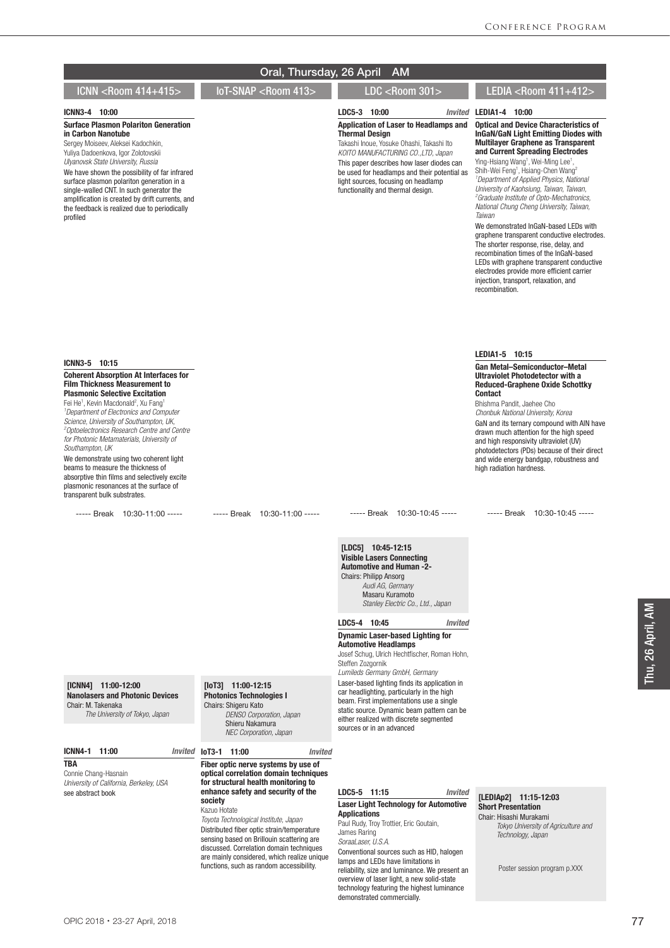| ICNN3-4 10:00                                                                                                                                                                                                                                                                                                                                                                                                                                                                                                                                                                                                                                                      |                                                                                                                                                                                                                                                                                                                                                                      | LDC5-3 10:00                                                                                                                                                                                                                                                                                                                | Invited LEDIA1-4 10:00                                                                                                                                                                                                                                                                                                                                                                                                                                                                                                                                                                                                                                                                                                                                                                                                                                        |
|--------------------------------------------------------------------------------------------------------------------------------------------------------------------------------------------------------------------------------------------------------------------------------------------------------------------------------------------------------------------------------------------------------------------------------------------------------------------------------------------------------------------------------------------------------------------------------------------------------------------------------------------------------------------|----------------------------------------------------------------------------------------------------------------------------------------------------------------------------------------------------------------------------------------------------------------------------------------------------------------------------------------------------------------------|-----------------------------------------------------------------------------------------------------------------------------------------------------------------------------------------------------------------------------------------------------------------------------------------------------------------------------|---------------------------------------------------------------------------------------------------------------------------------------------------------------------------------------------------------------------------------------------------------------------------------------------------------------------------------------------------------------------------------------------------------------------------------------------------------------------------------------------------------------------------------------------------------------------------------------------------------------------------------------------------------------------------------------------------------------------------------------------------------------------------------------------------------------------------------------------------------------|
| <b>Surface Plasmon Polariton Generation</b><br>in Carbon Nanotube<br>Sergey Moiseev, Aleksei Kadochkin,<br>Yuliya Dadoenkova, Igor Zolotovskii<br>Ulyanovsk State University, Russia<br>We have shown the possibility of far infrared<br>surface plasmon polariton generation in a<br>single-walled CNT. In such generator the<br>amplification is created by drift currents, and<br>the feedback is realized due to periodically<br>profiled                                                                                                                                                                                                                      |                                                                                                                                                                                                                                                                                                                                                                      | Application of Laser to Headlamps and<br><b>Thermal Design</b><br>Takashi Inoue, Yosuke Ohashi, Takashi Ito<br>KOITO MANUFACTURING CO., LTD, Japan<br>This paper describes how laser diodes can<br>be used for headlamps and their potential as<br>light sources, focusing on headlamp<br>functionality and thermal design. | <b>Optical and Device Characteristics of</b><br><b>InGaN/GaN Light Emitting Diodes with</b><br><b>Multilayer Graphene as Transparent</b><br>and Current Spreading Electrodes<br>Ying-Hsiang Wang <sup>1</sup> , Wei-Ming Lee <sup>1</sup> ,<br>Shih-Wei Feng <sup>1</sup> , Hsiang-Chen Wang <sup>2</sup><br><sup>1</sup> Department of Applied Physics, National<br>University of Kaohsiung, Taiwan, Taiwan,<br><sup>2</sup> Graduate Institute of Opto-Mechatronics,<br>National Chung Cheng University, Taiwan,<br>Taiwan<br>We demonstrated InGaN-based LEDs with<br>graphene transparent conductive electrodes.<br>The shorter response, rise, delay, and<br>recombination times of the InGaN-based<br>LEDs with graphene transparent conductive<br>electrodes provide more efficient carrier<br>injection, transport, relaxation, and<br>recombination. |
|                                                                                                                                                                                                                                                                                                                                                                                                                                                                                                                                                                                                                                                                    |                                                                                                                                                                                                                                                                                                                                                                      |                                                                                                                                                                                                                                                                                                                             | LEDIA1-5 10:15                                                                                                                                                                                                                                                                                                                                                                                                                                                                                                                                                                                                                                                                                                                                                                                                                                                |
| ICNN3-5 10:15<br><b>Coherent Absorption At Interfaces for</b><br><b>Film Thickness Measurement to</b><br><b>Plasmonic Selective Excitation</b><br>Fei He <sup>1</sup> , Kevin Macdonald <sup>2</sup> , Xu Fang <sup>1</sup><br><sup>1</sup> Department of Electronics and Computer<br>Science, University of Southampton, UK,<br><sup>2</sup> Optoelectronics Research Centre and Centre<br>for Photonic Metamaterials, University of<br>Southampton, UK<br>We demonstrate using two coherent light<br>beams to measure the thickness of<br>absorptive thin films and selectively excite<br>plasmonic resonances at the surface of<br>transparent bulk substrates. |                                                                                                                                                                                                                                                                                                                                                                      |                                                                                                                                                                                                                                                                                                                             | <b>Gan Metal-Semiconductor-Metal</b><br>Ultraviolet Photodetector with a<br><b>Reduced-Graphene Oxide Schottky</b><br><b>Contact</b><br>Bhishma Pandit, Jaehee Cho<br>Chonbuk National University, Korea<br>GaN and its ternary compound with AIN have<br>drawn much attention for the high speed<br>and high responsivity ultraviolet (UV)<br>photodetectors (PDs) because of their direct<br>and wide energy bandgap, robustness and<br>high radiation hardness.                                                                                                                                                                                                                                                                                                                                                                                            |
| ----- Break 10:30-11:00 -----                                                                                                                                                                                                                                                                                                                                                                                                                                                                                                                                                                                                                                      | $---$ Break 10:30-11:00 -----                                                                                                                                                                                                                                                                                                                                        | $---$ Break 10:30-10:45 $---$                                                                                                                                                                                                                                                                                               | ----- Break 10:30-10:45 -----                                                                                                                                                                                                                                                                                                                                                                                                                                                                                                                                                                                                                                                                                                                                                                                                                                 |
|                                                                                                                                                                                                                                                                                                                                                                                                                                                                                                                                                                                                                                                                    |                                                                                                                                                                                                                                                                                                                                                                      | $[LDC5]$ 10:45-12:15<br><b>Visible Lasers Connecting</b><br><b>Automotive and Human -2-</b><br><b>Chairs: Philipp Ansorg</b><br>Audi AG, Germany<br>Masaru Kuramoto<br>Stanley Electric Co., Ltd., Japan<br>LDC5-4 10:45<br><b>Invited</b>                                                                                  |                                                                                                                                                                                                                                                                                                                                                                                                                                                                                                                                                                                                                                                                                                                                                                                                                                                               |
|                                                                                                                                                                                                                                                                                                                                                                                                                                                                                                                                                                                                                                                                    |                                                                                                                                                                                                                                                                                                                                                                      | <b>Dynamic Laser-based Lighting for</b><br><b>Automotive Headlamps</b><br>Josef Schug, Ulrich Hechtfischer, Roman Hohn,<br>Steffen Zozgornik<br>Lumileds Germany GmbH, Germany                                                                                                                                              |                                                                                                                                                                                                                                                                                                                                                                                                                                                                                                                                                                                                                                                                                                                                                                                                                                                               |
| [ICNN4] 11:00-12:00<br><b>Nanolasers and Photonic Devices</b><br>Chair: M. Takenaka<br>The University of Tokyo, Japan                                                                                                                                                                                                                                                                                                                                                                                                                                                                                                                                              | $[10T3]$ 11:00-12:15<br><b>Photonics Technologies I</b><br>Chairs: Shigeru Kato<br>DENSO Corporation, Japan<br>Shieru Nakamura<br>NEC Corporation, Japan                                                                                                                                                                                                             | Laser-based lighting finds its application in<br>car headlighting, particularly in the high<br>beam. First implementations use a single<br>static source. Dynamic beam pattern can be<br>either realized with discrete segmented<br>sources or in an advanced                                                               |                                                                                                                                                                                                                                                                                                                                                                                                                                                                                                                                                                                                                                                                                                                                                                                                                                                               |
| ICNN4-1 11:00<br>Invited                                                                                                                                                                                                                                                                                                                                                                                                                                                                                                                                                                                                                                           | loT3-1 11:00<br><b>Invited</b>                                                                                                                                                                                                                                                                                                                                       |                                                                                                                                                                                                                                                                                                                             |                                                                                                                                                                                                                                                                                                                                                                                                                                                                                                                                                                                                                                                                                                                                                                                                                                                               |
| <b>TBA</b><br>Connie Chang-Hasnain<br>University of California, Berkeley, USA<br>see abstract book                                                                                                                                                                                                                                                                                                                                                                                                                                                                                                                                                                 | Fiber optic nerve systems by use of<br>optical correlation domain techniques<br>for structural health monitoring to<br>enhance safety and security of the<br>society<br>Kazuo Hotate<br>Toyota Technological Institute, Japan<br>Distributed fiber optic strain/temperature<br>sensing based on Brillouin scattering are<br>discussed. Correlation domain techniques | LDC5-5 11:15<br>Invited<br><b>Laser Light Technology for Automotive</b><br><b>Applications</b><br>Paul Rudy, Troy Trottier, Eric Goutain,<br>James Raring<br>SoraaLaser, U.S.A.                                                                                                                                             | [LEDIAp2] 11:15-12:03<br><b>Short Presentation</b><br>Chair: Hisashi Murakami<br>Tokyo University of Agriculture and<br>Technology, Japan                                                                                                                                                                                                                                                                                                                                                                                                                                                                                                                                                                                                                                                                                                                     |

Oral, Thursday, 26 April AM ICNN <Room 414+415> IoT-SNAP <Room 413> LDC <Room 301> LEDIA <Room 411+412>

> Conventional sources such as HID, halogen lamps and LEDs have limitations in reliability, size and luminance. We present an overview of laser light, a new solid-state technology featuring the highest luminance

demonstrated commercially.

are mainly considered, which realize unique functions, such as random accessibility.

## Poster session program p.XXX

## OPIC 2018・23-27 April, 2018

# 77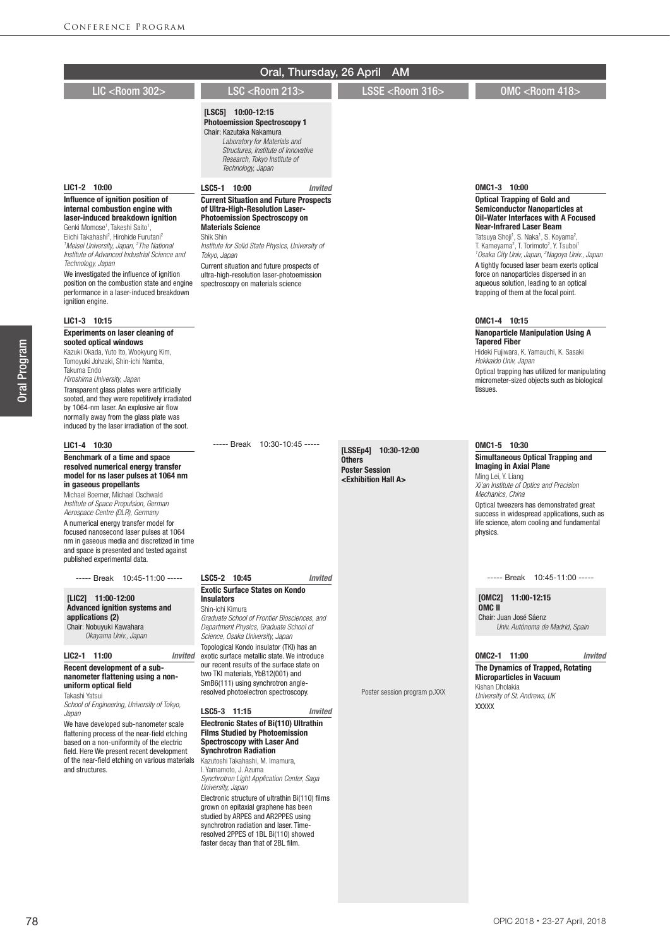|                                                                                                                                                                                                                                                                                                                                                                                                                                                                                                                                             | Oral, Thursday, 26 April                                                                                                                                                                                                                                                                                                                                                                                                                                                                                                                                                                 | <b>AM</b>                                                                                                   |                                                                                                                                                                                                                                                                                                                                                                                                                                                                                                                                                                                    |
|---------------------------------------------------------------------------------------------------------------------------------------------------------------------------------------------------------------------------------------------------------------------------------------------------------------------------------------------------------------------------------------------------------------------------------------------------------------------------------------------------------------------------------------------|------------------------------------------------------------------------------------------------------------------------------------------------------------------------------------------------------------------------------------------------------------------------------------------------------------------------------------------------------------------------------------------------------------------------------------------------------------------------------------------------------------------------------------------------------------------------------------------|-------------------------------------------------------------------------------------------------------------|------------------------------------------------------------------------------------------------------------------------------------------------------------------------------------------------------------------------------------------------------------------------------------------------------------------------------------------------------------------------------------------------------------------------------------------------------------------------------------------------------------------------------------------------------------------------------------|
| <b>LIC <room 302=""></room></b>                                                                                                                                                                                                                                                                                                                                                                                                                                                                                                             | <b>LSC <room 213=""></room></b>                                                                                                                                                                                                                                                                                                                                                                                                                                                                                                                                                          | LSSE <room 316=""></room>                                                                                   | OMC <room 418=""></room>                                                                                                                                                                                                                                                                                                                                                                                                                                                                                                                                                           |
|                                                                                                                                                                                                                                                                                                                                                                                                                                                                                                                                             | $[LSC5]$ 10:00-12:15<br><b>Photoemission Spectroscopy 1</b><br>Chair: Kazutaka Nakamura<br>Laboratory for Materials and<br>Structures, Institute of Innovative<br>Research, Tokyo Institute of<br>Technology, Japan                                                                                                                                                                                                                                                                                                                                                                      |                                                                                                             |                                                                                                                                                                                                                                                                                                                                                                                                                                                                                                                                                                                    |
| LIC1-2 10:00                                                                                                                                                                                                                                                                                                                                                                                                                                                                                                                                | LSC5-1 10:00<br><b>Invited</b>                                                                                                                                                                                                                                                                                                                                                                                                                                                                                                                                                           |                                                                                                             | OMC1-3 10:00                                                                                                                                                                                                                                                                                                                                                                                                                                                                                                                                                                       |
| Influence of ignition position of<br>internal combustion engine with<br>laser-induced breakdown ignition<br>Genki Momose <sup>1</sup> , Takeshi Saito <sup>1</sup> ,<br>Eiichi Takahashi <sup>2</sup> , Hirohide Furutani <sup>2</sup><br><sup>1</sup> Meisei University, Japan, <sup>2</sup> The National<br>Institute of Advanced Industrial Science and<br>Technology, Japan<br>We investigated the influence of ignition<br>position on the combustion state and engine<br>performance in a laser-induced breakdown<br>ignition engine. | <b>Current Situation and Future Prospects</b><br>of Ultra-High-Resolution Laser-<br><b>Photoemission Spectroscopy on</b><br><b>Materials Science</b><br>Shik Shin<br>Institute for Solid State Physics, University of<br>Tokyo, Japan<br>Current situation and future prospects of<br>ultra-high-resolution laser-photoemission<br>spectroscopy on materials science                                                                                                                                                                                                                     |                                                                                                             | <b>Optical Trapping of Gold and</b><br><b>Semiconductor Nanoparticles at</b><br><b>Oil-Water Interfaces with A Focused</b><br><b>Near-Infrared Laser Beam</b><br>Tatsuya Shoji <sup>1</sup> , S. Naka <sup>1</sup> , S. Koyama <sup>2</sup> ,<br>T. Kameyama <sup>2</sup> , T. Torimoto <sup>2</sup> , Y. Tsuboi <sup>1</sup><br><sup>1</sup> Osaka City Univ, Japan, <sup>2</sup> Nagoya Univ., Japan<br>A tightly focused laser beam exerts optical<br>force on nanoparticles dispersed in an<br>aqueous solution, leading to an optical<br>trapping of them at the focal point. |
| LIC1-3 10:15                                                                                                                                                                                                                                                                                                                                                                                                                                                                                                                                |                                                                                                                                                                                                                                                                                                                                                                                                                                                                                                                                                                                          |                                                                                                             | OMC1-4 10:15                                                                                                                                                                                                                                                                                                                                                                                                                                                                                                                                                                       |
| <b>Experiments on laser cleaning of</b><br>sooted optical windows<br>Kazuki Okada, Yuto Ito, Wookyung Kim,<br>Tomoyuki Johzaki, Shin-ichi Namba,<br>Takuma Endo<br>Hiroshima University, Japan<br>Transparent glass plates were artificially<br>sooted, and they were repetitively irradiated<br>by 1064-nm laser. An explosive air flow<br>normally away from the glass plate was<br>induced by the laser irradiation of the soot.                                                                                                         |                                                                                                                                                                                                                                                                                                                                                                                                                                                                                                                                                                                          |                                                                                                             | <b>Nanoparticle Manipulation Using A</b><br><b>Tapered Fiber</b><br>Hideki Fujiwara, K. Yamauchi, K. Sasaki<br>Hokkaido Univ, Japan<br>Optical trapping has utilized for manipulating<br>micrometer-sized objects such as biological<br>tissues.                                                                                                                                                                                                                                                                                                                                   |
| LIC1-4 10:30                                                                                                                                                                                                                                                                                                                                                                                                                                                                                                                                | 10:30-10:45 -----<br>----- Break                                                                                                                                                                                                                                                                                                                                                                                                                                                                                                                                                         |                                                                                                             | OMC1-5 10:30                                                                                                                                                                                                                                                                                                                                                                                                                                                                                                                                                                       |
| Benchmark of a time and space<br>resolved numerical energy transfer<br>model for ns laser pulses at 1064 nm<br>in gaseous propellants<br>Michael Boerner, Michael Oschwald<br>Institute of Space Propulsion, German<br>Aerospace Centre (DLR), Germany<br>A numerical energy transfer model for<br>focused nanosecond laser pulses at 1064<br>nm in gaseous media and discretized in time<br>and space is presented and tested against<br>published experimental data.                                                                      |                                                                                                                                                                                                                                                                                                                                                                                                                                                                                                                                                                                          | [LSSEp4]<br>10:30-12:00<br><b>Others</b><br><b>Poster Session</b><br><exhibition a="" hall=""></exhibition> | <b>Simultaneous Optical Trapping and</b><br><b>Imaging in Axial Plane</b><br>Ming Lei, Y. Liang<br>Xi'an Institute of Optics and Precision<br>Mechanics, China<br>Optical tweezers has demonstrated great<br>success in widespread applications, such as<br>life science, atom cooling and fundamental<br>physics.                                                                                                                                                                                                                                                                 |
| ----- Break 10:45-11:00 -----                                                                                                                                                                                                                                                                                                                                                                                                                                                                                                               | LSC5-2 10:45<br>Invited                                                                                                                                                                                                                                                                                                                                                                                                                                                                                                                                                                  |                                                                                                             | ----- Break 10:45-11:00 -----                                                                                                                                                                                                                                                                                                                                                                                                                                                                                                                                                      |
| [LIC2] 11:00-12:00<br><b>Advanced ignition systems and</b><br>applications (2)<br>Chair: Nobuyuki Kawahara<br>Okayama Univ., Japan<br>LIC2-1 11:00<br>Invited                                                                                                                                                                                                                                                                                                                                                                               | <b>Exotic Surface States on Kondo</b><br><b>Insulators</b><br>Shin-ichi Kimura<br>Graduate School of Frontier Biosciences, and<br>Department Physics, Graduate School of<br>Science, Osaka University, Japan<br>Topological Kondo insulator (TKI) has an<br>exotic surface metallic state. We introduce                                                                                                                                                                                                                                                                                  |                                                                                                             | $[OMC2]$ 11:00-12:15<br>OMC II<br>Chair: Juan José Sáenz<br>Univ. Autónoma de Madrid, Spain<br>OMC2-1 11:00<br><b>Invited</b>                                                                                                                                                                                                                                                                                                                                                                                                                                                      |
| Recent development of a sub-<br>nanometer flattening using a non-<br>uniform optical field<br>Takashi Yatsui<br>School of Engineering, University of Tokyo,                                                                                                                                                                                                                                                                                                                                                                                 | our recent results of the surface state on<br>two TKI materials, YbB12(001) and<br>SmB6(111) using synchrotron angle-<br>resolved photoelectron spectroscopy.                                                                                                                                                                                                                                                                                                                                                                                                                            | Poster session program p.XXX                                                                                | The Dynamics of Trapped, Rotating<br><b>Microparticles in Vacuum</b><br>Kishan Dholakia<br>University of St. Andrews, UK<br><b>XXXXX</b>                                                                                                                                                                                                                                                                                                                                                                                                                                           |
| Japan<br>We have developed sub-nanometer scale<br>flattening process of the near-field etching<br>based on a non-uniformity of the electric<br>field. Here We present recent development<br>of the near-field etching on various materials<br>and structures.                                                                                                                                                                                                                                                                               | LSC5-3 11:15<br><b>Invited</b><br><b>Electronic States of Bi(110) Ultrathin</b><br><b>Films Studied by Photoemission</b><br><b>Spectroscopy with Laser And</b><br><b>Synchrotron Radiation</b><br>Kazutoshi Takahashi, M. Imamura,<br>I. Yamamoto, J. Azuma<br>Synchrotron Light Application Center, Saga<br>University, Japan<br>Electronic structure of ultrathin Bi(110) films<br>grown on epitaxial graphene has been<br>studied by ARPES and AR2PPES using<br>synchrotron radiation and laser. Time-<br>resolved 2PPES of 1BL Bi(110) showed<br>faster decay than that of 2BL film. |                                                                                                             |                                                                                                                                                                                                                                                                                                                                                                                                                                                                                                                                                                                    |

Oral Program

Oral Program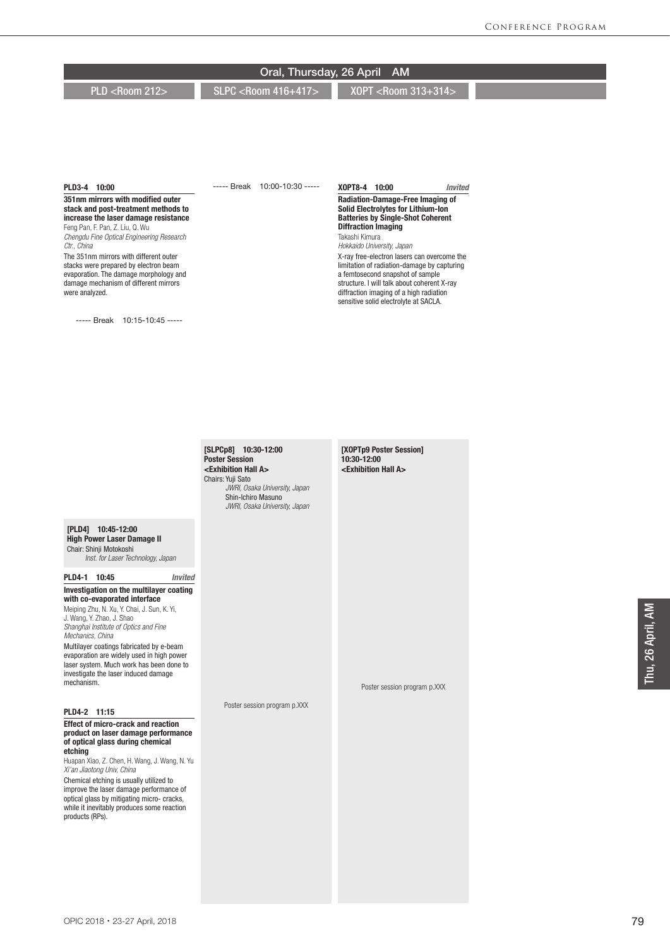PLD <Room 212> SLPC <Room 416+417> XOPT <Room 313+314>

#### PLD3-4 10:00

#### 351nm mirrors with modified outer stack and post-treatment methods to increase the laser damage resistance Feng Pan, F. Pan, Z. Liu, Q. Wu *Chengdu Fine Optical Engineering Research Ctr., China*

The 351nm mirrors with different outer stacks were prepared by electron beam evaporation. The damage morphology and damage mechanism of different mirrors were analyzed.

----- Break 10:15-10:45 -----

----- Break 10:00-10:30 -----

#### XOPT8-4 10:00 *Invited*

#### Radiation-Damage-Free Imaging of Solid Electrolytes for Lithium-Ion Batteries by Single-Shot Coherent Diffraction Imaging Takashi Kimura

*Hokkaido University, Japan*

X-ray free-electron lasers can overcome the limitation of radiation-damage by capturing a femtosecond snapshot of sample structure. I will talk about coherent X-ray diffraction imaging of a high radiation sensitive solid electrolyte at SACLA.

[SLPCp8] 10:30-12:00 Poster Session <Exhibition Hall A> Chairs: Yuji Sato *JWRI, Osaka University, Japan* Shin-Ichiro Masuno *JWRI, Osaka University, Japan*

Poster session program p.XXX

[XOPTp9 Poster Session] 10:30-12:00 <Exhibition Hall A>

Poster session program p.XXX

#### [PLD4] 10:45-12:00 High Power Laser Damage II

Chair: Shinji Motokoshi *Inst. for Laser Technology, Japan*

### PLD4-1 10:45 *Invited* Investigation on the multilayer coating with co-evaporated interface

Meiping Zhu, N. Xu, Y. Chai, J. Sun, K. Yi, J. Wang, Y. Zhao, J. Shao *Shanghai Institute of Optics and Fine Mechanics, China* Multilayer coatings fabricated by e-beam evaporation are widely used in high power laser system. Much work has been done to investigate the laser induced damage mechanism.

#### PLD4-2 11:15

#### Effect of micro-crack and reaction product on laser damage performance of optical glass during chemical etching

Huapan Xiao, Z. Chen, H. Wang, J. Wang, N. Yu *Xi'an Jiaotong Univ, China*

Chemical etching is usually utilized to improve the laser damage performance of optical glass by mitigating micro- cracks, while it inevitably produces some reaction products (RPs).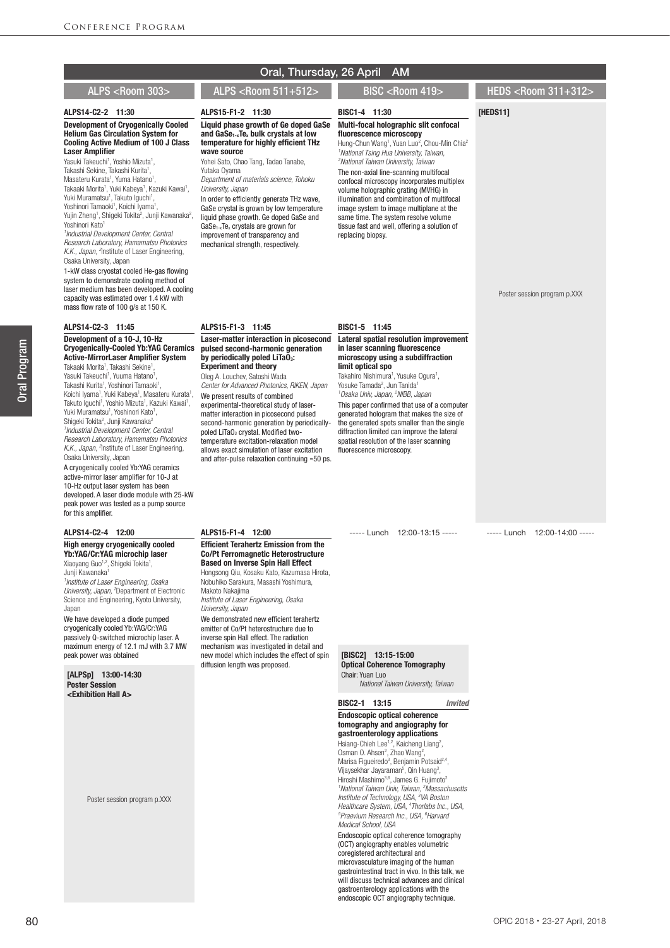#### [HEDS11] Poster session program p.XXX ----- Lunch 12:00-14:00 ----- BISC1-4 11:30 Multi-focal holographic slit confocal fluorescence microscopy Hung-Chun Wang<sup>1</sup>, Yuan Luo<sup>2</sup>, Chou-Min Chia<sup>2</sup><br><sup>1</sup> National Tsing Hua University, Taiwan, *2 National Taiwan University, Taiwan* The non-axial line-scanning multifocal confocal microscopy incorporates multiplex volume holographic grating (MVHG) in illumination and combination of multifocal image system to image multiplane at the same time. The system resolve volume tissue fast and well, offering a solution of replacing biopsy. BISC1-5 11:45 Lateral spatial resolution improvement in laser scanning fluorescence microscopy using a subdiffraction limit optical spo Takahiro Nishimura<sup>1</sup>, Yusuke Ogura<sup>1</sup>, Yosuke Tamada<sup>2</sup>, Jun Tanida<sup>1</sup> *1 Osaka Univ, Japan, 2 NIBB, Japan* This paper confirmed that use of a computer generated hologram that makes the size of the generated spots smaller than the single diffraction limited can improve the lateral spatial resolution of the laser scanning fluorescence microscopy. ----- Lunch 12:00-13:15 ----- [BISC2] 13:15-15:00 Optical Coherence Tomography Chair: Yuan Luo ALPS15-F1-2 11:30 Liquid phase growth of Ge doped GaSe and GaSe1-xTex bulk crystals at low temperature for highly efficient THz wave source Yohei Sato, Chao Tang, Tadao Tanabe, Yutaka Oyama *Department of materials science, Tohoku University, Japan* In order to efficiently generate THz wave, GaSe crystal is grown by low temperature liquid phase growth. Ge doped GaSe and GaSe1-xTex crystals are grown for improvement of transparency and mechanical strength, respectively. ALPS15-F1-3 11:45 Laser-matter interaction in picosecond pulsed second-harmonic generation by periodically poled  $LiTa\ddot{0}_3$ : Experiment and theory Oleg A. Louchev, Satoshi Wada *Center for Advanced Photonics, RIKEN, Japan* We present results of combined experimental-theoretical study of lasermatter interaction in picosecond pulsed second-harmonic generation by periodicallypoled LiTaO<sub>3</sub> crystal. Modified twotemperature excitation-relaxation model allows exact simulation of laser excitation and after-pulse relaxation continuing ≈50 ps. ALPS15-F1-4 12:00 Efficient Terahertz Emission from the Co/Pt Ferromagnetic Heterostructure Based on Inverse Spin Hall Effect Hongsong Qiu, Kosaku Kato, Kazumasa Hirota, Nobuhiko Sarakura, Masashi Yoshimura, Makoto Nakajima *Institute of Laser Engineering, Osaka University, Japan* We demonstrated new efficient terahertz emitter of Co/Pt heterostructure due to inverse spin Hall effect. The radiation mechanism was investigated in detail and new model which includes the effect of spin diffusion length was proposed. ALPS14-C2-2 11:30 Development of Cryogenically Cooled Helium Gas Circulation System for Cooling Active Medium of 100 J Class Laser Amplifier Yasuki Takeuchi<sup>1</sup>, Yoshio Mizuta<sup>1</sup>, Takashi Sekine, Takashi Kurita1 Takashi Sekine, Takashi Kurita<sup>1</sup>,<br>Masateru Kurata<sup>1</sup>, Yuma Hatano<sup>1</sup> Masateru Kurata<sup>1</sup>, Yuma Hatano<sup>1</sup>,<br>Takaaki Morita<sup>1</sup>, Yuki Kabeya<sup>1</sup>, Kazuki Kawai<sup>1</sup>, Yuki Muramatsu<sup>1</sup>, Takuto Iguchi<sup>1</sup>,<br>Yoshinori Tamaoki<sup>1</sup>, Koichi Iyama<sup>1</sup> Yoshinori Tamaoki<sup>1</sup>, Koichi Iyama<sup>1</sup>,<br>Yujin Zheng<sup>1</sup>, Shigeki Tokita<sup>2</sup>, Junji Kawanaka<sup>2</sup>, Yoshinori Kato<sup>1</sup> *1 Industrial Development Center, Central Research Laboratory, Hamamatsu Photonics*  K.K., Japan, <sup>a</sup>nstitute of Laser Engineering, Osaka University, Japan 1-kW class cryostat cooled He-gas flowing system to demonstrate cooling method of laser medium has been developed. A cooling capacity was estimated over 1.4 kW with mass flow rate of 100 g/s at 150 K. ALPS14-C2-3 11:45 Development of a 10-J, 10-Hz Cryogenically-Cooled Yb:YAG Ceramics Active-MirrorLaser Amplifier System Takaaki Morita<sup>1</sup>, Takashi Sekine<sup>1</sup>, Yasuki Takeuchi<sup>1</sup>, Yuuma Hatano<sup>1</sup> , Takashi Kurita<sup>1</sup>, Yoshinori Tamaoki<sup>1</sup> , Koichi Iyama<sup>1</sup>, Yuki Kabeya<sup>1</sup>, Masateru Kurata<sup>1</sup>, Takuto Iguchi<sup>1</sup>, Yoshio Mizuta<sup>1</sup>, Kazuki Kawai<sup>1</sup>, Yuki Muramatsu<sup>1</sup>, Yoshinori Kato<sup>1</sup>,<br>Shigeki Tokita<sup>2</sup>, Junji Kawanaka<sup>2</sup> *1 Industrial Development Center, Central Research Laboratory, Hamamatsu Photonics*  K.K., Japan, <sup>a</sup>nstitute of Laser Engineering, Osaka University, Japan A cryogenically cooled Yb:YAG ceramics active-mirror laser amplifier for 10-J at 10-Hz output laser system has been developed. A laser diode module with 25-kW peak power was tested as a pump source for this amplifier. ALPS14-C2-4 12:00 High energy cryogenically cooled Yb:YAG/Cr:YAG microchip laser Xiaoyang Guo<sup>1,2</sup>, Shigeki Tokita<sup>1</sup>,<br>Junji Kawanaka<sup>1</sup> *1 Institute of Laser Engineering, Osaka University, Japan, 2* Department of Electronic Science and Engineering, Kyoto University, Japan We have developed a diode pumped cryogenically cooled Yb:YAG/Cr:YAG passively Q-switched microchip laser. A maximum energy of 12.1 mJ with 3.7 MW peak power was obtained Oral, Thursday, 26 April AM ALPS <Room 303> ALPS <Room 511+512> BISC <Room 419> HEDS <Room 311+312>

[ALPSp] 13:00-14:30 Poster Session <Exhibition Hall A>

Poster session program p.XXX

*National Taiwan University, Taiwan*

### BISC2-1 13:15 *Invited* Endoscopic optical coherence tomography and angiography for gastroenterology applications

Hsiang-Chieh Lee<sup>1,2</sup>, Kaicheng Liang<sup>2</sup>, Osman O. Ahsen<sup>2</sup>, Zhao Wang<sup>2</sup>, Marisa Figueiredo<sup>3</sup>, Benjamin Potsaid<sup>2,4</sup>, Vijaysekhar Jayaraman<sup>5</sup>, Qin Huang<sup>3</sup>, Hiroshi Mashimo<sup>3,6</sup>, James G. Fujimoto<sup>5</sup> *<sup>1</sup> National Taiwan Univ, Taiwan, <sup>2</sup> Massachusetts<br>Institute of Technology, USA, <sup>3</sup> VA Boston<br>Healthcare System, USA, <sup>4</sup> Thorlabs Inc., USA,<br><sup>5</sup> Praevium Becearch Inc., USA, <sup>6</sup> Hanard Praevium Research Inc., USA, 6 Harvard Medical School, USA*

Endoscopic optical coherence tomography (OCT) angiography enables volumetric coregistered architectural and microvasculature imaging of the human gastrointestinal tract in vivo. In this talk, we will discuss technical advances and clinical gastroenterology applications with the endoscopic OCT angiography technique.

OPIC 2018・23-27 April, 2018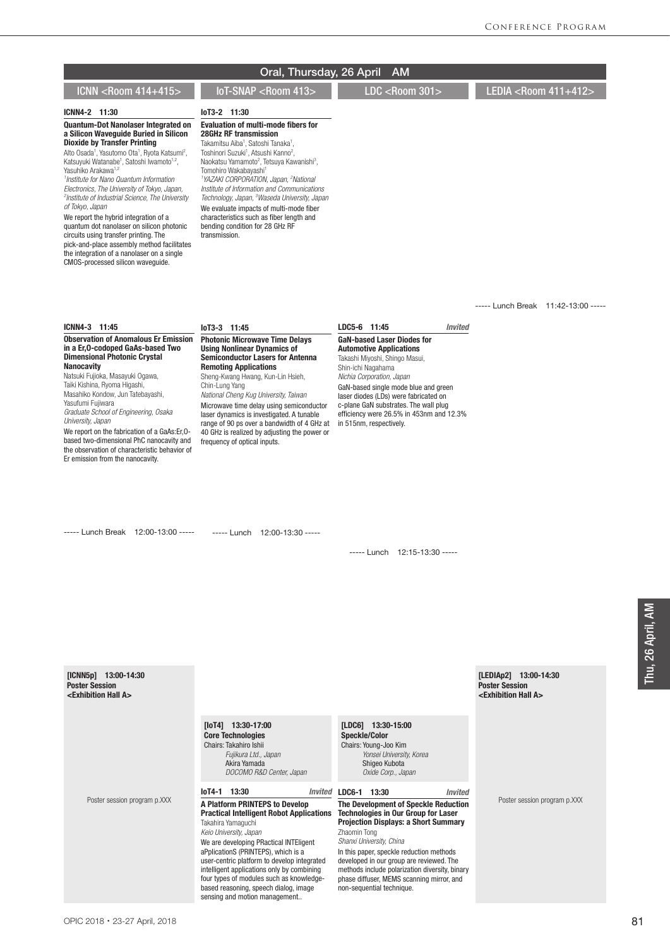|                                                                                                                                                                                                                                                                                                                                                                                                                                                                                                                                                                                                                                                                                                                                                                                     | Oral, Thursday, 26 April                                                                                                                                                                                                                                                                                                                                                                                                                                                                                                                                                                                                                   | <b>AM</b>                                                                                                                                                                                                                                                                                                            |                                                                                          |
|-------------------------------------------------------------------------------------------------------------------------------------------------------------------------------------------------------------------------------------------------------------------------------------------------------------------------------------------------------------------------------------------------------------------------------------------------------------------------------------------------------------------------------------------------------------------------------------------------------------------------------------------------------------------------------------------------------------------------------------------------------------------------------------|--------------------------------------------------------------------------------------------------------------------------------------------------------------------------------------------------------------------------------------------------------------------------------------------------------------------------------------------------------------------------------------------------------------------------------------------------------------------------------------------------------------------------------------------------------------------------------------------------------------------------------------------|----------------------------------------------------------------------------------------------------------------------------------------------------------------------------------------------------------------------------------------------------------------------------------------------------------------------|------------------------------------------------------------------------------------------|
| ICNN <room 414+415=""></room>                                                                                                                                                                                                                                                                                                                                                                                                                                                                                                                                                                                                                                                                                                                                                       | IoT-SNAP <room 413=""></room>                                                                                                                                                                                                                                                                                                                                                                                                                                                                                                                                                                                                              | $\overline{\text{LDC}}$ <room 301=""></room>                                                                                                                                                                                                                                                                         | LEDIA <room 411+412=""></room>                                                           |
| ICNN4-2 11:30                                                                                                                                                                                                                                                                                                                                                                                                                                                                                                                                                                                                                                                                                                                                                                       | loT3-2 11:30                                                                                                                                                                                                                                                                                                                                                                                                                                                                                                                                                                                                                               |                                                                                                                                                                                                                                                                                                                      |                                                                                          |
| <b>Quantum-Dot Nanolaser Integrated on</b><br>a Silicon Wavequide Buried in Silicon<br><b>Dioxide by Transfer Printing</b><br>Alto Osada <sup>1</sup> , Yasutomo Ota <sup>1</sup> , Ryota Katsumi <sup>2</sup> ,<br>Katsuyuki Watanabe <sup>1</sup> , Satoshi Iwamoto <sup>1,2</sup> ,<br>Yasuhiko Arakawa <sup>1,2</sup><br><sup>1</sup> Institute for Nano Quantum Information<br>Electronics, The University of Tokyo, Japan,<br><sup>2</sup> Institute of Industrial Science, The University<br>of Tokyo, Japan<br>We report the hybrid integration of a<br>quantum dot nanolaser on silicon photonic<br>circuits using transfer printing. The<br>pick-and-place assembly method facilitates<br>the integration of a nanolaser on a single<br>CMOS-processed silicon waveguide. | <b>Evaluation of multi-mode fibers for</b><br><b>28GHz RF transmission</b><br>Takamitsu Aiba <sup>1</sup> , Satoshi Tanaka <sup>1</sup> ,<br>Toshinori Suzuki <sup>1</sup> . Atsushi Kanno <sup>2</sup> .<br>Naokatsu Yamamoto <sup>2</sup> , Tetsuya Kawanishi <sup>3</sup> ,<br>Tomohiro Wakabayashi <sup>1</sup><br><sup>1</sup> YAZAKI CORPORATION, Japan, <sup>2</sup> National<br>Institute of Information and Communications<br>Technology, Japan, <sup>3</sup> Waseda University, Japan<br>We evaluate impacts of multi-mode fiber<br>characteristics such as fiber length and<br>bending condition for 28 GHz RF<br>transmission. |                                                                                                                                                                                                                                                                                                                      |                                                                                          |
|                                                                                                                                                                                                                                                                                                                                                                                                                                                                                                                                                                                                                                                                                                                                                                                     |                                                                                                                                                                                                                                                                                                                                                                                                                                                                                                                                                                                                                                            |                                                                                                                                                                                                                                                                                                                      | ----- Lunch Break 11:42-13:00 -----                                                      |
| ICNN4-3 11:45<br><b>Observation of Anomalous Er Emission</b>                                                                                                                                                                                                                                                                                                                                                                                                                                                                                                                                                                                                                                                                                                                        | loT3-3 11:45<br><b>Photonic Microwave Time Delays</b>                                                                                                                                                                                                                                                                                                                                                                                                                                                                                                                                                                                      | LDC5-6 11:45<br><b>Invited</b><br><b>GaN-based Laser Diodes for</b>                                                                                                                                                                                                                                                  |                                                                                          |
| in a Er, 0-codoped GaAs-based Two<br><b>Dimensional Photonic Crystal</b><br><b>Nanocavity</b><br>Natsuki Fujioka, Masayuki Ogawa,<br>Taiki Kishina, Ryoma Higashi,<br>Masahiko Kondow, Jun Tatebayashi,<br>Yasufumi Fujiwara<br>Graduate School of Engineering, Osaka<br>University, Japan<br>We report on the fabrication of a GaAs:Er, 0-<br>based two-dimensional PhC nanocavity and<br>the observation of characteristic behavior of<br>Er emission from the nanocavity.                                                                                                                                                                                                                                                                                                        | <b>Using Nonlinear Dynamics of</b><br><b>Semiconductor Lasers for Antenna</b><br><b>Remoting Applications</b><br>Sheng-Kwang Hwang, Kun-Lin Hsieh,<br>Chin-Lung Yang<br>National Cheng Kug University, Taiwan<br>Microwave time delay using semiconductor<br>laser dynamics is investigated. A tunable<br>range of 90 ps over a bandwidth of 4 GHz at<br>40 GHz is realized by adjusting the power or<br>frequency of optical inputs.                                                                                                                                                                                                      | <b>Automotive Applications</b><br>Takashi Miyoshi, Shingo Masui,<br>Shin-ichi Nagahama<br>Nichia Corporation, Japan<br>GaN-based single mode blue and green<br>laser diodes (LDs) were fabricated on<br>c-plane GaN substrates. The wall plug<br>efficiency were 26.5% in 453nm and 12.3%<br>in 515nm, respectively. |                                                                                          |
| ----- Lunch Break 12:00-13:00 -----                                                                                                                                                                                                                                                                                                                                                                                                                                                                                                                                                                                                                                                                                                                                                 | ----- Lunch 12:00-13:30 -----                                                                                                                                                                                                                                                                                                                                                                                                                                                                                                                                                                                                              | ----- Lunch 12:15-13:30 -----                                                                                                                                                                                                                                                                                        |                                                                                          |
| $[ICNN5p]$ 13:00-14:30<br><b>Poster Session</b><br><exhibition a="" hall=""></exhibition>                                                                                                                                                                                                                                                                                                                                                                                                                                                                                                                                                                                                                                                                                           |                                                                                                                                                                                                                                                                                                                                                                                                                                                                                                                                                                                                                                            |                                                                                                                                                                                                                                                                                                                      | [LEDIAp2] 13:00-14:30<br><b>Poster Session</b><br><exhibition a="" hall=""></exhibition> |
|                                                                                                                                                                                                                                                                                                                                                                                                                                                                                                                                                                                                                                                                                                                                                                                     | $[10T4]$ 13:30-17:00<br><b>Core Technologies</b><br>Chairs: Takahiro Ishii<br>Fujikura Ltd., Japan<br>Akira Yamada                                                                                                                                                                                                                                                                                                                                                                                                                                                                                                                         | [LDC6] 13:30-15:00<br><b>Speckle/Color</b><br>Chairs: Young-Joo Kim<br>Yonsei University, Korea<br>Shigeo Kubota                                                                                                                                                                                                     |                                                                                          |

Poster session program p.XXX

# *DOCOMO R&D Center, Japan* IoT4-1 13:30 *Invited* A Platform PRINTEPS to Develop

## Practical Intelligent Robot Applications Takahira Yamaguchi

*Keio University, Japan* We are developing PRactical INTEligent aPplicationS (PRINTEPS), which is a user-centric platform to develop integrated intelligent applications only by combining four types of modules such as knowledgebased reasoning, speech dialog, image sensing and motion management..

 *Oxide Corp., Japan*

## LDC6-1 13:30 *Invited*

#### The Development of Speckle Reduction Technologies in Our Group for Laser Projection Displays: a Short Summary Zhaomin Tong

*Shanxi University, China*

In this paper, speckle reduction methods developed in our group are reviewed. The methods include polarization diversity, binary phase diffuser, MEMS scanning mirror, and non-sequential technique.

Poster session program p.XXX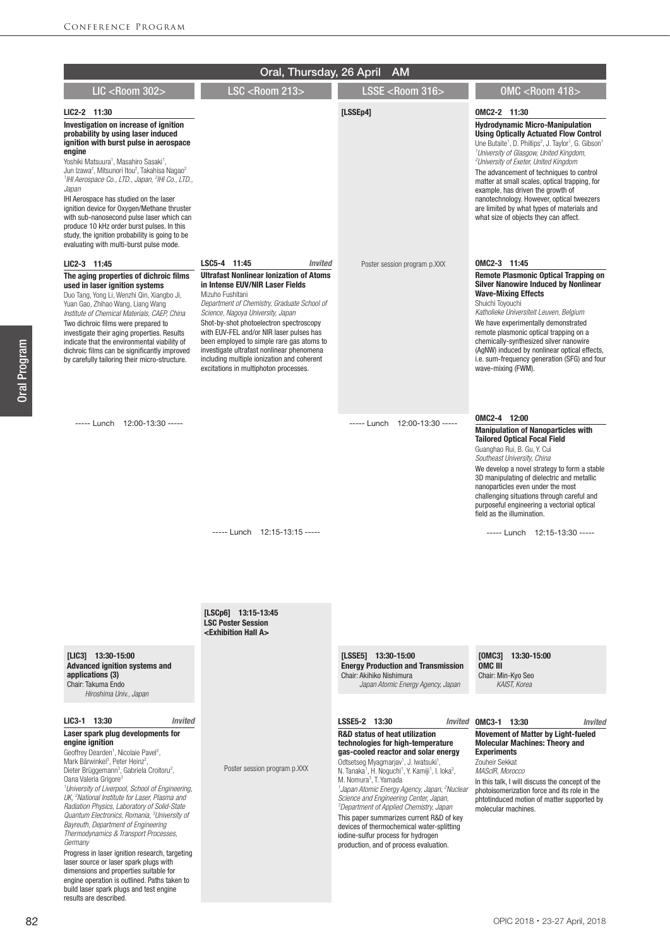|                                                                                                                                                                                                                                                                                                                                                                                                                                                                                                                                                                                                                                                                                                                                                                                                                                                                                                                                                                                           | Oral, Thursday, 26 April                                                                                                                                                                                                                                                                                                                                                                                                                                                                            | <b>AM</b>                                                                                                                                                                                                                                                                                                                                                                                                                                                                                                                                                                                                                                                                                                                                                                                                                                   |                                                                                                                                                                                                                                                                                                                                                                                                                                                                                                                                                                                                   |
|-------------------------------------------------------------------------------------------------------------------------------------------------------------------------------------------------------------------------------------------------------------------------------------------------------------------------------------------------------------------------------------------------------------------------------------------------------------------------------------------------------------------------------------------------------------------------------------------------------------------------------------------------------------------------------------------------------------------------------------------------------------------------------------------------------------------------------------------------------------------------------------------------------------------------------------------------------------------------------------------|-----------------------------------------------------------------------------------------------------------------------------------------------------------------------------------------------------------------------------------------------------------------------------------------------------------------------------------------------------------------------------------------------------------------------------------------------------------------------------------------------------|---------------------------------------------------------------------------------------------------------------------------------------------------------------------------------------------------------------------------------------------------------------------------------------------------------------------------------------------------------------------------------------------------------------------------------------------------------------------------------------------------------------------------------------------------------------------------------------------------------------------------------------------------------------------------------------------------------------------------------------------------------------------------------------------------------------------------------------------|---------------------------------------------------------------------------------------------------------------------------------------------------------------------------------------------------------------------------------------------------------------------------------------------------------------------------------------------------------------------------------------------------------------------------------------------------------------------------------------------------------------------------------------------------------------------------------------------------|
| <b>LIC <room 302=""></room></b>                                                                                                                                                                                                                                                                                                                                                                                                                                                                                                                                                                                                                                                                                                                                                                                                                                                                                                                                                           | <b>LSC <room 213=""></room></b>                                                                                                                                                                                                                                                                                                                                                                                                                                                                     | LSSE <room 316=""></room>                                                                                                                                                                                                                                                                                                                                                                                                                                                                                                                                                                                                                                                                                                                                                                                                                   | OMC <room 418=""></room>                                                                                                                                                                                                                                                                                                                                                                                                                                                                                                                                                                          |
| LIC2-2 11:30<br>Investigation on increase of ignition<br>probability by using laser induced<br>ignition with burst pulse in aerospace<br>engine<br>Yoshiki Matsuura <sup>1</sup> , Masahiro Sasaki <sup>1</sup> ,<br>Jun Izawa <sup>2</sup> , Mitsunori Itou <sup>2</sup> , Takahisa Nagao <sup>2</sup><br><sup>1</sup> IHI Aerospace Co., LTD., Japan, <sup>2</sup> IHI Co., LTD.,<br>Japan<br>IHI Aerospace has studied on the laser<br>ignition device for Oxygen/Methane thruster<br>with sub-nanosecond pulse laser which can<br>produce 10 kHz order burst pulses. In this<br>study, the ignition probability is going to be<br>evaluating with multi-burst pulse mode.                                                                                                                                                                                                                                                                                                             |                                                                                                                                                                                                                                                                                                                                                                                                                                                                                                     | [LSSEp4]                                                                                                                                                                                                                                                                                                                                                                                                                                                                                                                                                                                                                                                                                                                                                                                                                                    | OMC2-2 11:30<br><b>Hydrodynamic Micro-Manipulation</b><br><b>Using Optically Actuated Flow Control</b><br>Une Butaite <sup>1</sup> , D. Phillips <sup>2</sup> , J. Taylor <sup>1</sup> , G. Gibson <sup>1</sup><br><sup>1</sup> University of Glasgow, United Kingdom,<br><sup>2</sup> University of Exeter, United Kingdom<br>The advancement of techniques to control<br>matter at small scales, optical trapping, for<br>example, has driven the growth of<br>nanotechnology. However, optical tweezers<br>are limited by what types of materials and<br>what size of objects they can affect. |
| LIC2-3 11:45<br>The aging properties of dichroic films<br>used in laser ignition systems<br>Duo Tang, Yong Li, Wenzhi Qin, Xiangbo Ji,<br>Yuan Gao, Zhihao Wang, Liang Wang<br>Institute of Chemical Materials, CAEP, China<br>Two dichroic films were prepared to<br>investigate their aging properties. Results<br>indicate that the environmental viability of<br>dichroic films can be significantly improved<br>by carefully tailoring their micro-structure.                                                                                                                                                                                                                                                                                                                                                                                                                                                                                                                        | LSC5-4 11:45<br><b>Invited</b><br><b>Ultrafast Nonlinear Ionization of Atoms</b><br>in Intense EUV/NIR Laser Fields<br>Mizuho Fushitani<br>Department of Chemistry, Graduate School of<br>Science, Nagoya University, Japan<br>Shot-by-shot photoelectron spectroscopy<br>with EUV-FEL and/or NIR laser pulses has<br>been employed to simple rare gas atoms to<br>investigate ultrafast nonlinear phenomena<br>including multiple ionization and coherent<br>excitations in multiphoton processes. | Poster session program p.XXX                                                                                                                                                                                                                                                                                                                                                                                                                                                                                                                                                                                                                                                                                                                                                                                                                | OMC2-3 11:45<br><b>Remote Plasmonic Optical Trapping on</b><br><b>Silver Nanowire Induced by Nonlinear</b><br><b>Wave-Mixing Effects</b><br>Shuichi Tovouchi<br>Katholieke Universiteit Leuven, Belgium<br>We have experimentally demonstrated<br>remote plasmonic optical trapping on a<br>chemically-synthesized silver nanowire<br>(AqNW) induced by nonlinear optical effects,<br>i.e. sum-frequency generation (SFG) and four<br>wave-mixing (FWM).                                                                                                                                          |
| ----- Lunch 12:00-13:30 -----                                                                                                                                                                                                                                                                                                                                                                                                                                                                                                                                                                                                                                                                                                                                                                                                                                                                                                                                                             | ----- Lunch 12:15-13:15 -----                                                                                                                                                                                                                                                                                                                                                                                                                                                                       | ----- Lunch 12:00-13:30 -----                                                                                                                                                                                                                                                                                                                                                                                                                                                                                                                                                                                                                                                                                                                                                                                                               | OMC2-4 12:00<br><b>Manipulation of Nanoparticles with</b><br><b>Tailored Optical Focal Field</b><br>Guanghao Rui, B. Gu, Y. Cui<br>Southeast University, China<br>We develop a novel strategy to form a stable<br>3D manipulating of dielectric and metallic<br>nanoparticles even under the most<br>challenging situations through careful and<br>purposeful engineering a vectorial optical<br>field as the illumination.<br>$---$ Lunch 12:15-13:30 $---$                                                                                                                                      |
|                                                                                                                                                                                                                                                                                                                                                                                                                                                                                                                                                                                                                                                                                                                                                                                                                                                                                                                                                                                           | $[LSCp6]$ 13:15-13:45<br><b>LSC Poster Session</b><br><exhibition a="" hall=""></exhibition>                                                                                                                                                                                                                                                                                                                                                                                                        |                                                                                                                                                                                                                                                                                                                                                                                                                                                                                                                                                                                                                                                                                                                                                                                                                                             |                                                                                                                                                                                                                                                                                                                                                                                                                                                                                                                                                                                                   |
| [LIC3] 13:30-15:00<br><b>Advanced ignition systems and</b><br>applications (3)<br>Chair: Takuma Endo<br>Hiroshima Univ., Japan<br>LIC3-1 13:30<br><b>Invited</b><br>Laser spark plug developments for<br>engine ignition<br>Geoffrey Dearden <sup>1</sup> , Nicolaie Pavel <sup>2</sup> ,<br>Mark Bärwinkel <sup>3</sup> , Peter Heinz <sup>3</sup> ,<br>Dieter Brüggemann <sup>3</sup> , Gabriela Croitoru <sup>2</sup> ,<br>Oana Valeria Grigore <sup>3</sup><br><sup>1</sup> University of Liverpool, School of Engineering,<br>UK, <sup>2</sup> National Institute for Laser, Plasma and<br>Radiation Physics, Laboratory of Solid-State<br>Quantum Electronics, Romania, <sup>3</sup> University of<br>Bayreuth, Department of Engineering<br>Thermodynamics & Transport Processes,<br>Germany<br>Progress in laser ignition research, targeting<br>laser source or laser spark plugs with<br>dimensions and properties suitable for<br>engine operation is outlined. Paths taken to | Poster session program p.XXX                                                                                                                                                                                                                                                                                                                                                                                                                                                                        | [LSSE5] 13:30-15:00<br><b>Energy Production and Transmission</b><br>Chair: Akihiko Nishimura<br>Japan Atomic Energy Agency, Japan<br>LSSE5-2 13:30<br><b>R&amp;D status of heat utilization</b><br>technologies for high-temperature<br>gas-cooled reactor and solar energy<br>Odtsetseg Myagmarjav <sup>1</sup> , J. Iwatsuki <sup>1</sup> ,<br>N. Tanaka <sup>1</sup> , H. Noquchi <sup>1</sup> , Y. Kamiji <sup>1</sup> , I. loka <sup>2</sup> ,<br>M. Nomura <sup>3</sup> , T. Yamada<br><sup>1</sup> Japan Atomic Energy Agency, Japan, <sup>2</sup> Nuclear<br>Science and Engineering Center, Japan,<br><sup>3</sup> Department of Applied Chemistry, Japan<br>This paper summarizes current R&D of key<br>devices of thermochemical water-splitting<br>iodine-sulfur process for hydrogen<br>production, and of process evaluation. | [OMC3] 13:30-15:00<br>OMC III<br>Chair: Min-Kyo Seo<br>KAIST. Korea<br>Invited OMC3-1 13:30<br><i><b>Invited</b></i><br><b>Movement of Matter by Light-fueled</b><br><b>Molecular Machines: Theory and</b><br><b>Experiments</b><br>Zouheir Sekkat<br>MAScIR. Morocco<br>In this talk, I will discuss the concept of the<br>photoisomerization force and its role in the<br>phtotinduced motion of matter supported by<br>molecular machines.                                                                                                                                                     |

Oral Program

Oral Program

build laser spark plugs and test engine

results are described.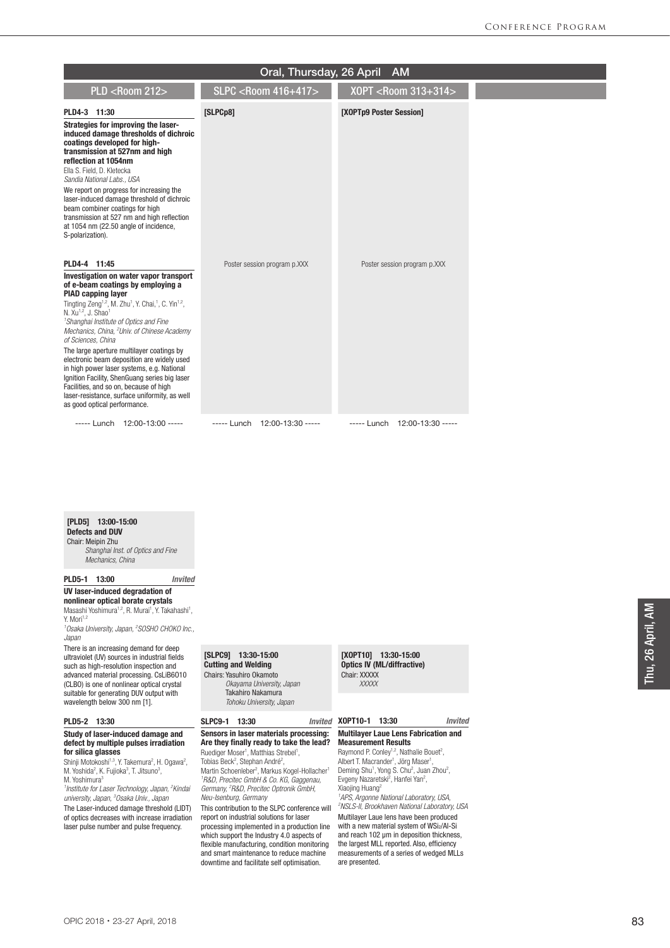|                                                                                                                                                                                                                                                                                                                                                                                                                                                                                                                                                                                                                                                                                                                                             | Oral, Thursday, 26 April             | <b>AM</b>                          |
|---------------------------------------------------------------------------------------------------------------------------------------------------------------------------------------------------------------------------------------------------------------------------------------------------------------------------------------------------------------------------------------------------------------------------------------------------------------------------------------------------------------------------------------------------------------------------------------------------------------------------------------------------------------------------------------------------------------------------------------------|--------------------------------------|------------------------------------|
| <b>PLD <room 212=""></room></b>                                                                                                                                                                                                                                                                                                                                                                                                                                                                                                                                                                                                                                                                                                             | <b>SLPC <room 416+417=""></room></b> | X0PT <room 313+314=""></room>      |
| PLD4-3 11:30                                                                                                                                                                                                                                                                                                                                                                                                                                                                                                                                                                                                                                                                                                                                | [SLPCp8]                             | [XOPTp9 Poster Session]            |
| Strategies for improving the laser-<br>induced damage thresholds of dichroic<br>coatings developed for high-<br>transmission at 527nm and high<br>reflection at 1054nm<br>Ella S. Field, D. Kletecka<br>Sandia National Labs., USA<br>We report on progress for increasing the<br>laser-induced damage threshold of dichroic<br>beam combiner coatings for high<br>transmission at 527 nm and high reflection<br>at 1054 nm (22.50 angle of incidence,<br>S-polarization).                                                                                                                                                                                                                                                                  |                                      |                                    |
| PLD4-4 11:45<br>Investigation on water vapor transport<br>of e-beam coatings by employing a<br><b>PIAD capping layer</b><br>Tingting Zeng <sup>1,2</sup> , M. Zhu <sup>1</sup> , Y. Chai, <sup>1</sup> , C. Yin <sup>1,2</sup> ,<br>N. Xu <sup>1,2</sup> , J. Shao <sup>1</sup><br><sup>1</sup> Shanghai Institute of Optics and Fine<br>Mechanics, China, <sup>2</sup> Univ. of Chinese Academy<br>of Sciences, China<br>The large aperture multilayer coatings by<br>electronic beam deposition are widely used<br>in high power laser systems, e.g. National<br>Ignition Facility, ShenGuang series big laser<br>Facilities, and so on, because of high<br>laser-resistance, surface uniformity, as well<br>as good optical performance. | Poster session program p.XXX         | Poster session program p.XXX       |
| ----- Lunch 12:00-13:00 -----                                                                                                                                                                                                                                                                                                                                                                                                                                                                                                                                                                                                                                                                                                               | 12:00-13:30 -----<br>$---$ Lunch     | $12:00-13:30$ -----<br>$---$ Lunch |

[PLD5] 13:00-15:00 Defects and DUV Chair: Meipin Zhu

 *Shanghai Inst. of Optics and Fine Mechanics, China*

PLD5-1 13:00 *Invited*

UV laser-induced degradation of nonlinear optical borate crystals Masashi Yoshimura<sup>1,2</sup>, R. Murai<sup>1</sup>, Y. Takahashi<sup>1</sup>,

Y. Mori<sup>1,2</sup> *1 Osaka University, Japan, 2 SOSHO CHOKO Inc.,* 

*Japan*

There is an increasing demand for deep ultraviolet (UV) sources in industrial fields such as high-resolution inspection and advanced material processing. CsLiB6O10 (CLBO) is one of nonlinear optical crystal suitable for generating DUV output with wavelength below 300 nm [1].

#### PLD5-2 13:30

#### Study of laser-induced damage and defect by multiple pulses irradiation for silica glasses

Shinji Motokoshi<sup>1,3</sup>, Y. Takemura<sup>2</sup>, H. Ogawa<sup>2</sup>, M. Yoshida<sup>2</sup>, K. Fujioka<sup>3</sup>, T. Jitsuno<sup>3</sup>, M. Yoshimura<sup>3</sup>

*1 Institute for Laser Technology, Japan, 2 Kindai university, Japan, 3 Osaka Univ., Japan* The Laser-induced damage threshold (LIDT)

of optics decreases with increase irradiation laser pulse number and pulse frequency.

#### [SLPC9] 13:30-15:00 Cutting and Welding Chairs: Yasuhiro Okamoto

*Okayama University, Japan* Takahiro Nakamura *Tohoku University, Japan*

## SLPC9-1 13:30

#### Sensors in laser materials processing: Are they finally ready to take the lead? Ruediger Moser<sup>1</sup>, Matthias Strebel<sup>1</sup>,

Tobias Beck<sup>2</sup>, Stephan André<sup>2</sup>, Martin Schoenleber<sup>2</sup>, Markus Kogel-Hollacher<sup>1</sup> *1 R&D, Precitec GmbH & Co. KG, Gaggenau, Germany, 2 R&D, Precitec Optronik GmbH, Neu-Isenburg, Germany*

This contribution to the SLPC conference will report on industrial solutions for laser processing implemented in a production line which support the Industry 4.0 aspects of flexible manufacturing, condition monitoring and smart maintenance to reduce machine downtime and facilitate self optimisation.

[XOPT10] 13:30-15:00 Optics IV (ML/diffractive) Chair: XXXXX  *XXXXX*

## XOPT10-1 13:30 *Invited*

## Multilayer Laue Lens Fabrication and Measurement Results

Raymond P. Conley<sup>1,2</sup>, Nathalie Bouet<sup>2</sup>,<br>Albert T. Macrander<sup>1</sup>, Jörg Maser<sup>1</sup>, Deming Shu<sup>1</sup>, Yong S. Chu<sup>2</sup>, Juan Zhou<sup>2</sup>, Evgeny Nazaretski<sup>2</sup>, Hanfei Yan<sup>2</sup>, Xiaojing Huang2

*1 APS, Argonne National Laboratory, USA, 2 NSLS-II, Brookhaven National Laboratory, USA* Multilayer Laue lens have been produced with a new material system of WSi2/Al-Si and reach 102 µm in deposition thickness, the largest MLL reported. Also, efficiency measurements of a series of wedged MLLs are presented.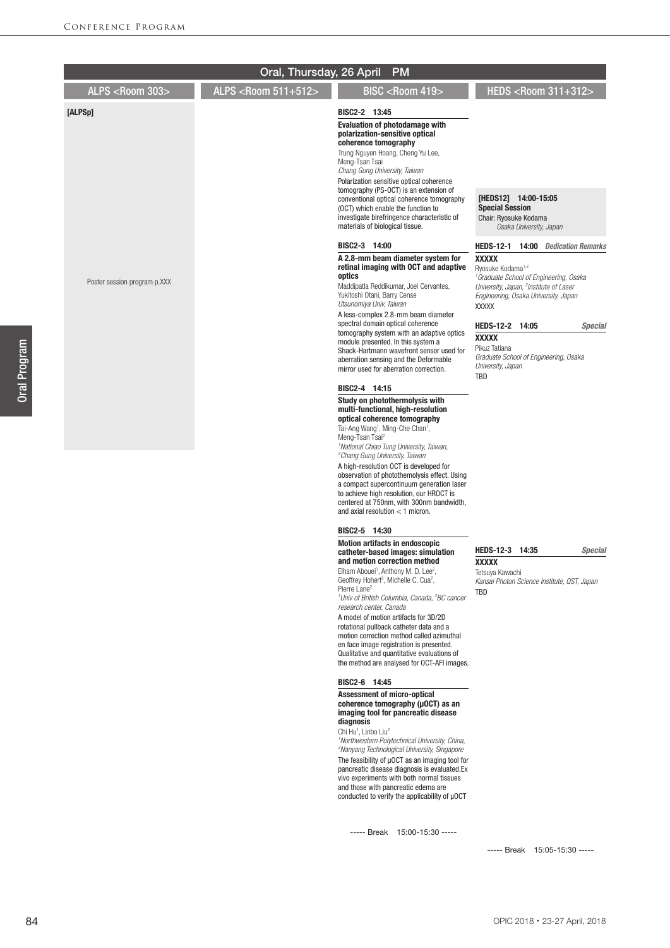|                              | Oral, Thursday, 26 April      | <b>PM</b>                                                                                                                                                                                                                                                                                                                                                                                                                                                                                                                                                                                                                                              |                                                                                                                                                                                                                   |
|------------------------------|-------------------------------|--------------------------------------------------------------------------------------------------------------------------------------------------------------------------------------------------------------------------------------------------------------------------------------------------------------------------------------------------------------------------------------------------------------------------------------------------------------------------------------------------------------------------------------------------------------------------------------------------------------------------------------------------------|-------------------------------------------------------------------------------------------------------------------------------------------------------------------------------------------------------------------|
| ALPS <room 303=""></room>    | ALPS <room 511+512=""></room> | BISC <room 419=""></room>                                                                                                                                                                                                                                                                                                                                                                                                                                                                                                                                                                                                                              | HEDS <room 311+312=""></room>                                                                                                                                                                                     |
| [ALPSp]                      |                               | BISC2-2 13:45<br><b>Evaluation of photodamage with</b><br>polarization-sensitive optical<br>coherence tomography<br>Trung Nguyen Hoang, Cheng Yu Lee,<br>Meng-Tsan Tsai<br>Chang Gung University, Taiwan<br>Polarization sensitive optical coherence<br>tomography (PS-OCT) is an extension of                                                                                                                                                                                                                                                                                                                                                         |                                                                                                                                                                                                                   |
|                              |                               | conventional optical coherence tomography<br>(OCT) which enable the function to<br>investigate birefringence characteristic of<br>materials of biological tissue.                                                                                                                                                                                                                                                                                                                                                                                                                                                                                      | [HEDS12] 14:00-15:05<br><b>Special Session</b><br>Chair: Ryosuke Kodama<br>Osaka University, Japan                                                                                                                |
|                              |                               | BISC2-3 14:00                                                                                                                                                                                                                                                                                                                                                                                                                                                                                                                                                                                                                                          | <b>HEDS-12-1</b><br><b>14:00</b> Dedication Remarks                                                                                                                                                               |
| Poster session program p.XXX |                               | A 2.8-mm beam diameter system for<br>retinal imaging with OCT and adaptive<br>optics<br>Maddipatla Reddikumar, Joel Cervantes,<br>Yukitoshi Otani, Barry Cense<br>Utsunomiya Univ, Taiwan                                                                                                                                                                                                                                                                                                                                                                                                                                                              | <b>XXXXX</b><br>Ryosuke Kodama <sup>1,2</sup><br><sup>1</sup> Graduate School of Engineering, Osaka<br>University, Japan, <sup>2</sup> Institute of Laser<br>Engineering, Osaka University, Japan<br><b>XXXXX</b> |
|                              |                               | A less-complex 2.8-mm beam diameter<br>spectral domain optical coherence<br>tomography system with an adaptive optics<br>module presented. In this system a<br>Shack-Hartmann wavefront sensor used for<br>aberration sensing and the Deformable<br>mirror used for aberration correction.                                                                                                                                                                                                                                                                                                                                                             | HEDS-12-2 14:05<br><b>Special</b><br><b>XXXXX</b><br>Pikuz Tatiana<br>Graduate School of Engineering, Osaka<br>University, Japan<br>TBD                                                                           |
|                              |                               | BISC2-4 14:15                                                                                                                                                                                                                                                                                                                                                                                                                                                                                                                                                                                                                                          |                                                                                                                                                                                                                   |
|                              |                               | Study on photothermolysis with<br>multi-functional, high-resolution<br>optical coherence tomography<br>Tai-Ang Wang <sup>1</sup> , Ming-Che Chan <sup>1</sup> ,<br>Meng-Tsan Tsai <sup>2</sup><br><sup>1</sup> National Chiao Tung University, Taiwan,<br><sup>2</sup> Chang Gung University, Taiwan                                                                                                                                                                                                                                                                                                                                                   |                                                                                                                                                                                                                   |
|                              |                               | A high-resolution OCT is developed for<br>observation of photothemolysis effect. Using<br>a compact supercontinuum generation laser<br>to achieve high resolution, our HROCT is<br>centered at 750nm, with 300nm bandwidth,<br>and axial resolution $<$ 1 micron.                                                                                                                                                                                                                                                                                                                                                                                      |                                                                                                                                                                                                                   |
|                              |                               | BISC2-5 14:30                                                                                                                                                                                                                                                                                                                                                                                                                                                                                                                                                                                                                                          |                                                                                                                                                                                                                   |
|                              |                               | <b>Motion artifacts in endoscopic</b><br>catheter-based images: simulation<br>and motion correction method<br>Elham Abouei <sup>1</sup> , Anthony M. D. Lee <sup>2</sup> ,<br>Geoffrey Hohert <sup>2</sup> , Michelle C. Cua <sup>2</sup> ,<br>Pierre Lane <sup>2</sup><br><sup>1</sup> Univ of British Columbia, Canada, <sup>2</sup> BC cancer<br>research center, Canada<br>A model of motion artifacts for 3D/2D<br>rotational pullback catheter data and a<br>motion correction method called azimuthal<br>en face image registration is presented.<br>Qualitative and quantitative evaluations of<br>the method are analysed for OCT-AFI images. | HEDS-12-3 14:35<br><b>Special</b><br><b>XXXXX</b><br>Tetsuya Kawachi<br>Kansai Photon Science Institute, QST, Japan<br>TBD                                                                                        |
|                              |                               | BISC2-6 14:45<br><b>Assessment of micro-optical</b><br>coherence tomography (µ0CT) as an<br>imaging tool for pancreatic disease<br>diagnosis<br>Chi Hu <sup>1</sup> , Linbo Liu <sup>2</sup><br><sup>1</sup> Northwestern Polytechnical University, China,<br><sup>2</sup> Nanyang Technological University, Singapore<br>The feasibility of µOCT as an imaging tool for<br>pancreatic disease diagnosis is evaluated. Ex<br>vivo experiments with both normal tissues<br>and those with pancreatic edema are<br>conducted to verify the applicability of µOCT                                                                                         |                                                                                                                                                                                                                   |

----- Break 15:05-15:30 -----

84

Oral Program

Oral Program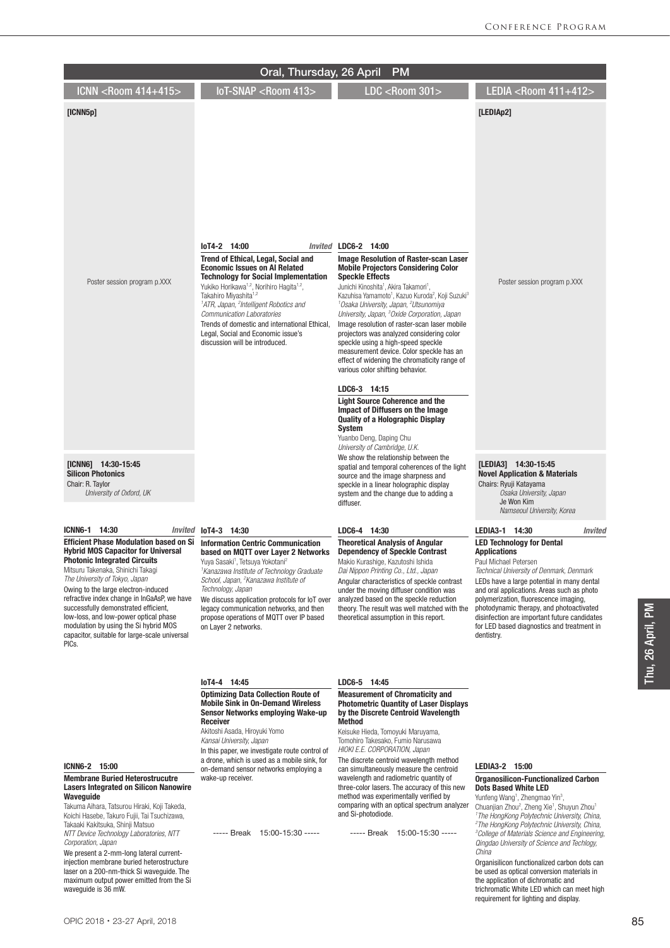|                                                                                                                                                                                                                                                                                                                                                                                                                                                                                    | Oral, Thursday, 26 April                                                                                                                                                                                                                                                                                                                                                                                                                                                             | <b>PM</b>                                                                                                                                                                                                                                                                                                                                                                                                                                                                                                                                                                                                                                                                                                                                                                                                                                                                                                                           |                                                                                                                                                                                                                                                                                                                                                                                                                           |
|------------------------------------------------------------------------------------------------------------------------------------------------------------------------------------------------------------------------------------------------------------------------------------------------------------------------------------------------------------------------------------------------------------------------------------------------------------------------------------|--------------------------------------------------------------------------------------------------------------------------------------------------------------------------------------------------------------------------------------------------------------------------------------------------------------------------------------------------------------------------------------------------------------------------------------------------------------------------------------|-------------------------------------------------------------------------------------------------------------------------------------------------------------------------------------------------------------------------------------------------------------------------------------------------------------------------------------------------------------------------------------------------------------------------------------------------------------------------------------------------------------------------------------------------------------------------------------------------------------------------------------------------------------------------------------------------------------------------------------------------------------------------------------------------------------------------------------------------------------------------------------------------------------------------------------|---------------------------------------------------------------------------------------------------------------------------------------------------------------------------------------------------------------------------------------------------------------------------------------------------------------------------------------------------------------------------------------------------------------------------|
| ICNN <room 414+415=""></room>                                                                                                                                                                                                                                                                                                                                                                                                                                                      | IoT-SNAP <room 413=""></room>                                                                                                                                                                                                                                                                                                                                                                                                                                                        | <b>LDC <room 301=""></room></b>                                                                                                                                                                                                                                                                                                                                                                                                                                                                                                                                                                                                                                                                                                                                                                                                                                                                                                     | LEDIA <room 411+412=""></room>                                                                                                                                                                                                                                                                                                                                                                                            |
| [ICNN5p]                                                                                                                                                                                                                                                                                                                                                                                                                                                                           |                                                                                                                                                                                                                                                                                                                                                                                                                                                                                      |                                                                                                                                                                                                                                                                                                                                                                                                                                                                                                                                                                                                                                                                                                                                                                                                                                                                                                                                     | [LEDIAp2]                                                                                                                                                                                                                                                                                                                                                                                                                 |
| Poster session program p.XXX                                                                                                                                                                                                                                                                                                                                                                                                                                                       | loT4-2 14:00<br><b>Trend of Ethical, Legal, Social and</b><br><b>Economic Issues on AI Related</b><br><b>Technology for Social Implementation</b><br>Yukiko Horikawa <sup>1,2</sup> , Norihiro Hagita <sup>1,2</sup> ,<br>Takahiro Miyashita <sup>1,2</sup><br><sup>1</sup> ATR, Japan, <sup>2</sup> Intelligent Robotics and<br>Communication Laboratories<br>Trends of domestic and international Ethical,<br>Legal, Social and Economic issue's<br>discussion will be introduced. | Invited LDC6-2 14:00<br><b>Image Resolution of Raster-scan Laser</b><br><b>Mobile Projectors Considering Color</b><br><b>Speckle Effects</b><br>Junichi Kinoshita <sup>1</sup> , Akira Takamori <sup>1</sup> ,<br>Kazuhisa Yamamoto <sup>1</sup> , Kazuo Kuroda <sup>2</sup> , Koji Suzuki <sup>3</sup><br><sup>1</sup> Osaka University, Japan, <sup>2</sup> Utsunomiya<br>University, Japan, <sup>3</sup> Oxide Corporation, Japan<br>Image resolution of raster-scan laser mobile<br>projectors was analyzed considering color<br>speckle using a high-speed speckle<br>measurement device. Color speckle has an<br>effect of widening the chromaticity range of<br>various color shifting behavior.<br>LDC6-3 14:15<br><b>Light Source Coherence and the</b><br><b>Impact of Diffusers on the Image</b><br><b>Quality of a Holographic Display</b><br><b>System</b><br>Yuanbo Deng, Daping Chu<br>University of Cambridge, U.K. | Poster session program p.XXX                                                                                                                                                                                                                                                                                                                                                                                              |
| [ICNN6] 14:30-15:45<br><b>Silicon Photonics</b><br>Chair: R. Taylor<br>University of Oxford, UK                                                                                                                                                                                                                                                                                                                                                                                    |                                                                                                                                                                                                                                                                                                                                                                                                                                                                                      | We show the relationship between the<br>spatial and temporal coherences of the light<br>source and the image sharpness and<br>speckle in a linear holographic display<br>system and the change due to adding a<br>diffuser.                                                                                                                                                                                                                                                                                                                                                                                                                                                                                                                                                                                                                                                                                                         | [LEDIA3] 14:30-15:45<br><b>Novel Application &amp; Materials</b><br>Chairs: Ryuji Katayama<br>Osaka University, Japan<br>Je Won Kim<br>Namseoul University, Korea                                                                                                                                                                                                                                                         |
| ICNN6-1 14:30<br>Invited                                                                                                                                                                                                                                                                                                                                                                                                                                                           | loT4-3 14:30                                                                                                                                                                                                                                                                                                                                                                                                                                                                         | LDC6-4 14:30                                                                                                                                                                                                                                                                                                                                                                                                                                                                                                                                                                                                                                                                                                                                                                                                                                                                                                                        | LEDIA3-1 14:30<br>Invited                                                                                                                                                                                                                                                                                                                                                                                                 |
| <b>Efficient Phase Modulation based on Si</b><br><b>Hybrid MOS Capacitor for Universal</b><br><b>Photonic Integrated Circuits</b><br>Mitsuru Takenaka, Shinichi Takagi<br>The University of Tokyo, Japan<br>Owing to the large electron-induced<br>refractive index change in InGaAsP, we have<br>successfully demonstrated efficient,<br>low-loss, and low-power optical phase<br>modulation by using the Si hybrid MOS<br>capacitor, suitable for large-scale universal<br>PICs. | <b>Information Centric Communication</b><br>based on MQTT over Layer 2 Networks<br>Yuya Sasaki <sup>1</sup> , Tetsuya Yokotani <sup>2</sup><br>'Kanazawa Institute of Technology Graduate<br>School, Japan, <sup>2</sup> Kanazawa Institute of<br>Technology, Japan<br>We discuss application protocols for loT over<br>legacy communication networks, and then<br>propose operations of MQTT over IP based<br>on Layer 2 networks.                                                  | <b>Theoretical Analysis of Angular</b><br><b>Dependency of Speckle Contrast</b><br>Makio Kurashige, Kazutoshi Ishida<br>Dai Nippon Printing Co., Ltd., Japan<br>Angular characteristics of speckle contrast<br>under the moving diffuser condition was<br>analyzed based on the speckle reduction<br>theory. The result was well matched with the<br>theoretical assumption in this report.                                                                                                                                                                                                                                                                                                                                                                                                                                                                                                                                         | <b>LED Technology for Dental</b><br><b>Applications</b><br>Paul Michael Petersen<br>Technical University of Denmark, Denmark<br>LEDs have a large potential in many dental<br>and oral applications. Areas such as photo<br>polymerization, fluorescence imaging,<br>photodynamic therapy, and photoactivated<br>disinfection are important future candidates<br>for LED based diagnostics and treatment in<br>dentistry. |
|                                                                                                                                                                                                                                                                                                                                                                                                                                                                                    | loT4-4 14:45                                                                                                                                                                                                                                                                                                                                                                                                                                                                         | LDC6-5 14:45                                                                                                                                                                                                                                                                                                                                                                                                                                                                                                                                                                                                                                                                                                                                                                                                                                                                                                                        |                                                                                                                                                                                                                                                                                                                                                                                                                           |
|                                                                                                                                                                                                                                                                                                                                                                                                                                                                                    | <b>Optimizing Data Collection Route of</b><br><b>Mobile Sink in On-Demand Wireless</b><br><b>Sensor Networks employing Wake-up</b><br>Receiver<br>Akitoshi Asada, Hiroyuki Yomo<br>Kansai University, Japan<br>In this paper, we investigate route control of<br>a drone, which is used as a mobile sink, for                                                                                                                                                                        | <b>Measurement of Chromaticity and</b><br><b>Photometric Quantity of Laser Displays</b><br>by the Discrete Centroid Wavelength<br>Method<br>Keisuke Hieda, Tomoyuki Maruyama,<br>Tomohiro Takesako, Fumio Narusawa<br>HIOKI E.E. CORPORATION, Japan<br>The discrete centroid wavelength method                                                                                                                                                                                                                                                                                                                                                                                                                                                                                                                                                                                                                                      |                                                                                                                                                                                                                                                                                                                                                                                                                           |
| ICNN6-2 15:00                                                                                                                                                                                                                                                                                                                                                                                                                                                                      | on-demand sensor networks employing a                                                                                                                                                                                                                                                                                                                                                                                                                                                | can simultaneously measure the centroid                                                                                                                                                                                                                                                                                                                                                                                                                                                                                                                                                                                                                                                                                                                                                                                                                                                                                             | LEDIA3-2 15:00                                                                                                                                                                                                                                                                                                                                                                                                            |

#### Membrane Buried Heterostrucutre Lasers Integrated on Silicon Nanowire **Wavequide**

on-demand sensor networks employing a

----- Break 15:00-15:30 -----

wake-up receiver.

Takuma Aihara, Tatsurou Hiraki, Koji Takeda, Koichi Hasebe, Takuro Fujii, Tai Tsuchizawa, Takaaki Kakitsuka, Shinji Matsuo *NTT Device Technology Laboratories, NTT Corporation, Japan*

We present a 2-mm-long lateral currentinjection membrane buried heterostructure laser on a 200-nm-thick Si waveguide. The maximum output power emitted from the Si waveguide is 36 mW.

The discrete centroid wavelength method can simultaneously measure the centroid wavelength and radiometric quantity of three-color lasers. The accuracy of this new method was experimentally verified by comparing with an optical spectrum analyzer and Si-photodiode.

----- Break 15:00-15:30 -----

### LEDIA3-2 15:00

#### Organosilicon-Functionalized Carbon Dots Based White LED

Yunfeng Wang<sup>1</sup>, Zhengmao Yin<sup>3</sup>,<br>Chuanjian Zhou<sup>2</sup>, Zheng Xie<sup>1</sup>, Shuyun Zhou<sup>1</sup><br><sup>1</sup>The HongKong Polytechnic University, China, *2 The HongKong Polytechnic University, China, 3 College of Materials Science and Engineering, Qingdao University of Science and Techlogy, China*

Organisilicon functionalized carbon dots can be used as optical conversion materials in the application of dichromatic and trichromatic White LED which can meet high requirement for lighting and display.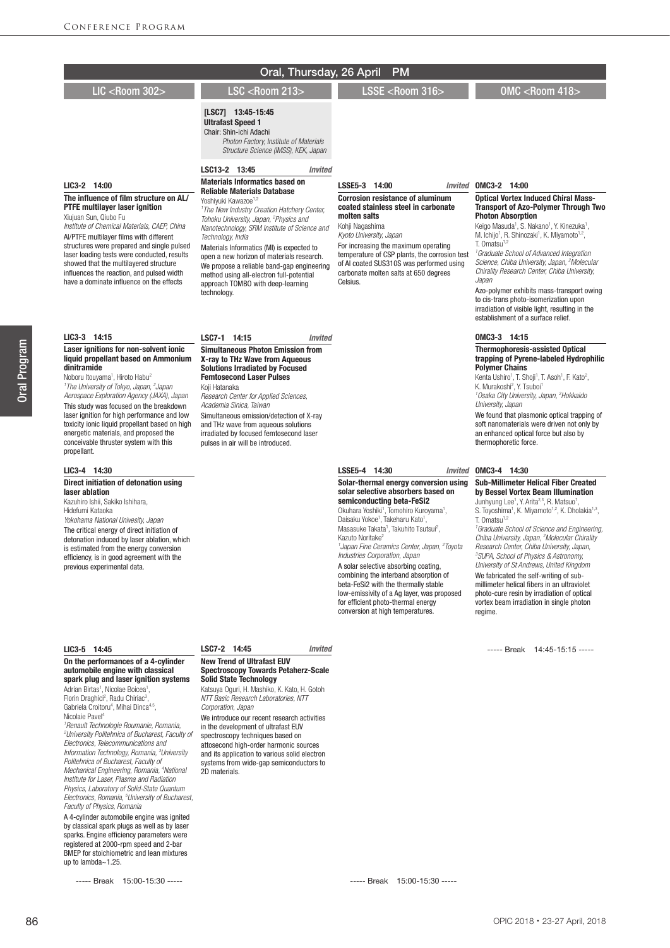|                                                                                                                                                                                                                                                                                                                                                                                                                                                                                                                                                                                        | Oral, Thursday, 26 April                                                                                                                                                                                                                                                                                                                                                                                                                                                                                                                                                  | <b>PM</b>                                                                                                                                                                                                                                                                                                                                                                                                                                                                                                                                                                                                                                                                               |                                                                                                                                                                                                                                                                                                                                                                                                                                                                                                                                                                                                                                                                                                                                                      |
|----------------------------------------------------------------------------------------------------------------------------------------------------------------------------------------------------------------------------------------------------------------------------------------------------------------------------------------------------------------------------------------------------------------------------------------------------------------------------------------------------------------------------------------------------------------------------------------|---------------------------------------------------------------------------------------------------------------------------------------------------------------------------------------------------------------------------------------------------------------------------------------------------------------------------------------------------------------------------------------------------------------------------------------------------------------------------------------------------------------------------------------------------------------------------|-----------------------------------------------------------------------------------------------------------------------------------------------------------------------------------------------------------------------------------------------------------------------------------------------------------------------------------------------------------------------------------------------------------------------------------------------------------------------------------------------------------------------------------------------------------------------------------------------------------------------------------------------------------------------------------------|------------------------------------------------------------------------------------------------------------------------------------------------------------------------------------------------------------------------------------------------------------------------------------------------------------------------------------------------------------------------------------------------------------------------------------------------------------------------------------------------------------------------------------------------------------------------------------------------------------------------------------------------------------------------------------------------------------------------------------------------------|
| <b>LIC <room 302=""></room></b>                                                                                                                                                                                                                                                                                                                                                                                                                                                                                                                                                        | <b>LSC <room 213=""></room></b>                                                                                                                                                                                                                                                                                                                                                                                                                                                                                                                                           | LSSE <room 316=""></room>                                                                                                                                                                                                                                                                                                                                                                                                                                                                                                                                                                                                                                                               | OMC <room 418=""></room>                                                                                                                                                                                                                                                                                                                                                                                                                                                                                                                                                                                                                                                                                                                             |
|                                                                                                                                                                                                                                                                                                                                                                                                                                                                                                                                                                                        | [LSC7] 13:45-15:45<br><b>Ultrafast Speed 1</b><br>Chair: Shin-ichi Adachi<br>Photon Factory, Institute of Materials<br>Structure Science (IMSS), KEK, Japan                                                                                                                                                                                                                                                                                                                                                                                                               |                                                                                                                                                                                                                                                                                                                                                                                                                                                                                                                                                                                                                                                                                         |                                                                                                                                                                                                                                                                                                                                                                                                                                                                                                                                                                                                                                                                                                                                                      |
| LIC3-2 14:00<br>The influence of film structure on AL/<br><b>PTFE multilayer laser ignition</b><br>Xiujuan Sun, Qiubo Fu<br>Institute of Chemical Materials, CAEP, China<br>Al/PTFE multilayer films with different<br>structures were prepared and single pulsed<br>laser loading tests were conducted, results<br>showed that the multilayered structure<br>influences the reaction, and pulsed width<br>have a dominate influence on the effects                                                                                                                                    | LSC13-2 13:45<br>Invited<br><b>Materials Informatics based on</b><br><b>Reliable Materials Database</b><br>Yoshiyuki Kawazoe <sup>1,2</sup><br><sup>1</sup> The New Industry Creation Hatchery Center,<br>Tohoku University, Japan, <sup>2</sup> Physics and<br>Nanotechnology, SRM Institute of Science and<br>Technology, India<br>Materials Informatics (MI) is expected to<br>open a new horizon of materials research.<br>We propose a reliable band-gap engineering<br>method using all-electron full-potential<br>approach TOMBO with deep-learning<br>technology. | LSSE5-3 14:00<br><b>Corrosion resistance of aluminum</b><br>coated stainless steel in carbonate<br>molten salts<br>Kohji Nagashima<br>Kyoto University, Japan<br>For increasing the maximum operating<br>temperature of CSP plants, the corrosion test<br>of AI coated SUS310S was performed using<br>carbonate molten salts at 650 degrees<br>Celsius.                                                                                                                                                                                                                                                                                                                                 | Invited OMC3-2 14:00<br><b>Optical Vortex Induced Chiral Mass-</b><br><b>Transport of Azo-Polymer Through Two</b><br><b>Photon Absorption</b><br>Keigo Masuda <sup>1</sup> , S. Nakano <sup>1</sup> , Y. Kinezuka <sup>1</sup> ,<br>M. Ichijo <sup>1</sup> , R. Shinozaki <sup>1</sup> , K. Miyamoto <sup>1,2</sup> ,<br>T. Omatsu <sup>1,2</sup><br><sup>1</sup> Graduate School of Advanced Integration<br>Science, Chiba University, Japan, <sup>2</sup> Molecular<br>Chirality Research Center, Chiba University,<br>Japan<br>Azo-polymer exhibits mass-transport owing<br>to cis-trans photo-isomerization upon<br>irradiation of visible light, resulting in the<br>establishment of a surface relief.                                         |
| LIC3-3 14:15                                                                                                                                                                                                                                                                                                                                                                                                                                                                                                                                                                           | LSC7-1 14:15<br><b>Invited</b>                                                                                                                                                                                                                                                                                                                                                                                                                                                                                                                                            |                                                                                                                                                                                                                                                                                                                                                                                                                                                                                                                                                                                                                                                                                         | OMC3-3 14:15                                                                                                                                                                                                                                                                                                                                                                                                                                                                                                                                                                                                                                                                                                                                         |
| Laser ignitions for non-solvent ionic<br>liquid propellant based on Ammonium<br>dinitramide<br>Noboru Itouyama <sup>1</sup> , Hiroto Habu <sup>2</sup><br><sup>1</sup> The University of Tokyo, Japan, <sup>2</sup> Japan<br>Aerospace Exploration Agency (JAXA), Japan<br>This study was focused on the breakdown<br>laser ignition for high performance and low<br>toxicity ionic liquid propellant based on high<br>energetic materials, and proposed the<br>conceivable thruster system with this<br>propellant.                                                                   | <b>Simultaneous Photon Emission from</b><br>X-ray to THz Wave from Aqueous<br><b>Solutions Irradiated by Focused</b><br><b>Femtosecond Laser Pulses</b><br>Koji Hatanaka<br>Research Center for Applied Sciences,<br>Academia Sinica, Taiwan<br>Simultaneous emission/detection of X-ray<br>and THz wave from aqueous solutions<br>irradiated by focused femtosecond laser<br>pulses in air will be introduced.                                                                                                                                                           |                                                                                                                                                                                                                                                                                                                                                                                                                                                                                                                                                                                                                                                                                         | <b>Thermophoresis-assisted Optical</b><br>trapping of Pyrene-labeled Hydrophilic<br><b>Polymer Chains</b><br>Kenta Ushiro <sup>1</sup> , T. Shoji <sup>1</sup> , T. Asoh <sup>1</sup> , F. Kato <sup>2</sup> ,<br>K. Murakoshi <sup>2</sup> , Y. Tsuboi <sup>1</sup><br><sup>1</sup> Osaka City University, Japan, <sup>2</sup> Hokkaido<br>University, Japan<br>We found that plasmonic optical trapping of<br>soft nanomaterials were driven not only by<br>an enhanced optical force but also by<br>thermophoretic force.                                                                                                                                                                                                                         |
| LIC3-4 14:30                                                                                                                                                                                                                                                                                                                                                                                                                                                                                                                                                                           |                                                                                                                                                                                                                                                                                                                                                                                                                                                                                                                                                                           | LSSE5-4 14:30                                                                                                                                                                                                                                                                                                                                                                                                                                                                                                                                                                                                                                                                           | Invited OMC3-4 14:30                                                                                                                                                                                                                                                                                                                                                                                                                                                                                                                                                                                                                                                                                                                                 |
| Direct initiation of detonation using<br>laser ablation<br>Kazuhiro Ishii, Sakiko Ishihara,<br>Hidefumi Kataoka<br>Yokohama National Univesity, Japan<br>The critical energy of direct initiation of<br>detonation induced by laser ablation, which<br>is estimated from the energy conversion<br>efficiency, is in good agreement with the<br>previous experimental data.                                                                                                                                                                                                             |                                                                                                                                                                                                                                                                                                                                                                                                                                                                                                                                                                           | Solar-thermal energy conversion using<br>solar selective absorbers based on<br>semiconducting beta-FeSi2<br>Okuhara Yoshiki <sup>1</sup> , Tomohiro Kuroyama <sup>1</sup> ,<br>Daisaku Yokoe <sup>1</sup> , Takeharu Kato <sup>1</sup> ,<br>Masasuke Takata <sup>1</sup> , Takuhito Tsutsui <sup>2</sup> ,<br>Kazuto Noritake <sup>2</sup><br>'Japan Fine Ceramics Center, Japan, <sup>2</sup> Toyota<br>Industries Corporation, Japan<br>A solar selective absorbing coating,<br>combining the interband absorption of<br>beta-FeSi2 with the thermally stable<br>low-emissivity of a Ag layer, was proposed<br>for efficient photo-thermal energy<br>conversion at high temperatures. | <b>Sub-Millimeter Helical Fiber Created</b><br>by Bessel Vortex Beam Illumination<br>Junhyung Lee <sup>1</sup> , Y. Arita <sup>2,3</sup> , R. Matsuo <sup>1</sup> ,<br>S. Toyoshima <sup>1</sup> , K. Miyamoto <sup>1,2</sup> , K. Dholakia <sup>1,3</sup> ,<br>T. Omatsu $1,2$<br><sup>1</sup> Graduate School of Science and Engineering,<br>Chiba University, Japan, <sup>2</sup> Molecular Chirality<br>Research Center, Chiba University, Japan,<br><sup>3</sup> SUPA, School of Physics & Astronomy,<br>University of St Andrews, United Kingdom<br>We fabricated the self-writing of sub-<br>millimeter helical fibers in an ultraviolet<br>photo-cure resin by irradiation of optical<br>vortex beam irradiation in single photon<br>regime. |
|                                                                                                                                                                                                                                                                                                                                                                                                                                                                                                                                                                                        |                                                                                                                                                                                                                                                                                                                                                                                                                                                                                                                                                                           |                                                                                                                                                                                                                                                                                                                                                                                                                                                                                                                                                                                                                                                                                         |                                                                                                                                                                                                                                                                                                                                                                                                                                                                                                                                                                                                                                                                                                                                                      |
| LIC3-5 14:45<br>On the performances of a 4-cylinder<br>automobile engine with classical<br>spark plug and laser ignition systems<br>Adrian Birtas <sup>1</sup> , Nicolae Boicea <sup>1</sup> ,<br>Florin Draghici <sup>2</sup> , Radu Chiriac <sup>3</sup> ,<br>Gabriela Croitoru <sup>4</sup> , Mihai Dinca <sup>4,5</sup> ,<br>Nicolaie Pavel <sup>4</sup><br><sup>1</sup> Renault Technologie Roumanie, Romania,<br><sup>2</sup> University Politehnica of Bucharest, Faculty of<br>Electronics, Telecommunications and<br>Information Technology, Romania, <sup>3</sup> University | LSC7-2 14:45<br><b>Invited</b><br><b>New Trend of Ultrafast EUV</b><br><b>Spectroscopy Towards Petaherz-Scale</b><br><b>Solid State Technology</b><br>Katsuya Oguri, H. Mashiko, K. Kato, H. Gotoh<br>NTT Basic Research Laboratories, NTT<br>Corporation, Japan<br>We introduce our recent research activities<br>in the development of ultrafast EUV<br>spectroscopy techniques based on<br>attosecond high-order harmonic sources<br>and its application to various solid electron                                                                                     |                                                                                                                                                                                                                                                                                                                                                                                                                                                                                                                                                                                                                                                                                         | ----- Break 14:45-15:15 -----                                                                                                                                                                                                                                                                                                                                                                                                                                                                                                                                                                                                                                                                                                                        |

systems from wide-gap semiconductors to

2D materials.

86

*Politehnica of Bucharest, Faculty of Mechanical Engineering, Romania, 4 National Institute for Laser, Plasma and Radiation Physics, Laboratory of Solid-State Quantum Electronics, Romania, 5 University of Bucharest,* 

A 4-cylinder automobile engine was ignited by classical spark plugs as well as by laser sparks. Engine efficiency parameters were registered at 2000-rpm speed and 2-bar BMEP for stoichiometric and lean mixtures

----- Break 15:00-15:30 -----

*Faculty of Physics, Romania*

up to lambda~1.25.

----- Break 15:00-15:30 -----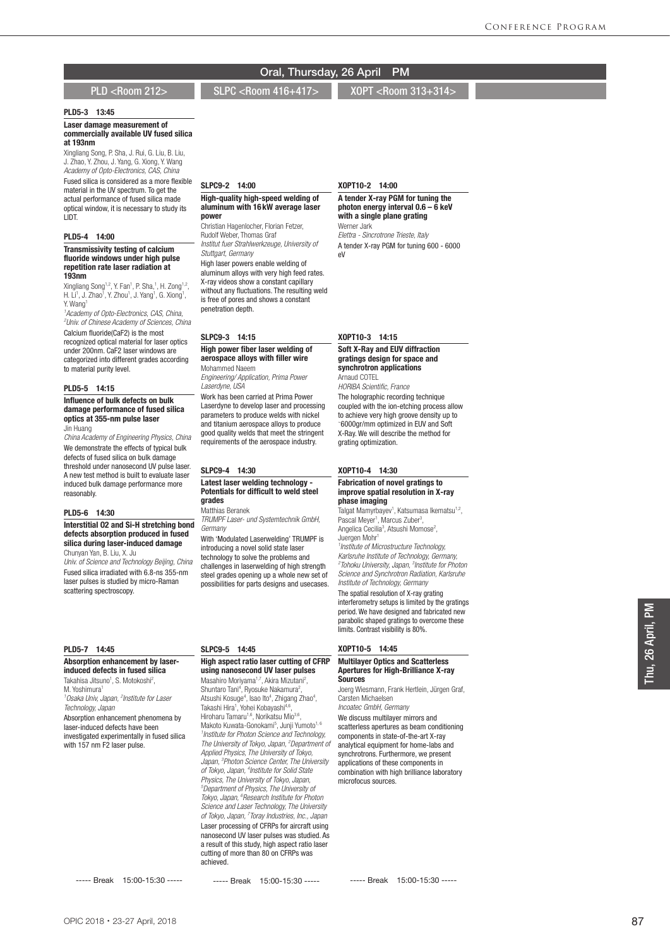PLD <Room 212> SLPC <Room 416+417> XOPT <Room 313+314

## PLD5-3 13:45

Laser damage measurement of commercially available UV fused silica at 193nm

Xingliang Song, P. Sha, J. Rui, G. Liu, B. Liu, J. Zhao, Y. Zhou, J. Yang, G. Xiong, Y. Wang *Academy of Opto-Electronics, CAS, China* Fused silica is considered as a more flexible material in the UV spectrum. To get the actual performance of fused silica made optical window, it is necessary to study its LIDT.

SLPC9-2 14:00

*Stuttgart, Germany*

penetration depth.

SLPC9-3 14:15

Mohammed Naeem

SLPC9-4 14:30

SLPC9-5 14:45

achieved.

grades Matthias Beranek

*Laserdyne, USA*

power

High-quality high-speed welding of aluminum with 16 kW average laser

*Institut fuer Strahlwerkzeuge, University of* 

High laser powers enable welding of aluminum alloys with very high feed rates. X-ray videos show a constant capillary without any fluctuations. The resulting weld is free of pores and shows a constant

High power fiber laser welding of aerospace alloys with filler wire

*Engineering/ Application, Prima Power* 

Work has been carried at Prima Power Laserdyne to develop laser and processing parameters to produce welds with nickel and titanium aerospace alloys to produce good quality welds that meet the stringent requirements of the aerospace industry.

Latest laser welding technology - Potentials for difficult to weld steel

challenges in laserwelding of high strength steel grades opening up a whole new set of possibilities for parts designs and usecases.

High aspect ratio laser cutting of CFRP using nanosecond UV laser pulses Masahiro Moriyama<sup>1,7</sup>, Akira Mizutani<sup>2</sup>, Shuntaro Tani<sup>4</sup>, Ryosuke Nakamura<sup>2</sup>

Atsushi Kosuge<sup>4</sup>, Isao Ito<sup>4</sup>, Zhigang Zhao<sup>4</sup>, Takashi Hira<sup>1</sup>, Yohei Kobayashi<sup>4,6</sup>, Hiroharu Tamaru<sup>1,6</sup>, Norikatsu Mio<sup>3,6</sup> Makoto Kuwata-Gonokami<sup>5</sup>, Junji Yumoto<sup>1, 6</sup> *1 Institute for Photon Science and Technology, The University of Tokyo, Japan, 2 Department of Applied Physics, The University of Tokyo, Japan, 3 Photon Science Center, The University of Tokyo, Japan, 4 Institute for Solid State Physics, The University of Tokyo, Japan, Department of Physics, The University of Tokyo, Japan, 6 Research Institute for Photon Science and Laser Technology, The University of Tokyo, Japan, 7 Toray Industries, Inc., Japan* Laser processing of CFRPs for aircraft using nanosecond UV laser pulses was studied. As a result of this study, high aspect ratio laser cutting of more than 80 on CFRPs was

,

Christian Hagenlocher, Florian Fetzer, Rudolf Weber, Thomas Graf

## PLD5-4 14:00

#### Transmissivity testing of calcium fluoride windows under high pulse repetition rate laser radiation at 193nm

Xingliang Song<sup>1,2</sup>, Y. Fan<sup>1</sup>, P. Sha,<sup>1</sup>, H. Zong<sup>1,2</sup>, H. Li<sup>1</sup>, J. Zhao<sup>1</sup>, Y. Zhou<sup>1</sup>, J. Yang<sup>1</sup>, G. Xiong<sup>1</sup>, Y. Wang 1

*1 Academy of Opto-Electronics, CAS, China, 2 Univ. of Chinese Academy of Sciences, China*

Calcium fluoride(CaF2) is the most recognized optical material for laser optics under 200nm. CaF2 laser windows are categorized into different grades according to material purity level.

#### PLD5-5 14:15

#### Influence of bulk defects on bulk damage performance of fused silica optics at 355-nm pulse laser Jin Huang

*China Academy of Engineering Physics, China* We demonstrate the effects of typical bulk defects of fused silica on bulk damage threshold under nanosecond UV pulse laser. A new test method is built to evaluate laser induced bulk damage performance more reasonably.

## PLD5-6 14:30

*TRUMPF Laser- und Systemtechnik GmbH, Germany* With 'Modulated Laserwelding' TRUMPF is introducing a novel solid state laser technology to solve the problems and Interstitial O2 and Si-H stretching bond defects absorption produced in fused silica during laser-induced damage Chunyan Yan, B. Liu, X. Ju

*Univ. of Science and Technology Beijing, China* Fused silica irradiated with 6.8-ns 355-nm laser pulses is studied by micro-Raman scattering spectroscopy.

#### PLD5-7 14:45

#### Absorption enhancement by laserinduced defects in fused silica

Takahisa Jitsuno<sup>1</sup>, S. Motokoshi<sup>2</sup>, M. Yoshimura<sup>1</sup>

*1 Osaka Univ, Japan, 2 Institute for Laser Technology, Japan* Absorption enhancement phenomena by laser-induced defects have been investigated experimentally in fused silica with 157 nm F2 laser pulse.

----- Break 15:00-15:30 -----

XOPT10-2 14:00

A tender X-ray PGM for tuning the photon energy interval  $0.6 - 6$  keV with a single plane grating Werner Jark *Elettra - Sincrotrone Trieste, Italy* A tender X-ray PGM for tuning 600 - 6000 eV

#### XOPT10-3 14:15

#### Soft X-Ray and EUV diffraction gratings design for space and synchrotron applications Arnaud COTEL

*HORIBA Scientific, France* The holographic recording technique coupled with the ion-etching process allow to achieve very high groove density up to  $\approx 6000$  gr/m optimized in EUV and Soft 6000gr/mm optimized in EUV and Soft X-Ray. We will describe the method for grating optimization.

## XOPT10-4 14:30

#### Fabrication of novel gratings to improve spatial resolution in X-ray phase imaging

Talgat Mamyrbayev<sup>1</sup>, Katsumasa Ikematsu<sup>1,2</sup>, Pascal Meyer<sup>1</sup>, Marcus Zuber<sup>3</sup>, Angelica Cecilia<sup>3</sup>, Atsushi Momose<sup>2</sup>, Juergen Mohr 1 *1 Institute of Microstructure Technology, Karlsruhe Institute of Technology, Germany, 2 Tohoku University, Japan, 3 Institute for Photon Science and Synchrotron Radiation, Karlsruhe Institute of Technology, Germany* The spatial resolution of X-ray grating interferometry setups is limited by the gratings period. We have designed and fabricated new parabolic shaped gratings to overcome these limits. Contrast visibility is 80%.

#### XOPT10-5 14:45

#### Multilayer Optics and Scatterless Apertures for High-Brilliance X-ray **Sources**

Joerg Wiesmann, Frank Hertlein, Jürgen Graf, Carsten Michaelsen

*Incoatec GmbH, Germany* We discuss multilayer mirrors and scatterless apertures as beam conditioning components in state-of-the-art X-ray analytical equipment for home-labs and synchrotrons. Furthermore, we present applications of these components in combination with high brilliance laboratory microfocus sources.

----- Break 15:00-15:30 -----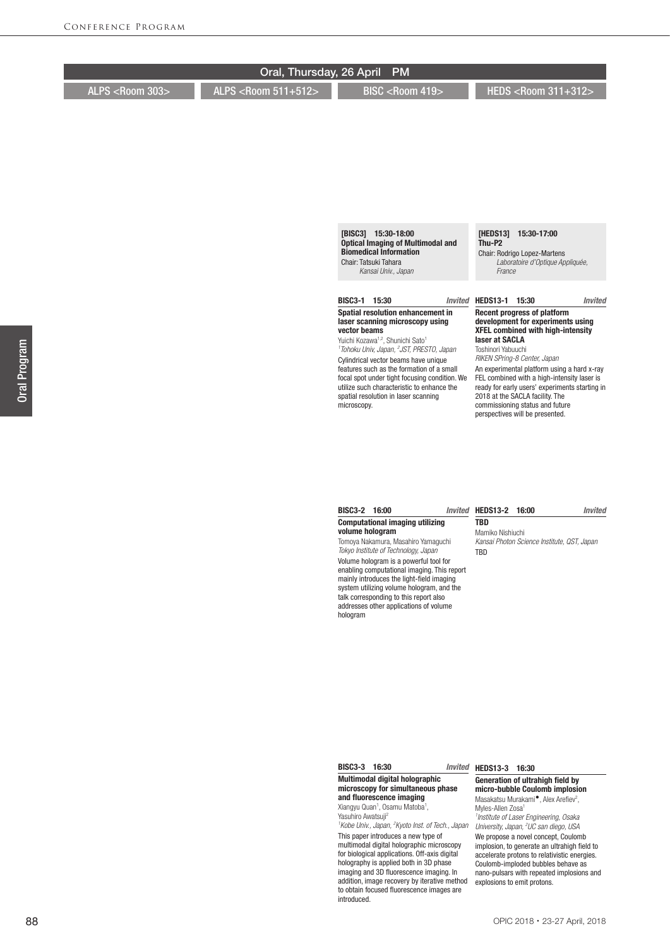| Oral, Thursday, 26 April PM |                               |                           |                               |  |
|-----------------------------|-------------------------------|---------------------------|-------------------------------|--|
| ALPS <room 303=""></room>   | ALPS <r00m 511+512=""></r00m> | BISC <room 419=""></room> | HEDS <room 311+312=""></room> |  |
|                             |                               |                           |                               |  |
|                             |                               |                           |                               |  |
|                             |                               |                           |                               |  |
|                             |                               |                           |                               |  |
|                             |                               |                           |                               |  |
|                             |                               |                           |                               |  |
|                             |                               |                           |                               |  |
|                             |                               | [BISC3] 15:30-18:00       | [HEDS13]<br>15:30-17:00       |  |

## Optical Imaging of Multimodal and Biomedical Information Chair: Tatsuki Tahara  *Kansai Univ., Japan*

## BISC3-1 15:30

### Spatial resolution enhancement in laser scanning microscopy using vector beams

Yuichi Kozawa<sup>1,2</sup>, Shunichi Sato<sup>1</sup> *1 Tohoku Univ, Japan, 2 JST, PRESTO, Japan* Cylindrical vector beams have unique features such as the formation of a small focal spot under tight focusing condition. We utilize such characteristic to enhance the spatial resolution in laser scanning microscopy.

## Thu-P2

Chair: Rodrigo Lopez-Martens  *Laboratoire d'Optique Appliquée, France*

## HEDS13-1 15:30 *Invited*

#### Recent progress of platform development for experiments using XFEL combined with high-intensity laser at SACLA

Toshinori Yabuuchi *RIKEN SPring-8 Center, Japan*

An experimental platform using a hard x-ray FEL combined with a high-intensity laser is ready for early users' experiments starting in 2018 at the SACLA facility. The commissioning status and future perspectives will be presented.

#### BISC3-2 16:00 Computational imaging utilizing volume hologram

Tomoya Nakamura, Masahiro Yamaguchi *Tokyo Institute of Technology, Japan*

Volume hologram is a powerful tool for enabling computational imaging. This report mainly introduces the light-field imaging system utilizing volume hologram, and the talk corresponding to this report also addresses other applications of volume hologram

#### HEDS13-2 16:00 *Invited*

**TBD** Mamiko Nishiuchi *Kansai Photon Science Institute, QST, Japan* TBD

### BISC3-3 16:30

Multimodal digital holographic microscopy for simultaneous phase and fluorescence imaging Xiangyu Quan<sup>1</sup>, Osamu Matoba<sup>1</sup>,

Yasuhiro Awatsuji2 <sup>1</sup> Kobe Univ., Japan, <sup>2</sup> Kyoto Inst. of Tech., Japar

This paper introduces a new type of multimodal digital holographic microscopy for biological applications. Off-axis digital holography is applied both in 3D phase imaging and 3D fluorescence imaging. In addition, image recovery by iterative method to obtain focused fluorescence images are introduced.

## Invited HEDS13-3 16:30

#### Generation of ultrahigh field by micro-bubble Coulomb implosion Masakatsu Murakami<sup>●</sup>, Alex Arefiev<sup>2</sup>, Myles-Allen Zosa<sup>1</sup>

*1 Institute of Laser Engineering, Osaka University, Japan, 2 UC san diego, USA* We propose a novel concept, Coulomb implosion, to generate an ultrahigh field to accelerate protons to relativistic energies. Coulomb-imploded bubbles behave as nano-pulsars with repeated implosions and explosions to emit protons.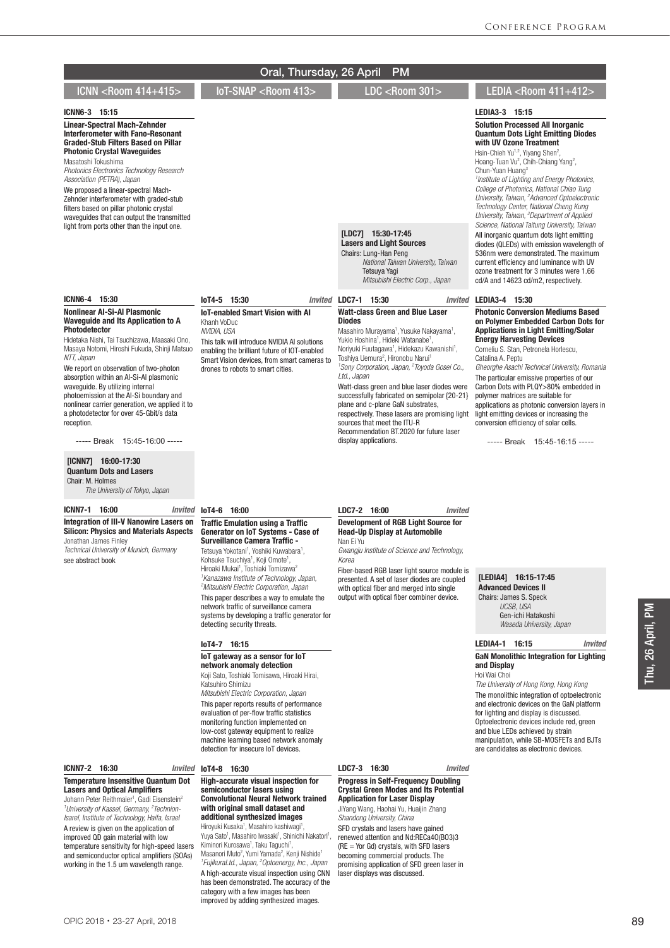|                                                                                                                                                                                                                                                                                                                                                                                                                                                                                                                                                                                                                                                                        | Oral, Thursday, 26 April                                                                                                                                                                                                                                                                                                                                                                                                                                                                                                                                                                                     | <b>PM</b>                                                                                                                                                                                                                                                                                                                                                                                                                                                                                                                                                                                                                                                                                                                                        |                                                                                                                                                                                                                                                                                                                                                                                                                                                                                                                                                                                                                                                                                                                                                                                                                                                                                          |
|------------------------------------------------------------------------------------------------------------------------------------------------------------------------------------------------------------------------------------------------------------------------------------------------------------------------------------------------------------------------------------------------------------------------------------------------------------------------------------------------------------------------------------------------------------------------------------------------------------------------------------------------------------------------|--------------------------------------------------------------------------------------------------------------------------------------------------------------------------------------------------------------------------------------------------------------------------------------------------------------------------------------------------------------------------------------------------------------------------------------------------------------------------------------------------------------------------------------------------------------------------------------------------------------|--------------------------------------------------------------------------------------------------------------------------------------------------------------------------------------------------------------------------------------------------------------------------------------------------------------------------------------------------------------------------------------------------------------------------------------------------------------------------------------------------------------------------------------------------------------------------------------------------------------------------------------------------------------------------------------------------------------------------------------------------|------------------------------------------------------------------------------------------------------------------------------------------------------------------------------------------------------------------------------------------------------------------------------------------------------------------------------------------------------------------------------------------------------------------------------------------------------------------------------------------------------------------------------------------------------------------------------------------------------------------------------------------------------------------------------------------------------------------------------------------------------------------------------------------------------------------------------------------------------------------------------------------|
| ICNN <room 414+415=""></room>                                                                                                                                                                                                                                                                                                                                                                                                                                                                                                                                                                                                                                          | IoT-SNAP <room 413=""></room>                                                                                                                                                                                                                                                                                                                                                                                                                                                                                                                                                                                | LDC <room 301=""></room>                                                                                                                                                                                                                                                                                                                                                                                                                                                                                                                                                                                                                                                                                                                         | LEDIA <room 411+412=""></room>                                                                                                                                                                                                                                                                                                                                                                                                                                                                                                                                                                                                                                                                                                                                                                                                                                                           |
| ICNN6-3 15:15<br><b>Linear-Spectral Mach-Zehnder</b><br>Interferometer with Fano-Resonant<br><b>Graded-Stub Filters Based on Pillar</b><br><b>Photonic Crystal Wavequides</b><br>Masatoshi Tokushima<br>Photonics Electronics Technology Research<br>Association (PETRA), Japan<br>We proposed a linear-spectral Mach-<br>Zehnder interferometer with graded-stub<br>filters based on pillar photonic crystal<br>waveguides that can output the transmitted<br>light from ports other than the input one.                                                                                                                                                              |                                                                                                                                                                                                                                                                                                                                                                                                                                                                                                                                                                                                              | [LDC7] 15:30-17:45<br><b>Lasers and Light Sources</b><br>Chairs: Lung-Han Peng<br>National Taiwan University, Taiwan<br>Tetsuya Yagi<br>Mitsubishi Electric Corp., Japan                                                                                                                                                                                                                                                                                                                                                                                                                                                                                                                                                                         | LEDIA3-3 15:15<br><b>Solution Processed All Inorganic</b><br><b>Quantum Dots Light Emitting Diodes</b><br>with UV Ozone Treatment<br>Hsin-Chieh Yu <sup>1,2</sup> , Yiyang Shen <sup>2</sup> ,<br>Hoang-Tuan Vu <sup>2</sup> , Chih-Chiang Yang <sup>2</sup> ,<br>Chun-Yuan Huang <sup>3</sup><br><sup>1</sup> Institute of Lighting and Energy Photonics,<br>College of Photonics, National Chiao Tung<br>University, Taiwan, <sup>2</sup> Advanced Optoelectronic<br>Technology Center, National Cheng Kung<br>University, Taiwan, <sup>3</sup> Department of Applied<br>Science, National Taitung University, Taiwan<br>All inorganic quantum dots light emitting<br>diodes (QLEDs) with emission wavelength of<br>536nm were demonstrated. The maximum<br>current efficiency and luminance with UV<br>ozone treatment for 3 minutes were 1.66<br>cd/A and 14623 cd/m2, respectively. |
| ICNN6-4 15:30<br><b>Nonlinear AI-Si-AI Plasmonic</b><br><b>Waveguide and Its Application to A</b><br><b>Photodetector</b><br>Hidetaka Nishi, Tai Tsuchizawa, Maasaki Ono,<br>Masaya Notomi, Hiroshi Fukuda, Shinji Matsuo<br>NTT, Japan<br>We report on observation of two-photon<br>absorption within an Al-Si-Al plasmonic<br>waveguide. By utilizing internal<br>photoemission at the AI-Si boundary and<br>nonlinear carrier generation, we applied it to<br>a photodetector for over 45-Gbit/s data<br>reception.<br>----- Break 15:45-16:00 -----<br>[ICNN7] 16:00-17:30<br><b>Quantum Dots and Lasers</b><br>Chair: M. Holmes<br>The University of Tokyo, Japan | loT4-5 15:30<br><b>IoT-enabled Smart Vision with AI</b><br>Khanh VoDuc<br>NVIDIA, USA<br>This talk will introduce NVIDIA AI solutions<br>enabling the brilliant future of IOT-enabled<br>Smart Vision devices, from smart cameras to<br>drones to robots to smart cities.                                                                                                                                                                                                                                                                                                                                    | Invited LDC7-1 15:30<br>Invited<br><b>Watt-class Green and Blue Laser</b><br><b>Diodes</b><br>Masahiro Murayama <sup>1</sup> , Yusuke Nakayama <sup>1</sup> ,<br>Yukio Hoshina <sup>1</sup> , Hideki Watanabe <sup>1</sup> ,<br>Noriyuki Fuutagawa <sup>1</sup> , Hidekazu Kawanishi <sup>1</sup> ,<br>Toshiya Uemura <sup>2</sup> , Hironobu Narui <sup>1</sup><br><sup>1</sup> Sony Corporation, Japan, <sup>2</sup> Toyoda Gosei Co.,<br>Ltd., Japan<br>Watt-class green and blue laser diodes were<br>successfully fabricated on semipolar {20-21}<br>plane and c-plane GaN substrates,<br>respectively. These lasers are promising light<br>sources that meet the ITU-R<br>Recommendation BT.2020 for future laser<br>display applications. | LEDIA3-4 15:30<br><b>Photonic Conversion Mediums Based</b><br>on Polymer Embedded Carbon Dots for<br><b>Applications in Light Emitting/Solar</b><br><b>Energy Harvesting Devices</b><br>Corneliu S. Stan, Petronela Horlescu,<br>Catalina A. Peptu<br>Gheorghe Asachi Technical University, Romania<br>The particular emissive properties of our<br>Carbon Dots with PLQY>80% embedded in<br>polymer matrices are suitable for<br>applications as photonic conversion layers in<br>light emitting devices or increasing the<br>conversion efficiency of solar cells.<br>----- Break 15:45-16:15 -----                                                                                                                                                                                                                                                                                    |
| ICNN7-1 16:00<br>Invited                                                                                                                                                                                                                                                                                                                                                                                                                                                                                                                                                                                                                                               | loT4-6 16:00                                                                                                                                                                                                                                                                                                                                                                                                                                                                                                                                                                                                 | LDC7-2 16:00<br><b>Invited</b>                                                                                                                                                                                                                                                                                                                                                                                                                                                                                                                                                                                                                                                                                                                   |                                                                                                                                                                                                                                                                                                                                                                                                                                                                                                                                                                                                                                                                                                                                                                                                                                                                                          |
| Integration of III-V Nanowire Lasers on<br><b>Silicon: Physics and Materials Aspects</b><br>Jonathan James Finley<br>Technical University of Munich, Germany<br>see abstract book                                                                                                                                                                                                                                                                                                                                                                                                                                                                                      | <b>Traffic Emulation using a Traffic</b><br>Generator on IoT Systems - Case of<br><b>Surveillance Camera Traffic -</b><br>Tetsuva Yokotani <sup>1</sup> . Yoshiki Kuwabara <sup>1</sup> .<br>Kohsuke Tsuchiya <sup>1</sup> , Koji Omote <sup>1</sup> ,<br>Hiroaki Mukai <sup>1</sup> . Toshiaki Tomizawa <sup>2</sup><br><sup>1</sup> Kanazawa Institute of Technology, Japan,<br><sup>2</sup> Mitsubishi Electric Corporation, Japan<br>This paper describes a way to emulate the<br>network traffic of surveillance camera<br>systems by developing a traffic generator for<br>detecting security threats. | Development of RGB Light Source for<br><b>Head-Up Display at Automobile</b><br>Nan Ei Yu<br>Gwangju Institute of Science and Technology,<br>Korea<br>Fiber-based RGB laser light source module is<br>presented. A set of laser diodes are coupled<br>with optical fiber and merged into single<br>output with optical fiber combiner device.                                                                                                                                                                                                                                                                                                                                                                                                     | [LEDIA4] 16:15-17:45<br><b>Advanced Devices II</b><br>Chairs: James S. Speck<br>UCSB, USA<br>Gen-ichi Hatakoshi<br>Waseda University, Japan                                                                                                                                                                                                                                                                                                                                                                                                                                                                                                                                                                                                                                                                                                                                              |
|                                                                                                                                                                                                                                                                                                                                                                                                                                                                                                                                                                                                                                                                        | lot4-7 16:15<br>loT gateway as a sensor for loT<br>network anomaly detection<br>Koji Sato, Toshiaki Tomisawa, Hiroaki Hirai,<br>Katsuhiro Shimizu<br>Mitsubishi Electric Corporation, Japan<br>This paper reports results of performance<br>evaluation of per-flow traffic statistics<br>monitoring function implemented on<br>low-cost gateway equipment to realize<br>machine learning based network anomaly<br>detection for insecure IoT devices.                                                                                                                                                        |                                                                                                                                                                                                                                                                                                                                                                                                                                                                                                                                                                                                                                                                                                                                                  | LEDIA4-1 16:15<br><b>Invited</b><br><b>GaN Monolithic Integration for Lighting</b><br>and Display<br>Hoi Wai Choi<br>The University of Hong Kong, Hong Kong<br>The monolithic integration of optoelectronic<br>and electronic devices on the GaN platform<br>for lighting and display is discussed.<br>Optoelectronic devices include red, green<br>and blue LEDs achieved by strain<br>manipulation, while SB-MOSFETs and BJTs<br>are candidates as electronic devices.                                                                                                                                                                                                                                                                                                                                                                                                                 |
| ICNN7-2 16:30<br><i><b>Invited</b></i><br><b>Temperature Insensitive Quantum Dot</b><br><b>Lasers and Optical Amplifiers</b><br>Johann Peter Reithmaier <sup>1</sup> , Gadi Eisenstein <sup>2</sup><br><sup>1</sup> University of Kassel, Germany, <sup>2</sup> Technion-<br>Isarel, Institute of Technology, Haifa, Israel<br>A review is given on the application of<br>improved QD gain material with low<br>temperature sensitivity for high-speed lasers<br>and semiconductor optical amplifiers (SOAs)<br>working in the 1.5 um wavelength range.                                                                                                                | loT4-8 16:30<br>High-accurate visual inspection for<br>semiconductor lasers using<br><b>Convolutional Neural Network trained</b><br>with original small dataset and<br>additional synthesized images<br>Hiroyuki Kusaka <sup>1</sup> , Masahiro kashiwagi <sup>1</sup> ,<br>Yuya Sato <sup>1</sup> , Masahiro Iwasaki <sup>1</sup> , Shinichi Nakatori <sup>1</sup> ,<br>Kiminori Kurosawa <sup>1</sup> , Taku Taguchi <sup>1</sup> ,<br>Masanori Muto <sup>2</sup> , Yumi Yamada <sup>2</sup> , Kenji Nishide <sup>1</sup><br><sup>1</sup> FujikuraLtd., Japan, <sup>2</sup> Optoenergy, Inc., Japan        | LDC7-3 16:30<br>Invited<br><b>Progress in Self-Frequency Doubling</b><br><b>Crystal Green Modes and Its Potential</b><br><b>Application for Laser Display</b><br>JiYang Wang, Haohai Yu, Huaijin Zhang<br>Shandong University, China<br>SFD crystals and lasers have gained<br>renewed attention and Nd:RECa40(B03)3<br>$(RE = Yor Gd)$ crystals, with SFD lasers<br>becoming commercial products. The<br>promising application of SFD green laser in                                                                                                                                                                                                                                                                                            |                                                                                                                                                                                                                                                                                                                                                                                                                                                                                                                                                                                                                                                                                                                                                                                                                                                                                          |

becoming commercial products. The promising application of SFD green laser in laser displays was discussed.

A high-accurate visual inspection using CNN has been demonstrated. The accuracy of the category with a few images has been improved by adding synthesized images.

OPIC 2018・23-27 April, 2018

and semiconductor optical amplifiers (SOAs) working in the 1.5 um wavelength range.

Thu, 26 April, PM

Thu, 26 April, PM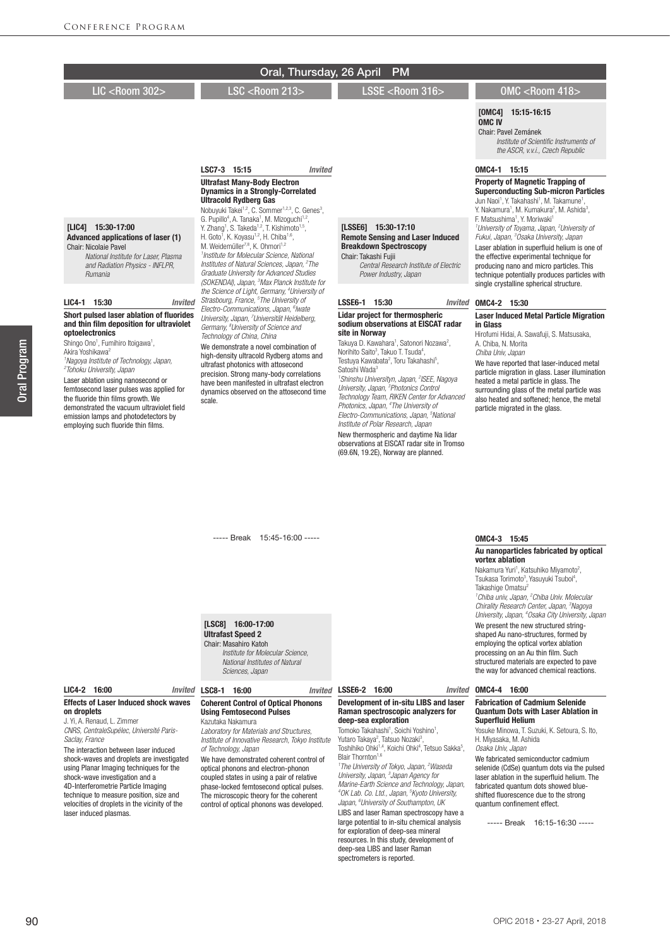|                                                                                                                                                                                                                                                                                                                                                                                                                                                                                                                    | Oral, Thursday, 26 April                                                                                                                                                                                                                                                                                                                                                                                                                                                                                                                     | <b>PM</b>                                                                                                                                                                                                                                                                                                                                                                                                                                                                                                                                                                                                             |                                                                                                                                                                                                                                                                                                                                                                                                                              |
|--------------------------------------------------------------------------------------------------------------------------------------------------------------------------------------------------------------------------------------------------------------------------------------------------------------------------------------------------------------------------------------------------------------------------------------------------------------------------------------------------------------------|----------------------------------------------------------------------------------------------------------------------------------------------------------------------------------------------------------------------------------------------------------------------------------------------------------------------------------------------------------------------------------------------------------------------------------------------------------------------------------------------------------------------------------------------|-----------------------------------------------------------------------------------------------------------------------------------------------------------------------------------------------------------------------------------------------------------------------------------------------------------------------------------------------------------------------------------------------------------------------------------------------------------------------------------------------------------------------------------------------------------------------------------------------------------------------|------------------------------------------------------------------------------------------------------------------------------------------------------------------------------------------------------------------------------------------------------------------------------------------------------------------------------------------------------------------------------------------------------------------------------|
| LIC <room 302=""></room>                                                                                                                                                                                                                                                                                                                                                                                                                                                                                           | <b>LSC <room 213=""></room></b>                                                                                                                                                                                                                                                                                                                                                                                                                                                                                                              | LSSE <room 316=""></room>                                                                                                                                                                                                                                                                                                                                                                                                                                                                                                                                                                                             | <b>OMC <room 418=""></room></b>                                                                                                                                                                                                                                                                                                                                                                                              |
|                                                                                                                                                                                                                                                                                                                                                                                                                                                                                                                    |                                                                                                                                                                                                                                                                                                                                                                                                                                                                                                                                              |                                                                                                                                                                                                                                                                                                                                                                                                                                                                                                                                                                                                                       | <b>[OMC4]</b><br>15:15-16:15<br><b>OMC<sub>IV</sub></b><br>Chair: Pavel Zemánek<br>Institute of Scientific Instruments of<br>the ASCR, v.v.i., Czech Republic                                                                                                                                                                                                                                                                |
|                                                                                                                                                                                                                                                                                                                                                                                                                                                                                                                    | LSC7-3 15:15<br><b>Invited</b>                                                                                                                                                                                                                                                                                                                                                                                                                                                                                                               |                                                                                                                                                                                                                                                                                                                                                                                                                                                                                                                                                                                                                       | OMC4-1 15:15                                                                                                                                                                                                                                                                                                                                                                                                                 |
|                                                                                                                                                                                                                                                                                                                                                                                                                                                                                                                    | <b>Ultrafast Many-Body Electron</b><br><b>Dynamics in a Strongly-Correlated</b><br><b>Ultracold Rydberg Gas</b><br>Nobuyuki Takei <sup>1,2</sup> , C. Sommer <sup>1,2,3</sup> , C. Genes <sup>3</sup> ,                                                                                                                                                                                                                                                                                                                                      |                                                                                                                                                                                                                                                                                                                                                                                                                                                                                                                                                                                                                       | Property of Magnetic Trapping of<br><b>Superconducting Sub-micron Particles</b><br>Jun Naoi <sup>1</sup> , Y. Takahashi <sup>1</sup> , M. Takamune <sup>1</sup> ,<br>Y. Nakamura <sup>1</sup> , M. Kumakura <sup>2</sup> , M. Ashida <sup>3</sup> ,                                                                                                                                                                          |
| [LIC4] 15:30-17:00<br>Advanced applications of laser (1)<br><b>Chair: Nicolaie Pavel</b><br>National Institute for Laser. Plasma<br>and Radiation Physics - INFLPR,<br><b>Rumania</b>                                                                                                                                                                                                                                                                                                                              | G. Pupillo <sup>4</sup> , A. Tanaka <sup>1</sup> , M. Mizoquchi <sup>1,2</sup> ,<br>Y. Zhang <sup>1</sup> , S. Takeda <sup>1,2</sup> , T. Kishimoto <sup>1,5</sup> ,<br>H. Goto <sup>1</sup> , K. Koyasu <sup>1,2</sup> , H. Chiba <sup>1,6</sup> ,<br>M. Weidemüller <sup>7,8</sup> , K. Ohmori <sup>1,2</sup><br><sup>1</sup> Institute for Molecular Science, National<br>Institutes of Natural Sciences, Japan, <sup>2</sup> The<br>Graduate University for Advanced Studies<br>(SOKENDAI), Japan, <sup>3</sup> Max Planck Institute for | [LSSE6] 15:30-17:10<br><b>Remote Sensing and Laser Induced</b><br><b>Breakdown Spectroscopy</b><br>Chair: Takashi Fuiii<br>Central Research Institute of Electric<br>Power Industry, Japan                                                                                                                                                                                                                                                                                                                                                                                                                            | F. Matsushima <sup>1</sup> . Y. Moriwaki <sup>1</sup><br><sup>1</sup> University of Toyama, Japan, <sup>2</sup> University of<br>Fukui, Japan, <sup>3</sup> Osaka University, Japan<br>Laser ablation in superfluid helium is one of<br>the effective experimental technique for<br>producing nano and micro particles. This<br>technique potentially produces particles with<br>single crystalline spherical structure.     |
| 15:30<br><b>LIC4-1</b><br><b>Invited</b>                                                                                                                                                                                                                                                                                                                                                                                                                                                                           | the Science of Light, Germany, <sup>4</sup> University of<br>Strasbourg, France, <sup>5</sup> The University of                                                                                                                                                                                                                                                                                                                                                                                                                              | LSSE6-1 15:30<br><b>Invited</b>                                                                                                                                                                                                                                                                                                                                                                                                                                                                                                                                                                                       | OMC4-2 15:30                                                                                                                                                                                                                                                                                                                                                                                                                 |
| Short pulsed laser ablation of fluorides<br>and thin film deposition for ultraviolet<br>optoelectronics<br>Shingo Ono <sup>1</sup> , Fumihiro Itoigawa <sup>1</sup> ,<br>Akira Yoshikawa <sup>2</sup><br><sup>1</sup> Nagoya Institute of Technology, Japan,<br><sup>2</sup> Tohoku University, Japan<br>Laser ablation using nanosecond or<br>femtosecond laser pulses was applied for<br>the fluoride thin films arowth. We<br>demonstrated the vacuum ultraviolet field<br>emission lamps and photodetectors by | Electro-Communications, Japan, <sup>6</sup> lwate<br>University, Japan, <sup>7</sup> Universität Heidelberg,<br>Germany, <sup>8</sup> University of Science and<br>Technology of China, China<br>We demonstrate a novel combination of<br>high-density ultracold Rydberg atoms and<br>ultrafast photonics with attosecond<br>precision. Strong many-body correlations<br>have been manifested in ultrafast electron<br>dynamics observed on the attosecond time<br>scale.                                                                    | <b>Lidar project for thermospheric</b><br>sodium observations at EISCAT radar<br>site in Norway<br>Takuya D. Kawahara <sup>1</sup> , Satonori Nozawa <sup>2</sup> ,<br>Norihito Saito <sup>3</sup> , Takuo T. Tsuda <sup>4</sup> ,<br>Testuya Kawabata <sup>2</sup> , Toru Takahashi <sup>5</sup> ,<br>Satoshi Wada <sup>3</sup><br><sup>1</sup> Shinshu Universityn, Japan, <sup>2</sup> ISEE, Nagoya<br>University, Japan, <sup>3</sup> Photonics Control<br>Technology Team, RIKEN Center for Advanced<br>Photonics, Japan, <sup>4</sup> The University of<br>Electro-Communications, Japan, <sup>5</sup> National | <b>Laser Induced Metal Particle Migration</b><br>in Glass<br>Hirofumi Hidai, A. Sawafuji, S. Matsusaka,<br>A. Chiba, N. Morita<br>Chiba Univ, Japan<br>We have reported that laser-induced metal<br>particle migration in glass. Laser illumination<br>heated a metal particle in glass. The<br>surrounding glass of the metal particle was<br>also heated and softened; hence, the metal<br>particle migrated in the glass. |

## ----- Break 15:45-16:00 -----

[LSC8] 16:00-17:00

## Ultrafast Speed 2

Chair: Masahiro Katoh  *Institute for Molecular Science, National Institutes of Natural Sciences, Japan*

#### LIC4-2 16:00 Effects of Laser Induced shock waves on droplets

employing such fluoride thin films.

J. Yi, A. Renaud, L. Zimmer *CNRS, CentraleSupélec, Université Paris-Saclay, France*

The interaction between laser induced shock-waves and droplets are investigated using Planar Imaging techniques for the shock-wave investigation and a 4D-Interferometrie Particle Imaging technique to measure position, size and velocities of droplets in the vicinity of the laser induced plasmas.

## LSC8-1 16:00 *Invited*

### Coherent Control of Optical Phonons Using Femtosecond Pulses

Kazutaka Nakamura *Laboratory for Materials and Structures, Institute of Innovative Research, Tokyo Institute of Technology, Japan* We have demonstrated coherent control of optical phonons and electron-phonon coupled states in using a pair of relative phase-locked femtosecond optical pulses. The microscopic theory for the coherent control of optical phonons was developed.

#### LSSE6-2 16:00 *Invited*

*Institute of Polar Research, Japan* New thermospheric and daytime Na lidar observations at EISCAT radar site in Tromso (69.6N, 19.2E), Norway are planned.

#### Development of in-situ LIBS and laser Raman spectroscopic analyzers for deep-sea exploration

Tomoko Takahashi<sup>1</sup>, Soichi Yoshino<sup>1</sup> Tomoko Takahashi<sup>1</sup>, Soichi Yoshino<sup>1</sup>,<br>Yutaro Takaya<sup>2</sup>, Tatsuo Nozaki<sup>3</sup>,<br>Toshihiko Ohki<sup>1,4</sup>, Koichi Ohki<sup>4</sup>, Tetsuo Sakka<sup>5</sup>,<br>Blair Thornton<sup>1,6</sup>

*1 The University of Tokyo, Japan, 2 Waseda University, Japan, 3 Japan Agency for Marine-Earth Science and Technology, Japan, 4 OK Lab. Co. Ltd., Japan, 5 Kyoto University, Japan, 6 University of Southampton, UK* LIBS and laser Raman spectroscopy have a large potential to in-situ chemical analysis for exploration of deep-sea mineral resources. In this study, development of deep-sea LIBS and laser Raman spectrometers is reported.

## OMC4-3 15:45

### Au nanoparticles fabricated by optical vortex ablation

Nakamura Yuri<sup>1</sup>, Katsuhiko Miyamoto<sup>2</sup>,<br>Tsukasa Torimoto<sup>3</sup>, Yasuyuki Tsuboi<sup>4</sup>, Takashige Omatsu<sup>2</sup> *1 Chiba univ, Japan, 2 Chiba Univ. Molecular Chirality Research Center, Japan, 3 Nagoya University, Japan, 4 Osaka City University, Japan* We present the new structured stringshaped Au nano-structures, formed by employing the optical vortex ablation processing on an Au thin film. Such structured materials are expected to pave the way for advanced chemical reactions.

## OMC4-4 16:00

#### Fabrication of Cadmium Selenide Quantum Dots with Laser Ablation in Superfluid Helium

Yosuke Minowa, T. Suzuki, K. Setoura, S. Ito, H. Miyasaka, M. Ashida *Osaka Univ, Japan*

We fabricated semiconductor cadmium selenide (CdSe) quantum dots via the pulsed laser ablation in the superfluid helium. The fabricated quantum dots showed blueshifted fluorescence due to the strong quantum confinement effect.

----- Break 16:15-16:30 -----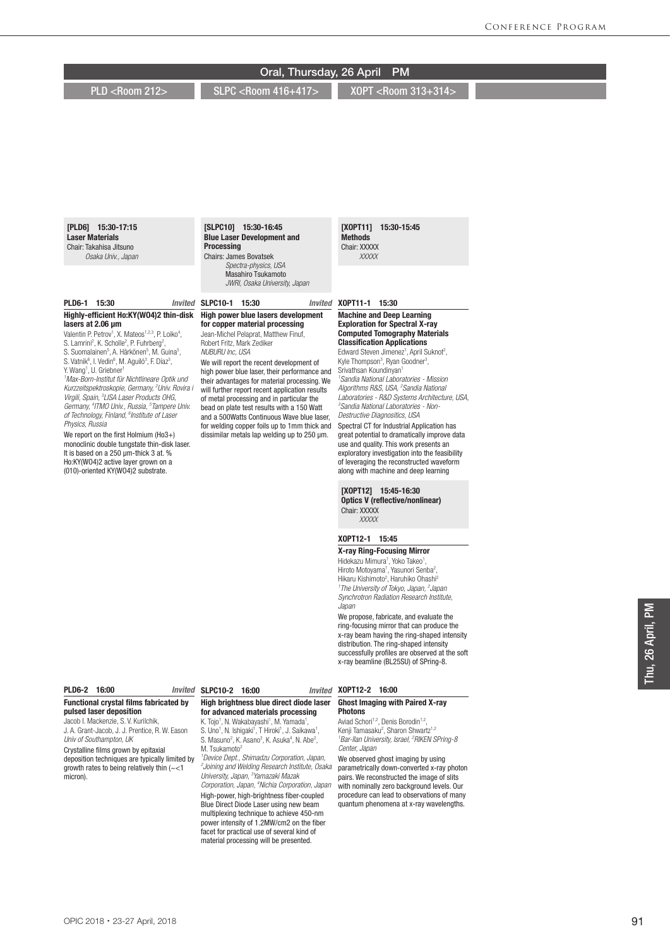## [XOPT11] 15:30-15:45 **Methods** Chair: XXXXX  *XXXXX* [SLPC10] 15:30-16:45 Blue Laser Development and Processing Chairs: James Bovatsek *Spectra-physics, USA* Masahiro Tsukamoto *JWRI, Osaka University, Japan* SLPC10-1 15:30 *Invited* [PLD6] 15:30-17:15 Laser Materials Chair: Takahisa Jitsuno *Osaka Univ., Japan* PLD6-1 15:30 *Invited* Oral, Thursday, 26 April PM PLD <Room 212> SLPC <Room 416+417> XOPT <Room 313+314

## Highly-efficient Ho:KY(WO4)2 thin-disk lasers at 2.06 μm

Valentin P. Petrov<sup>1</sup>, X. Mateos<sup>1,2,3</sup>, P. Loiko<sup>4</sup>, S. Lamrini<sup>2</sup>, K. Scholle<sup>2</sup>, P. Fuhrberg<sup>2</sup>, S. Suomalainen<sup>5</sup>, A. Härkönen<sup>5</sup>, M. Guina<sup>5</sup>,<br>S. Vatnik<sup>6</sup>, I. Vedin<sup>6</sup>, M. Aguiló<sup>3</sup>, F. Díaz<sup>3</sup>, Y. Wang<sup>1</sup>, U. Griebner<sup>1</sup>

*1 Max-Born-Institut für Nichtlineare Optik und Kurzzeitspektroskopie, Germany, 2 Univ. Rovira i Virgili, Spain, 3 LISA Laser Products OHG, Germany, 4 ITMO Univ., Russia, 5 Tampere Univ. of Technology, Finland, 6 Institute of Laser Physics, Russia*

We report on the first Holmium (Ho3+) monoclinic double tungstate thin-disk laser. It is based on a 250 μm-thick 3 at. % Ho:KY(WO4)2 active layer grown on a (010)-oriented KY(WO4)2 substrate.

High power blue lasers development for copper material processing Jean-Michel Pelaprat, Matthew Finuf, Robert Fritz, Mark Zediker *NUBURU Inc, USA* We will report the recent development of high power blue laser, their performance and

their advantages for material processing. We will further report recent application results of metal processing and in particular the bead on plate test results with a 150 Watt and a 500Watts Continuous Wave blue laser, for welding copper foils up to 1mm thick and dissimilar metals lap welding up to 250 µm.

#### XOPT11-1 15:30

#### Machine and Deep Learning Exploration for Spectral X-ray Computed Tomography Materials Classification Applications

Edward Steven Jimenez<sup>1</sup>, April Suknot<sup>2</sup>, Kyle Thompson<sup>3</sup>, Ryan Goodner<sup>3</sup>, Srivathsan Koundinyan<sup>1</sup> *1 Sandia National Laboratories - Mission Algorithms R&S, USA, 2 Sandia National Laboratories - R&D Systems Architecture, USA, 3 Sandia National Laboratories - Non-Destructive Diagnositics, USA*

Spectral CT for Industrial Application has great potential to dramatically improve data use and quality. This work presents an exploratory investigation into the feasibility of leveraging the reconstructed waveform along with machine and deep learning

[XOPT12] 15:45-16:30 Optics V (reflective/nonlinear) Chair: XXXXX  *XXXXX*

#### XOPT12-1 15:45

X-ray Ring-Focusing Mirror Hidekazu Mimura<sup>1</sup>, Yoko Takeo<sup>1</sup>, Hiroto Motoyama<sup>1</sup>, Yasunori Senba<sup>2</sup>,<br>Hikaru Kishimoto<sup>2</sup>, Haruhiko Ohashi<sup>2</sup> *1 The University of Tokyo, Japan, 2 Japan Synchrotron Radiation Research Institute, Japan*

We propose, fabricate, and evaluate the ring-focusing mirror that can produce the x-ray beam having the ring-shaped intensity distribution. The ring-shaped intensity successfully profiles are observed at the soft x-ray beamline (BL25SU) of SPring-8.

## PLD6-2 16:00

#### Functional crystal films fabricated by pulsed laser deposition

Jacob I. Mackenzie, S. V. Kurilchik, J. A. Grant-Jacob, J. J. Prentice, R. W. Eason *Univ of Southampton, UK*

Crystalline films grown by epitaxial deposition techniques are typically limited by growth rates to being relatively thin  $(\sim1$ micron).

## SLPC10-2 16:00 *Invited*

## High brightness blue direct diode laser for advanced materials processing

K. Tojo<sup>1</sup>, N. Wakabayashi<sup>1</sup>, M. Yamada<sup>1</sup>,<br>S. Uno<sup>1</sup>, N. Ishigaki<sup>1</sup>, T Hiroki<sup>1</sup>, J. Saikawa<sup>1</sup>, S. Masuno<sup>2</sup>, K. Asano<sup>3</sup>, K. Asuka<sup>4</sup>, N. Abe<sup>2</sup>, M. Tsukamoto<sup>2</sup>

*1 Device Dept., Shimadzu Corporation, Japan, 2 Joining and Welding Research Institute, Osaka University, Japan, 3 Yamazaki Mazak Corporation, Japan, 4 Nichia Corporation, Japan* High-power, high-brightness fiber-coupled Blue Direct Diode Laser using new beam multiplexing technique to achieve 450-nm power intensity of 1.2MW/cm2 on the fiber facet for practical use of several kind of material processing will be presented.

#### XOPT12-2 16:00

#### Ghost Imaging with Paired X-ray Photons

Aviad Schori<sup>1,2</sup>, Denis Borodin<sup>1,2</sup> Kenji Tamasaku<sup>2</sup>, Sharon Shwartz<sup>1,2</sup> *1 Bar-Ilan University, Israel, 2 RIKEN SPring-8 Center, Japan*

We observed ghost imaging by using parametrically down-converted x-ray photon pairs. We reconstructed the image of slits with nominally zero background levels. Our procedure can lead to observations of many quantum phenomena at x-ray wavelengths.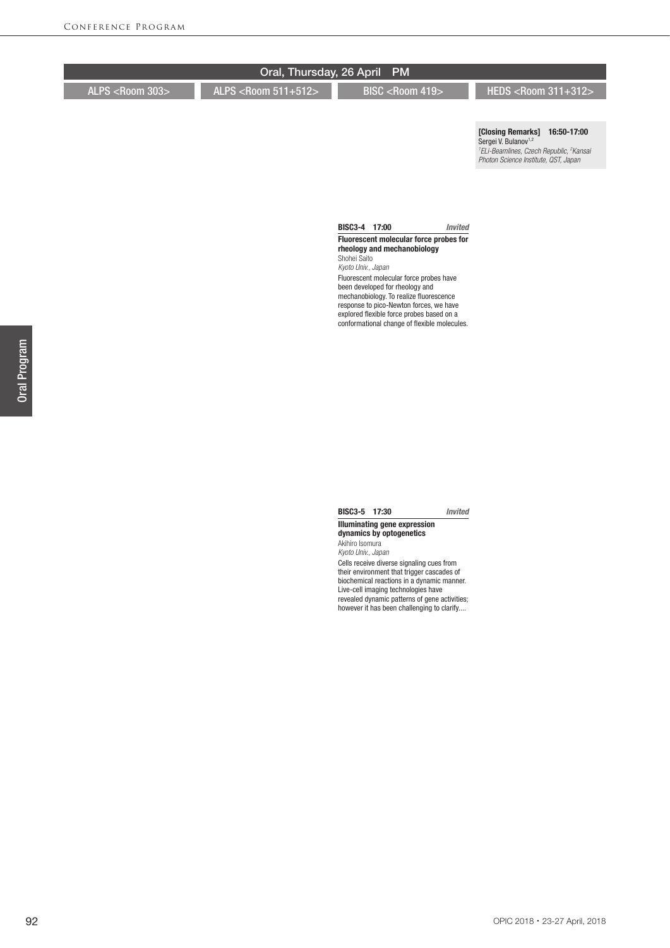[Closing Remarks] 16:50-17:00 Sergei V. Bulanov<sup>1,2</sup> *1 ELi-Beamlines, Czech Republic, 2 Kansai Photon Science Institute, QST, Japan*

#### BISC3-4 17:00 *Invited* Fluorescent molecular force probes for rheology and mechanobiology Shohei Saito

*Kyoto Univ., Japan* Fluorescent molecular force probes have been developed for rheology and mechanobiology. To realize fluorescence response to pico-Newton forces, we have explored flexible force probes based on a conformational change of flexible molecules.

## BISC3-5 17:30 *Invited*

#### Illuminating gene expression dynamics by optogenetics Akihiro Isomura

*Kyoto Univ., Japan* Cells receive diverse signaling cues from their environment that trigger cascades of biochemical reactions in a dynamic manner. Live-cell imaging technologies have revealed dynamic patterns of gene activities; however it has been challenging to clarify....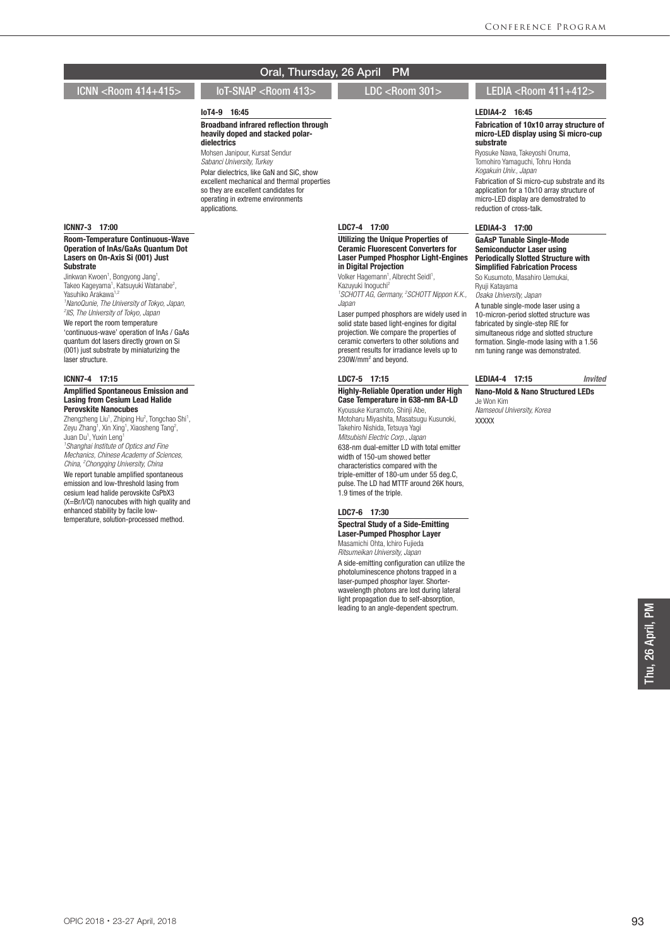## IoT4-9 16:45

Broadband infrared reflection through heavily doped and stacked polardielectrics

Mohsen Janipour, Kursat Sendur *Sabanci University, Turkey* Polar dielectrics, like GaN and SiC, show excellent mechanical and thermal properties so they are excellent candidates for operating in extreme environments applications.

## ICNN7-3 17:00

Room-Temperature Continuous-Wave Operation of InAs/GaAs Quantum Dot Lasers on On-Axis Si (001) Just Substrate

Jinkwan Kwoen<sup>1</sup>, Bongyong Jang<sup>1</sup>, Takeo Kageyama<sup>1</sup>, Katsuyuki Watanabe<sup>2</sup>,<br>Yasuhiko Arakawa<sup>1,2</sup> *1 NanoQunie, The University of Tokyo, Japan, 2 IIS, The University of Tokyo, Japan* We report the room temperature

'continuous-wave' operation of InAs / GaAs quantum dot lasers directly grown on Si (001) just substrate by miniaturizing the laser structure.

#### ICNN7-4 17:15

#### Amplified Spontaneous Emission and Lasing from Cesium Lead Halide Perovskite Nanocubes

Zhengzheng Liu<sup>1</sup>, Zhiping Hu<sup>2</sup>, Tongchao Shi<sup>1</sup>, Zeyu Zhang<sup>1</sup>, Xin Xing<sup>1</sup>, Xiaosheng Tang<sup>2</sup>, Juan Du<sup>1</sup>, Yuxin Leng<sup>1</sup> *1 Shanghai Institute of Optics and Fine Mechanics, Chinese Academy of Sciences, China, 2 Chongqing University, China* We report tunable amplified spontaneous emission and low-threshold lasing from cesium lead halide perovskite CsPbX3 (X=Br/I/Cl) nanocubes with high quality and enhanced stability by facile lowtemperature, solution-processed method.

## LDC7-4 17:00

Utilizing the Unique Properties of Ceramic Fluorescent Converters for Laser Pumped Phosphor Light-Engines in Digital Projection

Volker Hagemann<sup>1</sup>, Albrecht Seidl<sup>1</sup>, Kazuyuki Inoguchi2 *1 SCHOTT AG, Germany, 2 SCHOTT Nippon K.K.,* 

*Japan*

Laser pumped phosphors are widely used in solid state based light-engines for digital projection. We compare the properties of ceramic converters to other solutions and present results for irradiance levels up to 230W/mm2 and beyond.

#### LDC7-5 17:15

## Highly-Reliable Operation under High Case Temperature in 638-nm BA-LD

Kyousuke Kuramoto, Shinji Abe, Motoharu Miyashita, Masatsugu Kusunoki, Takehiro Nishida, Tetsuya Yagi *Mitsubishi Electric Corp., Japan* 638-nm dual-emitter LD with total emitter width of 150-um showed better characteristics compared with the triple-emitter of 180-um under 55 deg.C, pulse. The LD had MTTF around 26K hours,

#### LDC7-6 17:30

1.9 times of the triple.

Spectral Study of a Side-Emitting Laser-Pumped Phosphor Layer Masamichi Ohta, Ichiro Fujieda

*Ritsumeikan University, Japan* A side-emitting configuration can utilize the photoluminescence photons trapped in a laser-pumped phosphor layer. Shorterwavelength photons are lost during lateral light propagation due to self-absorption, leading to an angle-dependent spectrum.

## ICNN <Room 414+415> IoT-SNAP <Room 413> LDC <Room 301> LEDIA <Room 411+412>

#### LEDIA4-2 16:45

Fabrication of 10x10 array structure of micro-LED display using Si micro-cup substrate

Ryosuke Nawa, Takeyoshi Onuma, Tomohiro Yamaguchi, Tohru Honda *Kogakuin Univ., Japan* Fabrication of Si micro-cup substrate and its application for a 10x10 array structure of micro-LED display are demostrated to reduction of cross-talk.

#### LEDIA4-3 17:00

GaAsP Tunable Single-Mode Semiconductor Laser using Periodically Slotted Structure with Simplified Fabrication Process So Kusumoto, Masahiro Uemukai,

Ryuji Katayama

*Osaka University, Japan*

A tunable single-mode laser using a 10-micron-period slotted structure was fabricated by single-step RIE for simultaneous ridge and slotted structure formation. Single-mode lasing with a 1.56 nm tuning range was demonstrated.

LEDIA4-4 17:15 *Invited* Nano-Mold & Nano Structured LEDs Je Won Kim

*Namseoul University, Korea* XXXXX

> hu, 26 April, PM Thu, 26 April, PM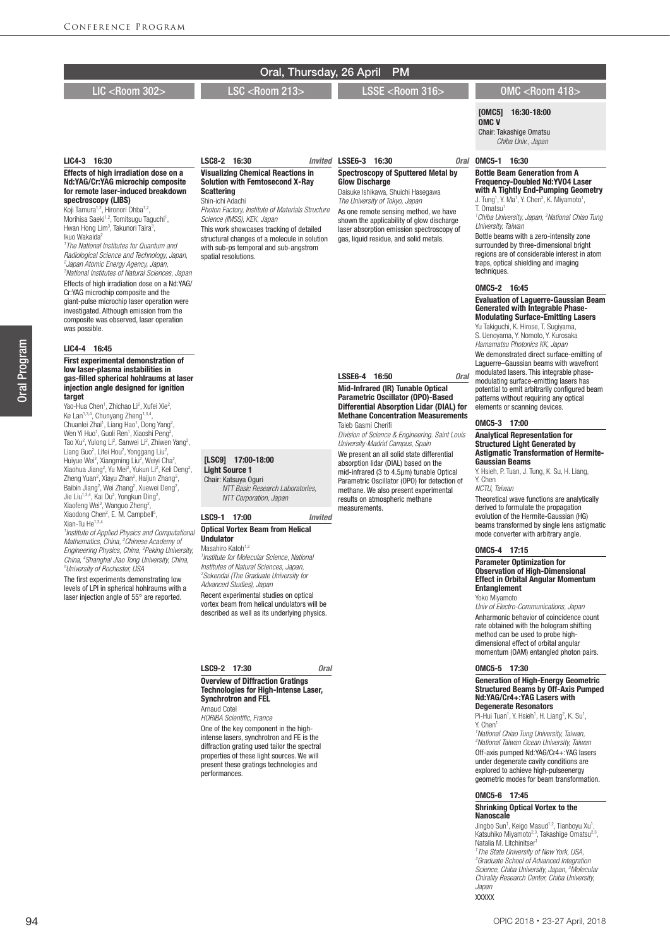**Invited LSSE6-3 16:30** 

Glow Discharge

LSSE6-4 16:50 *Oral*

Taieb Gasmi Cherifi

measurements.

Mid-Infrared (IR) Tunable Optical Parametric Oscillator (OPO)-Based Differential Absorption Lidar (DIAL) for Methane Concentration Measurements

*Division of Science & Engineering. Saint Louis University-Madrid Campus, Spain* We present an all solid state differential absorption lidar (DIAL) based on the mid-infrared (3 to 4.5μm) tunable Optical Parametric Oscillator (OPO) for detection of methane. We also present experimental results on atmospheric methane

Visualizing Chemical Reactions in Solution with Femtosecond X-Ray

*Photon Factory, Institute of Materials Structure* 

This work showcases tracking of detailed structural changes of a molecule in solution with sub-ps temporal and sub-angstrom

LSC8-2 16:30

*Science (IMSS), KEK, Japan*

spatial resolutions.

**Scattering** Shin-ichi Adachi

## LIC <Room 302> LSC <Room 213> LSSE <Room 316> OMC <Room 418>

Spectroscopy of Sputtered Metal by

Daisuke Ishikawa, Shuichi Hasegawa *The University of Tokyo, Japan* As one remote sensing method, we have shown the applicability of glow discharge laser absorption emission spectroscopy of gas, liquid residue, and solid metals.

[OMC5] 16:30-18:00 OMC V

Chair: Takashige Omatsu

 *Chiba Univ., Japan*

## Oral 0MC5-1 16:30

Bottle Beam Generation from A Frequency-Doubled Nd:YVO4 Laser with A Tightly End-Pumping Geometry J. Tung<sup>1</sup>, Y. Ma<sup>1</sup>, Y. Chen<sup>2</sup>, K. Miyamoto<sup>1</sup>,

T. Omatsu1 *1 Chiba University, Japan, 2 National Chiao Tung University, Taiwan*

Bottle beams with a zero-intensity zone surrounded by three-dimensional bright regions are of considerable interest in atom traps, optical shielding and imaging techniques.

#### OMC5-2 16:45

#### Evaluation of Laguerre-Gaussian Beam Generated with Integrable Phase-Modulating Surface-Emitting Lasers

Yu Takiguchi, K. Hirose, T. Sugiyama, S. Uenoyama, Y. Nomoto, Y. Kurosaka *Hamamatsu Photonics KK, Japan*

We demonstrated direct surface-emitting of Laguerre–Gaussian beams with wavefront modulated lasers. This integrable phasemodulating surface-emitting lasers has potential to emit arbitrarily configured beam patterns without requiring any optical elements or scanning devices.

#### OMC5-3 17:00

## Analytical Representation for Structured Light Generated by Astigmatic Transformation of Hermite-Gaussian Beams

Y. Hsieh, P. Tuan, J. Tung, K. Su, H. Liang, Y. Chen *NCTU, Taiwan*

Theoretical wave functions are analytically derived to formulate the propagation evolution of the Hermite-Gaussian (HG) beams transformed by single lens astigmatic mode converter with arbitrary angle.

#### OMC5-4 17:15

## Parameter Optimization for Observation of High-Dimensional Effect in Orbital Angular Momentum **Entanglement** Yoko Miyamoto

*Univ of Electro-Communications, Japan* Anharmonic behavior of coincidence count rate obtained with the hologram shifting method can be used to probe highdimensional effect of orbital angular momentum (OAM) entangled photon pairs.

### OMC5-5 17:30

## Generation of High-Energy Geometric Structured Beams by Off-Axis Pumped Nd:YAG/Cr4+:YAG Lasers with Degenerate Resonators

Pi-Hui Tuan<sup>1</sup>, Y. Hsieh<sup>1</sup>, H. Liang<sup>2</sup>, K. Su<sup>1</sup>, Y. Chen1

*1 National Chiao Tung University, Taiwan, 2 National Taiwan Ocean University, Taiwan* Off-axis pumped Nd:YAG/Cr4+:YAG lasers under degenerate cavity conditions are explored to achieve high-pulseenergy geometric modes for beam transformation.

#### OMC5-6 17:45

Shrinking Optical Vortex to the Nanoscale

Jingbo Sun<sup>1</sup>, Keigo Masud<sup>1,2</sup>, Tianboyu Xu<sup>1</sup>,<br>Katsuhiko Miyamoto<sup>2,3</sup>, Takashige Omatsu<sup>2,3</sup>,<br>Natalia M. Litchinitser<sup>1</sup>

*1 The State University of New York, USA, 2 Graduate School of Advanced Integration Science, Chiba University, Japan, 3 Molecular Chirality Research Center, Chiba University, Japan* XXXXX

## LIC4-3 16:30

#### Effects of high irradiation dose on a Nd:YAG/Cr:YAG microchip composite for remote laser-induced breakdown spectroscopy (LIBS)

Koji Tamura<sup>1,2</sup>, Hironori Ohba<sup>1,2</sup>, Morihisa Saeki<sup>1,2</sup>, Tomitsugu Taguchi<sup>1</sup>, Hwan Hong Lim<sup>3</sup>, Takunori Taira<sup>3</sup>, Ikuo Wakaida<sup>2</sup>

*1 The National Institutes for Quantum and Radiological Science and Technology, Japan, 2 Japan Atomic Energy Agency, Japan, 3 National Institutes of Natural Sciences, Japan* Effects of high irradiation dose on a Nd:YAG/ Cr:YAG microchip composite and the giant-pulse microchip laser operation were investigated. Although emission from the composite was observed, laser operation was possible.

#### LIC4-4 16:45

#### First experimental demonstration of low laser-plasma instabilities in gas-filled spherical hohlraums at laser injection angle designed for ignition target

Yao-Hua Chen<sup>1</sup>, Zhichao Li<sup>2</sup>, Xufei Xie<sup>2</sup>,<br>Ke Lan<sup>1,3,4</sup>, Chunyang Zheng<sup>1,3,4</sup>, Chuanlei Zhai<sup>1</sup>, Liang Hao<sup>1</sup>, Dong Yang<sup>2</sup>, Wen Yi Huo<sup>1</sup>, Guoli Ren<sup>1</sup>, Xiaoshi Peng<sup>2</sup> , Tao Xu<sup>2</sup>, Yulong Li<sup>2</sup>, Sanwei Li<sup>2</sup>, Zhiwen Yang<sup>2</sup>, Liang Guo<sup>2</sup>, Lifei Hou<sup>2</sup>, Yonggang Liu<sup>2</sup>, Huiyue Wei<sup>2</sup>, Xiangming Liu<sup>2</sup>, Weiyi Cha<sup>2</sup> , Xiaohua Jiang<sup>2</sup>, Yu Mei<sup>2</sup>, Yukun Li<sup>2</sup>, Keli Deng<sup>2</sup>,<br>Zheng Yuan<sup>2</sup>, Xiayu Zhan<sup>2</sup>, Haijun Zhang<sup>2</sup>, Baibin Jiang<sup>2</sup>, Wei Zhang<sup>2</sup>, Xuewei Deng<sup>2</sup>, Jie Liu<sup>1,3,4</sup>, Kai Du<sup>2</sup>, Yongkun Ding<sup>2</sup>, Xiaofeng Wei<sup>2</sup>, Wanguo Zheng<sup>2</sup> Xiaofeng Wei<sup>2</sup>, Wanguo Zheng<sup>2</sup>,<br>Xiaodong Chen<sup>2</sup>, E. M. Campbell<sup>5</sup>,<br>Xian-Tu He<sup>1,3,4</sup>

*1 Institute of Applied Physics and Computational Mathematics, China, 2 Chinese Academy of Engineering Physics, China, 3 Peking University, China, 4 Shanghai Jiao Tong University, China, 5 University of Rochester, USA*

The first experiments demonstrating low levels of LPI in spherical hohlraums with a laser injection angle of 55° are reported.

[LSC9] 17:00-18:00 Light Source 1

Chair: Katsuya Oguri  *NTT Basic Research Laboratories, NTT Corporation, Japan*

#### LSC9-1 17:00 *Invited* Optical Vortex Beam from Helical Undulator

Masahiro Katoh<sup>1,2</sup> *1 Institute for Molecular Science, National Institutes of Natural Sciences, Japan, 2 Sokendai (The Graduate University for Advanced Studies), Japan* Recent experimental studies on optical vortex beam from helical undulators will be described as well as its underlying physics.

LSC9-2 17:30 *Oral*

#### **Overview of Diffraction Gratings Technologies for High-Intense Laser.** Synchrotron and FEL

Arnaud Cotel *HORIBA Scientific, France*

One of the key component in the highintense lasers, synchrotron and FE is the diffraction grating used tailor the spectral properties of these light sources. We will present these gratings technologies and performances.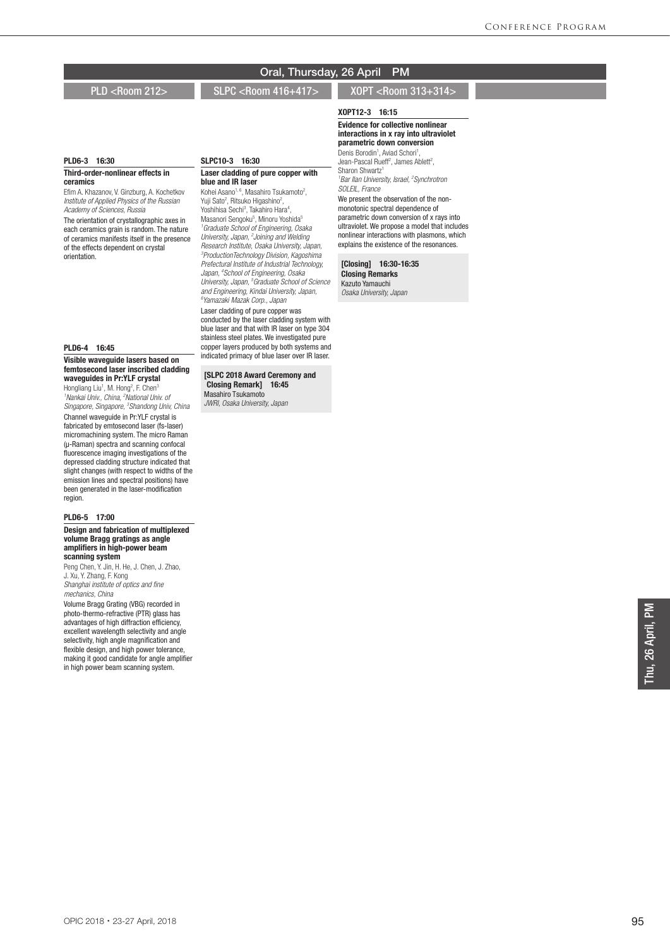## PLD <Room 212> SLPC <Room 416+417> XOPT <Room 313+314>

## PLD6-3 16:30

#### Third-order-nonlinear effects in ceramics

Efim A. Khazanov, V. Ginzburg, A. Kochetkov *Institute of Applied Physics of the Russian Academy of Sciences, Russia*

The orientation of crystallographic axes in each ceramics grain is random. The nature of ceramics manifests itself in the presence of the effects dependent on crystal orientation.

#### PLD6-4 16:45

#### Visible waveguide lasers based on femtosecond laser inscribed cladding waveguides in Pr:YLF crystal

Hongliang Liu<sup>1</sup>, M. Hong<sup>2</sup>, F. Chen<sup>3</sup> <sup>1</sup> Nankai Univ., China, <sup>2</sup> National Univ. of *Singapore, Singapore, 3 Shandong Univ, China* Channel waveguide in Pr:YLF crystal is fabricated by emtosecond laser (fs-laser) micromachining system. The micro Raman (μ-Raman) spectra and scanning confocal fluorescence imaging investigations of the depressed cladding structure indicated that slight changes (with respect to widths of the emission lines and spectral positions) have been generated in the laser-modification region.

#### PLD6-5 17:00

Design and fabrication of multiplexed volume Bragg gratings as angle amplifiers in high-power beam scanning system

Peng Chen, Y. Jin, H. He, J. Chen, J. Zhao, J. Xu, Y. Zhang, F. Kong *Shanghai institute of optics and fine mechanics, China*

Volume Bragg Grating (VBG) recorded in photo-thermo-refractive (PTR) glass has advantages of high diffraction efficiency, excellent wavelength selectivity and angle selectivity, high angle magnification and flexible design, and high power tolerance, making it good candidate for angle amplifier in high power beam scanning system.

# SLPC10-3 16:30

#### Laser cladding of pure copper with blue and IR laser

Kohei Asano<sup>1, 6</sup>, Masahiro Tsukamoto<sup>2</sup>, Yuji Sato<sup>2</sup>, Ritsuko Higashino<sup>2</sup>, Yoshihisa Sechi<sup>3</sup>, Takahiro Hara<sup>4</sup>,<br>Masanori Sengoku<sup>5</sup>, Minoru Yoshida<sup>5</sup> *1 Graduate School of Engineering, Osaka University, Japan, 2 Joining and Welding Research Institute, Osaka University, Japan, 3 ProductionTechnology Division, Kagoshima Prefectural Institute of Industrial Technology, Japan, 4 School of Engineering, Osaka University, Japan, 5 Graduate School of Science and Engineering, Kindai University, Japan, 6 Yamazaki Mazak Corp., Japan* Laser cladding of pure copper was conducted by the laser cladding system with blue laser and that with IR laser on type 304 stainless steel plates. We investigated pure copper layers produced by both systems and

[SLPC 2018 Award Ceremony and Closing Remark] 16:45 Masahiro Tsukamoto

indicated primacy of blue laser over IR laser.

*JWRI, Osaka University, Japan*

XOPT12-3 16:15 Evidence for collective nonlinear interactions in x ray into ultraviolet

parametric down conversion Denis Borodin<sup>1</sup>, Aviad Schori<sup>1</sup> Denis Borodin<sup>1</sup>, Aviad Schori<sup>1</sup>,<br>Jean-Pascal Rueff<sup>2</sup>, James Ablett<sup>2</sup>, Sharon Shwartz<sup>1</sup> *1 Bar Ilan University, Israel, 2 Synchrotron* 

*SOLEIL, France* We present the observation of the nonmonotonic spectral dependence of parametric down conversion of x rays into ultraviolet. We propose a model that includes nonlinear interactions with plasmons, which explains the existence of the resonances.

## [Closing] 16:30-16:35

Closing Remarks Kazuto Yamauchi *Osaka University, Japan*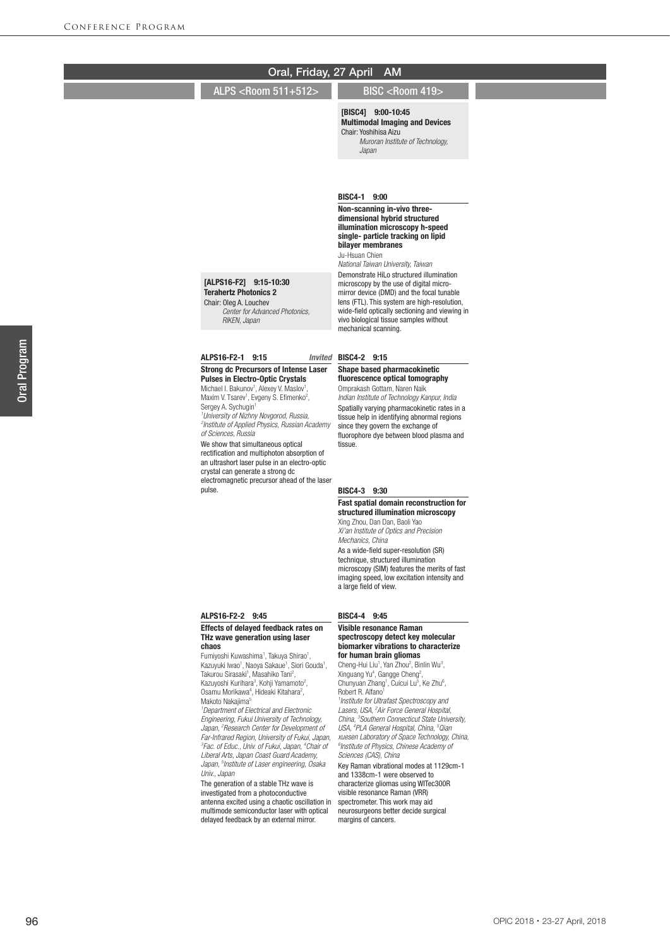| Oral, Friday, 27 April                                                                                                                                                                                                                                                                                                                                                                                                                                                                                                                                                                                                                                                                                                                                                                                                                                                                                                                                                                                                                                                                            | <b>AM</b>                                                                                                                                                                                                                                                                                                                                                                                                                                                                                                                                                                                                                                                                                                                                                                                                                                                                                                                                                                                                          |
|---------------------------------------------------------------------------------------------------------------------------------------------------------------------------------------------------------------------------------------------------------------------------------------------------------------------------------------------------------------------------------------------------------------------------------------------------------------------------------------------------------------------------------------------------------------------------------------------------------------------------------------------------------------------------------------------------------------------------------------------------------------------------------------------------------------------------------------------------------------------------------------------------------------------------------------------------------------------------------------------------------------------------------------------------------------------------------------------------|--------------------------------------------------------------------------------------------------------------------------------------------------------------------------------------------------------------------------------------------------------------------------------------------------------------------------------------------------------------------------------------------------------------------------------------------------------------------------------------------------------------------------------------------------------------------------------------------------------------------------------------------------------------------------------------------------------------------------------------------------------------------------------------------------------------------------------------------------------------------------------------------------------------------------------------------------------------------------------------------------------------------|
| ALPS <room 511+512=""></room>                                                                                                                                                                                                                                                                                                                                                                                                                                                                                                                                                                                                                                                                                                                                                                                                                                                                                                                                                                                                                                                                     | BISC <room 419=""></room>                                                                                                                                                                                                                                                                                                                                                                                                                                                                                                                                                                                                                                                                                                                                                                                                                                                                                                                                                                                          |
|                                                                                                                                                                                                                                                                                                                                                                                                                                                                                                                                                                                                                                                                                                                                                                                                                                                                                                                                                                                                                                                                                                   | [BISC4] 9:00-10:45<br><b>Multimodal Imaging and Devices</b><br>Chair: Yoshihisa Aizu<br>Muroran Institute of Technology,<br>Japan                                                                                                                                                                                                                                                                                                                                                                                                                                                                                                                                                                                                                                                                                                                                                                                                                                                                                  |
| [ALPS16-F2] 9:15-10:30<br><b>Terahertz Photonics 2</b><br>Chair: Oleg A. Louchev<br>Center for Advanced Photonics,<br>RIKEN, Japan                                                                                                                                                                                                                                                                                                                                                                                                                                                                                                                                                                                                                                                                                                                                                                                                                                                                                                                                                                | BISC4-1 9:00<br>Non-scanning in-vivo three-<br>dimensional hybrid structured<br>illumination microscopy h-speed<br>single- particle tracking on lipid<br>bilayer membranes<br>Ju-Hsuan Chien<br>National Taiwan University, Taiwan<br>Demonstrate HiLo structured illumination<br>microscopy by the use of digital micro-<br>mirror device (DMD) and the focal tunable<br>lens (FTL). This system are high-resolution,<br>wide-field optically sectioning and viewing in<br>vivo biological tissue samples without<br>mechanical scanning.                                                                                                                                                                                                                                                                                                                                                                                                                                                                         |
| ALPS16-F2-1 9:15<br>Invited                                                                                                                                                                                                                                                                                                                                                                                                                                                                                                                                                                                                                                                                                                                                                                                                                                                                                                                                                                                                                                                                       | BISC4-2 9:15                                                                                                                                                                                                                                                                                                                                                                                                                                                                                                                                                                                                                                                                                                                                                                                                                                                                                                                                                                                                       |
| <b>Strong dc Precursors of Intense Laser</b><br><b>Pulses in Electro-Optic Crystals</b><br>Michael I. Bakunov <sup>1</sup> , Alexey V. Maslov <sup>1</sup> ,<br>Maxim V. Tsarev <sup>1</sup> , Evgeny S. Efimenko <sup>2</sup> ,<br>Sergey A. Sychugin <sup>1</sup><br><sup>1</sup> University of Nizhny Novgorod, Russia,<br><sup>2</sup> Institute of Applied Physics, Russian Academy<br>of Sciences, Russia<br>We show that simultaneous optical<br>rectification and multiphoton absorption of<br>an ultrashort laser pulse in an electro-optic<br>crystal can generate a strong dc<br>electromagnetic precursor ahead of the laser<br>pulse.                                                                                                                                                                                                                                                                                                                                                                                                                                                | Shape based pharmacokinetic<br>fluorescence optical tomography<br>Omprakash Gottam, Naren Naik<br>Indian Institute of Technology Kanpur, India<br>Spatially varying pharmacokinetic rates in a<br>tissue help in identifying abnormal regions<br>since they govern the exchange of<br>fluorophore dye between blood plasma and<br>tissue.<br>BISC4-3 9:30                                                                                                                                                                                                                                                                                                                                                                                                                                                                                                                                                                                                                                                          |
|                                                                                                                                                                                                                                                                                                                                                                                                                                                                                                                                                                                                                                                                                                                                                                                                                                                                                                                                                                                                                                                                                                   | Fast spatial domain reconstruction for<br>structured illumination microscopy<br>Xing Zhou, Dan Dan, Baoli Yao<br>Xi'an Institute of Optics and Precision<br>Mechanics, China<br>As a wide-field super-resolution (SR)<br>technique, structured illumination<br>microscopy (SIM) features the merits of fast<br>imaging speed, low excitation intensity and<br>a large field of view.                                                                                                                                                                                                                                                                                                                                                                                                                                                                                                                                                                                                                               |
| ALPS16-F2-2 9:45                                                                                                                                                                                                                                                                                                                                                                                                                                                                                                                                                                                                                                                                                                                                                                                                                                                                                                                                                                                                                                                                                  | BISC4-4 9:45                                                                                                                                                                                                                                                                                                                                                                                                                                                                                                                                                                                                                                                                                                                                                                                                                                                                                                                                                                                                       |
| <b>Effects of delayed feedback rates on</b><br>THz wave generation using laser<br>chaos<br>Fumiyoshi Kuwashima <sup>1</sup> , Takuya Shirao <sup>1</sup> ,<br>Kazuyuki Iwao <sup>1</sup> , Naoya Sakaue <sup>1</sup> , Siori Gouda <sup>1</sup> ,<br>Takurou Sirasaki <sup>1</sup> , Masahiko Tani <sup>2</sup> ,<br>Kazuyoshi Kurihara <sup>3</sup> , Kohji Yamamoto <sup>2</sup> ,<br>Osamu Morikawa <sup>4</sup> , Hideaki Kitahara <sup>2</sup> ,<br>Makoto Nakaiima <sup>5</sup><br><sup>1</sup> Department of Electrical and Electronic<br>Engineering, Fukui University of Technology,<br>Japan, <sup>2</sup> Research Center for Development of<br>Far-Infrared Region, University of Fukui, Japan,<br><sup>3</sup> Fac. of Educ., Univ. of Fukui, Japan, <sup>4</sup> Chair of<br>Liberal Arts, Japan Coast Guard Academy,<br>Japan, <sup>5</sup> Institute of Laser engineering, Osaka<br>Univ., Japan<br>The generation of a stable THz wave is<br>investigated from a photoconductive<br>antenna excited using a chaotic oscillation in<br>multimode semiconductor laser with optical | Visible resonance Raman<br>spectroscopy detect key molecular<br>biomarker vibrations to characterize<br>for human brain gliomas<br>Cheng-Hui Liu <sup>1</sup> , Yan Zhou <sup>2</sup> , Binlin Wu <sup>3</sup> ,<br>Xinguang Yu <sup>4</sup> , Gangge Cheng <sup>2</sup> ,<br>Chunyuan Zhang <sup>1</sup> , Cuicui Lu <sup>5</sup> , Ke Zhu <sup>6</sup> ,<br>Robert R. Alfano <sup>1</sup><br><sup>1</sup> Institute for Ultrafast Spectroscopy and<br>Lasers, USA, <sup>2</sup> Air Force General Hospital,<br>China, <sup>3</sup> Southern Connecticut State University,<br>USA, <sup>4</sup> PLA General Hospital, China, <sup>5</sup> Qian<br>xuesen Laboratory of Space Technology, China,<br><sup>6</sup> Institute of Physics, Chinese Academy of<br>Sciences (CAS), China<br>Key Raman vibrational modes at 1129cm-1<br>and 1338cm-1 were observed to<br>characterize gliomas using WITec300R<br>visible resonance Raman (VRR)<br>spectrometer. This work may aid<br>neurosurgeons better decide surgical |

margins of cancers.

delayed feedback by an external mirror.

## OPIC 2018・23-27 April, 2018

Oral Program

Oral Program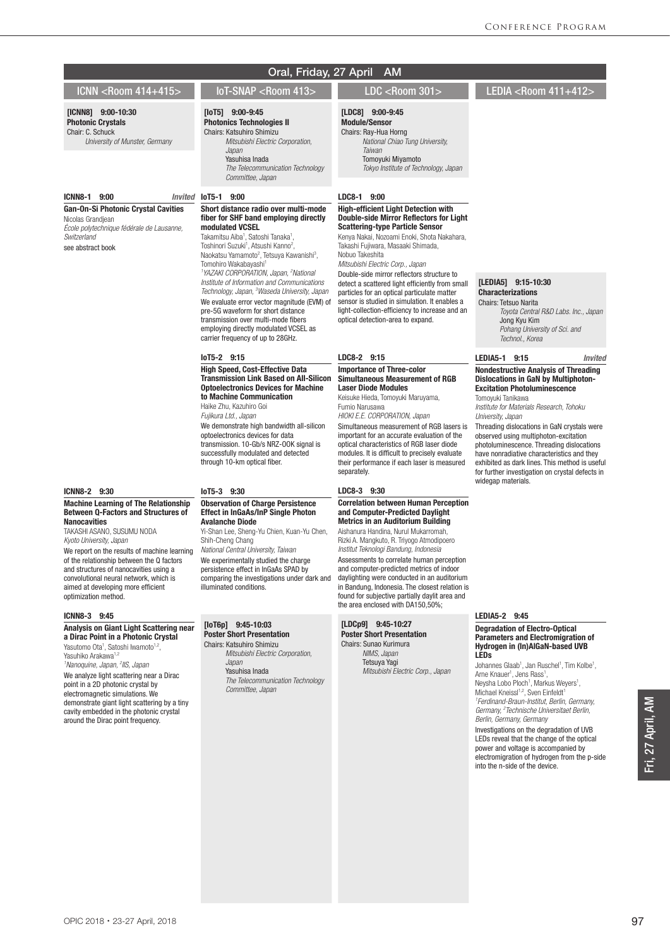# ICNN <Room 414+415> IoT-SNAP <Room 413> LDC <Room 301> LEDIA <Room 411+412>

#### [ICNN8] 9:00-10:30 Photonic Crystals

Chair: C. Schuck *University of Munster, Germany*

#### ICNN8-1 9:00 *Invited*

Gan-On-Si Photonic Crystal Cavities Nicolas Grandjean *École polytechnique fédérale de Lausanne, Switzerland*

see abstract book

# ICNN8-2 9:30

#### Machine Learning of The Relationship Between Q-Factors and Structures of **Nanocavities**

TAKASHI ASANO, SUSUMU NODA *Kyoto University, Japan*

We report on the results of machine learning of the relationship between the Q factors and structures of nanocavities using a convolutional neural network, which is aimed at developing more efficient optimization method.

#### ICNN8-3 9:45

#### Analysis on Giant Light Scattering near a Dirac Point in a Photonic Crystal

Yasutomo Ota<sup>1</sup>, Satoshi Iwamoto<sup>1,2</sup>, Yasuhiko Arakawa<sup>1,2</sup> *1 Nanoquine, Japan, 2 IIS, Japan* We analyze light scattering near a Dirac point in a 2D photonic crystal by electromagnetic simulations. We demonstrate giant light scattering by a tiny cavity embedded in the photonic crystal around the Dirac point frequency.

## Oral, Friday, 27 April AM

## [LDC8] 9:00-9:45

Module/Sensor Chairs: Ray-Hua Horng  *National Chiao Tung University, Taiwan* Tomoyuki Miyamoto  *Tokyo Institute of Technology, Japan*

#### LDC8-1 9:00

#### High-efficient Light Detection with Double-side Mirror Reflectors for Light Scattering-type Particle Sensor

Kenya Nakai, Nozoami Enoki, Shota Nakahara, Takashi Fujiwara, Masaaki Shimada, Nobuo Takeshita

*Mitsubishi Electric Corp., Japan*

Double-side mirror reflectors structure to detect a scattered light efficiently from small particles for an optical particulate matter sensor is studied in simulation. It enables a light-collection-efficiency to increase and an optical detection-area to expand.

## LDC8-2 9:15

#### Importance of Three-color Simultaneous Measurement of RGB Laser Diode Modules

Keisuke Hieda, Tomoyuki Maruyama, Fumio Narusawa *HIOKI E.E. CORPORATION, Japan*

Simultaneous measurement of RGB lasers is important for an accurate evaluation of the optical characteristics of RGB laser diode modules. It is difficult to precisely evaluate their performance if each laser is measured separately.

#### LDC8-3 9:30

#### Correlation between Human Perception and Computer-Predicted Daylight Metrics in an Auditorium Building

Aishanura Handina, Nurul Mukarromah, Rizki A. Mangkuto, R. Triyogo Atmodipoero *Institut Teknologi Bandung, Indonesia* Assessments to correlate human perception and computer-predicted metrics of indoor daylighting were conducted in an auditorium in Bandung, Indonesia. The closest relation is found for subjective partially daylit area and the area enclosed with DA150,50%;

#### [LDCp9] 9:45-10:27 Poster Short Presentation Chairs: Sunao Kurimura

 *NIMS, Japan* Tetsuya Yagi  *Mitsubishi Electric Corp., Japan*

#### [LEDIA5] 9:15-10:30 Characterizations Chairs: Tetsuo Narita

 *Toyota Central R&D Labs. Inc., Japan* Jong Kyu Kim  *Pohang University of Sci. and Technol., Korea*

#### LEDIA5-1 9:15 *Invited*

#### Nondestructive Analysis of Threading Dislocations in GaN by Multiphoton-Excitation Photoluminescence Tomoyuki Tanikawa

*Institute for Materials Research, Tohoku University, Japan*

Threading dislocations in GaN crystals were observed using multiphoton-excitation photoluminescence. Threading dislocations have nonradiative characteristics and they exhibited as dark lines. This method is useful for further investigation on crystal defects in widegap materials.

## LEDIA5-2 9:45

#### Degradation of Electro-Optical Parameters and Electromigration of Hydrogen in (In)AlGaN-based UVB LEDs

Johannes Glaab<sup>1</sup>, Jan Ruschel<sup>1</sup>, Tim Kolbe<sup>1</sup>, Arne Knauer<sup>1</sup>, Jens Rass<sup>1</sup> Arne Knauer<sup>1</sup>, Jens Rass<sup>1</sup>,<br>Neysha Lobo Ploch<sup>1</sup>, Markus Weyers<sup>1</sup>, Michael Kneissl<sup>1,2</sup>, Sven Einfeldt<sup>1</sup> *1 Ferdinand-Braun-Institut, Berlin, Germany, Germany, 2 Technische Universitaet Berlin,* 

*Berlin, Germany, Germany* Investigations on the degradation of UVB LEDs reveal that the change of the optical power and voltage is accompanied by electromigration of hydrogen from the p-side into the n-side of the device.

Fri, 27 April, AM Fri, 27 April, AM

#### *Technology, Japan, 3 Waseda University, Japan* We evaluate error vector magnitude (EVM) of pre-5G waveform for short distance

Invited IoT5-1 9:00

employing directly modulated VCSEL as carrier frequency of up to 28GHz.

[IoT5] 9:00-9:45 Photonics Technologies II Chairs: Katsuhiro Shimizu

> *Japan* Yasuhisa Inada

modulated VCSEL Takamitsu Aiba<sup>1</sup>, Satoshi Tanaka<sup>1</sup>, Toshinori Suzuki<sup>1</sup>, Atsushi Kanno<sup>2</sup>, Naokatsu Yamamoto<sup>2</sup>, Tetsuya Kawanishi<sup>3</sup>,

Tomohiro Wakabayashi1

*Committee, Japan*

 *Mitsubishi Electric Corporation,* 

Short distance radio over multi-mode fiber for SHF band employing directly

*1 YAZAKI CORPORATION, Japan, 2 National Institute of Information and Communications* 

transmission over multi-mode fibers

 *The Telecommunication Technology* 

IoT5-2 9:15

High Speed, Cost-Effective Data Transmission Link Based on All-Silicon Optoelectronics Devices for Machine to Machine Communication

Haike Zhu, Kazuhiro Goi

*Fujikura Ltd., Japan* We demonstrate high bandwidth all-silicon optoelectronics devices for data transmission. 10-Gb/s NRZ-OOK signal is successfully modulated and detected through 10-km optical fiber.

#### IoT5-3 9:30

#### Observation of Charge Persistence Effect in InGaAs/InP Single Photon Avalanche Diode

Yi-Shan Lee, Sheng-Yu Chien, Kuan-Yu Chen, Shih-Cheng Chang *National Central University, Taiwan*

We experimentally studied the charge persistence effect in InGaAs SPAD by comparing the investigations under dark and illuminated conditions.

## [IoT6p] 9:45-10:03 Poster Short Presentation

Chairs: Katsuhiro Shimizu  *Mitsubishi Electric Corporation, Japan* Yasuhisa Inada  *The Telecommunication Technology Committee, Japan*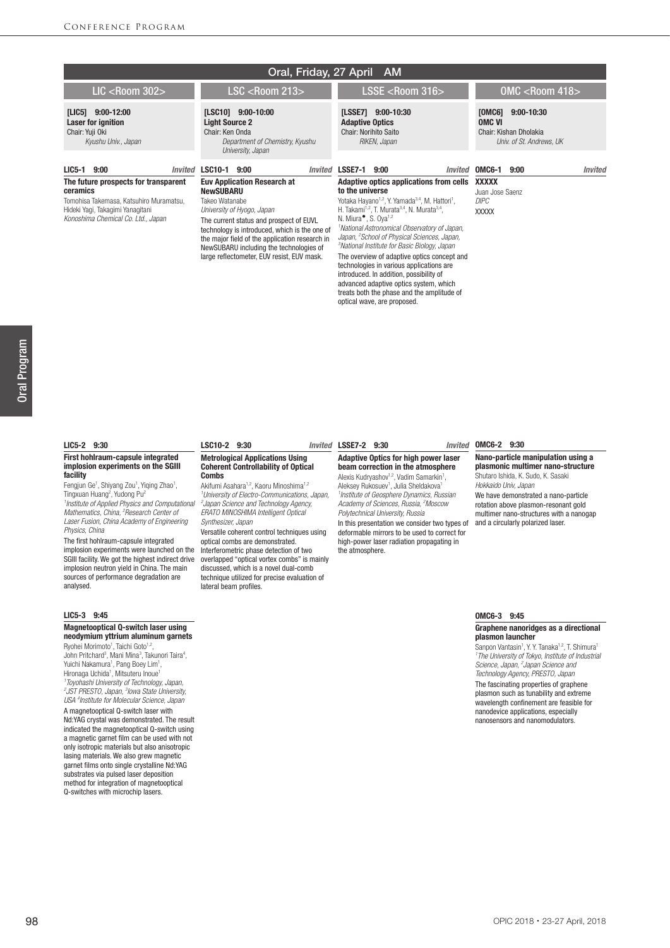| Oral, Friday, 27 April AM                                                              |                                                                                                                                                                                                                                     |                                                                                                                                                                                                                                                                                       |                                                                                                 |  |
|----------------------------------------------------------------------------------------|-------------------------------------------------------------------------------------------------------------------------------------------------------------------------------------------------------------------------------------|---------------------------------------------------------------------------------------------------------------------------------------------------------------------------------------------------------------------------------------------------------------------------------------|-------------------------------------------------------------------------------------------------|--|
| $LIC <$ Room 302>                                                                      | <b>LSC <room 213=""></room></b>                                                                                                                                                                                                     | $LSSE <$ Room 316>                                                                                                                                                                                                                                                                    | $OMC <$ Room 418 $>$                                                                            |  |
| [L C5]<br>$9:00-12:00$<br>Laser for ignition<br>Chair: Yuji Oki<br>Kyushu Univ., Japan | $[LSC10]$ 9:00-10:00<br><b>Light Source 2</b><br>Chair: Ken Onda<br>Department of Chemistry, Kyushu<br>University, Japan                                                                                                            | $9:00-10:30$<br>[LSSE7]<br><b>Adaptive Optics</b><br>Chair: Norihito Saito<br>RIKEN, Japan                                                                                                                                                                                            | [0MC6]<br>$9:00 - 10:30$<br><b>OMC VI</b><br>Chair: Kishan Dholakia<br>Univ. of St. Andrews, UK |  |
| LIC5-1 9:00<br>Invited<br>The future prospects for transparent                         | <b>LSC10-1</b><br>9:00<br>Invited<br><b>Euv Application Research at</b>                                                                                                                                                             | <b>LSSE7-1</b><br>9:00<br>Invited<br>Adaptive optics applications from cells                                                                                                                                                                                                          | OMC6-1<br>9:00<br>Invited<br><b>XXXXX</b>                                                       |  |
| ceramics                                                                               | NewSUBARU                                                                                                                                                                                                                           | to the universe                                                                                                                                                                                                                                                                       | Juan Jose Saenz                                                                                 |  |
| Tomohisa Takemasa, Katsuhiro Muramatsu,<br>Hideki Yagi, Takagimi Yanagitani            | Takeo Watanabe<br>University of Hyogo, Japan                                                                                                                                                                                        | Yotaka Hayano <sup>1,2</sup> , Y. Yamada <sup>3,4</sup> , M. Hattori <sup>1</sup> ,<br>H. Takami <sup>1,2</sup> , T. Murata <sup>3,4</sup> , N. Murata <sup>3,4</sup> ,                                                                                                               | <b>DIPC</b><br><b>XXXXX</b>                                                                     |  |
| Konoshima Chemical Co. Ltd., Japan                                                     | The current status and prospect of EUVL<br>technology is introduced, which is the one of<br>the major field of the application research in<br>NewSUBARU including the technologies of<br>large reflectometer, EUV resist, EUV mask. | N. Miura <sup><math>\bullet</math></sup> , S. Oya <sup>1,2</sup><br>National Astronomical Observatory of Japan,<br>Japan, <sup>2</sup> School of Physical Sciences, Japan,<br><sup>3</sup> National Institute for Basic Biology, Japan<br>The overview of adaptive optics concept and |                                                                                                 |  |

#### LIC5-2 9:30

#### First hohlraum-capsule integrated implosion experiments on the SGIII facility

Fengjun Ge<sup>1</sup>, Shiyang Zou<sup>1</sup>, Yiqing Zhao<sup>1</sup>, Tingxuan Huang<sup>2</sup>, Yudong Pu<sup>2</sup> *1 Institute of Applied Physics and Computational Mathematics, China, 2 Research Center of* 

*Laser Fusion, China Academy of Engineering Physics, China*

The first hohlraum-capsule integrated implosion experiments were launched on the SGIII facility. We got the highest indirect drive implosion neutron yield in China. The main sources of performance degradation are analysed.

#### LIC5-3 9:45

#### Magnetooptical Q-switch laser using neodymium yttrium aluminum garnets

Ryohei Morimoto<sup>1</sup>, Taichi Goto<sup>1,2</sup>, John Pritchard<sup>3</sup>, Mani Mina<sup>3</sup>, Takunori Taira<sup>4</sup>, Yuichi Nakamura<sup>1</sup>, Pang Boey Lim<sup>1</sup>, Hironaga Uchida<sup>1</sup>, Mitsuteru Inoue<sup>1</sup> *1 Toyohashi University of Technology, Japan, 2 JST PRESTO, Japan, 3 Iowa State University, USA 4 Institute for Molecular Science, Japan*

A magnetooptical Q-switch laser with Nd:YAG crystal was demonstrated. The result indicated the magnetooptical Q-switch using a magnetic garnet film can be used with not only isotropic materials but also anisotropic lasing materials. We also grew magnetic garnet films onto single crystalline Nd:YAG substrates via pulsed laser deposition method for integration of magnetooptical Q-switches with microchip lasers.

#### Metrological Applications Using Coherent Controllability of Optical

LSC10-2 9:30

Combs Akifumi Asahara<sup>1,2</sup>, Kaoru Minoshima<sup>1,2</sup> *1 University of Electro-Communications, Japan, 2 Japan Science and Technology Agency, ERATO MINOSHIMA Intelligent Optical Synthesizer, Japan*

Versatile coherent control techniques using optical combs are demonstrated. Interferometric phase detection of two overlapped "optical vortex combs" is mainly discussed, which is a novel dual-comb technique utilized for precise evaluation of lateral beam profiles.

#### LSSE7-2 9:30 *Invited*

#### Adaptive Optics for high power laser beam correction in the atmosphere Alexis Kudryashov<sup>1,2</sup>, Vadim Samarkin<sup>1</sup>,

technologies in various applications are introduced. In addition, possibility of advanced adaptive optics system, which treats both the phase and the amplitude of

optical wave, are proposed.

Aleksey Rukosuev<sup>1</sup>, Julia Sheldakova<sup>1</sup> *1 Institute of Geosphere Dynamics, Russian Academy of Sciences, Russia, 2 Moscow Polytechnical University, Russia*

In this presentation we consider two types of and a circularly polarized laser. deformable mirrors to be used to correct for high-power laser radiation propagating in the atmosphere.

#### Invited OMC6-2 9:30

Nano-particle manipulation using a plasmonic multimer nano-structure Shutaro Ishida, K. Sudo, K. Sasaki *Hokkaido Univ, Japan*

We have demonstrated a nano-particle rotation above plasmon-resonant gold multimer nano-structures with a nanogap

#### OMC6-3 9:45

#### Graphene nanoridges as a directional plasmon launcher

Sanpon Vantasin<sup>1</sup>, Y. Y. Tanaka<sup>1,2</sup>, T. Shimura<sup>1</sup><br><sup>1</sup>The University of Tokyo, Institute of Industrial *Science, Japan, 2 Japan Science and Technology Agency, PRESTO, Japan* The fascinating properties of graphene plasmon such as tunability and extreme wavelength confinement are feasible for nanodevice applications, especially nanosensors and nanomodulators.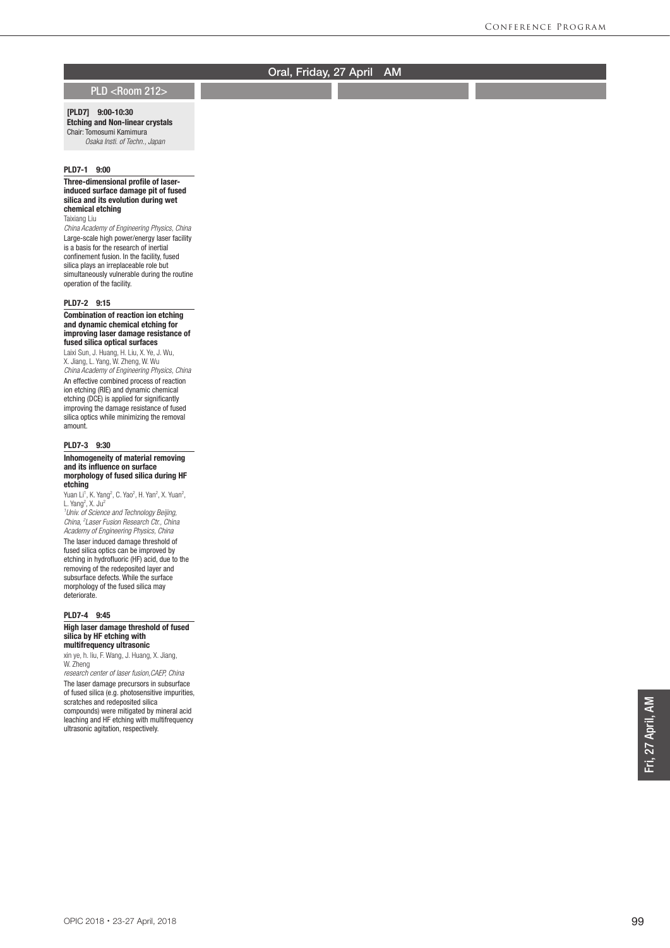## PLD <Room 212>

## [PLD7] 9:00-10:30 Etching and Non-linear crystals

Chair: Tomosumi Kamimura *Osaka Insti. of Techn., Japan*

#### PLD7-1 9:00

#### Three-dimensional profile of laserinduced surface damage pit of fused silica and its evolution during wet chemical etching

Taixiang Liu

*China Academy of Engineering Physics, China* Large-scale high power/energy laser facility is a basis for the research of inertial confinement fusion. In the facility, fused silica plays an irreplaceable role but simultaneously vulnerable during the routine operation of the facility.

#### PLD7-2 9:15

#### Combination of reaction ion etching and dynamic chemical etching for improving laser damage resistance of fused silica optical surfaces

Laixi Sun, J. Huang, H. Liu, X. Ye, J. Wu, X. Jiang, L. Yang, W. Zheng, W. Wu *China Academy of Engineering Physics, China* An effective combined process of reaction ion etching (RIE) and dynamic chemical etching (DCE) is applied for significantly improving the damage resistance of fused silica optics while minimizing the removal amount.

#### PLD7-3 9:30

#### Inhomogeneity of material removing and its influence on surface morphology of fused silica during HF etching

Yuan Li<sup>1</sup>, K. Yang<sup>2</sup>, C. Yao<sup>2</sup>, H. Yan<sup>2</sup>, X. Yuan<sup>2</sup>, L. Yang<sup>2</sup>, X. Ju<sup>2</sup>

*1 Univ. of Science and Technology Beijing, China, 2 Laser Fusion Research Ctr., China Academy of Engineering Physics, China*

The laser induced damage threshold of fused silica optics can be improved by etching in hydrofluoric (HF) acid, due to the removing of the redeposited layer and subsurface defects. While the surface morphology of the fused silica may deteriorate.

#### PLD7-4 9:45

#### High laser damage threshold of fused silica by HF etching with multifrequency ultrasonic

xin ye, h. liu, F. Wang, J. Huang, X. Jiang, W. Zheng

*research center of laser fusion,CAEP, China*

The laser damage precursors in subsurface of fused silica (e.g. photosensitive impurities, scratches and redeposited silica compounds) were mitigated by mineral acid leaching and HF etching with multifrequency ultrasonic agitation, respectively.

Fri, 27 April, AM Fri, 27 April, AM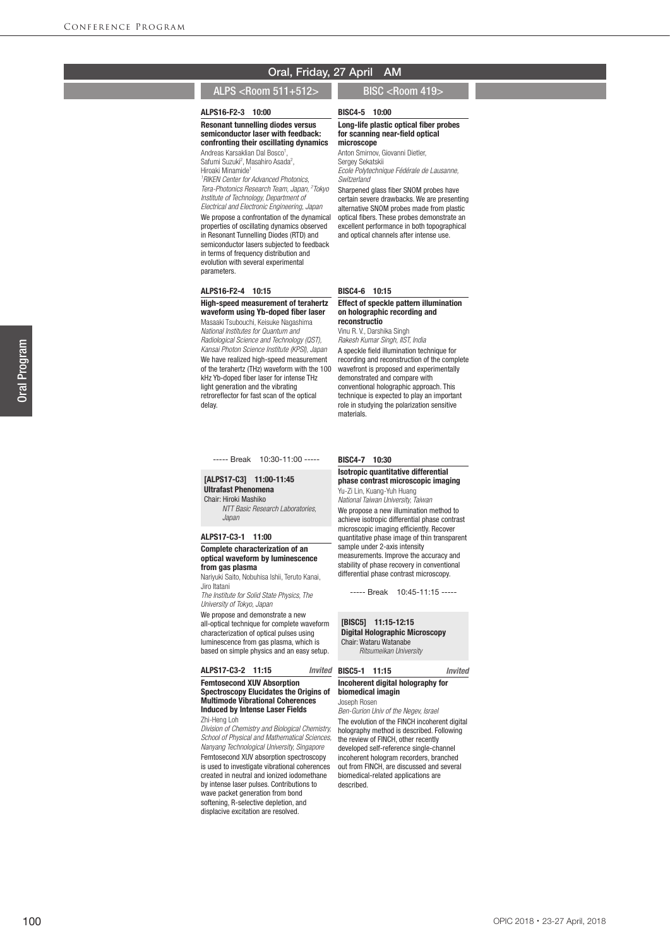BISC4-5 10:00

microscope

Sergey Sekatskii

## ALPS <Room 511+512> BISC <Room 419>

#### ALPS16-F2-3 10:00

Resonant tunnelling diodes versus semiconductor laser with feedback: confronting their oscillating dynamics

Andreas Karsaklian Dal Bosco 1 , Safumi Suzuki<sup>2</sup>, Masahiro Asada<sup>2</sup>, Hiroaki Minamide 1 *1 RIKEN Center for Advanced Photonics, Tera-Photonics Research Team, Japan, 2 Tokyo Institute of Technology, Department of Electrical and Electronic Engineering, Japan* We propose a confrontation of the dynamical properties of oscillating dynamics observed in Resonant Tunnelling Diodes (RTD) and semiconductor lasers subjected to feedback in terms of frequency distribution and evolution with several experimental parameters.

#### *Ecole Polytechnique Fédérale de Lausanne, Switzerland*

Sharpened glass fiber SNOM probes have certain severe drawbacks. We are presenting alternative SNOM probes made from plastic optical fibers. These probes demonstrate an excellent performance in both topographical and optical channels after intense use.

Long-life plastic optical fiber probes for scanning near-field optical

Anton Smirnov, Giovanni Dietler

#### ALPS16-F2-4 10:15

### High-speed measurement of terahertz waveform using Yb-doped fiber laser Masaaki Tsubouchi, Keisuke Nagashima *National Institutes for Quantum and*

*Radiological Science and Technology (QST), Kansai Photon Science Institute (KPSI), Japan* We have realized high-speed measurement of the terahertz (THz) waveform with the 100 kHz Yb-doped fiber laser for intense THz light generation and the vibrating retroreflector for fast scan of the optical delay.

----- Break 10:30-11:00 -----

#### [ALPS17-C3] 11:00-11:45 Ultrafast Phenomena Chair: Hiroki Mashiko

 *NTT Basic Research Laboratories, Japan*

#### ALPS17-C3-1 11:00

#### Complete characterization of an optical waveform by luminescence from gas plasma

Nariyuki Saito, Nobuhisa Ishii, Teruto Kanai, Jiro Itatani

*The Institute for Solid State Physics, The University of Tokyo, Japan*

We propose and demonstrate a new all-optical technique for complete waveform characterization of optical pulses using luminescence from gas plasma, which is based on simple physics and an easy setup.

## ALPS17-C3-2 11:15 *Invited*

Femtosecond XUV Absorption Spectroscopy Elucidates the Origins of Multimode Vibrational Coherences Induced by Intense Laser Fields Zhi-Heng Loh

*Division of Chemistry and Biological Chemistry, School of Physical and Mathematical Sciences, Nanyang Technological University, Singapore* Femtosecond XUV absorption spectroscopy is used to investigate vibrational coherences created in neutral and ionized iodomethane by intense laser pulses. Contributions to wave packet generation from bond softening, R-selective depletion, and displacive excitation are resolved.

#### BISC4-6 10:15

#### Effect of speckle pattern illumination on holographic recording and reconstructio

#### Vinu R. V., Darshika Singh

*Rakesh Kumar Singh, IIST, India* A speckle field illumination technique for recording and reconstruction of the complete wavefront is proposed and experimentally demonstrated and compare with conventional holographic approach. This technique is expected to play an important role in studying the polarization sensitive materials.

#### BISC4-7 10:30

#### Isotropic quantitative differential phase contrast microscopic imaging Yu-Zi Lin, Kuang-Yuh Huang

*National Taiwan University, Taiwan* We propose a new illumination method to achieve isotropic differential phase contrast microscopic imaging efficiently. Recover quantitative phase image of thin transparent sample under 2-axis intensity measurements. Improve the accuracy and stability of phase recovery in conventional differential phase contrast microscopy.

----- Break 10:45-11:15 -----

#### [BISC5] 11:15-12:15 Digital Holographic Microscopy

Chair: Wataru Watanabe *Ritsumeikan University*

BISC5-1 11:15 *Invited*

## Incoherent digital holography for

biomedical imagin Joseph Rosen

*Ben-Gurion Univ of the Negev, Israel* The evolution of the FINCH incoherent digital holography method is described. Following the review of FINCH, other recently developed self-reference single-channel incoherent hologram recorders, branched out from FINCH, are discussed and several biomedical-related applications are described.

#### OPIC 2018 ・23-27 April, 2018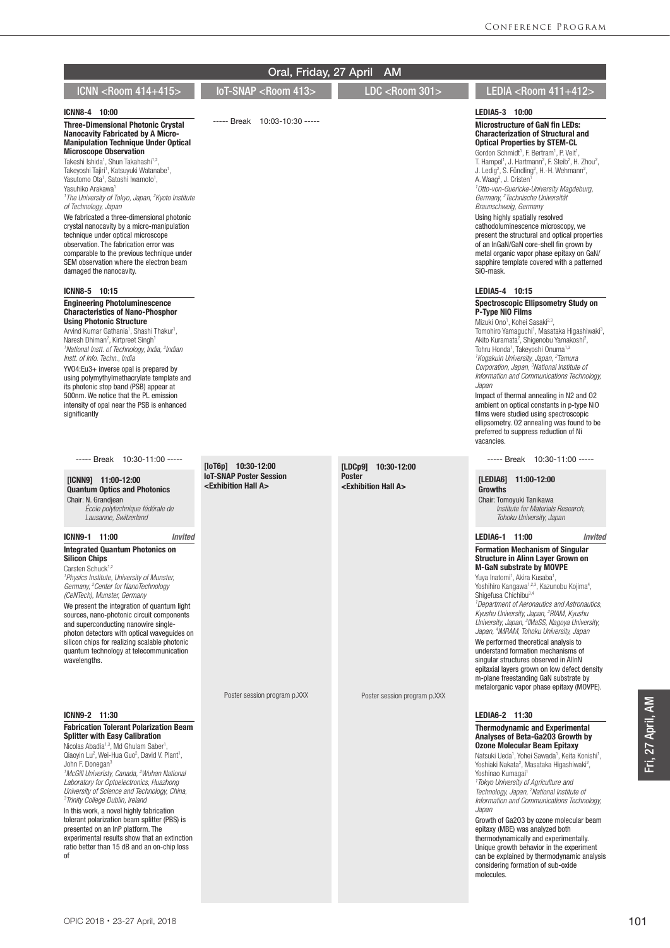|                                                                                                                                                                                                                                                                                                                                                                                                                                                                                                                                                                                                                                                                                                                                                                                                                                                                                           | Oral, Friday, 27 April                                                                            | <b>AM</b>                                                                         |                                                                                                                                                                                                                                                                                                                                                                                                                                                                                                                                                                                                                                                                                                                                                                                                                                                                                                                                                          |
|-------------------------------------------------------------------------------------------------------------------------------------------------------------------------------------------------------------------------------------------------------------------------------------------------------------------------------------------------------------------------------------------------------------------------------------------------------------------------------------------------------------------------------------------------------------------------------------------------------------------------------------------------------------------------------------------------------------------------------------------------------------------------------------------------------------------------------------------------------------------------------------------|---------------------------------------------------------------------------------------------------|-----------------------------------------------------------------------------------|----------------------------------------------------------------------------------------------------------------------------------------------------------------------------------------------------------------------------------------------------------------------------------------------------------------------------------------------------------------------------------------------------------------------------------------------------------------------------------------------------------------------------------------------------------------------------------------------------------------------------------------------------------------------------------------------------------------------------------------------------------------------------------------------------------------------------------------------------------------------------------------------------------------------------------------------------------|
| ICNN <room 414+415=""></room>                                                                                                                                                                                                                                                                                                                                                                                                                                                                                                                                                                                                                                                                                                                                                                                                                                                             | IoT-SNAP <room 413=""></room>                                                                     | LDC <room 301=""></room>                                                          | LEDIA <room 411+412=""></room>                                                                                                                                                                                                                                                                                                                                                                                                                                                                                                                                                                                                                                                                                                                                                                                                                                                                                                                           |
| ICNN8-4 10:00<br><b>Three-Dimensional Photonic Crystal</b><br><b>Nanocavity Fabricated by A Micro-</b><br><b>Manipulation Technique Under Optical</b><br><b>Microscope Observation</b><br>Takeshi Ishida <sup>1</sup> , Shun Takahashi <sup>1,2</sup> ,<br>Takeyoshi Tajiri <sup>1</sup> , Katsuyuki Watanabe <sup>1</sup> ,<br>Yasutomo Ota <sup>1</sup> , Satoshi Iwamoto <sup>1</sup> ,<br>Yasuhiko Arakawa <sup>1</sup><br><sup>1</sup> The University of Tokyo, Japan, <sup>2</sup> Kyoto Institute<br>of Technology, Japan<br>We fabricated a three-dimensional photonic<br>crystal nanocavity by a micro-manipulation<br>technique under optical microscope<br>observation. The fabrication error was<br>comparable to the previous technique under<br>SEM observation where the electron beam<br>damaged the nanocavity.<br>ICNN8-5 10:15<br><b>Engineering Photoluminescence</b> | 10:03-10:30 -----<br>----- Break                                                                  |                                                                                   | LEDIA5-3 10:00<br><b>Microstructure of GaN fin LEDs:</b><br><b>Characterization of Structural and</b><br><b>Optical Properties by STEM-CL</b><br>Gordon Schmidt <sup>1</sup> , F. Bertram <sup>1</sup> , P. Veit <sup>1</sup> ,<br>T. Hampel <sup>1</sup> , J. Hartmann <sup>2</sup> , F. Steib <sup>2</sup> , H. Zhou <sup>2</sup> ,<br>J. Ledig <sup>2</sup> , S. Fündling <sup>2</sup> , H.-H. Wehmann <sup>2</sup> ,<br>A. Waaq <sup>2</sup> , J. Cristen <sup>1</sup><br><sup>1</sup> Otto-von-Guericke-University Magdeburg,<br>Germany, <sup>2</sup> Technische Universität<br>Braunschweig, Germany<br>Using highly spatially resolved<br>cathodoluminescence microscopy, we<br>present the structural and optical properties<br>of an InGaN/GaN core-shell fin grown by<br>metal organic vapor phase epitaxy on GaN/<br>sapphire template covered with a patterned<br>Si0-mask.<br>LEDIA5-4 10:15<br><b>Spectroscopic Ellipsometry Study on</b> |
| <b>Characteristics of Nano-Phosphor</b><br><b>Using Photonic Structure</b><br>Arvind Kumar Gathania <sup>1</sup> , Shashi Thakur <sup>1</sup> ,<br>Naresh Dhiman <sup>2</sup> , Kirtpreet Singh <sup>1</sup><br><sup>1</sup> National Instt. of Technology, India, <sup>2</sup> Indian<br>Instt. of Info. Techn., India<br>YV04:Eu3+ inverse opal is prepared by<br>using polymythylmethacrylate template and<br>its photonic stop band (PSB) appear at<br>500nm. We notice that the PL emission<br>intensity of opal near the PSB is enhanced<br>significantly                                                                                                                                                                                                                                                                                                                           |                                                                                                   |                                                                                   | P-Type NiO Films<br>Mizuki Ono <sup>1</sup> . Kohei Sasaki <sup>2,3</sup> .<br>Tomohiro Yamaquchi <sup>1</sup> , Masataka Higashiwaki <sup>3</sup> ,<br>Akito Kuramata <sup>2</sup> , Shigenobu Yamakoshi <sup>2</sup> ,<br>Tohru Honda <sup>1</sup> , Takeyoshi Onuma <sup>1,3</sup><br><sup>1</sup> Kogakuin University, Japan, <sup>2</sup> Tamura<br>Corporation, Japan, <sup>3</sup> National Institute of<br>Information and Communications Technology,<br>Japan<br>Impact of thermal annealing in N2 and O2<br>ambient on optical constants in p-type NiO<br>films were studied using spectroscopic<br>ellipsometry. 02 annealing was found to be<br>preferred to suppress reduction of Ni<br>vacancies.                                                                                                                                                                                                                                          |
| ----- Break 10:30-11:00 -----<br>$[ICNN9]$ 11:00-12:00<br><b>Quantum Optics and Photonics</b><br>Chair: N. Grandiean<br>École polytechnique fédérale de<br>Lausanne, Switzerland                                                                                                                                                                                                                                                                                                                                                                                                                                                                                                                                                                                                                                                                                                          | $[10T6p]$ 10:30-12:00<br><b>IoT-SNAP Poster Session</b><br><exhibition a="" hall=""></exhibition> | 10:30-12:00<br>[LDCp9]<br><b>Poster</b><br><exhibition a="" hall=""></exhibition> | ----- Break 10:30-11:00 -----<br>[LEDIA6] 11:00-12:00<br><b>Growths</b><br>Chair: Tomoyuki Tanikawa<br>Institute for Materials Research.<br>Tohoku University, Japan                                                                                                                                                                                                                                                                                                                                                                                                                                                                                                                                                                                                                                                                                                                                                                                     |
| ICNN9-1 11:00<br><b>Invited</b><br><b>Integrated Quantum Photonics on</b><br><b>Silicon Chips</b><br>Carsten Schuck <sup>1,2</sup><br><sup>1</sup> Physics Institute, University of Munster,<br>Germany, <sup>2</sup> Center for NanoTechnology<br>(CeNTech), Munster, Germany<br>We present the integration of quantum light<br>sources, nano-photonic circuit components<br>and superconducting nanowire single-<br>photon detectors with optical waveguides on<br>silicon chips for realizing scalable photonic<br>quantum technology at telecommunication<br>wavelengths.                                                                                                                                                                                                                                                                                                             | Poster session program p.XXX                                                                      | Poster session program p.XXX                                                      | LEDIA6-1 11:00<br><b>Invited</b><br><b>Formation Mechanism of Singular</b><br><b>Structure in Alinn Laver Grown on</b><br><b>M-GaN substrate by MOVPE</b><br>Yuya Inatomi <sup>1</sup> , Akira Kusaba <sup>1</sup> ,<br>Yoshihiro Kangawa <sup>1,2,3</sup> , Kazunobu Kojima <sup>4</sup> ,<br>Shigefusa Chichibu <sup>3,4</sup><br><sup>1</sup> Department of Aeronautics and Astronautics,<br>Kyushu University, Japan, <sup>2</sup> RIAM, Kyushu<br>University, Japan, <sup>3</sup> IMaSS, Nagoya University,<br>Japan, <sup>4</sup> IMRAM, Tohoku University, Japan<br>We performed theoretical analysis to<br>understand formation mechanisms of<br>singular structures observed in AllnN<br>epitaxial layers grown on low defect density<br>m-plane freestanding GaN substrate by<br>metalorganic vapor phase epitaxy (MOVPE).                                                                                                                     |
| ICNN9-2 11:30<br><b>Fabrication Tolerant Polarization Beam</b><br><b>Splitter with Easy Calibration</b><br>Nicolas Abadia <sup>1,3</sup> , Md Ghulam Saber <sup>1</sup> ,<br>Qiaoyin Lu <sup>2</sup> , Wei-Hua Guo <sup>2</sup> , David V. Plant <sup>1</sup> ,<br>John F. Donegan <sup>3</sup><br><sup>1</sup> McGill Univeristy, Canada, <sup>2</sup> Wuhan National<br>Laboratory for Optoelectronics, Huazhong<br>University of Science and Technology, China,<br><sup>3</sup> Trinity College Dublin, Ireland<br>In this work, a novel highly fabrication<br>tolerant polarization beam splitter (PBS) is<br>presented on an InP platform. The<br>experimental results show that an extinction<br>ratio better than 15 dB and an on-chip loss<br>οf                                                                                                                                  |                                                                                                   |                                                                                   | LEDIA6-2 11:30<br><b>Thermodynamic and Experimental</b><br>Analyses of Beta-Ga203 Growth by<br><b>Ozone Molecular Beam Epitaxy</b><br>Natsuki Ueda <sup>1</sup> , Yohei Sawada <sup>1</sup> , Keita Konishi <sup>1</sup> ,<br>Yoshiaki Nakata <sup>2</sup> , Masataka Higashiwaki <sup>2</sup> ,<br>Yoshinao Kumagai <sup>1</sup><br><sup>1</sup> Tokyo University of Agriculture and<br>Technology, Japan, <sup>2</sup> National Institute of<br>Information and Communications Technology,<br>Japan<br>Growth of Ga2O3 by ozone molecular beam<br>epitaxy (MBE) was analyzed both<br>thermodynamically and experimentally.<br>Unique growth behavior in the experiment<br>can be explained by thermodynamic analysis<br>considering formation of sub-oxide<br>molecules.                                                                                                                                                                               |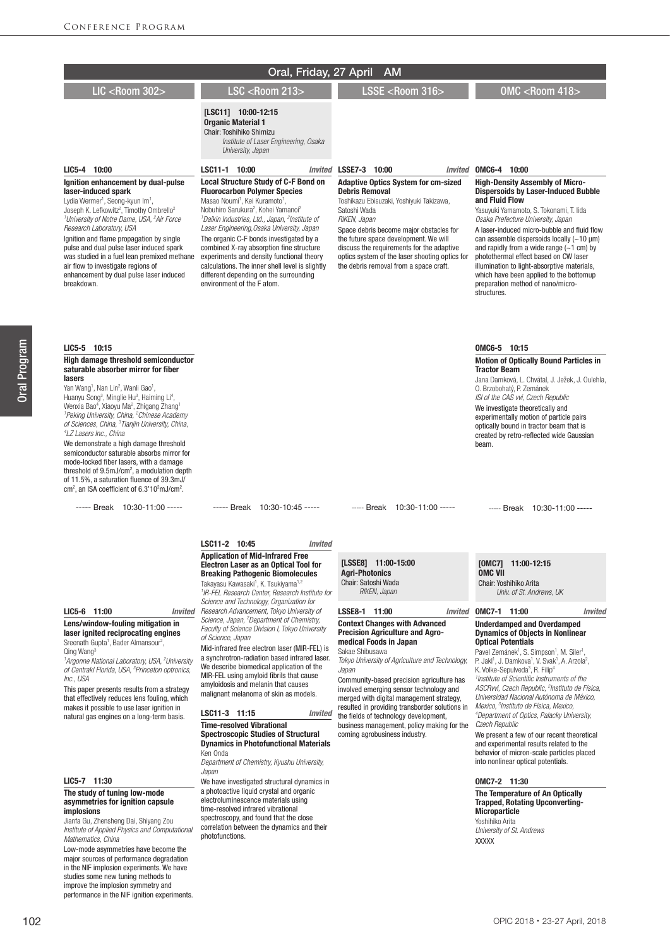|                                                                                                                                                                                                                                                                                                                                                                                                                                                                                                                                                                                                                                                                                                                                                                                                                                                            | Oral, Friday, 27 April                                                                                                                                                                                                                                                                                                                                                                                                                                                                                                                                                                                                                                                                                                                                                                                                                                                                                                                                                                                                                             | <b>AM</b>                                                                                                                                                                                                                                                                                                                                                                                                                                                                                                                                                                                                                |                                                                                                                                                                                                                                                                                                                                                                                                                                                                                                                                                                                                                                                                                                                                                                                                                                                                                                                                                         |
|------------------------------------------------------------------------------------------------------------------------------------------------------------------------------------------------------------------------------------------------------------------------------------------------------------------------------------------------------------------------------------------------------------------------------------------------------------------------------------------------------------------------------------------------------------------------------------------------------------------------------------------------------------------------------------------------------------------------------------------------------------------------------------------------------------------------------------------------------------|----------------------------------------------------------------------------------------------------------------------------------------------------------------------------------------------------------------------------------------------------------------------------------------------------------------------------------------------------------------------------------------------------------------------------------------------------------------------------------------------------------------------------------------------------------------------------------------------------------------------------------------------------------------------------------------------------------------------------------------------------------------------------------------------------------------------------------------------------------------------------------------------------------------------------------------------------------------------------------------------------------------------------------------------------|--------------------------------------------------------------------------------------------------------------------------------------------------------------------------------------------------------------------------------------------------------------------------------------------------------------------------------------------------------------------------------------------------------------------------------------------------------------------------------------------------------------------------------------------------------------------------------------------------------------------------|---------------------------------------------------------------------------------------------------------------------------------------------------------------------------------------------------------------------------------------------------------------------------------------------------------------------------------------------------------------------------------------------------------------------------------------------------------------------------------------------------------------------------------------------------------------------------------------------------------------------------------------------------------------------------------------------------------------------------------------------------------------------------------------------------------------------------------------------------------------------------------------------------------------------------------------------------------|
| <b>LIC <room 302=""></room></b>                                                                                                                                                                                                                                                                                                                                                                                                                                                                                                                                                                                                                                                                                                                                                                                                                            | <b>LSC <room 213=""></room></b>                                                                                                                                                                                                                                                                                                                                                                                                                                                                                                                                                                                                                                                                                                                                                                                                                                                                                                                                                                                                                    | LSSE <room 316=""></room>                                                                                                                                                                                                                                                                                                                                                                                                                                                                                                                                                                                                | <b>OMC <room 418=""></room></b>                                                                                                                                                                                                                                                                                                                                                                                                                                                                                                                                                                                                                                                                                                                                                                                                                                                                                                                         |
|                                                                                                                                                                                                                                                                                                                                                                                                                                                                                                                                                                                                                                                                                                                                                                                                                                                            | $[LSC11]$ 10:00-12:15<br><b>Organic Material 1</b><br>Chair: Toshihiko Shimizu<br>Institute of Laser Engineering, Osaka<br>University, Japan                                                                                                                                                                                                                                                                                                                                                                                                                                                                                                                                                                                                                                                                                                                                                                                                                                                                                                       |                                                                                                                                                                                                                                                                                                                                                                                                                                                                                                                                                                                                                          |                                                                                                                                                                                                                                                                                                                                                                                                                                                                                                                                                                                                                                                                                                                                                                                                                                                                                                                                                         |
| LIC5-4 10:00<br>Ignition enhancement by dual-pulse<br>laser-induced spark<br>Lydia Wermer <sup>1</sup> , Seong-kyun Im <sup>1</sup> ,<br>Joseph K. Lefkowitz <sup>2</sup> , Timothy Ombrello <sup>2</sup><br><sup>1</sup> University of Notre Dame, USA, <sup>2</sup> Air Force<br>Research Laboratory, USA<br>Ignition and flame propagation by single<br>pulse and dual pulse laser induced spark<br>was studied in a fuel lean premixed methane<br>air flow to investigate regions of<br>enhancement by dual pulse laser induced<br>breakdown.                                                                                                                                                                                                                                                                                                          | LSC11-1 10:00<br><b>Local Structure Study of C-F Bond on</b><br><b>Fluorocarbon Polymer Species</b><br>Masao Noumi <sup>1</sup> , Kei Kuramoto <sup>1</sup> ,<br>Nobuhiro Sarukura <sup>2</sup> , Kohei Yamanoi <sup>2</sup><br><sup>1</sup> Daikin Industries, Ltd., Japan, <sup>2</sup> Institute of<br>Laser Engineering, Osaka University, Japan<br>The organic C-F bonds investigated by a<br>combined X-ray absorption fine structure<br>experiments and density functional theory<br>calculations. The inner shell level is slightly<br>different depending on the surrounding<br>environment of the F atom.                                                                                                                                                                                                                                                                                                                                                                                                                                | Invited LSSE7-3 10:00<br><b>Adaptive Optics System for cm-sized</b><br><b>Debris Removal</b><br>Toshikazu Ebisuzaki, Yoshiyuki Takizawa,<br>Satoshi Wada<br>RIKEN, Japan<br>Space debris become major obstacles for<br>the future space development. We will<br>discuss the requirements for the adaptive<br>optics system of the laser shooting optics for<br>the debris removal from a space craft.                                                                                                                                                                                                                    | Invited OMC6-4 10:00<br><b>High-Density Assembly of Micro-</b><br><b>Dispersoids by Laser-Induced Bubble</b><br>and Fluid Flow<br>Yasuyuki Yamamoto, S. Tokonami, T. lida<br>Osaka Prefecture University, Japan<br>A laser-induced micro-bubble and fluid flow<br>can assemble dispersoids locally $(-10 \mu m)$<br>and rapidly from a wide range $(-1 \text{ cm})$ by<br>photothermal effect based on CW laser<br>illumination to light-absorptive materials,<br>which have been applied to the bottomup<br>preparation method of nano/micro-<br>structures.                                                                                                                                                                                                                                                                                                                                                                                           |
| LIC5-5 10:15<br>High damage threshold semiconductor<br>saturable absorber mirror for fiber<br>lasers<br>Yan Wang <sup>1</sup> , Nan Lin <sup>2</sup> , Wanli Gao <sup>1</sup> ,<br>Huanyu Song <sup>3</sup> , Minglie Hu <sup>3</sup> , Haiming Li <sup>4</sup> ,<br>Wenxia Bao <sup>4</sup> , Xiaoyu Ma <sup>2</sup> , Zhigang Zhang <sup>1</sup><br><sup>1</sup> Peking University, China, <sup>2</sup> Chinese Academy<br>of Sciences, China, <sup>3</sup> Tianjin University, China,<br><sup>4</sup> LZ Lasers Inc., China<br>We demonstrate a high damage threshold<br>semiconductor saturable absorbs mirror for<br>mode-locked fiber lasers, with a damage<br>threshold of $9.5 \text{mJ/cm}^2$ , a modulation depth<br>of 11.5%, a saturation fluence of 39.3mJ/<br>$\text{cm}^2$ , an ISA coefficient of 6.3'10 <sup>2</sup> mJ/cm <sup>2</sup> . |                                                                                                                                                                                                                                                                                                                                                                                                                                                                                                                                                                                                                                                                                                                                                                                                                                                                                                                                                                                                                                                    |                                                                                                                                                                                                                                                                                                                                                                                                                                                                                                                                                                                                                          | OMC6-5 10:15<br><b>Motion of Optically Bound Particles in</b><br><b>Tractor Beam</b><br>Jana Damková, L. Chvátal, J. Ježek, J. Oulehla,<br>O. Brzobohatý, P. Zemánek<br>ISI of the CAS wi, Czech Republic<br>We investigate theoretically and<br>experimentally motion of particle pairs<br>optically bound in tractor beam that is<br>created by retro-reflected wide Gaussian<br>beam.                                                                                                                                                                                                                                                                                                                                                                                                                                                                                                                                                                |
| ----- Break 10:30-11:00 -----                                                                                                                                                                                                                                                                                                                                                                                                                                                                                                                                                                                                                                                                                                                                                                                                                              | ----- Break 10:30-10:45 -----                                                                                                                                                                                                                                                                                                                                                                                                                                                                                                                                                                                                                                                                                                                                                                                                                                                                                                                                                                                                                      | ----- Break 10:30-11:00 -----                                                                                                                                                                                                                                                                                                                                                                                                                                                                                                                                                                                            | ----- Break 10:30-11:00 -----                                                                                                                                                                                                                                                                                                                                                                                                                                                                                                                                                                                                                                                                                                                                                                                                                                                                                                                           |
| LIC5-6 11:00<br><b>Invited</b><br>Lens/window-fouling mitigation in<br>laser ignited reciprocating engines<br>Sreenath Gupta <sup>1</sup> , Bader Almansour <sup>2</sup> ,<br>Qing Wang <sup>3</sup><br><sup>1</sup> Argonne National Laboratory, USA, <sup>2</sup> University<br>of Centrakl Florida, USA, <sup>3</sup> Princeton optronics,<br>Inc., USA<br>This paper presents results from a strategy<br>that effectively reduces lens fouling, which<br>makes it possible to use laser ignition in<br>natural gas engines on a long-term basis.                                                                                                                                                                                                                                                                                                       | LSC11-2 10:45<br><b>Invited</b><br><b>Application of Mid-Infrared Free</b><br><b>Electron Laser as an Optical Tool for</b><br><b>Breaking Pathogenic Biomolecules</b><br>Takayasu Kawasaki <sup>1</sup> , K. Tsukiyama <sup>1,2</sup><br><sup>1</sup> IR-FEL Research Center, Research Institute for<br>Science and Technology, Organization for<br>Research Advancement, Tokyo University of<br>Science, Japan, <sup>2</sup> Department of Chemistry,<br>Faculty of Science Division I, Tokyo University<br>of Science, Japan<br>Mid-infrared free electron laser (MIR-FEL) is<br>a synchrotron-radiation based infrared laser.<br>We describe biomedical application of the<br>MIR-FEL using amyloid fibrils that cause<br>amvloidosis and melanin that causes<br>malignant melanoma of skin as models.<br>LSC11-3 11:15<br><b>Invited</b><br><b>Time-resolved Vibrational</b><br><b>Spectroscopic Studies of Structural</b><br><b>Dynamics in Photofunctional Materials</b><br>Ken Onda<br>Department of Chemistry, Kyushu University,<br>Japan | [LSSE8] 11:00-15:00<br><b>Agri-Photonics</b><br>Chair: Satoshi Wada<br>RIKEN, Japan<br>LSSE8-1 11:00<br>Invited<br><b>Context Changes with Advanced</b><br><b>Precision Agriculture and Agro-</b><br>medical Foods in Japan<br>Sakae Shibusawa<br>Tokyo University of Agriculture and Technology,<br>Japan<br>Community-based precision agriculture has<br>involved emerging sensor technology and<br>merged with digital management strategy,<br>resulted in providing transborder solutions in<br>the fields of technology development,<br>business management, policy making for the<br>coming agrobusiness industry. | [OMC7] 11:00-12:15<br><b>OMC VII</b><br>Chair: Yoshihiko Arita<br>Univ. of St. Andrews, UK<br>OMC7-1 11:00<br>Invited<br><b>Underdamped and Overdamped</b><br><b>Dynamics of Objects in Nonlinear</b><br><b>Optical Potentials</b><br>Pavel Zemánek <sup>1</sup> , S. Simpson <sup>1</sup> , M. Siler <sup>1</sup> ,<br>P. Jakl <sup>1</sup> , J. Damkova <sup>1</sup> , V. Svak <sup>1</sup> , A. Arzola <sup>2</sup> ,<br>K. Volke-Sepulveda <sup>3</sup> , R. Filip <sup>4</sup><br>Institute of Scientific Instruments of the<br>ASCRwi, Czech Republic, <sup>2</sup> Instituto de Física,<br>Universidad Nacional Autónoma de México,<br>Mexico, <sup>3</sup> Instituto de Física, Mexico,<br><sup>4</sup> Department of Optics, Palacky University,<br>Czech Republic<br>We present a few of our recent theoretical<br>and experimental results related to the<br>behavior of micron-scale particles placed<br>into nonlinear optical potentials. |
| LIC5-7 11:30<br>The study of tuning low-mode                                                                                                                                                                                                                                                                                                                                                                                                                                                                                                                                                                                                                                                                                                                                                                                                               | We have investigated structural dynamics in<br>a photoactive liquid crystal and organic                                                                                                                                                                                                                                                                                                                                                                                                                                                                                                                                                                                                                                                                                                                                                                                                                                                                                                                                                            |                                                                                                                                                                                                                                                                                                                                                                                                                                                                                                                                                                                                                          | OMC7-2 11:30<br>The Temperature of An Optically                                                                                                                                                                                                                                                                                                                                                                                                                                                                                                                                                                                                                                                                                                                                                                                                                                                                                                         |

The study of tuning low-mode asymmetries for ignition capsule implosions

Jianfa Gu, Zhensheng Dai, Shiyang Zou *Institute of Applied Physics and Computational Mathematics, China*

electroluminescence materials using time-resolved infrared vibrational spectroscopy, and found that the close correlation between the dynamics and their

photofunctions.

Low-mode asymmetries have become the major sources of performance degradation in the NIF implosion experiments. We have studies some new tuning methods to improve the implosion symmetry and performance in the NIF ignition experiments.

# OPIC 2018・23-27 April, 2018

Trapped, Rotating Upconverting-

**Microparticle** Yoshihiko Arita *University of St. Andrews*

XXXXX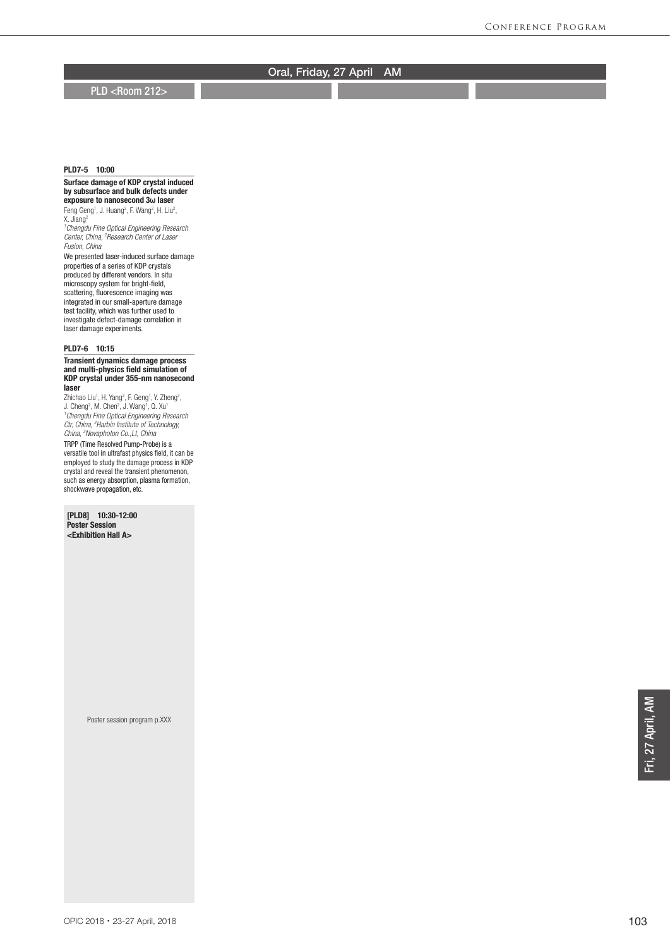**PLD <Room 212>** 

## PLD7-5 10:00

#### Surface damage of KDP crystal induced by subsurface and bulk defects under exposure to nanosecond 3**ω** laser

Feng Geng<sup>1</sup>, J. Huang<sup>2</sup>, F. Wang<sup>2</sup>, H. Liu<sup>2</sup>, X. Jiang<sup>2</sup> *1 Chengdu Fine Optical Engineering Research Center, China, 2 Research Center of Laser* 

*Fusion, China*

We presented laser-induced surface damage properties of a series of KDP crystals produced by different vendors. In situ microscopy system for bright-field, scattering, fluorescence imaging was integrated in our small-aperture damage test facility, which was further used to investigate defect-damage correlation in laser damage experiments.

## PLD7-6 10:15

#### Transient dynamics damage process and multi-physics field simulation of KDP crystal under 355-nm nanosecond laser

Zhichao Liu<sup>1</sup>, H. Yang<sup>2</sup>, F. Geng<sup>1</sup>, Y. Zheng<sup>3</sup>,<br>J. Cheng<sup>2</sup>, M. Chen<sup>2</sup>, J. Wang<sup>1</sup>, Q. Xu<sup>1</sup> *1 Chengdu Fine Optical Engineering Research Ctr, China, 2 Harbin Institute of Technology, China, 3 Novaphoton Co.,Lt, China* TRPP (Time Resolved Pump-Probe) is a versatile tool in ultrafast physics field, it can be employed to study the damage process in KDP crystal and reveal the transient phenomenon, such as energy absorption, plasma formation, shockwave propagation, etc.

[PLD8] 10:30-12:00 Poster Session <Exhibition Hall A>

Poster session program p.XXX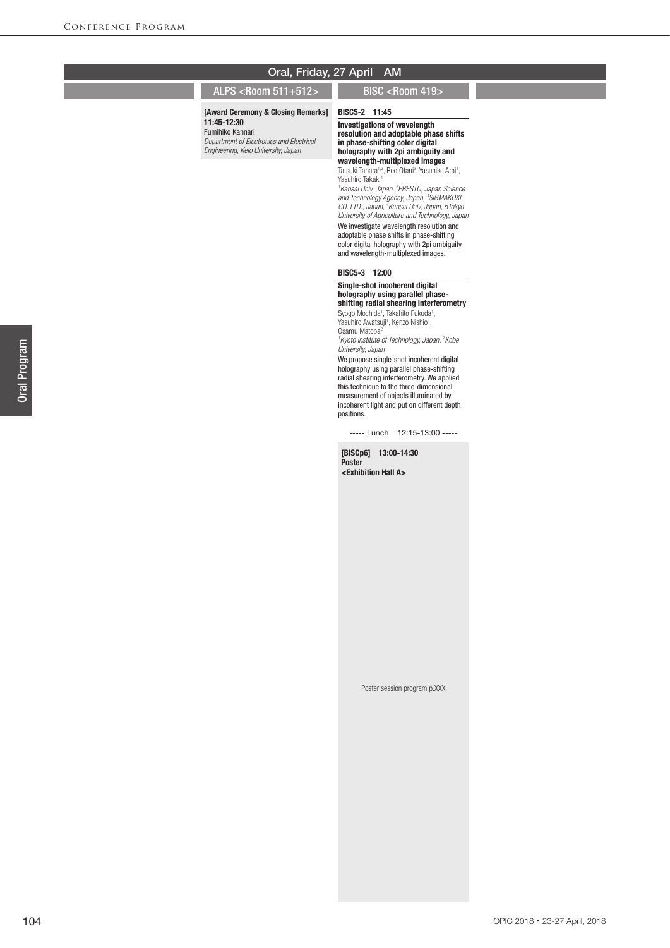## ALPS <Room 511+512> BISC <Room 419>

### [Award Ceremony & Closing Remarks]

11:45-12:30 Fumihiko Kannari

*Department of Electronics and Electrical Engineering, Keio University, Japan*

# BISC5-2 11:45

Investigations of wavelength resolution and adoptable phase shifts in phase-shifting color digital holography with 2pi ambiguity and wavelength-multiplexed images

Tatsuki Tahara<sup>1,2</sup>, Reo Otani<sup>3</sup>, Yasuhiko Arai<sup>1</sup>,<br>Yasuhiro Takaki<sup>4</sup>

*1 Kansai Univ, Japan, 2 PRESTO, Japan Science and Technology Agency, Japan, 3 SIGMAKOKI CO. LTD., Japan, 4 Kansai Univ, Japan, 5Tokyo University of Agriculture and Technology, Japan*

We investigate wavelength resolution and adoptable phase shifts in phase-shifting color digital holography with 2pi ambiguity and wavelength-multiplexed images.

## BISC5-3 12:00

### Single-shot incoherent digital holography using parallel phaseshifting radial shearing interferometry

Syogo Mochida<sup>1</sup>, Takahito Fukuda<sup>1</sup>, Yasuhiro Awatsuji<sup>1</sup>, Kenzo Nishio<sup>1</sup>, Osamu Matoba2

*1 Kyoto Institute of Technology, Japan, 2 Kobe University, Japan*

We propose single-shot incoherent digital holography using parallel phase-shifting radial shearing interferometry. We applied this technique to the three-dimensional measurement of objects illuminated by incoherent light and put on different depth positions.

----- Lunch 12:15-13:00 -----

Poster session program p.XXX

[BISCp6] 13:00-14:30 Poster <Exhibition Hall A>

OPIC 2018・23-27 April, 2018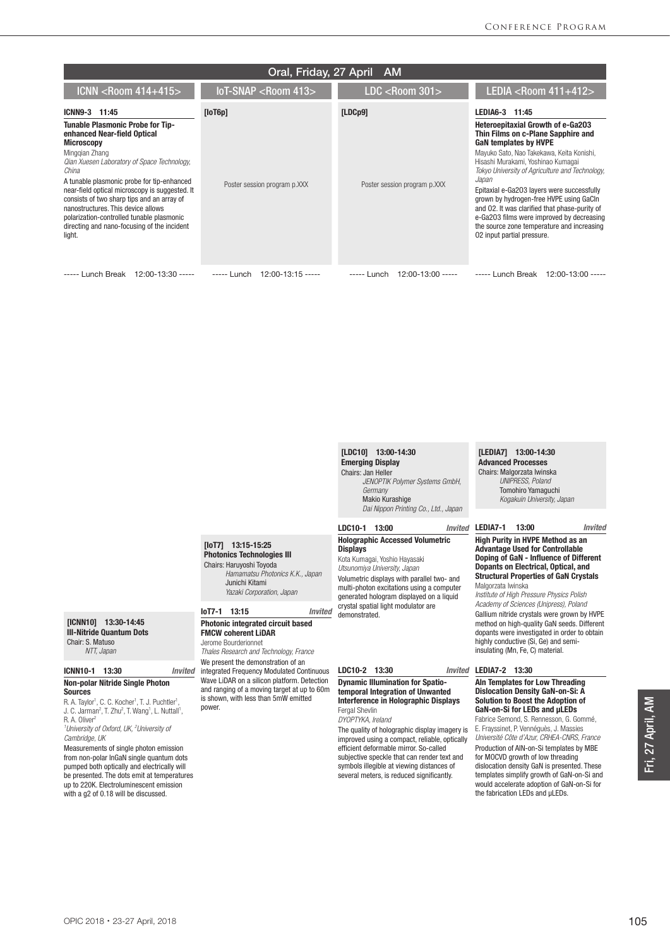| Oral, Friday, 27 April<br>- AM                                                                                                                                                                                                                                                                                                                                                                                                                                                   |                                         |                                         |                                                                                                                                                                                                                                                                                                                                                                                                                                                                                                                                             |  |  |
|----------------------------------------------------------------------------------------------------------------------------------------------------------------------------------------------------------------------------------------------------------------------------------------------------------------------------------------------------------------------------------------------------------------------------------------------------------------------------------|-----------------------------------------|-----------------------------------------|---------------------------------------------------------------------------------------------------------------------------------------------------------------------------------------------------------------------------------------------------------------------------------------------------------------------------------------------------------------------------------------------------------------------------------------------------------------------------------------------------------------------------------------------|--|--|
| ICNN <room 414+415=""></room>                                                                                                                                                                                                                                                                                                                                                                                                                                                    | $10T-SNAP <$ Room 413>                  | $LDC <$ Room 301 $>$                    | LEDIA <room <math="">411+412&gt;</room>                                                                                                                                                                                                                                                                                                                                                                                                                                                                                                     |  |  |
| ICNN9-3 11:45<br><b>Tunable Plasmonic Probe for Tip-</b><br>enhanced Near-field Optical<br><b>Microscopy</b><br>Minggian Zhang<br>Qian Xuesen Laboratory of Space Technology,<br>China<br>A tunable plasmonic probe for tip-enhanced<br>near-field optical microscopy is suggested. It<br>consists of two sharp tips and an array of<br>nanostructures. This device allows<br>polarization-controlled tunable plasmonic<br>directing and nano-focusing of the incident<br>light. | [loT6p]<br>Poster session program p.XXX | [LDCp9]<br>Poster session program p.XXX | LEDIA6-3 11:45<br>Heteroepitaxial Growth of e-Ga203<br>Thin Films on c-Plane Sapphire and<br><b>GaN templates by HVPE</b><br>Mayuko Sato, Nao Takekawa, Keita Konishi,<br>Hisashi Murakami, Yoshinao Kumaqai<br>Tokyo University of Agriculture and Technology,<br>Japan<br>Epitaxial e-Ga203 layers were successfully<br>grown by hydrogen-free HVPE using GaCIn<br>and 02. It was clarified that phase-purity of<br>e-Ga203 films were improved by decreasing<br>the source zone temperature and increasing<br>02 input partial pressure. |  |  |
| Lunch Break<br>$12:00-13:30$ -----                                                                                                                                                                                                                                                                                                                                                                                                                                               | $---$ Lunch 12:00-13:15 -----           | $12:00-13:00$ -----<br>----- Lunch      | ----- Lunch Break<br>12:00-13:00 -----                                                                                                                                                                                                                                                                                                                                                                                                                                                                                                      |  |  |

LEDIA7-1 13:00 *Invited* [LDC10] 13:00-14:30 Emerging Display Chairs: Jan Heller  *JENOPTIK Polymer Systems GmbH, Germany* Makio Kurashige  *Dai Nippon Printing Co., Ltd., Japan* LDC10-1 13:00 *Invited* Holographic Accessed Volumetric **Displays** Kota Kumagai, Yoshio Hayasaki *Utsunomiya University, Japan Hamamatsu Photonics K.K., Japan*

Volumetric displays with parallel two- and multi-photon excitations using a computer generated hologram displayed on a liquid crystal spatial light modulator are demonstrated.

## LDC10-2 13:30

#### Dynamic Illumination for Spatiotemporal Integration of Unwanted Interference in Holographic Displays Fergal Shevlin

*DYOPTYKA, Ireland*

The quality of holographic display imagery is improved using a compact, reliable, optically efficient deformable mirror. So-called subjective speckle that can render text and symbols illegible at viewing distances of several meters, is reduced significantly.

#### [LEDIA7] 13:00-14:30 Advanced Processes Chairs: Malgorzata Iwinska  *UNIPRESS, Poland* Tomohiro Yamaguchi

*Kogakuin University, Japan*

High Purity in HVPE Method as an Advantage Used for Controllable Doping of GaN - Influence of Different Dopants on Electrical, Optical, and Structural Properties of GaN Crystals Malgorzata Iwinska

*Institute of High Pressure Physics Polish Academy of Sciences (Unipress), Poland* Gallium nitride crystals were grown by HVPE method on high-quality GaN seeds. Different dopants were investigated in order to obtain highly conductive (Si, Ge) and semiinsulating (Mn, Fe, C) material.

## LEDIA7-2 13:30

#### Aln Templates for Low Threading Dislocation Density GaN-on-Si: A Solution to Boost the Adoption of GaN-on-Si for LEDs and μLEDs

Fabrice Semond, S. Rennesson, G. Gommé, E. Frayssinet, P. Vennéguès, J. Massies *Université Côte d'Azur, CRHEA-CNRS, France*

Production of AlN-on-Si templates by MBE for MOCVD growth of low threading dislocation density GaN is presented. These templates simplify growth of GaN-on-Si and would accelerate adoption of GaN-on-Si for the fabrication LEDs and µLEDs.

#### [ICNN10] 13:30-14:45 III-Nitride Quantum Dots Chair: S. Matuso *NTT, Japan*

## ICNN10-1 13:30 *Invited* Non-polar Nitride Single Photon

Sources

R. A. Taylor<sup>1</sup>, C. C. Kocher<sup>1</sup>, T. J. Puchtler<sup>1</sup> R. A. Taylor<sup>1</sup>, C. C. Kocher<sup>1</sup>, T. J. Puchtler<sup>1</sup>,<br>J. C. Jarman<sup>2</sup>, T. Zhu<sup>2</sup>, T. Wang<sup>1</sup>, L. Nuttall<sup>1</sup>, R. A. Oliver<sup>2</sup>

*1 University of Oxford, UK, 2 University of Cambridge, UK*

Measurements of single photon emission from non-polar InGaN single quantum dots pumped both optically and electrically will be presented. The dots emit at temperatures up to 220K. Electroluminescent emission with a g2 of 0.18 will be discussed.

## IoT7-1 13:15 *Invited* Photonic integrated circuit based

 Junichi Kitami  *Yazaki Corporation, Japan*

FMCW coherent LiDAR Jerome Bourderionnet

[IoT7] 13:15-15:25 Photonics Technologies III Chairs: Haruyoshi Toyoda

*Thales Research and Technology, France* We present the demonstration of an integrated Frequency Modulated Continuous Wave LiDAR on a silicon platform. Detection and ranging of a moving target at up to 60m is shown, with less than 5mW emitted power.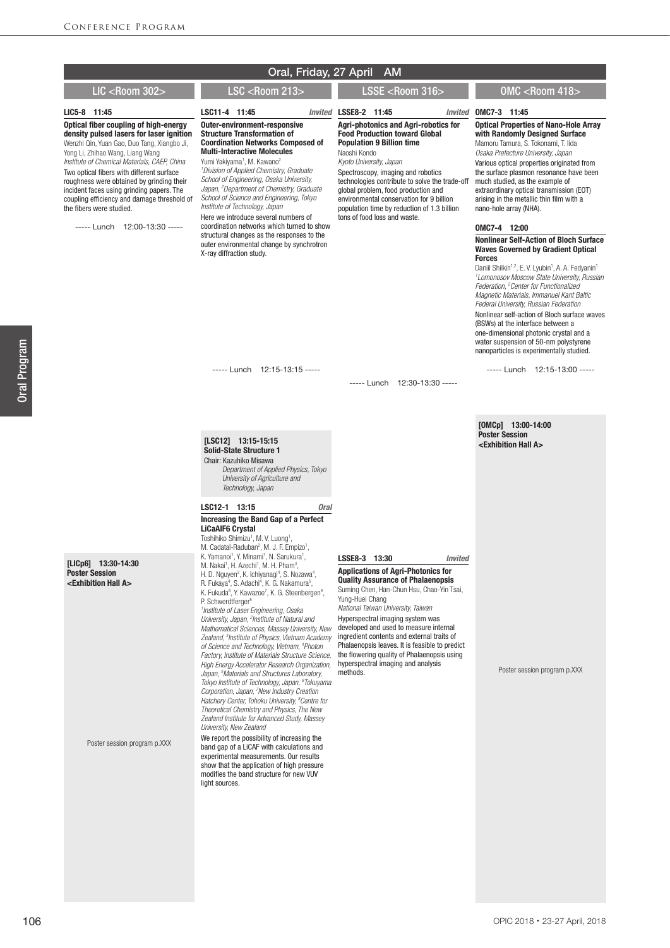|  | Oral, Friday, 27 April AM |  |  |  |
|--|---------------------------|--|--|--|
|--|---------------------------|--|--|--|

## LIC <Room 302> LSC <Room 213> LSSE <Room 316> OMC <Room 418>

#### LIC5-8 11:45

Optical fiber coupling of high-energy density pulsed lasers for laser ignition Wenzhi Qin, Yuan Gao, Duo Tang, Xiangbo Ji, Yong Li, Zhihao Wang, Liang Wang

*Institute of Chemical Materials, CAEP, China* Two optical fibers with different surface roughness were obtained by grinding their incident faces using grinding papers. The coupling efficiency and damage threshold of the fibers were studied.

----- Lunch 12:00-13:30 -----

#### LSSE8-2 11:45 *Invited* LSC11-4 11:45 Outer-environment-responsive Structure Transformation of Coordination Networks Composed of Multi-Interactive Molecules Yumi Yakiyama<sup>1</sup>, M. Kawano<sup>2</sup> *1 Division of Applied Chemistry, Graduate School of Engineering, Osaka University, Japan, 2 Department of Chemistry, Graduate School of Science and Engineering, Tokyo Institute of Technology, Japan* Here we introduce several numbers of coordination networks which turned to show structural changes as the responses to the outer environmental change by synchrotron X-ray diffraction study.

Agri-photonics and Agri-robotics for Food Production toward Global Population 9 Billion time Naoshi Kondo

*Kyoto University, Japan*

Spectroscopy, imaging and robotics technologies contribute to solve the trade-off global problem, food production and environmental conservation for 9 billion population time by reduction of 1.3 billion tons of food loss and waste.

#### OMC7-3 11:45

Optical Properties of Nano-Hole Array with Randomly Designed Surface Mamoru Tamura, S. Tokonami, T. Iida

*Osaka Prefecture University, Japan* Various optical properties originated from the surface plasmon resonance have been much studied, as the example of extraordinary optical transmission (EOT) arising in the metallic thin film with a nano-hole array (NHA).

### OMC7-4 12:00

#### Nonlinear Self-Action of Bloch Surface Waves Governed by Gradient Optical Forces

Daniil Shilkin<sup>1,2</sup>, E. V. Lyubin<sup>1</sup>, A. A. Fedyanin<sup>1</sup> *1 Lomonosov Moscow State University, Russian Federation, 2 Center for Functionalized Magnetic Materials, Immanuel Kant Baltic Federal University, Russian Federation* Nonlinear self-action of Bloch surface waves (BSWs) at the interface between a one-dimensional photonic crystal and a water suspension of 50-nm polystyrene nanoparticles is experimentally studied.

----- Lunch 12:15-13:00 -----

----- Lunch 12:15-13:15 -----

 *Department of Applied Physics, Tokyo University of Agriculture and Technology, Japan*

LSC12-1 13:15 *Oral* Increasing the Band Gap of a Perfect

[LSC12] 13:15-15:15 Solid-State Structure 1 Chair: Kazuhiko Misawa

LiCaAlF6 Crystal

----- Lunch 12:30-13:30 -----

[OMCp] 13:00-14:00 Poster Session <Exhibition Hall A>

[LICp6] 13:30-14:30

Poster Session <Exhibition Hall A>

Poster session program p.XXX

Toshihiko Shimizu<sup>1</sup>, M. V. Luong<sup>1</sup>, M. Cadatal-Raduban<sup>2</sup>, M. J. F. Empizo<sup>1</sup>, K. Yamanoi<sup>1</sup>, Y. Minami<sup>1</sup>, N. Sarukura<sup>1</sup>,<br>M. Nakai<sup>1</sup>, H. Azechi<sup>1</sup>, M. H. Pham<sup>3</sup>, H. D. Nguyen<sup>3</sup>, K. Ichiyanagi<sup>4</sup>, S. Nozawa<sup>4</sup>, R. Fukaya<sup>4</sup>, S. Adachi<sup>4</sup>, K. G. Nakamura<sup>5</sup>,<br>K. Fukuda<sup>6</sup>, Y. Kawazoe<sup>7</sup>, K. G. Steenbergen<sup>8</sup>, P. Schwerdtferger *1 Institute of Laser Engineering, Osaka*  University, Japan, <sup>2</sup> Institute of Natural and *Mathematical Sciences, Massey University, New Zealand, 3 Institute of Physics, Vietnam Academy of Science and Technology, Vietnam, 4 Photon Factory, Institute of Materials Structure Science, High Energy Accelerator Research Organization, Japan, 5 Materials and Structures Laboratory, Tokyo Institute of Technology, Japan, 6 Tokuyama Corporation, Japan, 7 New Industry Creation Hatchery Center, Tohoku University, 8 Centre for Theoretical Chemistry and Physics, The New Zealand Institute for Advanced Study, Massey University, New Zealand*

We report the possibility of increasing the band gap of a LiCAF with calculations and experimental measurements. Our results show that the application of high pressure modifies the band structure for new VUV light sources.

# LSSE8-3 13:30 *Invited*

Applications of Agri-Photonics for Quality Assurance of Phalaenopsis

Suming Chen, Han-Chun Hsu, Chao-Yin Tsai, Yung-Huei Chang *National Taiwan University, Taiwan* Hyperspectral imaging system was developed and used to measure internal ingredient contents and external traits of Phalaenopsis leaves. It is feasible to predict the flowering quality of Phalaenopsis using hyperspectral imaging and analysis methods.

Poster session program p.XXX

Oral Program

**Oral Program**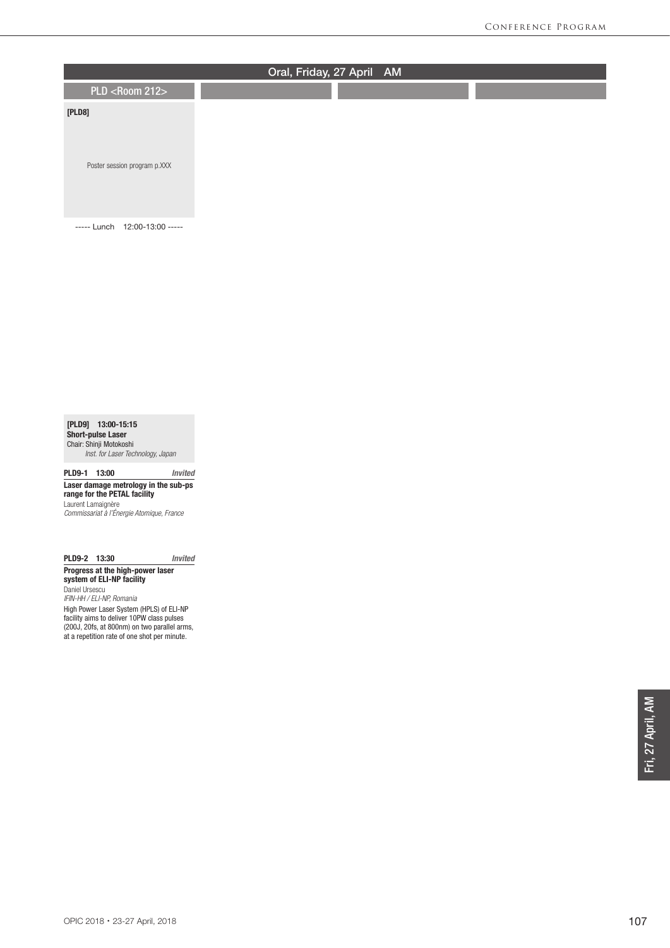

[PLD9] 13:00-15:15 Short-pulse Laser Chair: Shinji Motokoshi

*Inst. for Laser Technology, Japan*

PLD9-1 13:00 *Invited* Laser damage metrology in the sub-ps

range for the PETAL facility Laurent Lamaignère

*Commissariat à l'Énergie Atomique, France*

## PLD9-2 13:30 *Invited*

Progress at the high-power laser system of ELI-NP facility Daniel Ursescu

*IFIN-HH / ELI-NP, Romania* High Power Laser System (HPLS) of ELI-NP facility aims to deliver 10PW class pulses (200J, 20fs, at 800nm) on two parallel arms, at a repetition rate of one shot per minute.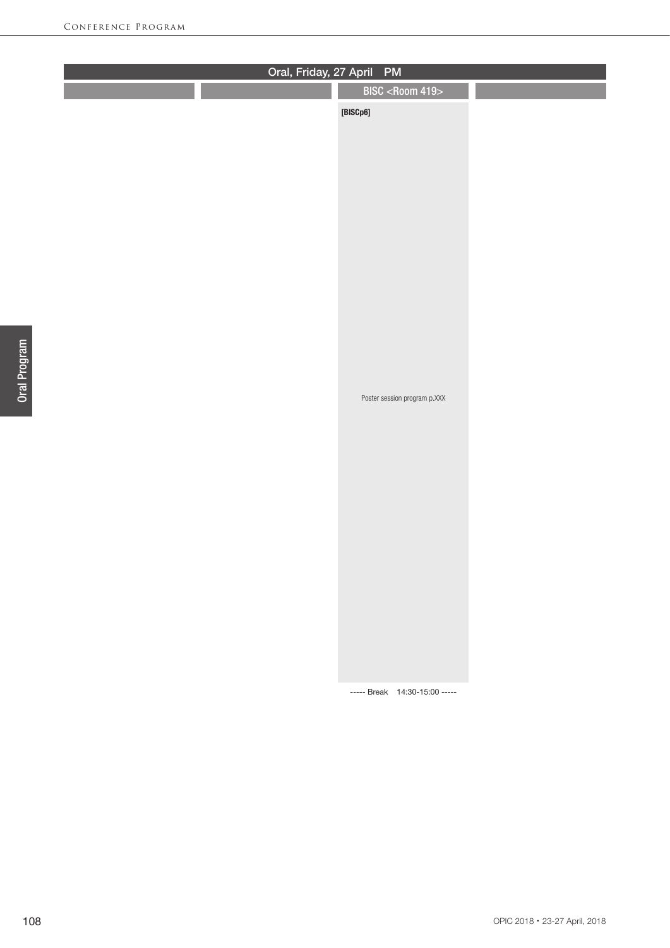| BISC <room 419=""><br/><math display="block">[{\small\textsf{BISCp6}}]</math></room> | Oral, Friday, 27 April PM |  |  |  |  |  |
|--------------------------------------------------------------------------------------|---------------------------|--|--|--|--|--|
|                                                                                      |                           |  |  |  |  |  |
|                                                                                      |                           |  |  |  |  |  |
| Poster session program p.XXX<br>----- Break 14:30-15:00 -----                        |                           |  |  |  |  |  |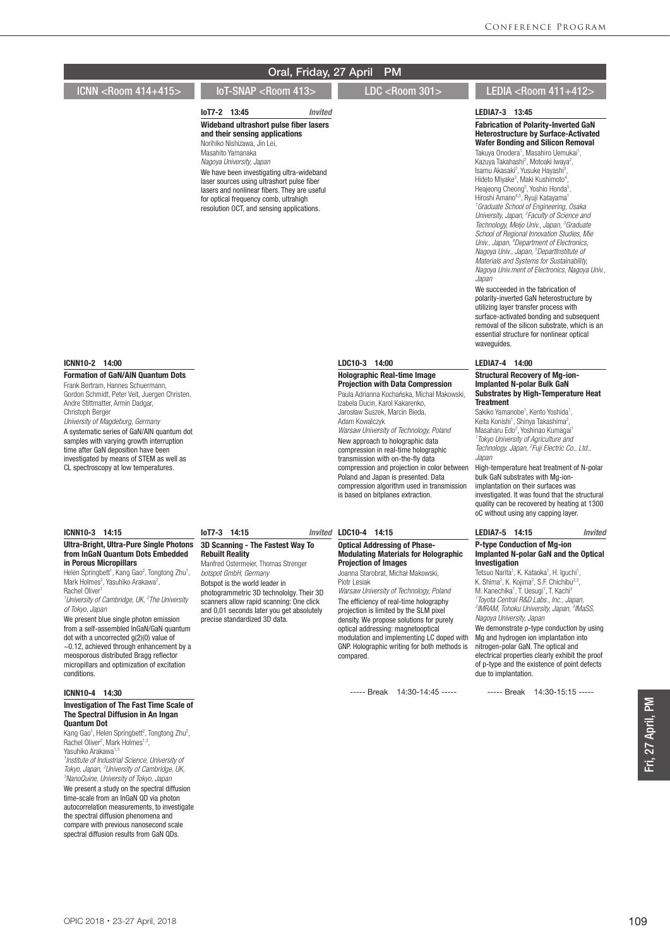ICNN <Room 414+415> IoT-SNAP <Room 413> LDC <Room 301> LEDIA <Room 411+412>

#### IoT7-2 13:45 *Invited* Wideband ultrashort pulse fiber lasers and their sensing applications

Norihiko Nishizawa, Jin Lei, Masahito Yamanaka *Nagoya University, Japan* We have been investigating ultra-wideband laser sources using ultrashort pulse fiber lasers and nonlinear fibers. They are useful for optical frequency comb, ultrahigh

resolution OCT, and sensing applications.

# LEDIA7-3 13:45

Fabrication of Polarity-Inverted GaN Heterostructure by Surface-Activated Wafer Bonding and Silicon Removal

Takuya Onodera<sup>1</sup>, Masahiro Uemukai<sup>1</sup>, Kazuya Takahashi<sup>2</sup>, Motoaki lwaya<sup>2</sup>, Isamu Akasaki<sup>2</sup>, Yusuke Hayashi<sup>3</sup>,<br>Hideto Miyake<sup>3</sup>, Maki Kushimoto<sup>4</sup>, Heajeong Cheong<sup>5</sup>, Yoshio Honda<sup>5</sup>, Hiroshi Amano4,5, Ryuji Katayama1 *1 Graduate School of Engineering, Osaka University, Japan, 2 Faculty of Science and Technology, Meijo Univ., Japan, 3 Graduate School of Regional Innovation Studies, Mie Univ., Japan, 4 Department of Electronics, Nagoya Univ., Japan, 5 DepartInstitute of Materials and Systems for Sustainability, Nagoya Univ.ment of Electronics, Nagoya Univ., Japan*

We succeeded in the fabrication of polarity-inverted GaN heterostructure by utilizing layer transfer process with surface-activated bonding and subsequent removal of the silicon substrate, which is an essential structure for nonlinear optical waveguides

### LEDIA7-4 14:00

#### Structural Recovery of Mg-ion-Implanted N-polar Bulk GaN Substrates by High-Temperature Heat **Treatment**

Sakiko Yamanobe<sup>1</sup>, Kento Yoshida<sup>1</sup>, Keita Konishi<sup>1</sup>, Shinya Takashima<sup>2</sup> Keita Konishi<sup>1</sup>, Shinya Takashima<sup>2</sup>,<br>Masaharu Edo<sup>2</sup>, Yoshinao Kumagai<sup>1</sup> *1 Tokyo University of Agriculture and Technology, Japan, 2 Fuji Electric Co., Ltd., Japan*

High-temperature heat treatment of N-polar bulk GaN substrates with Mg-ionimplantation on their surfaces was investigated. It was found that the structural quality can be recovered by heating at 1300 oC without using any capping layer.

#### LEDIA7-5 14:15 *Invited*

#### P-type Conduction of Mg-ion Implanted N-polar GaN and the Optical Investigation

Tetsuo Narita<sup>1</sup>, K. Kataoka<sup>1</sup>, H. Iguchi<sup>1</sup>, K. Shima<sup>2</sup>, K. Kojima<sup>2</sup>, S.F. Chichibu<sup>2,3</sup>, M. Kanechika<sup>1</sup>, T. Uesugi<sup>1</sup>, T. Kachi<sup>3</sup> *1 Toyota Central R&D Labs., Inc., Japan, 2 IMRAM, Tohoku University, Japan, 3 IMaSS, Nagoya University, Japan*

We demonstrate p-type conduction by using Mg and hydrogen ion implantation into nitrogen-polar GaN. The optical and electrical properties clearly exhibit the proof of p-type and the existence of point defects due to implantation.

----- Break 14:30-15:15 -----

## ICNN10-2 14:00

#### Formation of GaN/AlN Quantum Dots

Frank Bertram, Hannes Schuermann, Gordon Schmidt, Peter Veit, Juergen Christen, Andre Stittmatter, Armin Dadgar, Christoph Berger

#### *University of Magdeburg, Germany* A systematic series of GaN/AlN quantum dot

samples with varying growth interruption time after GaN deposition have been investigated by means of STEM as well as CL spectroscopy at low temperatures.

#### ICNN10-3 14:15

#### Ultra-Bright, Ultra-Pure Single Photons from InGaN Quantum Dots Embedded in Porous Micropillars

Helen Springbett<sup>1</sup>, Kang Gao<sup>2</sup>, Tongtong Zhu<sup>1</sup>, Mark Holmes<sup>2</sup>, Yasuhiko Arakawa<sup>2</sup>, Rachel Oliver<sup>1</sup>

*1 University of Cambridge, UK, 2 The University of Tokyo, Japan*

We present blue single photon emission from a self-assembled InGaN/GaN quantum dot with a uncorrected g(2)(0) value of ~0.12, achieved through enhancement by a meosporous distributed Bragg reflector micropillars and optimization of excitation conditions.

#### ICNN10-4 14:30

#### Investigation of The Fast Time Scale of The Spectral Diffusion in An Ingan Quantum Dot

Kang Gao<sup>1</sup>, Helen Springbett<sup>2</sup>, Tongtong Zhu<sup>2</sup>, Rachel Oliver<sup>2</sup>, Mark Holmes<sup>1,3</sup>, Yasuhiko Arakawa<sup>1,3</sup>

*1 Institute of Industrial Science, University of Tokyo, Japan, <sup>2</sup> University of Cambridge, UK,*<br><sup>3</sup> NanoQuine, University of Tokyo, Japan *NanoQuine, University of Tokyo, Japan*

We present a study on the spectral diffusion time-scale from an InGaN QD via photon autocorrelation measurements, to investigate the spectral diffusion phenomena and compare with previous nanosecond scale spectral diffusion results from GaN QDs.

#### IoT7-3 14:15 *Invited*

#### 3D Scanning - The Fastest Way To Rebuilt Reality Manfred Ostermeier, Thomas Strenger

*botspot GmbH, Germany* Botspot is the world leader in

photogrammetric 3D technololgy. Their 3D scanners allow rapid scanning: One click and 0,01 seconds later you get absolutely precise standardized 3D data.

### LDC10-4 14:15

LDC10-3 14:00

Holographic Real-time Image Projection with Data Compression Paula Adrianna Kochańska, Michał Makowski, Izabela Ducin, Karol Kakarenko, Jarosław Suszek, Marcin Bieda, Adam Kowalczyk

*Warsaw University of Technology, Poland* New approach to holographic data compression in real-time holographic transmission with on-the-fly data compression and projection in color between Poland and Japan is presented. Data compression algorithm used in transmission is based on bitplanes extraction.

#### Optical Addressing of Phase-Modulating Materials for Holographic Projection of Images

Joanna Starobrat, Michał Makowski, Piotr Lesiak

*Warsaw University of Technology, Poland* The efficiency of real-time holography projection is limited by the SLM pixel density. We propose solutions for purely optical addressing: magnetooptical modulation and implementing LC doped with GNP. Holographic writing for both methods is compared.

----- Break 14:30-14:45 -----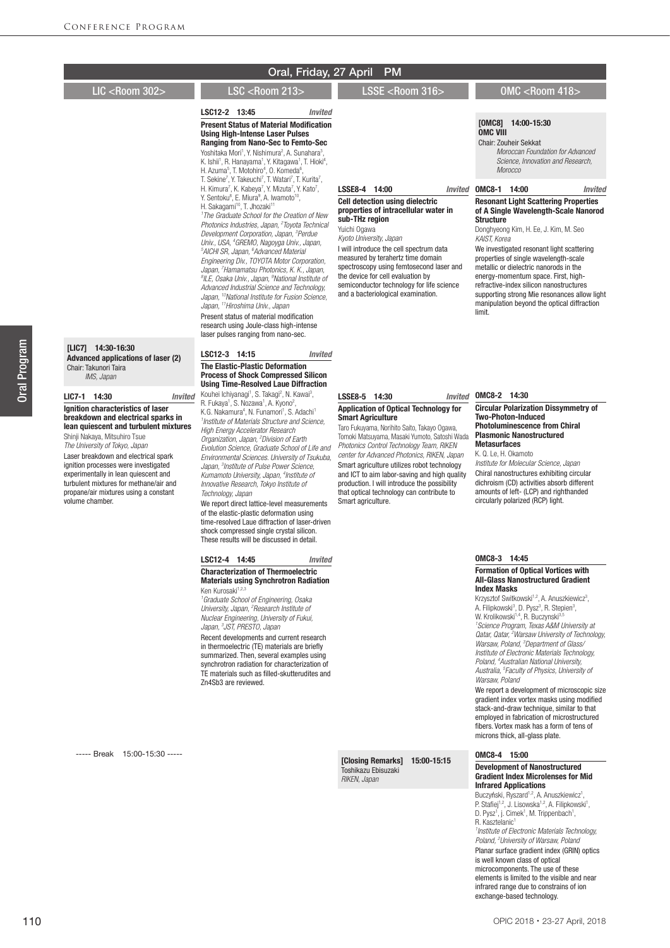# Oral, Friday, 27 April PM LIC <Room 302> LSC <Room 213> LSSE <Room 316> OMC <Room 418>

LSC12-2 13:45 *Invited* **Present Status of Material Modification** Using High-Intense Laser Pulses Ranging from Nano-Sec to Femto-Sec Yoshitaka Mori<sup>1</sup>, Y. Nishimura<sup>2</sup>, A. Sunahara<sup>3</sup>, K. Ishii<sup>1</sup>, R. Hanayama<sup>1</sup>, Y. Kitagawa<sup>1</sup>, T. Hioki<sup>4</sup>, H. Azuma<sup>5</sup>, T. Motohiro<sup>4</sup>, O. Komeda<sup>6</sup> H. Azuma<sup>5</sup>, T. Motohiro<sup>4</sup>, O. Komeda<sup>6</sup>,<br>T. Sekine<sup>7</sup>, Y. Takeuchi<sup>7</sup>, T. Watari<sup>7</sup>, T. Kurita<sup>7</sup>, H. Kimura<sup>7</sup>, K. Kabeya<sup>7</sup>, Y. Mizuta<sup>7</sup>, Y. Kato<sup>7</sup>, Y. Sentoku<sup>8</sup>, E. Miura<sup>9</sup>, A. Iwamoto<sup>10</sup>, H. Sakagami<sup>10</sup>, T. Jhozaki<sup>11</sup> *1 The Graduate School for the Creation of New Photonics Industries, Japan, 2 Toyota Technical Development Corporation, Japan, 3 Perdue Univ., USA, 4 GREMO, Nagoyga Univ., Japan, 5 AICHI SR, Japan, 6 Advanced Material Engineering Div., TOYOTA Motor Corporation, Japan, 7 Hamamatsu Photonics, K. K., Japan, 8 ILE, Osaka Univ., Japan, 9 National Institute of Advanced Industrial Science and Technology, Japan, 10National Institute for Fusion Science, Japan, 11Hiroshima Univ., Japan* Present status of material modification research using Joule-class high-intense laser pulses ranging from nano-sec.

# LSC12-3 14:15 *Invited*

The Elastic-Plastic Deformation Process of Shock Compressed Silicon Using Time-Resolved Laue Diffraction LIC7-1 14:30 *Invited*

Kouhei Ichiyanagi<sup>1</sup>, S. Takagi<sup>2</sup>, N. Kawai<sup>3</sup>, R. Fukaya<sup>1</sup>, S. Nozawa<sup>1</sup>, A. Kyono<sup>2</sup>, K.G. Nakamura<sup>4</sup>, N. Funamori<sup>1</sup>, S. Adachi<sup>1</sup> *1 Institute of Materials Structure and Science, High Energy Accelerator Research Organization, Japan, 2 Division of Earth Evolution Science, Graduate School of Life and Environmental Sciences. University of Tsukuba, Japan, 3 Institute of Pulse Power Science, Kumamoto University, Japan, 4 Institute of Innovative Research, Tokyo Institute of Technology, Japan*

We report direct lattice-level measurements of the elastic-plastic deformation using time-resolved Laue diffraction of laser-driven shock compressed single crystal silicon. These results will be discussed in detail.

#### LSC12-4 14:45 *Invited*

#### Characterization of Thermoelectric Materials using Synchrotron Radiation Ken Kurosaki<sup>1,2,</sup>

*1 Graduate School of Engineering, Osaka University, Japan, 2 Research Institute of Nuclear Engineering, University of Fukui,*  Japan, <sup>3</sup>JST, PRESTO, Japan Recent developments and current research in thermoelectric (TE) materials are briefly summarized. Then, several examples using synchrotron radiation for characterization of TE materials such as filled-skutterudites and Zn4Sb3 are reviewed.

----- Break 15:00-15:30 -----

#### Invited OMC8-2 14:30 LSSE8-5 14:30 Application of Optical Technology for Smart Agriculture Taro Fukuyama, Norihito Saito, Takayo Ogawa,

LSSE8-4 14:00 *Invited* Cell detection using dielectric properties of intracellular water in

I will introduce the cell spectrum data measured by terahertz time domain spectroscopy using femtosecond laser and the device for cell evaluation by semiconductor technology for life science and a bacteriological examination.

sub-THz region Yuichi Ogawa *Kyoto University, Japan*

Tomoki Matsuyama, Masaki Yumoto, Satoshi Wada *Photonics Control Technology Team, RIKEN center for Advanced Photonics, RIKEN, Japan*

Smart agriculture utilizes robot technology and ICT to aim labor-saving and high quality production. I will introduce the possibility that optical technology can contribute to Smart agriculture.

[Closing Remarks] 15:00-15:15

Toshikazu Ebisuzaki *RIKEN, Japan*

#### Circular Polarization Dissymmetry of Two-Photon-Induced Photoluminescence from Chiral Plasmonic Nanostructured Metasurfaces

K. Q. Le, H. Okamoto *Institute for Molecular Science, Japan* Chiral nanostructures exhibiting circular dichroism (CD) activities absorb different amounts of left- (LCP) and righthanded circularly polarized (RCP) light.

#### OMC8-3 14:45

#### Formation of Optical Vortices with All-Glass Nanostructured Gradient Index Masks

Krzysztof Switkowski<sup>1,2</sup>, A. Anuszkiewicz<sup>3</sup>,<br>A. Filipkowski<sup>3</sup>, D. Pysz<sup>3</sup>, R. Stepien<sup>3</sup>, W. Krolikowski<sup>1,4</sup>, R. Buczynski<sup>3,5</sup> *1 Science Program, Texas A&M University at Qatar, Qatar, 2 Warsaw University of Technology, Warsaw, Poland, 3 Department of Glass/ Institute of Electronic Materials Technology, Poland, 4 Australian National University, Australia, 5 Faculty of Physics, University of Warsaw, Poland*

We report a development of microscopic size gradient index vortex masks using modified stack-and-draw technique, similar to that employed in fabrication of microstructured fibers. Vortex mask has a form of tens of microns thick, all-glass plate.

### OMC8-4 15:00

#### Development of Nanostructured Gradient Index Microlenses for Mid Infrared Applications

Buczyński, Ryszard<sup>1,2</sup>, A. Anuszkiewicz<sup>1</sup>, P. Stafiej<sup>1,2</sup>, J. Lisowska<sup>1,2</sup>, A. Filipkowski<sup>1</sup>,<br>D. Pysz<sup>1</sup>, j. Cimek<sup>1</sup>, M. Trippenbach<sup>1</sup>, R. Kasztelanic<sup>1</sup> *1 Institute of Electronic Materials Technology, Poland, 2 University of Warsaw, Poland* Planar surface gradient index (GRIN) optics is well known class of optical microcomponents. The use of these elements is limited to the visible and near infrared range due to constrains of ion exchange-based technology.

Oral Program

[LIC7] 14:30-16:30

Chair: Takunori Taira  *IMS, Japan*

Advanced applications of laser (2)

Ignition characteristics of laser breakdown and electrical sparks in lean quiescent and turbulent mixtures

Shinji Nakaya, Mitsuhiro Tsue *The University of Tokyo, Japan* Laser breakdown and electrical spark ignition processes were investigated experimentally in lean quiescent and turbulent mixtures for methane/air and propane/air mixtures using a constant

volume chamber.

[OMC8] 14:00-15:30 OMC VIII

## Chair: Zouheir Sekkat

 *Moroccan Foundation for Advanced Science, Innovation and Research, Morocco*

## OMC8-1 14:00 *Invited* Resonant Light Scattering Properties of A Single Wavelength-Scale Nanorod

**Structure** Donghyeong Kim, H. Ee, J. Kim, M. Seo *KAIST, Korea*

We investigated resonant light scattering properties of single wavelength-scale metallic or dielectric nanorods in the energy-momentum space. First, highrefractive-index silicon nanostructures supporting strong Mie resonances allow light manipulation beyond the optical diffraction limit.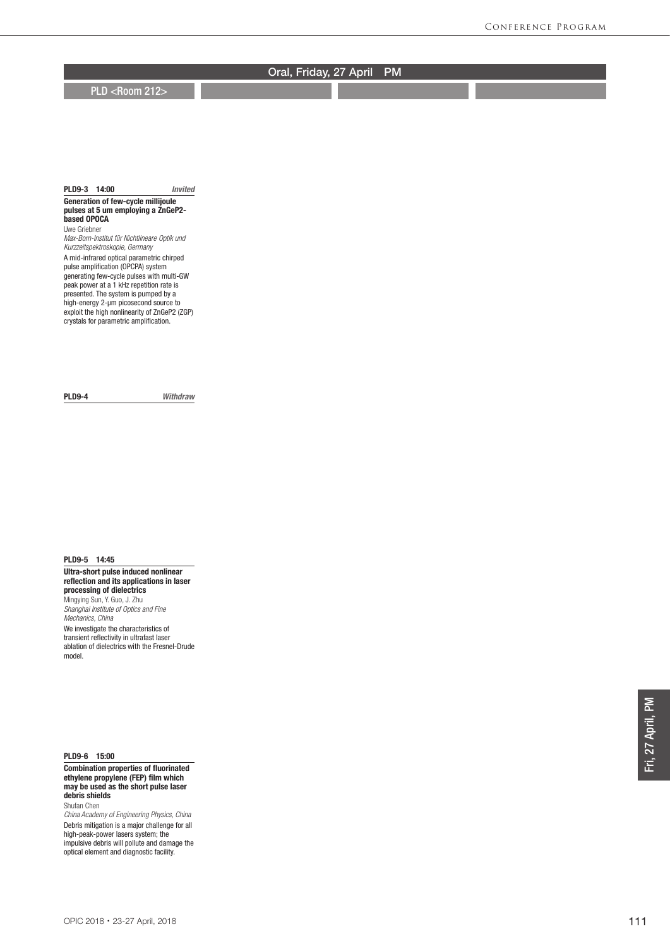**PLD <Room 212>** 

### PLD9-3 14:00 *Invited*

Generation of few-cycle millijoule pulses at 5 um employing a ZnGeP2 based OPOCA Uwe Griebner

*Max-Born-Institut für Nichtlineare Optik und Kurzzeitspektroskopie, Germany*

A mid-infrared optical parametric chirped pulse amplification (OPCPA) system generating few-cycle pulses with multi-GW peak power at a 1 kHz repetition rate is presented. The system is pumped by a high-energy 2-um picosecond source to exploit the high nonlinearity of ZnGeP2 (ZGP) crystals for parametric amplification.

PLD9-4 *Withdraw*

## PLD9-5 14:45

Ultra-short pulse induced nonlinear reflection and its applications in laser processing of dielectrics Mingying Sun, Y. Guo, J. Zhu *Shanghai Institute of Optics and Fine Mechanics, China* We investigate the characteristics of transient reflectivity in ultrafast laser ablation of dielectrics with the Fresnel-Drude model.

PLD9-6 15:00

Combination properties of fluorinated ethylene propylene (FEP) film which may be used as the short pulse laser debris shields Shufan Chen

*China Academy of Engineering Physics, China* Debris mitigation is a major challenge for all high-peak-power lasers system; the impulsive debris will pollute and damage the optical element and diagnostic facility.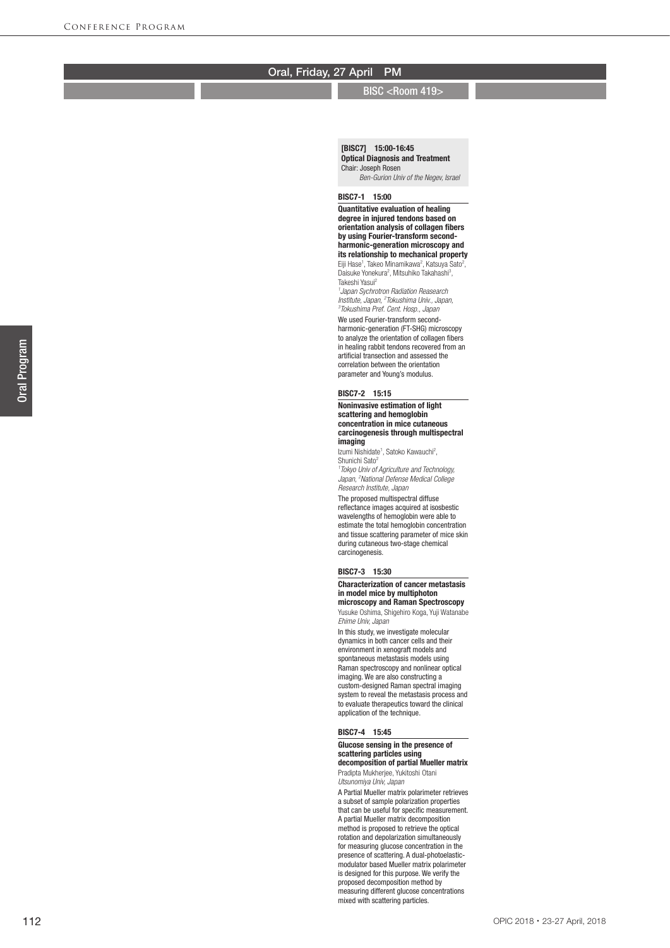### BISC <Room 419>

[BISC7] 15:00-16:45 Optical Diagnosis and Treatment Chair: Joseph Rosen

*Ben-Gurion Univ of the Negev, Israel*

## BISC7-1 15:00

Quantitative evaluation of healing degree in injured tendons based on orientation analysis of collagen fibers by using Fourier-transform secondharmonic-generation microscopy and its relationship to mechanical property Eiji Hase<sup>1</sup>, Takeo Minamikawa<sup>2</sup>, Katsuya Sato<sup>2</sup>, Daisuke Yonekura<sup>2</sup>, Mitsuhiko Takahashi<sup>3</sup>, Takeshi Yasui 2 *1 Japan Sychrotron Radiation Reasearch Institute, Japan, 2 Tokushima Univ., Japan, 3 Tokushima Pref. Cent. Hosp., Japan* We used Fourier-transform secondharmonic-generation (FT-SHG) microscopy to analyze the orientation of collagen fibers in healing rabbit tendons recovered from an artificial transection and assessed the correlation between the orientation parameter and Young's modulus.

#### BISC7-2 15:15

#### Noninvasive estimation of light scattering and hemoglobin concentration in mice cutaneous carcinogenesis through multispectral imaging

Izumi Nishidate<sup>1</sup>, Satoko Kawauchi<sup>2</sup>, Shunichi Sato<sup>2</sup> *1 Tokyo Univ of Agriculture and Technology, Japan, 2 National Defense Medical College Research Institute, Japan*

The proposed multispectral diffuse reflectance images acquired at isosbestic wavelengths of hemoglobin were able to estimate the total hemoglobin concentration and tissue scattering parameter of mice skin during cutaneous two-stage chemical carcinogenesis.

### BISC7-3 15:30

#### Characterization of cancer metastasis in model mice by multiphoton microscopy and Raman Spectroscopy

Yusuke Oshima, Shigehiro Koga, Yuji Watanabe *Ehime Univ, Japan*

In this study, we investigate molecular dynamics in both cancer cells and their environment in xenograft models and spontaneous metastasis models using Raman spectroscopy and nonlinear optical imaging. We are also constructing a custom-designed Raman spectral imaging system to reveal the metastasis process and to evaluate therapeutics toward the clinical application of the technique.

#### BISC7-4 15:45

#### Glucose sensing in the presence of scattering particles using decomposition of partial Mueller matrix

Pradipta Mukherjee, Yukitoshi Otani *Utsunomiya Univ, Japan*

A Partial Mueller matrix polarimeter retrieves a subset of sample polarization properties that can be useful for specific measurement. A partial Mueller matrix decomposition method is proposed to retrieve the optical rotation and depolarization simultaneously for measuring glucose concentration in the presence of scattering. A dual-photoelasticmodulator based Mueller matrix polarimeter is designed for this purpose. We verify the proposed decomposition method by measuring different glucose concentrations mixed with scattering particles.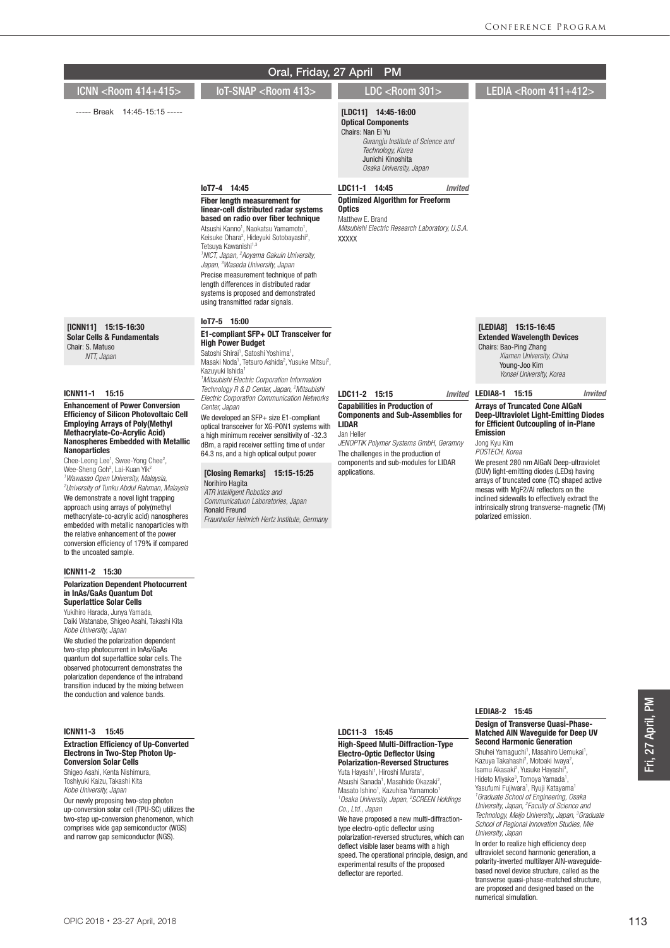| Oral, Friday, 27 April<br><b>PM</b>                                                                                                                                                                                                                                                                                                                                                                                                                                                                                                                                                                                                                                                                                                                                                 |                                                                                                                                                                                                                                                                                                                                                                                                                                                                                                                                                                           |                                                                                                                                                                                                                                                          |                                                                                                                                                                                                                                                                                                                                                                                                                                                                                               |  |  |
|-------------------------------------------------------------------------------------------------------------------------------------------------------------------------------------------------------------------------------------------------------------------------------------------------------------------------------------------------------------------------------------------------------------------------------------------------------------------------------------------------------------------------------------------------------------------------------------------------------------------------------------------------------------------------------------------------------------------------------------------------------------------------------------|---------------------------------------------------------------------------------------------------------------------------------------------------------------------------------------------------------------------------------------------------------------------------------------------------------------------------------------------------------------------------------------------------------------------------------------------------------------------------------------------------------------------------------------------------------------------------|----------------------------------------------------------------------------------------------------------------------------------------------------------------------------------------------------------------------------------------------------------|-----------------------------------------------------------------------------------------------------------------------------------------------------------------------------------------------------------------------------------------------------------------------------------------------------------------------------------------------------------------------------------------------------------------------------------------------------------------------------------------------|--|--|
| ICNN <room 414+415=""></room>                                                                                                                                                                                                                                                                                                                                                                                                                                                                                                                                                                                                                                                                                                                                                       | IoT-SNAP <room 413=""></room>                                                                                                                                                                                                                                                                                                                                                                                                                                                                                                                                             | LDC <room 301=""></room>                                                                                                                                                                                                                                 | LEDIA <r00m 411+412=""></r00m>                                                                                                                                                                                                                                                                                                                                                                                                                                                                |  |  |
| ----- Break 14:45-15:15 -----                                                                                                                                                                                                                                                                                                                                                                                                                                                                                                                                                                                                                                                                                                                                                       |                                                                                                                                                                                                                                                                                                                                                                                                                                                                                                                                                                           | [LDC11] 14:45-16:00<br><b>Optical Components</b><br>Chairs: Nan Ei Yu<br>Gwangju Institute of Science and<br>Technology, Korea<br>Junichi Kinoshita<br>Osaka University, Japan                                                                           |                                                                                                                                                                                                                                                                                                                                                                                                                                                                                               |  |  |
|                                                                                                                                                                                                                                                                                                                                                                                                                                                                                                                                                                                                                                                                                                                                                                                     | loT7-4 14:45                                                                                                                                                                                                                                                                                                                                                                                                                                                                                                                                                              | LDC11-1 14:45<br><b>Invited</b>                                                                                                                                                                                                                          |                                                                                                                                                                                                                                                                                                                                                                                                                                                                                               |  |  |
|                                                                                                                                                                                                                                                                                                                                                                                                                                                                                                                                                                                                                                                                                                                                                                                     | Fiber length measurement for<br>linear-cell distributed radar systems<br>based on radio over fiber technique<br>Atsushi Kanno <sup>1</sup> , Naokatsu Yamamoto <sup>1</sup> ,<br>Keisuke Ohara <sup>2</sup> , Hideyuki Sotobayashi <sup>2</sup> ,<br>Tetsuya Kawanishi <sup>1,3</sup><br><sup>1</sup> NICT, Japan, <sup>2</sup> Aoyama Gakuin University,<br>Japan, <sup>3</sup> Waseda University, Japan<br>Precise measurement technique of path<br>length differences in distributed radar<br>systems is proposed and demonstrated<br>using transmitted radar signals. | <b>Optimized Algorithm for Freeform</b><br><b>Optics</b><br>Matthew E. Brand<br>Mitsubishi Electric Research Laboratory, U.S.A.<br><b>XXXXX</b>                                                                                                          |                                                                                                                                                                                                                                                                                                                                                                                                                                                                                               |  |  |
| [ICNN11] 15:15-16:30<br><b>Solar Cells &amp; Fundamentals</b><br>Chair: S. Matuso<br>NTT, Japan                                                                                                                                                                                                                                                                                                                                                                                                                                                                                                                                                                                                                                                                                     | lot7-5 15:00<br>E1-compliant SFP+ OLT Transceiver for<br><b>High Power Budget</b><br>Satoshi Shirai <sup>1</sup> , Satoshi Yoshima <sup>1</sup> ,<br>Masaki Noda <sup>1</sup> , Tetsuro Ashida <sup>2</sup> , Yusuke Mitsui <sup>2</sup> ,<br>Kazuyuki Ishida <sup>1</sup><br><sup>1</sup> Mitsubishi Electric Corporation Information                                                                                                                                                                                                                                    |                                                                                                                                                                                                                                                          | [LEDIA8] 15:15-16:45<br><b>Extended Wavelength Devices</b><br>Chairs: Bao-Ping Zhang<br>Xiamen University, China<br>Young-Joo Kim<br>Yonsei University, Korea                                                                                                                                                                                                                                                                                                                                 |  |  |
| <b>ICNN11-1</b><br>15:15                                                                                                                                                                                                                                                                                                                                                                                                                                                                                                                                                                                                                                                                                                                                                            | Technology R & D Center, Japan, <sup>2</sup> Mitsubishi<br>Electric Corporation Communication Networks                                                                                                                                                                                                                                                                                                                                                                                                                                                                    | LDC11-2 15:15                                                                                                                                                                                                                                            | Invited LEDIA8-1 15:15<br><b>Invited</b>                                                                                                                                                                                                                                                                                                                                                                                                                                                      |  |  |
| <b>Enhancement of Power Conversion</b><br><b>Efficiency of Silicon Photovoltaic Cell</b><br><b>Employing Arrays of Poly (Methyl</b><br><b>Methacrylate-Co-Acrylic Acid)</b><br><b>Nanospheres Embedded with Metallic</b><br><b>Nanoparticles</b><br>Chee-Leong Lee <sup>1</sup> , Swee-Yong Chee <sup>2</sup> ,<br>Wee-Sheng Goh <sup>2</sup> , Lai-Kuan Yik <sup>2</sup><br><sup>1</sup> Wawasao Open University, Malaysia,<br><sup>2</sup> University of Tunku Abdul Rahman, Malaysia<br>We demonstrate a novel light trapping<br>approach using arrays of poly(methyl<br>methacrylate-co-acrylic acid) nanospheres<br>embedded with metallic nanoparticles with<br>the relative enhancement of the power<br>conversion efficiency of 179% if compared<br>to the uncoated sample. | Center, Japan<br>We developed an SFP+ size E1-compliant<br>optical transceiver for XG-PON1 systems with<br>a high minimum receiver sensitivity of -32.3<br>dBm, a rapid receiver settling time of under<br>64.3 ns, and a high optical output power<br>[Closing Remarks] 15:15-15:25<br>Norihiro Hagita<br>ATR Intelligent Robotics and<br>Communicatuon Laboratories, Japan<br><b>Ronald Freund</b><br>Fraunhofer Heinrich Hertz Institute, Germany                                                                                                                      | <b>Capabilities in Production of</b><br><b>Components and Sub-Assemblies for</b><br><b>LIDAR</b><br>Jan Heller<br>JENOPTIK Polymer Systems GmbH, Geramny<br>The challenges in the production of<br>components and sub-modules for LIDAR<br>applications. | <b>Arrays of Truncated Cone AIGaN</b><br><b>Deep-Ultraviolet Light-Emitting Diodes</b><br>for Efficient Outcoupling of in-Plane<br><b>Emission</b><br>Jong Kyu Kim<br>POSTECH, Korea<br>We present 280 nm AIGaN Deep-ultraviolet<br>(DUV) light-emitting diodes (LEDs) having<br>arrays of truncated cone (TC) shaped active<br>mesas with MqF2/AI reflectors on the<br>inclined sidewalls to effectively extract the<br>intrinsically strong transverse-magnetic (TM)<br>polarized emission. |  |  |
| ICNN11-2 15:30                                                                                                                                                                                                                                                                                                                                                                                                                                                                                                                                                                                                                                                                                                                                                                      |                                                                                                                                                                                                                                                                                                                                                                                                                                                                                                                                                                           |                                                                                                                                                                                                                                                          |                                                                                                                                                                                                                                                                                                                                                                                                                                                                                               |  |  |
| <b>Polarization Dependent Photocurrent</b><br>in InAs/GaAs Quantum Dot<br><b>Superlattice Solar Cells</b><br>Yukihiro Harada, Junya Yamada,<br>Daiki Watanabe, Shigeo Asahi, Takashi Kita<br>Kobe University, Japan<br>We studied the polarization dependent<br>two-step photocurrent in lnAs/GaAs<br>quantum dot superlattice solar cells. The<br>observed photocurrent demonstrates the                                                                                                                                                                                                                                                                                                                                                                                           |                                                                                                                                                                                                                                                                                                                                                                                                                                                                                                                                                                           |                                                                                                                                                                                                                                                          |                                                                                                                                                                                                                                                                                                                                                                                                                                                                                               |  |  |

## ICNN11-3 15:45

#### Extraction Efficiency of Up-Converted Electrons in Two-Step Photon Up-Conversion Solar Cells

polarization dependence of the intraband transition induced by the mixing between the conduction and valence bands.

Shigeo Asahi, Kenta Nishimura, Toshiyuki Kaizu, Takashi Kita *Kobe University, Japan*

Our newly proposing two-step photon up-conversion solar cell (TPU-SC) utilizes the two-step up-conversion phenomenon, which comprises wide gap semiconductor (WGS) and narrow gap semiconductor (NGS).

LDC11-3 15:45

#### High-Speed Multi-Diffraction-Type Electro-Optic Deflector Using Polarization-Reversed Structures

Yuta Hayashi<sup>1</sup>, Hiroshi Murata<sup>1</sup>,<br>Atsushi Sanada<sup>1</sup>, Masahide Okazaki<sup>2</sup>, Masato Ishino<sup>1</sup>, Kazuhisa Yamamoto<sup>1</sup> *1 Osaka University, Japan, 2 SCREEN Holdings Co., Ltd., Japan*

We have proposed a new multi-diffractiontype electro-optic deflector using polarization-reversed structures, which can deflect visible laser beams with a high speed. The operational principle, design, and experimental results of the proposed deflector are reported.

# LEDIA8-2 15:45

#### Design of Transverse Quasi-Phase-Matched AlN Waveguide for Deep UV Second Harmonic Generation

Shuhei Yamaguchi<sup>1</sup>, Masahiro Uemukai<sup>1</sup>,<br>Kazuya Takahashi<sup>2</sup>, Motoaki Iwaya<sup>2</sup>,<br>Isamu Akasaki<sup>2</sup>, Yusuke Hayashi<sup>3</sup>,<br>Hideto Miyake<sup>3</sup>, Tomoya Yamada<sup>1</sup>, Yasufumi Fujiwara<sup>1</sup>, Ryuji Katayama<sup>1</sup> *1 Graduate School of Engineering, Osaka University, Japan, 2 Faculty of Science and Technology, Meijo University, Japan, 3 Graduate School of Regional Innovation Studies, Mie University, Japan*

In order to realize high efficiency deep ultraviolet second harmonic generation, a polarity-inverted multilayer AlN-waveguidebased novel device structure, called as the transverse quasi-phase-matched structure, are proposed and designed based on the numerical simulation.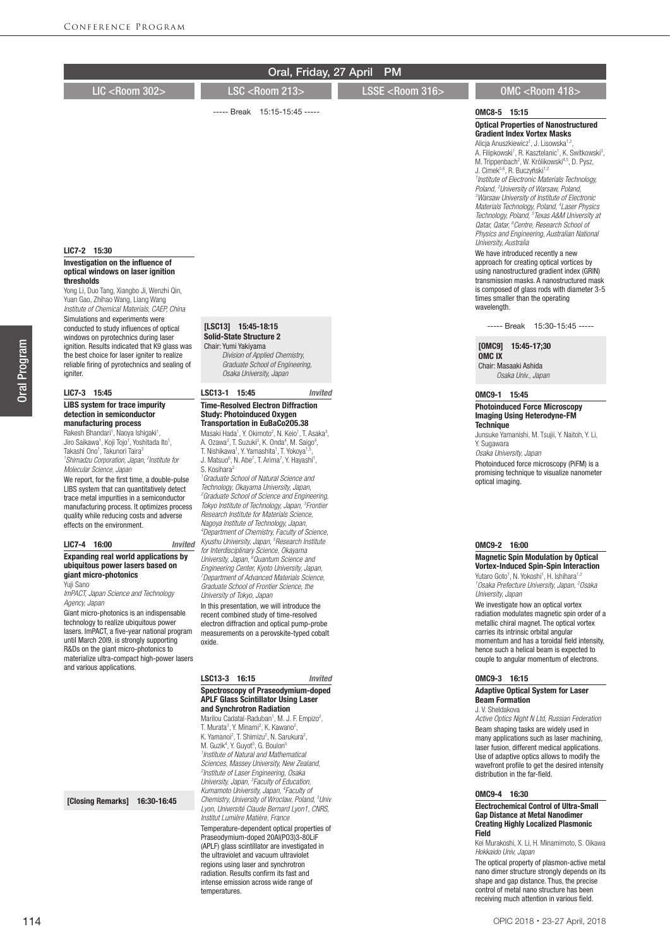|                                                                                                                                                                                                                                                                                                                                                                                                                                                                                                                                                                                                                                                                                       | Oral, Friday, 27 April                                                                                                                                                                                                                                                                                                                                                                                                                                                                                                                                                                                                                                                                                                                                                                                                                                                                                                                  | <b>PM</b>                 |                                                                                                                                                                                                                                                                                                                                                                                                                                                                                                                                                                                                                                                                                                                                                                                                                                                                                                                                                                                                                                                               |
|---------------------------------------------------------------------------------------------------------------------------------------------------------------------------------------------------------------------------------------------------------------------------------------------------------------------------------------------------------------------------------------------------------------------------------------------------------------------------------------------------------------------------------------------------------------------------------------------------------------------------------------------------------------------------------------|-----------------------------------------------------------------------------------------------------------------------------------------------------------------------------------------------------------------------------------------------------------------------------------------------------------------------------------------------------------------------------------------------------------------------------------------------------------------------------------------------------------------------------------------------------------------------------------------------------------------------------------------------------------------------------------------------------------------------------------------------------------------------------------------------------------------------------------------------------------------------------------------------------------------------------------------|---------------------------|---------------------------------------------------------------------------------------------------------------------------------------------------------------------------------------------------------------------------------------------------------------------------------------------------------------------------------------------------------------------------------------------------------------------------------------------------------------------------------------------------------------------------------------------------------------------------------------------------------------------------------------------------------------------------------------------------------------------------------------------------------------------------------------------------------------------------------------------------------------------------------------------------------------------------------------------------------------------------------------------------------------------------------------------------------------|
| LIC <room 302=""></room>                                                                                                                                                                                                                                                                                                                                                                                                                                                                                                                                                                                                                                                              | <b>LSC <room 213=""></room></b>                                                                                                                                                                                                                                                                                                                                                                                                                                                                                                                                                                                                                                                                                                                                                                                                                                                                                                         | LSSE <room 316=""></room> | OMC <room 418=""></room>                                                                                                                                                                                                                                                                                                                                                                                                                                                                                                                                                                                                                                                                                                                                                                                                                                                                                                                                                                                                                                      |
|                                                                                                                                                                                                                                                                                                                                                                                                                                                                                                                                                                                                                                                                                       | ----- Break 15:15-15:45 -----                                                                                                                                                                                                                                                                                                                                                                                                                                                                                                                                                                                                                                                                                                                                                                                                                                                                                                           |                           |                                                                                                                                                                                                                                                                                                                                                                                                                                                                                                                                                                                                                                                                                                                                                                                                                                                                                                                                                                                                                                                               |
| LIC7-2 15:30<br>Investigation on the influence of<br>optical windows on laser ignition<br>thresholds<br>Yong Li, Duo Tang, Xiangbo Ji, Wenzhi Qin,                                                                                                                                                                                                                                                                                                                                                                                                                                                                                                                                    |                                                                                                                                                                                                                                                                                                                                                                                                                                                                                                                                                                                                                                                                                                                                                                                                                                                                                                                                         |                           | OMC8-5 15:15<br><b>Optical Properties of Nanostructured</b><br><b>Gradient Index Vortex Masks</b><br>Alicja Anuszkiewicz <sup>1</sup> , J. Lisowska <sup>1,2</sup> ,<br>A. Filipkowski <sup>1</sup> , R. Kasztelanic <sup>1</sup> , K. Switkowski <sup>3</sup> ,<br>M. Trippenbach <sup>2</sup> , W. Królikowski <sup>4,5</sup> , D. Pysz,<br>J. Cimek5,6, R. Buczyński <sup>1,2</sup><br><sup>1</sup> Institute of Electronic Materials Technology,<br>Poland, <sup>2</sup> University of Warsaw, Poland,<br><sup>3</sup> Warsaw University of Institute of Electronic<br>Materials Technology, Poland, <sup>4</sup> Laser Physics<br>Technology, Poland, <sup>5</sup> Texas A&M University at<br>Qatar, Qatar, <sup>6</sup> Centre, Research School of<br>Physics and Engineering, Australian National<br>University, Australia<br>We have introduced recently a new<br>approach for creating optical vortices by<br>using nanostructured gradient index (GRIN)<br>transmission masks. A nanostructured mask<br>is composed of glass rods with diameter 3-5 |
| Yuan Gao, Zhihao Wang, Liang Wang<br>Institute of Chemical Materials, CAEP, China<br>Simulations and experiments were<br>conducted to study influences of optical                                                                                                                                                                                                                                                                                                                                                                                                                                                                                                                     | [LSC13] 15:45-18:15                                                                                                                                                                                                                                                                                                                                                                                                                                                                                                                                                                                                                                                                                                                                                                                                                                                                                                                     |                           | times smaller than the operating<br>wavelength.<br>----- Break 15:30-15:45 -----                                                                                                                                                                                                                                                                                                                                                                                                                                                                                                                                                                                                                                                                                                                                                                                                                                                                                                                                                                              |
| windows on pyrotechnics during laser<br>ignition. Results indicated that K9 glass was<br>the best choice for laser igniter to realize<br>reliable firing of pyrotechnics and sealing of<br>igniter.                                                                                                                                                                                                                                                                                                                                                                                                                                                                                   | <b>Solid-State Structure 2</b><br>Chair: Yumi Yakiyama<br>Division of Applied Chemistry,<br>Graduate School of Engineering,<br>Osaka University, Japan                                                                                                                                                                                                                                                                                                                                                                                                                                                                                                                                                                                                                                                                                                                                                                                  |                           | [OMC9] 15:45-17:30<br><b>OMC<sub>IX</sub></b><br>Chair: Masaaki Ashida<br>Osaka Univ., Japan                                                                                                                                                                                                                                                                                                                                                                                                                                                                                                                                                                                                                                                                                                                                                                                                                                                                                                                                                                  |
| LIC7-3 15:45                                                                                                                                                                                                                                                                                                                                                                                                                                                                                                                                                                                                                                                                          | LSC13-1 15:45<br><b>Invited</b>                                                                                                                                                                                                                                                                                                                                                                                                                                                                                                                                                                                                                                                                                                                                                                                                                                                                                                         |                           | OMC9-1 15:45                                                                                                                                                                                                                                                                                                                                                                                                                                                                                                                                                                                                                                                                                                                                                                                                                                                                                                                                                                                                                                                  |
| <b>LIBS</b> system for trace impurity<br>detection in semiconductor<br>manufacturing process<br>Rakesh Bhandari <sup>1</sup> , Naoya Ishigaki <sup>1</sup> ,<br>Jiro Saikawa <sup>1</sup> , Koji Tojo <sup>1</sup> , Yoshitada Ito <sup>1</sup> ,<br>Takashi Ono <sup>1</sup> , Takunori Taira <sup>2</sup><br><sup>1</sup> Shimadzu Corporation, Japan, <sup>2</sup> Institute for<br>Molecular Science, Japan<br>We report, for the first time, a double-pulse<br>LIBS system that can quantitatively detect<br>trace metal impurities in a semiconductor<br>manufacturing process. It optimizes process<br>quality while reducing costs and adverse<br>effects on the environment. | <b>Time-Resolved Electron Diffraction</b><br><b>Study: Photoinduced Oxygen</b><br><b>Transportation in EuBaCo205.38</b><br>Masaki Hada <sup>1</sup> , Y. Okimoto <sup>2</sup> , N. Keio <sup>1</sup> , T. Asaka <sup>3</sup> ,<br>A. Ozawa <sup>2</sup> , T. Suzuki <sup>3</sup> , K. Onda <sup>4</sup> , M. Saigo <sup>4</sup> ,<br>T. Nishikawa <sup>1</sup> , Y. Yamashita <sup>1</sup> , T. Yokoya <sup>1,5</sup> ,<br>J. Matsuo <sup>6</sup> , N. Abe <sup>7</sup> , T. Arima <sup>7</sup> , Y. Hayashi <sup>1</sup> ,<br>S. Kosihara <sup>2</sup><br><sup>1</sup> Graduate School of Natural Science and<br>Technology, Okayama University, Japan,<br><sup>2</sup> Graduate School of Science and Engineering,<br>Tokyo Institute of Technology, Japan, <sup>3</sup> Frontier<br>Research Institute for Materials Science.<br>Nagoya Institute of Technology, Japan,<br><sup>4</sup> Department of Chemistry, Faculty of Science, |                           | <b>Photoinduced Force Microscopy</b><br><b>Imaging Using Heterodyne-FM</b><br><b>Technique</b><br>Junsuke Yamanishi, M. Tsujii, Y. Naitoh, Y. Li,<br>Y. Sugawara<br>Osaka University, Japan<br>Photoinduced force microscopy (PiFM) is a<br>promising technique to visualize nanometer<br>optical imaging.                                                                                                                                                                                                                                                                                                                                                                                                                                                                                                                                                                                                                                                                                                                                                    |
| LIC7-4 16:00<br>Invited                                                                                                                                                                                                                                                                                                                                                                                                                                                                                                                                                                                                                                                               | Kyushu University, Japan, <sup>5</sup> Research Institute<br>for Interdisciplinary Science, Okayama                                                                                                                                                                                                                                                                                                                                                                                                                                                                                                                                                                                                                                                                                                                                                                                                                                     |                           | OMC9-2 16:00                                                                                                                                                                                                                                                                                                                                                                                                                                                                                                                                                                                                                                                                                                                                                                                                                                                                                                                                                                                                                                                  |
| <b>Expanding real world applications by</b><br>ubiquitous power lasers based on<br>giant micro-photonics<br>Yuji Sano<br>ImPACT, Japan Science and Technology<br>Agency, Japan<br>Giant micro-photonics is an indispensable<br>technology to realize ubiquitous power<br>lasers. ImPACT, a five-year national program<br>until March 2019, is strongly supporting<br>R&Ds on the giant micro-photonics to<br>materialize ultra-compact high-power lasers<br>and various applications.                                                                                                                                                                                                 | University, Japan, <sup>6</sup> Quantum Science and<br>Engineering Center, Kyoto University, Japan,<br>'Department of Advanced Materials Science,<br>Graduate School of Frontier Science, the<br>University of Tokyo, Japan<br>In this presentation, we will introduce the<br>recent combined study of time-resolved<br>electron diffraction and optical pump-probe<br>measurements on a perovskite-typed cobalt<br>oxide.                                                                                                                                                                                                                                                                                                                                                                                                                                                                                                              |                           | <b>Magnetic Spin Modulation by Optical</b><br><b>Vortex-Induced Spin-Spin Interaction</b><br>Yutaro Goto <sup>1</sup> , N. Yokoshi <sup>1</sup> , H. Ishihara <sup>1,2</sup><br><sup>1</sup> Osaka Prefecture University, Japan, <sup>2</sup> Osaka<br>University, Japan<br>We investigate how an optical vortex<br>radiation modulates magnetic spin order of a<br>metallic chiral magnet. The optical vortex<br>carries its intrinsic orbital angular<br>momentum and has a toroidal field intensity,<br>hence such a helical beam is expected to<br>couple to angular momentum of electrons.                                                                                                                                                                                                                                                                                                                                                                                                                                                               |
|                                                                                                                                                                                                                                                                                                                                                                                                                                                                                                                                                                                                                                                                                       | LSC13-3 16:15<br><b>Invited</b>                                                                                                                                                                                                                                                                                                                                                                                                                                                                                                                                                                                                                                                                                                                                                                                                                                                                                                         |                           | OMC9-3 16:15                                                                                                                                                                                                                                                                                                                                                                                                                                                                                                                                                                                                                                                                                                                                                                                                                                                                                                                                                                                                                                                  |
|                                                                                                                                                                                                                                                                                                                                                                                                                                                                                                                                                                                                                                                                                       | Spectroscopy of Praseodymium-doped<br><b>APLF Glass Scintillator Using Laser</b><br>and Synchrotron Radiation<br>Marilou Cadatal-Raduban <sup>1</sup> , M. J. F. Empizo <sup>2</sup> ,<br>T. Murata <sup>3</sup> , Y. Minami <sup>2</sup> , K. Kawano <sup>2</sup> ,<br>K. Yamanoi <sup>2</sup> , T. Shimizu <sup>2</sup> , N. Sarukura <sup>2</sup> ,<br>M. Guzik <sup>4</sup> , Y. Guyot <sup>5</sup> , G. Boulon <sup>5</sup><br><sup>1</sup> Institute of Natural and Mathematical<br>Sciences, Massey University, New Zealand,                                                                                                                                                                                                                                                                                                                                                                                                     |                           | <b>Adaptive Optical System for Laser</b><br><b>Beam Formation</b><br>J. V. Sheldakova<br>Active Optics Night N Ltd, Russian Federation<br>Beam shaping tasks are widely used in<br>many applications such as laser machining,<br>laser fusion, different medical applications.<br>Use of adaptive optics allows to modify the<br>wavefront profile to get the desired intensity                                                                                                                                                                                                                                                                                                                                                                                                                                                                                                                                                                                                                                                                               |

## OMC9-4 16:30

#### Electrochemical Control of Ultra-Small Gap Distance at Metal Nanodimer Creating Highly Localized Plasmonic Field

Kei Murakoshi, X. Li, H. Minamimoto, S. Oikawa *Hokkaido Univ, Japan*

The optical property of plasmon-active metal nano dimer structure strongly depends on its shape and gap distance. Thus, the precise control of metal nano structure has been receiving much attention in various field.

[Closing Remarks] 16:30-16:45

*2 Institute of Laser Engineering, Osaka University, Japan, 3 Faculty of Education, Kumamoto University, Japan, 4 Faculty of Chemistry, University of Wroclaw, Poland, 5 Univ Lyon, Université Claude Bernard Lyon1, CNRS, Institut Lumière Matière, France* Temperature-dependent optical properties of Praseodymium-doped 20Al(PO3)3-80LiF (APLF) glass scintillator are investigated in the ultraviolet and vacuum ultraviolet regions using laser and synchrotron radiation. Results confirm its fast and intense emission across wide range of temperatures.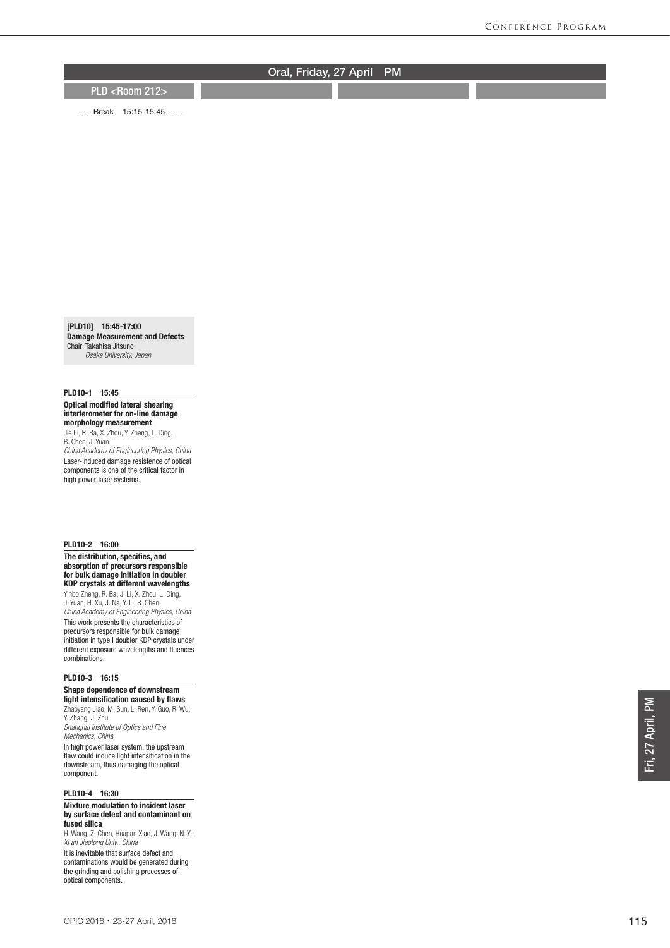PLD <Room 212>

----- Break 15:15-15:45 -----

[PLD10] 15:45-17:00 Damage Measurement and Defects Chair: Takahisa Jitsuno  *Osaka University, Japan*

### PLD10-1 15:45

Optical modified lateral shearing interferometer for on-line damage morphology measurement

Jie Li, R. Ba, X. Zhou, Y. Zheng, L. Ding, B. Chen, J. Yuan *China Academy of Engineering Physics, China* Laser-induced damage resistence of optical components is one of the critical factor in high power laser systems.

#### PLD10-2 16:00

The distribution, specifies, and absorption of precursors responsible for bulk damage initiation in doubler KDP crystals at different wavelengths Yinbo Zheng, R. Ba, J. Li, X. Zhou, L. Ding, J. Yuan, H. Xu, J. Na, Y. Li, B. Chen *China Academy of Engineering Physics, China* This work presents the characteristics of

precursors responsible for bulk damage initiation in type I doubler KDP crystals under different exposure wavelengths and fluences combinations.

#### PLD10-3 16:15

Shape dependence of downstream light intensification caused by flaws Zhaoyang Jiao, M. Sun, L. Ren, Y. Guo, R. Wu,

Y. Zhang, J. Zhu *Shanghai Institute of Optics and Fine Mechanics, China*

In high power laser system, the upstream flaw could induce light intensification in the downstream, thus damaging the optical component.

### PLD10-4 16:30

#### Mixture modulation to incident laser by surface defect and contaminant on fused silica

H. Wang, Z. Chen, Huapan Xiao, J. Wang, N. Yu *Xi'an Jiaotong Univ., China* It is inevitable that surface defect and contaminations would be generated during the grinding and polishing processes of optical components.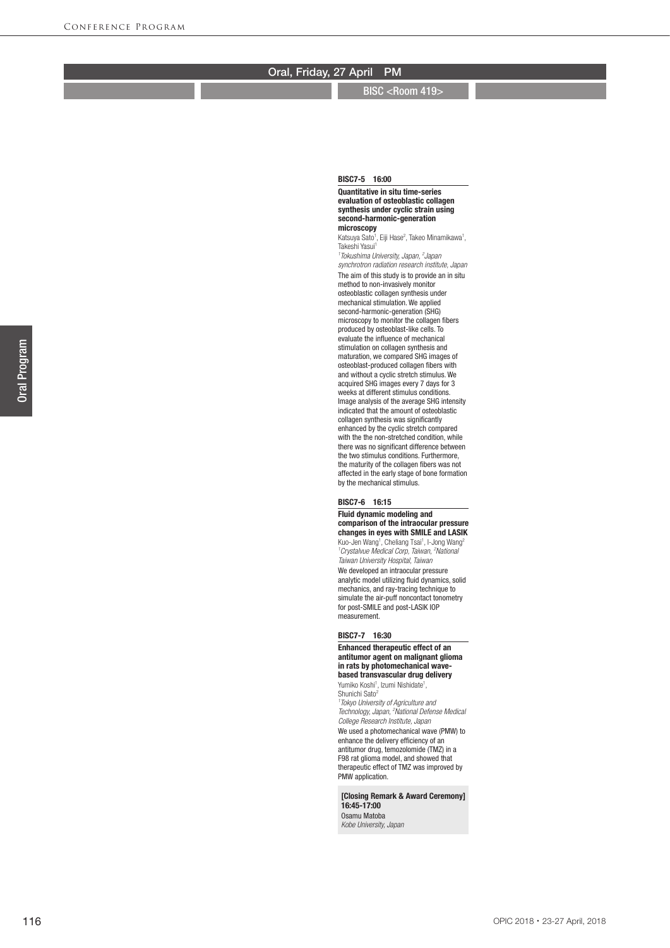BISC <Room 419>

#### Quantitative in situ time-series evaluation of osteoblastic collagen synthesis under cyclic strain using second-harmonic-generation microscopy

BISC7-5 16:00

Katsuya Sato<sup>1</sup>, Eiji Hase<sup>2</sup>, Takeo Minamikawa<sup>1</sup>, Takeshi Yasui 1

*1 Tokushima University, Japan, 2 Japan* 

*synchrotron radiation research institute, Japan* The aim of this study is to provide an in situ method to non-invasively monitor osteoblastic collagen synthesis under mechanical stimulation. We applied second-harmonic-generation (SHG) microscopy to monitor the collagen fibers produced by osteoblast-like cells. To evaluate the influence of mechanical stimulation on collagen synthesis and maturation, we compared SHG images of osteoblast-produced collagen fibers with and without a cyclic stretch stimulus. We acquired SHG images every 7 days for 3 weeks at different stimulus conditions. Image analysis of the average SHG intensity indicated that the amount of osteoblastic collagen synthesis was significantly enhanced by the cyclic stretch compared with the the non-stretched condition, while there was no significant difference between the two stimulus conditions. Furthermore, the maturity of the collagen fibers was not affected in the early stage of bone formation by the mechanical stimulus.

#### BISC7-6 16:15

Fluid dynamic modeling and comparison of the intraocular pressure changes in eyes with SMILE and LASIK Kuo-Jen Wang<sup>1</sup>, Cheliang Tsai<sup>1</sup>, I-Jong Wang<sup>2</sup>

<sup>1</sup> Crystalvue Medical Corp, Taiwan, <sup>2</sup> National *Taiwan University Hospital, Taiwan* We developed an intraocular pressure analytic model utilizing fluid dynamics, solid

mechanics, and ray-tracing technique to simulate the air-puff noncontact tonometry for post-SMILE and post-LASIK IOP measurement.

#### BISC7-7 16:30

Enhanced therapeutic effect of an antitumor agent on malignant glioma in rats by photomechanical wavebased transvascular drug delivery

Yumiko Koshi<sup>1</sup>, Izumi Nishidate<sup>1</sup>, Shunichi Sato<sup>2</sup>

*1 Tokyo University of Agriculture and Technology, Japan, 2 National Defense Medical College Research Institute, Japan*

We used a photomechanical wave (PMW) to enhance the delivery efficiency of an antitumor drug, temozolomide (TMZ) in a F98 rat glioma model, and showed that therapeutic effect of TMZ was improved by PMW application.

[Closing Remark & Award Ceremony] 16:45-17:00 Osamu Matoba

*Kobe University, Japan*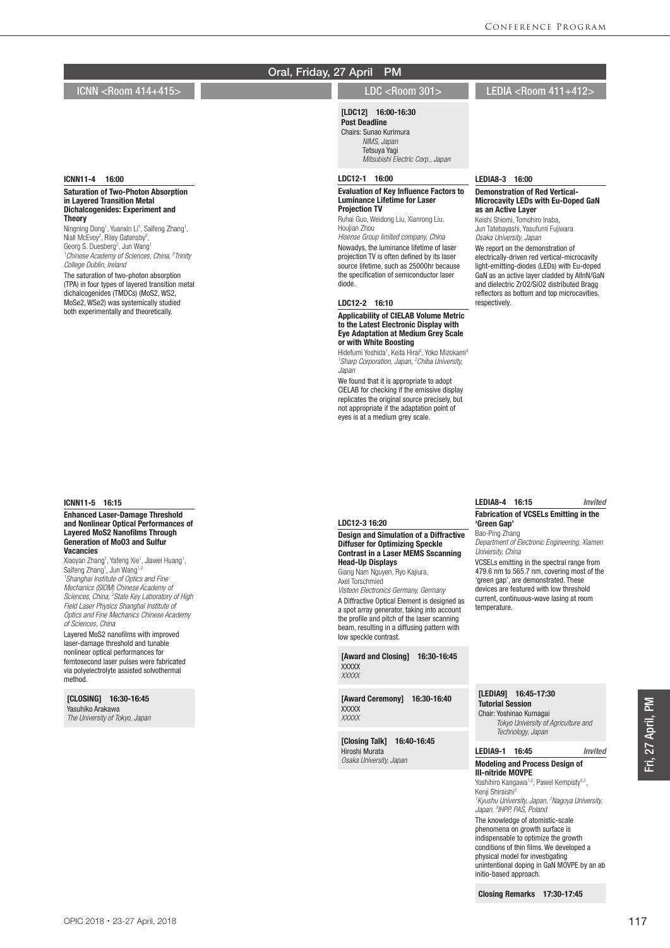## ICNN <Room 414+415> LDC <Room 301> LEDIA <Room 411+412>

#### ICNN11-4 16:00

#### Saturation of Two-Photon Absorption in Layered Transition Metal Dichalcogenides: Experiment and **Theory**

Ningning Dong<sup>1</sup>, Yuanxin Li<sup>1</sup>, Saifeng Zhang<sup>1</sup>, Niall McEvoy<sup>2</sup>, Riley Gatensby<sup>2</sup>, Georg S. Duesberg<sup>2</sup>, Jun Wang<sup>1</sup><br><sup>1</sup> Chinese Academy of Sciences, China, <sup>2</sup> Trinity *College Dublin, Ireland*

The saturation of two-photon absorption (TPA) in four types of layered transition metal dichalcogenides (TMDCs) (MoS2, WS2, MoSe2, WSe2) was systemically studied both experimentally and theoretically.

#### ICNN11-5 16:15

#### Enhanced Laser-Damage Threshold and Nonlinear Optical Performances of Layered MoS2 Nanofilms Through Generation of MoO3 and Sulfur Vacancies

Xiaoyan Zhang<sup>1</sup>, Yafeng Xie<sup>1</sup>, Jiawei Huang<sup>1</sup>,<br>Saifeng Zhang<sup>1</sup>, Jun Wang<sup>1,2</sup> *1 Shanghai Institute of Optics and Fine Mechanics (SIOM) Chinese Academy of Sciences, China, 2 State Key Laboratory of High Field Laser Physics Shanghai Institute of Optics and Fine Mechanics Chinese Academy of Sciences, China*

Layered MoS2 nanofilms with improved laser-damage threshold and tunable nonlinear optical performances for femtosecond laser pulses were fabricated via polyelectrolyte assisted solvothermal method.

[CLOSING] 16:30-16:45 Yasuhiko Arakawa *The University of Tokyo, Japan*

## [LDC12] 16:00-16:30

Post Deadline Chairs: Sunao Kurimura  *NIMS, Japan* Tetsuya Yagi  *Mitsubishi Electric Corp., Japan*

## LDC12-1 16:00

#### Evaluation of Key Influence Factors to Luminance Lifetime for Laser Projection TV

Ruhai Guo, Weidong Liu, Xianrong Liu, Houjian Zhou

*Hisense Group limited company, China* Nowadys, the luminance lifetime of laser projection TV is often defined by its laser source lifetime, such as 25000hr because the specification of semiconductor laser diode.

#### LDC12-2 16:10

Head-Up Displays Giang Nam Nguyen, Ryo Kajiura,

low speckle contrast.

**XXXXX** *XXXXX*

**XXXXX** *XXXXX*

Hiroshi Murata *Osaka University, Japan*

Axel Torschmied

Diffuser for Optimizing Speckle Contrast in a Laser MEMS Sscanning

*Visteon Electronics Germany, Germany* A Diffractive Optical Element is designed as a spot array generator, taking into account the profile and pitch of the laser scanning beam, resulting in a diffusing pattern with

[Award and Closing] 16:30-16:45

[Award Ceremony] 16:30-16:40

[Closing Talk] 16:40-16:45

#### Applicability of CIELAB Volume Metric to the Latest Electronic Display with Eye Adaptation at Medium Grey Scale or with White Boosting

Hidefumi Yoshida<sup>1</sup>, Keita Hirai<sup>2</sup>, Yoko Mizokami<sup>2</sup> *1 Sharp Corporation, Japan, 2 Chiba University, Japan*

We found that it is appropriate to adopt CIELAB for checking if the emissive display replicates the original source precisely, but not appropriate if the adaptation point of eyes is at a medium grey scale.

LEDIA8-3 16:00

#### Demonstration of Red Vertical-Microcavity LEDs with Eu-Doped GaN as an Active Layer Keishi Shiomi, Tomohiro Inaba,

Jun Tatebayashi, Yasufumi Fujiwara *Osaka University, Japan* We report on the demonstration of electrically-driven red vertical-microcavity light-emitting-diodes (LEDs) with Eu-doped GaN as an active layer cladded by AlInN/GaN and dielectric ZrO2/SiO2 distributed Bragg reflectors as bottom and top microcavities, respectively.

|                                               | LEDIA8-4<br>16:15                                           | Invited |  |
|-----------------------------------------------|-------------------------------------------------------------|---------|--|
| LDC12-3 16:20                                 | <b>Fabrication of VCSELs Emitting in the</b><br>'Green Gap' |         |  |
| <b>Design and Simulation of a Diffractive</b> | Bao-Ping Zhang                                              |         |  |

*Department of Electronic Engineering, Xiamen University, China*

VCSELs emitting in the spectral range from 479.6 nm to 565.7 nm, covering most of the 'green gap', are demonstrated. These devices are featured with low threshold current, continuous-wave lasing at room temperature.

#### [LEDIA9] 16:45-17:30 Tutorial Session

Chair: Yoshinao Kumagai  *Tokyo University of Agriculture and Technology, Japan*

#### LEDIA9-1 16:45 *Invited* Modeling and Process Design of III-nitride MOVPE

Yoshihiro Kangawa<sup>1,2</sup>, Pawel Kempisty<sup>2,3</sup>. Kenji Shiraishi2 *1 Kyushu University, Japan, 2 Nagoya University, Japan, 3 IHPP, PAS, Poland* The knowledge of atomistic-scale phenomena on growth surface is indispensable to optimize the growth

conditions of thin films. We developed a physical model for investigating unintentional doping in GaN MOVPE by an ab initio-based approach.

Closing Remarks 17:30-17:45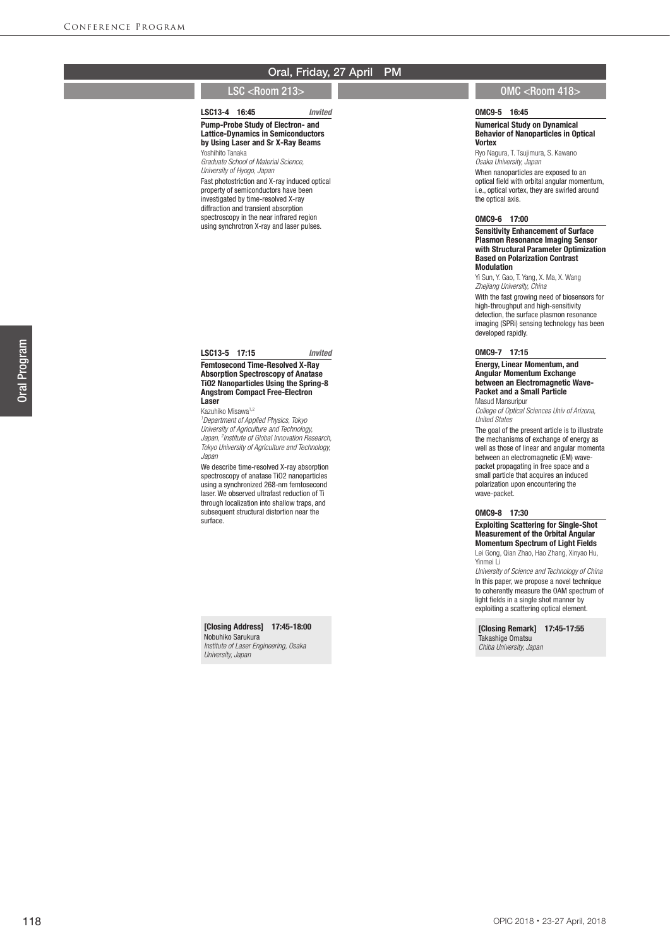#### LSC13-4 16:45 *Invited*

#### Pump-Probe Study of Electron- and Lattice-Dynamics in Semiconductors by Using Laser and Sr X-Ray Beams Yoshihito Tanaka

*Graduate School of Material Science, University of Hyogo, Japan* Fast photostriction and X-ray induced optical property of semiconductors have been investigated by time-resolved X-ray diffraction and transient absorption spectroscopy in the near infrared region using synchrotron X-ray and laser pulses.

#### LSC13-5 17:15 *Invited*

#### Femtosecond Time-Resolved X-Ray Absorption Spectroscopy of Anatase TiO2 Nanoparticles Using the Spring-8 Angstrom Compact Free-Electron Laser

Kazuhiko Misawa<sup>1,2</sup>

*1 Department of Applied Physics, Tokyo University of Agriculture and Technology, Japan, 2 Institute of Global Innovation Research, Tokyo University of Agriculture and Technology, Japan*

We describe time-resolved X-ray absorption spectroscopy of anatase TiO2 nanoparticles using a synchronized 268-nm femtosecond laser. We observed ultrafast reduction of Ti through localization into shallow traps, and subsequent structural distortion near the surface.

## [Closing Address] 17:45-18:00

Nobuhiko Sarukura *Institute of Laser Engineering, Osaka University, Japan*

## LSC <Room 213> OMC <Room 418>

#### OMC9-5 16:45

#### Numerical Study on Dynamical Behavior of Nanoparticles in Optical **Vortex**

Ryo Nagura, T. Tsujimura, S. Kawano *Osaka University, Japan* When nanoparticles are exposed to an optical field with orbital angular momentum,

i.e., optical vortex, they are swirled around the optical axis.

## OMC9-6 17:00

Sensitivity Enhancement of Surface Plasmon Resonance Imaging Sensor with Structural Parameter Optimization Based on Polarization Contrast Modulation

Yi Sun, Y. Gao, T. Yang, X. Ma, X. Wang *Zhejiang University, China*

With the fast growing need of biosensors for high-throughput and high-sensitivity detection, the surface plasmon resonance imaging (SPRi) sensing technology has been developed rapidly.

#### OMC9-7 17:15

Energy, Linear Momentum, and Angular Momentum Exchange between an Electromagnetic Wave-Packet and a Small Particle Masud Mansuripur

*College of Optical Sciences Univ of Arizona, United States*

The goal of the present article is to illustrate the mechanisms of exchange of energy as well as those of linear and angular momenta between an electromagnetic (EM) wavepacket propagating in free space and a small particle that acquires an induced polarization upon encountering the wave-packet.

## OMC9-8 17:30

Exploiting Scattering for Single-Shot Measurement of the Orbital Angular Momentum Spectrum of Light Fields Lei Gong, Qian Zhao, Hao Zhang, Xinyao Hu, Yinmei Li

*University of Science and Technology of China* In this paper, we propose a novel technique to coherently measure the OAM spectrum of light fields in a single shot manner by exploiting a scattering optical element.

[Closing Remark] 17:45-17:55 Takashige Omatsu *Chiba University, Japan*

OPIC 2018・23-27 April, 2018